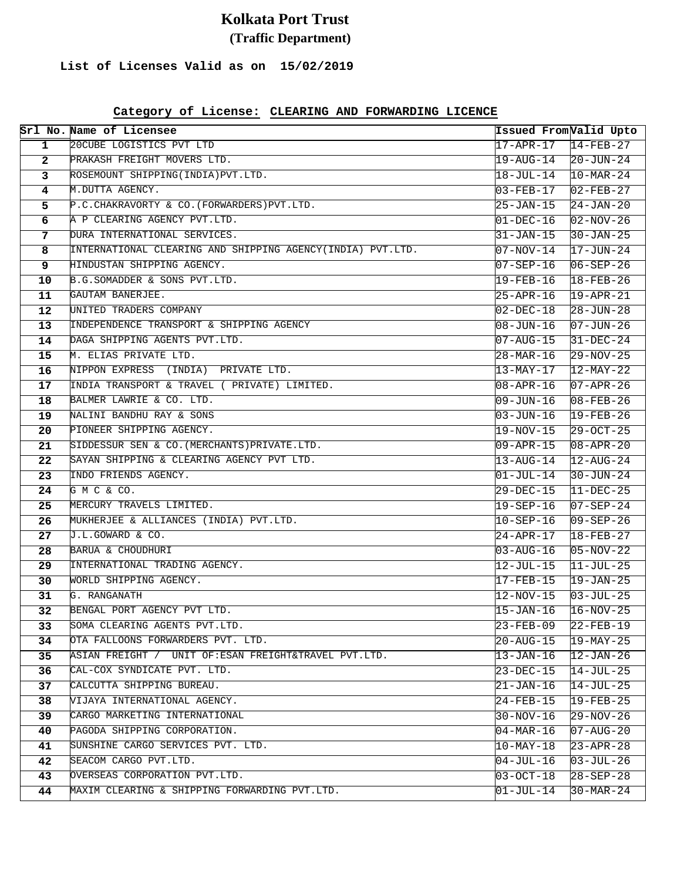# **Kolkata Port Trust (Traffic Department)**

### **List of Licenses Valid as on 15/02/2019**

|                         | Srl No. Name of Licensee                                                            | Issued FromValid Upto                  |                                         |
|-------------------------|-------------------------------------------------------------------------------------|----------------------------------------|-----------------------------------------|
| $\mathbf 1$             | 20CUBE LOGISTICS PVT LTD                                                            | $17 - APR - 17$                        | $14-FEB-27$                             |
| $\overline{2}$          | PRAKASH FREIGHT MOVERS LTD.                                                         | 19-AUG-14                              | $20 - JUN - 24$                         |
| $\mathbf{3}$            | ROSEMOUNT SHIPPING(INDIA) PVT.LTD.                                                  | 18-JUL-14                              | $10-MAR-24$                             |
| $\overline{\mathbf{4}}$ | M.DUTTA AGENCY.                                                                     | 03-FEB-17                              | $02 - FEB - 27$                         |
| 5.                      | P.C. CHAKRAVORTY & CO. (FORWARDERS) PVT. LTD.                                       | 25-JAN-15                              | $24 - JAN - 20$                         |
| 6                       | A P CLEARING AGENCY PVT.LTD.                                                        | $01 - DEC - 16$                        | $02-NOV-26$                             |
| 7                       | DURA INTERNATIONAL SERVICES.                                                        | $31 - JAN - 15$                        | $30 - JAN - 25$                         |
| 8                       | INTERNATIONAL CLEARING AND SHIPPING AGENCY(INDIA) PVT.LTD.                          | 07-NOV-14                              | $17 - JUN - 24$                         |
| 9                       | HINDUSTAN SHIPPING AGENCY.                                                          | $07 - SEP - 16$                        | $06 - SEP - 26$                         |
| 10                      | B.G.SOMADDER & SONS PVT.LTD.                                                        | 19-FEB-16                              | $18 - FEB - 26$                         |
| 11                      | GAUTAM BANERJEE.                                                                    | $25 - APR - 16$                        | $19 - APR - 21$                         |
| 12                      | UNITED TRADERS COMPANY                                                              | 02-DEC-18                              | $28 - JUN - 28$                         |
| 13                      | INDEPENDENCE TRANSPORT & SHIPPING AGENCY                                            | $08 - JUN - 16$                        | $07 - JUN - 26$                         |
| 14                      | DAGA SHIPPING AGENTS PVT.LTD.                                                       | 07-AUG-15                              | $31 - DEC - 24$                         |
| 15                      | M. ELIAS PRIVATE LTD.                                                               | 28-MAR-16                              | $29 - NOV - 25$                         |
| 16                      | NIPPON EXPRESS (INDIA) PRIVATE LTD.                                                 | 13-MAY-17                              | $12 - \text{MAX} - 22$                  |
| 17                      | INDIA TRANSPORT & TRAVEL ( PRIVATE) LIMITED.                                        | $08 - APR - 16$                        | $07 - APR - 26$                         |
| 18                      | BALMER LAWRIE & CO. LTD.                                                            | 09-JUN-16                              | $08 - FEB - 26$                         |
| 19                      | NALINI BANDHU RAY & SONS                                                            | $03 - JUN - 16$                        | $19 - FEB - 26$                         |
| 20                      | PIONEER SHIPPING AGENCY.                                                            | 19-NOV-15                              | $29 - OCT - 25$                         |
| 21                      | SIDDESSUR SEN & CO. (MERCHANTS) PRIVATE.LTD.                                        | $09 - APR - 15$                        | $08 - APR - 20$                         |
| 22                      | SAYAN SHIPPING & CLEARING AGENCY PVT LTD.                                           | 13-AUG-14                              | $12 - \text{AUG} - 24$                  |
| 23                      | INDO FRIENDS AGENCY.                                                                | $01$ -JUL-14                           | $30 - JUN - 24$                         |
| 24                      | GMC & CO.                                                                           | 29-DEC-15                              | $11-DEC-25$                             |
| 25                      | MERCURY TRAVELS LIMITED.                                                            | 19-SEP-16                              | $07 - SEP - 24$                         |
| 26                      | MUKHERJEE & ALLIANCES (INDIA) PVT.LTD.                                              | $10 - SEP - 16$                        | $09 - SEP - 26$                         |
| 27                      | J.L.GOWARD & CO.                                                                    | $24 - APR - 17$                        | $18 - FEB - 27$                         |
| 28                      | BARUA & CHOUDHURI                                                                   | 03-AUG-16                              | $05-NOV-22$                             |
| 29                      | INTERNATIONAL TRADING AGENCY.                                                       | 12-JUL-15                              | $11 - JUL - 25$                         |
| 30                      | WORLD SHIPPING AGENCY.                                                              | 17-FEB-15                              | $19 - JAN - 25$                         |
| 31                      | G. RANGANATH                                                                        | 12-NOV-15                              | $03 - JUL - 25$                         |
| 32                      | BENGAL PORT AGENCY PVT LTD.                                                         | 15-JAN-16                              | $16 - NOV - 25$                         |
| 33                      | SOMA CLEARING AGENTS PVT.LTD.                                                       | 23-FEB-09                              | 22-FEB-19                               |
| 34                      | OTA FALLOONS FORWARDERS PVT. LTD.                                                   | 20-AUG-15                              | 19-MAY-25                               |
| 35                      | ASIAN FREIGHT / UNIT OF:ESAN FREIGHT&TRAVEL PVT.LTD.<br>CAL-COX SYNDICATE PVT. LTD. | 13-JAN-16                              | 12-JAN-26                               |
| 36                      | CALCUTTA SHIPPING BUREAU.                                                           | 23-DEC-15                              | 14-JUL-25<br>$14 - JUL - 25$            |
| 37                      | VIJAYA INTERNATIONAL AGENCY.                                                        | $21 - JAN-16$                          |                                         |
| 38<br>39                | CARGO MARKETING INTERNATIONAL                                                       | 24-FEB-15<br>30-NOV-16                 | 19-FEB-25<br>29-NOV-26                  |
|                         | PAGODA SHIPPING CORPORATION.                                                        |                                        |                                         |
| 40<br>41                | SUNSHINE CARGO SERVICES PVT. LTD.                                                   | $04 - \text{MAR} - 16$<br>$10$ -MAY-18 | $07 - \text{AUG}-20$<br>$23 - APR - 28$ |
| 42                      | SEACOM CARGO PVT.LTD.                                                               |                                        |                                         |
| 43                      | OVERSEAS CORPORATION PVT.LTD.                                                       | $04 - JUL - 16$<br>$03 - OCT - 18$     | 03-JUL-26                               |
|                         | MAXIM CLEARING & SHIPPING FORWARDING PVT.LTD.                                       |                                        | 28-SEP-28                               |
| 44                      |                                                                                     | 01-JUL-14                              | $30 - \text{MAR} - 24$                  |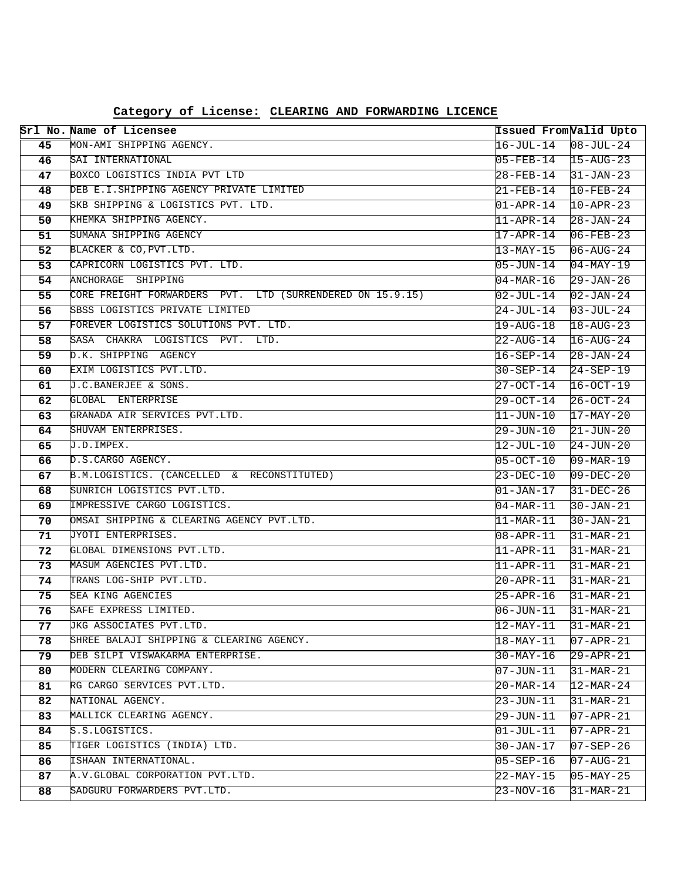|          | Srl No. Name of Licensee                                            | Issued From Valid Upto              |                          |
|----------|---------------------------------------------------------------------|-------------------------------------|--------------------------|
| 45       | MON-AMI SHIPPING AGENCY.                                            | $16 - JUL - 14$                     | $08 - JUL - 24$          |
| 46       | SAI INTERNATIONAL                                                   | $05 - FEB - 14$                     | $15 - AUG - 23$          |
| 47       | BOXCO LOGISTICS INDIA PVT LTD                                       | 28-FEB-14                           | $31 - JAN - 23$          |
| 48       | DEB E.I.SHIPPING AGENCY PRIVATE LIMITED                             | 21-FEB-14                           | $10-FEB-24$              |
| 49       | SKB SHIPPING & LOGISTICS PVT. LTD.                                  | $01 - APR - 14$                     | $10 - APR - 23$          |
| 50       | KHEMKA SHIPPING AGENCY.                                             | $11 - APR - 14$                     | $28 - JAN - 24$          |
| 51       | SUMANA SHIPPING AGENCY                                              | 17-APR-14                           | $06 - FEB - 23$          |
| 52       | BLACKER & CO, PVT. LTD.                                             | 13-MAY-15                           | $06 - AUG - 24$          |
| 53       | CAPRICORN LOGISTICS PVT. LTD.                                       | $05 - JUN - 14$                     | $04-MAY-19$              |
| 54       | ANCHORAGE SHIPPING                                                  | $04 - \text{MAR} - 16$              | $29 - JAN - 26$          |
| 55       | CORE FREIGHT FORWARDERS PVT. LTD (SURRENDERED ON 15.9.15)           | $02 - JUL - 14$                     | $02 - JAN - 24$          |
| 56       | SBSS LOGISTICS PRIVATE LIMITED                                      | $24 - JUL - 14$                     | $03 - JUL - 24$          |
| 57       | FOREVER LOGISTICS SOLUTIONS PVT. LTD.                               | $19 - \text{AUG} - 18$              | $18 - \text{AUG} - 23$   |
| 58       | SASA CHAKRA LOGISTICS PVT. LTD.                                     | $22 - \text{AUG} - 14$              | $16 - \text{AUG} - 24$   |
| 59       | D.K. SHIPPING AGENCY                                                | $16 - SEP - 14$                     | $28 - JAN - 24$          |
| 60       | EXIM LOGISTICS PVT.LTD.                                             | 30-SEP-14                           | $24 - SEP - 19$          |
| 61       | J.C.BANERJEE & SONS.                                                | $27 - OCT - 14$                     | $16 - OCT - 19$          |
| 62       | GLOBAL ENTERPRISE                                                   | $29 - OCT - 14$                     | $26 - OCT - 24$          |
| 63       | GRANADA AIR SERVICES PVT.LTD.                                       | 11-JUN-10                           | $17 - \text{MAX} - 20$   |
| 64       | SHUVAM ENTERPRISES.                                                 | $29 - JUN - 10$                     | $21 - JUN - 20$          |
| 65       | J.D. IMPEX.                                                         | 12-JUL-10                           | $24 - JUN - 20$          |
| 66       | D.S.CARGO AGENCY.                                                   | $05 - OCT - 10$                     | $09 - \text{MAR} - 19$   |
| 67       | B.M.LOGISTICS. (CANCELLED & RECONSTITUTED)                          | 23-DEC-10                           | $09 - DEC - 20$          |
| 68       | SUNRICH LOGISTICS PVT.LTD.                                          | 01-JAN-17                           | $31-DEC-26$              |
| 69       | IMPRESSIVE CARGO LOGISTICS.                                         | $04 - \text{MAR} - 11$              | $30 - JAN - 21$          |
| 70       | OMSAI SHIPPING & CLEARING AGENCY PVT.LTD.                           | $\overline{11-MAR-11}$              | $30 - JAN - 21$          |
| 71       | JYOTI ENTERPRISES.                                                  | 08-APR-11                           | $31-MAR-21$              |
| 72       | GLOBAL DIMENSIONS PVT.LTD.                                          | $11 - APR-11$                       | $31-MAR-21$              |
| 73       | MASUM AGENCIES PVT.LTD.                                             | $11 - APR - 11$                     | $31-MAR-21$              |
| 74       | TRANS LOG-SHIP PVT.LTD.                                             | 20-APR-11                           | $31-MAR-21$              |
| 75       | SEA KING AGENCIES<br>SAFE EXPRESS LIMITED.                          | $25 - APR - 16$                     | $31-MAR-21$              |
| 76       |                                                                     | 06-JUN-11                           | $31-MAR-21$              |
| 77<br>78 | UKG ASSOCIATES PVT.LTD.<br>SHREE BALAJI SHIPPING & CLEARING AGENCY. | $ 12 - MAX - 11 $                   | 31-MAR-21                |
| 79       | DEB SILPI VISWAKARMA ENTERPRISE.                                    | 18-MAY-11<br>30-MAY-16              | 07-APR-21                |
| 80       | MODERN CLEARING COMPANY.                                            | $\overline{07 - JUN - 11}$          | 29-APR-21<br>$31-MAR-21$ |
| 81       | RG CARGO SERVICES PVT.LTD.                                          |                                     | $12 - \text{MAR} - 24$   |
| 82       | NATIONAL AGENCY.                                                    | $20 - \text{MAR} - 14$<br>23-JUN-11 | $31-MAR-21$              |
| 83       | MALLICK CLEARING AGENCY.                                            | 29-JUN-11                           | $07 - APR - 21$          |
| 84       | S.S.LOGISTICS.                                                      | 01-JUL-11                           | $07 - APR - 21$          |
| 85       | TIGER LOGISTICS (INDIA) LTD.                                        | 30-JAN-17                           | $07 - SEP - 26$          |
| 86       | ISHAAN INTERNATIONAL.                                               | $05 - SEP - 16$                     | 07-AUG-21                |
| 87       | A.V.GLOBAL CORPORATION PVT.LTD.                                     | 22-MAY-15                           | $05 - MAX - 25$          |
| 88       | SADGURU FORWARDERS PVT.LTD.                                         | $23 - NOV - 16$                     | $31-MAR-21$              |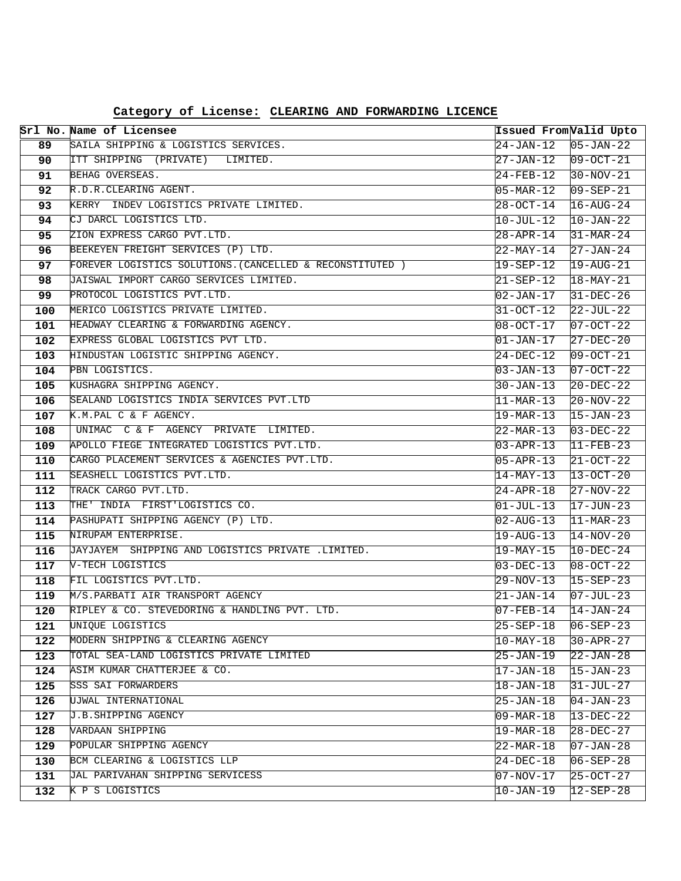| Category of License: CLEARING AND FORWARDING LICENCE |  |  |  |  |
|------------------------------------------------------|--|--|--|--|
|------------------------------------------------------|--|--|--|--|

|            | Srl No. Name of Licensee                                                      | Issued FromValid Upto               |                                    |
|------------|-------------------------------------------------------------------------------|-------------------------------------|------------------------------------|
| 89         | SAILA SHIPPING & LOGISTICS SERVICES.                                          | 24-JAN-12                           | $ 05 - JAN - 22 $                  |
| 90         | ITT SHIPPING (PRIVATE) LIMITED.                                               | 27-JAN-12                           | $09-0CT-21$                        |
| 91         | BEHAG OVERSEAS.                                                               | 24-FEB-12                           | $30-NOV-21$                        |
| 92         | R.D.R.CLEARING AGENT.                                                         | $05 - \text{MAR} - 12$              | $09 - SEP - 21$                    |
| 93         | KERRY INDEV LOGISTICS PRIVATE LIMITED.                                        | $28 - OCT - 14$                     | $16 - \text{AUG} - 24$             |
| 94         | CJ DARCL LOGISTICS LTD.                                                       | 10-JUL-12                           | $10 - JAN - 22$                    |
| 95         | ZION EXPRESS CARGO PVT.LTD.                                                   | 28-APR-14                           | $31 - \text{MAR} - 24$             |
| 96         | BEEKEYEN FREIGHT SERVICES (P) LTD.                                            | 22-MAY-14                           | $27 - JAN - 24$                    |
| 97         | FOREVER LOGISTICS SOLUTIONS. (CANCELLED & RECONSTITUTED )                     | 19-SEP-12                           | $19 - \text{AUG} - 21$             |
| 98         | JAISWAL IMPORT CARGO SERVICES LIMITED.                                        | 21-SEP-12                           | $18 - \text{MAX} - 21$             |
| 99         | PROTOCOL LOGISTICS PVT.LTD.                                                   | 02-JAN-17                           | $31 - DEC - 26$                    |
| 100        | MERICO LOGISTICS PRIVATE LIMITED.                                             | 31-OCT-12                           | 22-JUL-22                          |
| 101        | HEADWAY CLEARING & FORWARDING AGENCY.                                         | $08 - OCT - 17$                     | $07 - OCT - 22$                    |
| 102        | EXPRESS GLOBAL LOGISTICS PVT LTD.                                             | $01 - JAN-17$                       | 27-DEC-20                          |
| 103        | HINDUSTAN LOGISTIC SHIPPING AGENCY.                                           | 24-DEC-12                           | 09-OCT-21                          |
| 104        | PBN LOGISTICS.                                                                | 03-JAN-13                           | 07-OCT-22                          |
| 105        | KUSHAGRA SHIPPING AGENCY.                                                     | 30-JAN-13                           | $20-DEC-22$                        |
| 106        | SEALAND LOGISTICS INDIA SERVICES PVT.LTD                                      | $\overline{11-MAR-13}$              | $20 - NOV - 22$                    |
| 107        | K.M.PAL C & F AGENCY.                                                         | 19-MAR-13                           | $15 - JAN - 23$                    |
| 108        | UNIMAC C & F AGENCY PRIVATE LIMITED.                                          | 22-MAR-13                           | $03 - DEC - 22$                    |
| 109        | APOLLO FIEGE INTEGRATED LOGISTICS PVT.LTD.                                    | $03 - APR - 13$                     | $11-FEB-23$                        |
| 110        | CARGO PLACEMENT SERVICES & AGENCIES PVT.LTD.                                  | $05 - APR - 13$                     | $21 - OCT - 22$                    |
| 111        | SEASHELL LOGISTICS PVT.LTD.                                                   | $14$ -MAY-13                        | 13-OCT-20                          |
| 112        | TRACK CARGO PVT.LTD.                                                          | 24-APR-18                           | $27 - NOV - 22$                    |
| 113        | THE' INDIA FIRST'LOGISTICS CO.                                                | 01-JUL-13                           | $17 - JUN - 23$                    |
| 114        | PASHUPATI SHIPPING AGENCY (P) LTD.                                            | $02 - \text{AUG} - 13$              | $ 11-MAR-23 $                      |
| 115        | NIRUPAM ENTERPRISE.                                                           | 19-AUG-13                           | $14 - NOV - 20$                    |
| 116        | JAYJAYEM SHIPPING AND LOGISTICS PRIVATE .LIMITED.                             | 19-MAY-15                           | $10 - DEC - 24$                    |
| 117        | V-TECH LOGISTICS                                                              | $03 - DEC - 13$                     | $08 - OCT - 22$                    |
| 118        | FIL LOGISTICS PVT.LTD.                                                        | 29-NOV-13                           | 15-SEP-23                          |
| 119        | M/S.PARBATI AIR TRANSPORT AGENCY                                              | 21-JAN-14                           | $07 - JUL - 23$                    |
| 120        | RIPLEY & CO. STEVEDORING & HANDLING PVT. LTD.                                 | $07 - FEB - 14$                     | 14-JAN-24                          |
| 121        | UNIQUE LOGISTICS                                                              | 25-SEP-18                           | $06 - SEP - 23$                    |
| 122        | MODERN SHIPPING & CLEARING AGENCY<br>TOTAL SEA-LAND LOGISTICS PRIVATE LIMITED | 10-MAY-18                           | 30-APR-27                          |
| 123<br>124 | ASIM KUMAR CHATTERJEE & CO.                                                   | $25 - JAN - 19$<br>$17 - JAN - 18$  | $22 - JAN - 28$<br>$15 - JAN - 23$ |
|            | SSS SAI FORWARDERS                                                            |                                     |                                    |
| 125        | UJWAL INTERNATIONAL                                                           | $18 - JAN - 18$                     | $31 - JUL - 27$<br>104-JAN-23      |
| 126<br>127 | J.B.SHIPPING AGENCY                                                           | 25-JAN-18<br>$09 - \text{MAR} - 18$ |                                    |
| 128        | VARDAAN SHIPPING                                                              | $19 - \text{MAR} - 18$              | 13-DEC-22<br>28-DEC-27             |
| 129        | POPULAR SHIPPING AGENCY                                                       | $22 - \text{MAR} - 18$              | $ 07 - JAN - 28 $                  |
| 130        | BCM CLEARING & LOGISTICS LLP                                                  | 24-DEC-18                           | $06 - SEP - 28$                    |
| 131        | JAL PARIVAHAN SHIPPING SERVICESS                                              | $07 - NOV - 17$                     | 25-OCT-27                          |
| 132        | K P S LOGISTICS                                                               | $10 - JAN-19$                       | $12 - SEP - 28$                    |
|            |                                                                               |                                     |                                    |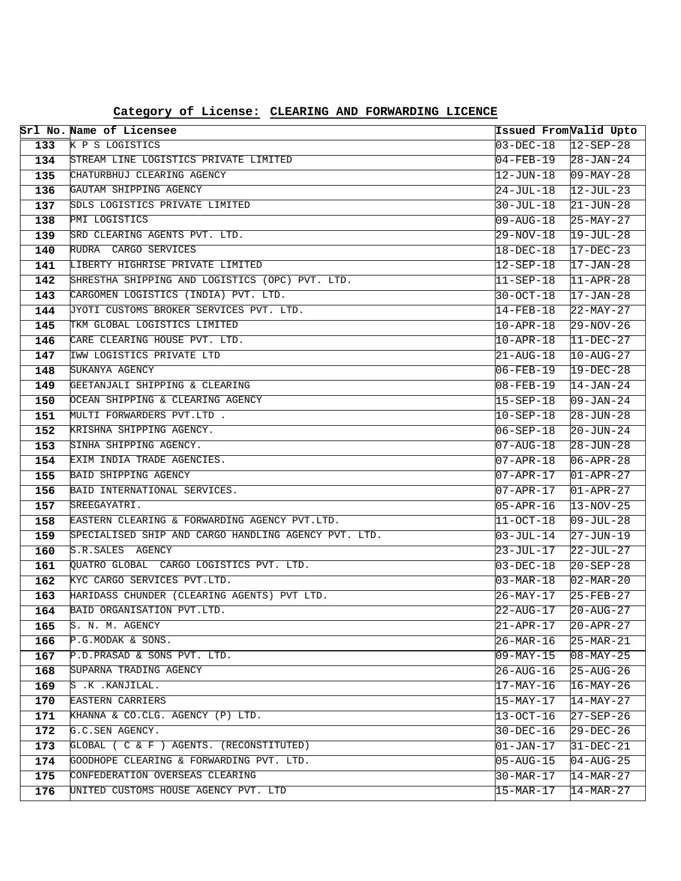|            | Srl No. Name of Licensee                                                   | Issued FromValid Upto  |                                           |
|------------|----------------------------------------------------------------------------|------------------------|-------------------------------------------|
| 133        | K P S LOGISTICS                                                            | $03-DEC-18$            | $ 12 - SEP - 28 $                         |
| 134        | STREAM LINE LOGISTICS PRIVATE LIMITED                                      | 04-FEB-19              | $ 28 - JAN - 24 $                         |
| 135        | CHATURBHUJ CLEARING AGENCY                                                 | 12-JUN-18              | $09 - \text{MAX} - 28$                    |
| 136        | GAUTAM SHIPPING AGENCY                                                     | 24-JUL-18              | $12 - JUL - 23$                           |
| 137        | SDLS LOGISTICS PRIVATE LIMITED                                             | 30-JUL-18              | $21 - JUN - 28$                           |
| 138        | PMI LOGISTICS                                                              | 09-AUG-18              | $25-MAY-27$                               |
| 139        | SRD CLEARING AGENTS PVT. LTD.                                              | 29-NOV-18              | $19 - JUL - 28$                           |
| 140        | RUDRA CARGO SERVICES                                                       | 18-DEC-18              | $17 - DEC - 23$                           |
| 141        | LIBERTY HIGHRISE PRIVATE LIMITED                                           | $12 - SEP - 18$        | $17 - JAN - 28$                           |
| 142        | SHRESTHA SHIPPING AND LOGISTICS (OPC) PVT. LTD.                            | 11-SEP-18              | $11 - APR - 28$                           |
| 143        | CARGOMEN LOGISTICS (INDIA) PVT. LTD.                                       | $30 - OCT - 18$        | $17 - JAN - 28$                           |
| 144        | JYOTI CUSTOMS BROKER SERVICES PVT. LTD.                                    | 14-FEB-18              | $22-MAY-27$                               |
| 145        | TKM GLOBAL LOGISTICS LIMITED                                               | 10-APR-18              | $29 - NOV - 26$                           |
| 146        | CARE CLEARING HOUSE PVT. LTD.                                              | 10-APR-18              | $11-DEC-27$                               |
| 147        | IWW LOGISTICS PRIVATE LTD                                                  | 21-AUG-18              | $10 - \text{AUG} - 27$                    |
| 148        | SUKANYA AGENCY                                                             | 06-FEB-19              | $19 - DEC - 28$                           |
| 149        | GEETANJALI SHIPPING & CLEARING                                             | 08-FEB-19              | $14 - JAN - 24$                           |
| 150        | OCEAN SHIPPING & CLEARING AGENCY                                           | 15-SEP-18              | $09 - JAN - 24$                           |
| 151        | MULTI FORWARDERS PVT.LTD.                                                  | 10-SEP-18              | $28 - JUN - 28$                           |
| 152        | KRISHNA SHIPPING AGENCY.                                                   | 06-SEP-18              | $20 - JUN - 24$                           |
| 153        | SINHA SHIPPING AGENCY.                                                     | 07-AUG-18              | $28 - JUN - 28$                           |
| 154        | EXIM INDIA TRADE AGENCIES.                                                 | 07-APR-18              | $06 - APR - 28$                           |
| 155        | BAID SHIPPING AGENCY                                                       | 07-APR-17              | $01 - APR - 27$                           |
| 156        | BAID INTERNATIONAL SERVICES.                                               | 07-APR-17              | $01 - APR - 27$                           |
| 157        | SREEGAYATRI.                                                               | 05-APR-16              | $13 - NOV - 25$                           |
| 158        | EASTERN CLEARING & FORWARDING AGENCY PVT.LTD.                              | 11-OCT-18              | $09 - JUL - 28$                           |
| 159        | SPECIALISED SHIP AND CARGO HANDLING AGENCY PVT. LTD.                       | 03-JUL-14              | $27 - JUN - 19$                           |
| 160        | S.R.SALES AGENCY<br>QUATRO GLOBAL CARGO LOGISTICS PVT. LTD.                | 23-JUL-17              | $22$ -JUL-27                              |
| 161        |                                                                            | $03 - DEC - 18$        | $20 - SEP - 28$                           |
| 162<br>163 | KYC CARGO SERVICES PVT.LTD.<br>HARIDASS CHUNDER (CLEARING AGENTS) PVT LTD. | 03-MAR-18              | $02 - \text{MAR} - 20$                    |
| 164        | BAID ORGANISATION PVT.LTD.                                                 | 26-MAY-17<br>22-AUG-17 | $25 - FEB - 27$<br>$20 - \text{AUG} - 27$ |
| 165        | S. N. M. AGENCY                                                            | 21-APR-17              | $ 20 - APR - 27$                          |
| 166        | P.G.MODAK & SONS.                                                          | 26-MAR-16              | $25 - MAR - 21$                           |
| 167        | P.D. PRASAD & SONS PVT. LTD.                                               | 09-MAY-15              | $ 08 - MAX - 25$                          |
| 168        | SUPARNA TRADING AGENCY                                                     | 26-AUG-16              | $25 - \text{AUG} - 26$                    |
| 169        | S .K . KANJILAL.                                                           | 17-MAY-16              | $16 - \text{MAX} - 26$                    |
| 170        | <b>EASTERN CARRIERS</b>                                                    | 15-MAY-17              | 14-MAY-27                                 |
| 171        | KHANNA & CO.CLG. AGENCY (P) LTD.                                           | 13-OCT-16              | 27-SEP-26                                 |
| 172        | G.C.SEN AGENCY.                                                            | 30-DEC-16              | 29-DEC-26                                 |
| 173        | GLOBAL ( C & F ) AGENTS. (RECONSTITUTED)                                   | 01-JAN-17              | $31 - DEC - 21$                           |
| 174        | GOODHOPE CLEARING & FORWARDING PVT. LTD.                                   | 05-AUG-15              | 04-AUG-25                                 |
| 175        | CONFEDERATION OVERSEAS CLEARING                                            | 30-MAR-17              | $14 - \text{MAR} - 27$                    |
| 176        | UNITED CUSTOMS HOUSE AGENCY PVT. LTD                                       | 15-MAR-17              | $14 - \text{MAR} - 27$                    |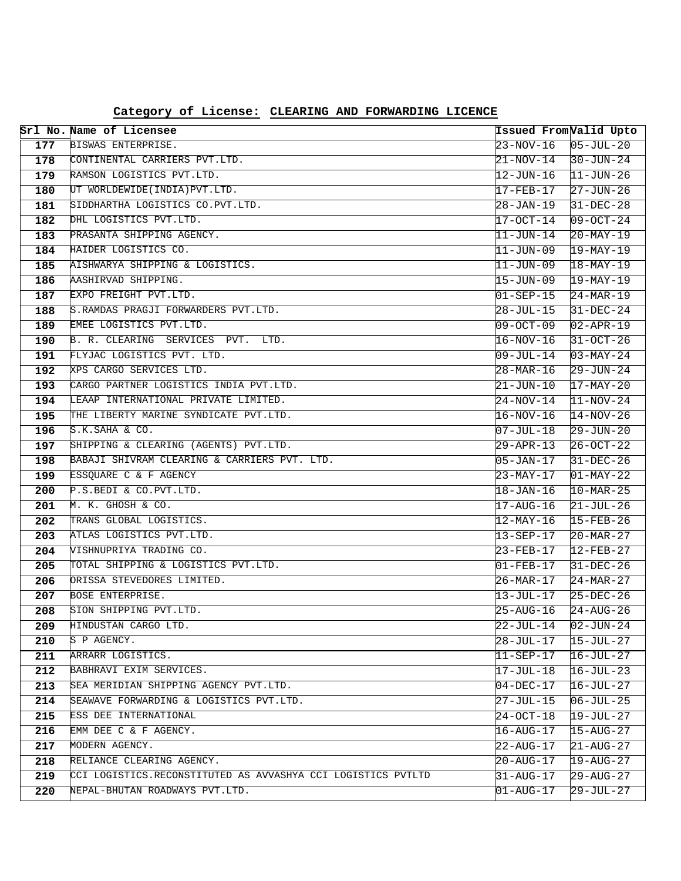|            | Srl No. Name of Licensee                                     | Issued FromValid Upto              |                                     |
|------------|--------------------------------------------------------------|------------------------------------|-------------------------------------|
| 177        | BISWAS ENTERPRISE.                                           | 23-NOV-16                          | $05 - JUL - 20$                     |
| 178        | CONTINENTAL CARRIERS PVT.LTD.                                | 21-NOV-14                          | $30 - JUN - 24$                     |
| 179        | RAMSON LOGISTICS PVT.LTD.                                    | $12 - JUN - 16$                    | $11 - JUN - 26$                     |
| 180        | UT WORLDEWIDE (INDIA) PVT.LTD.                               | $17 - FEB - 17$                    | $27 - JUN - 26$                     |
| 181        | SIDDHARTHA LOGISTICS CO.PVT.LTD.                             | 28-JAN-19                          | $31-DEC-28$                         |
| 182        | DHL LOGISTICS PVT.LTD.                                       | 17-OCT-14                          | $09-OCT-24$                         |
| 183        | PRASANTA SHIPPING AGENCY.                                    | $11 - JUN - 14$                    | $20 - \text{MAX} - 19$              |
| 184        | HAIDER LOGISTICS CO.                                         | $11 - JUN - 09$                    | $19-MAY-19$                         |
| 185        | AISHWARYA SHIPPING & LOGISTICS.                              | $11 - JUN - 09$                    | $18 - \text{MAX} - 19$              |
| 186        | AASHIRVAD SHIPPING.                                          | 15-JUN-09                          | $19-MAY-19$                         |
| 187        | EXPO FREIGHT PVT.LTD.                                        | $01 - SEP - 15$                    | $24 - \text{MAR} - 19$              |
| 188        | S.RAMDAS PRAGJI FORWARDERS PVT.LTD.                          | 28-JUL-15                          | $31 - DEC - 24$                     |
| 189        | EMEE LOGISTICS PVT.LTD.                                      | 09-OCT-09                          | $02 - APR - 19$                     |
| 190        | B. R. CLEARING SERVICES PVT. LTD.                            | 16-NOV-16                          | $31 - OCT - 26$                     |
| 191        | FLYJAC LOGISTICS PVT. LTD.                                   | $09 - JUL - 14$                    | $03 - MAX - 24$                     |
| 192        | XPS CARGO SERVICES LTD.                                      | $28 - \text{MAR} - 16$             | $29 - JUN - 24$                     |
| 193        | CARGO PARTNER LOGISTICS INDIA PVT.LTD.                       | $21 - JUN - 10$                    | $17-MAY-20$                         |
| 194        | LEAAP INTERNATIONAL PRIVATE LIMITED.                         | 24-NOV-14                          | $11-NOV-24$                         |
| 195        | THE LIBERTY MARINE SYNDICATE PVT.LTD.                        | $16 - NOV - 16$                    | $14-NOV-26$                         |
| 196        | S.K.SAHA & CO.                                               | $07 - JUL - 18$                    | $29 - JUN - 20$                     |
| 197        | SHIPPING & CLEARING (AGENTS) PVT.LTD.                        | 29-APR-13                          | $26 - OCT - 22$                     |
| 198        | BABAJI SHIVRAM CLEARING & CARRIERS PVT. LTD.                 | 05-JAN-17                          | $31-DEC-26$                         |
| 199        | ESSQUARE C & F AGENCY                                        | 23-MAY-17                          | $01-MAY-22$                         |
| 200        | P.S.BEDI & CO.PVT.LTD.                                       | 18-JAN-16                          | $10 - \text{MAR} - 25$              |
| 201        | M. K. GHOSH & CO.                                            | $17 - \text{AUG} - 16$             | $21-JUL-26$                         |
| 202        | TRANS GLOBAL LOGISTICS.                                      | 12-MAY-16                          | $15 - FEB - 26$                     |
| 203        | ATLAS LOGISTICS PVT.LTD.                                     | 13-SEP-17                          | $20 - \text{MAR} - 27$              |
| 204        | VISHNUPRIYA TRADING CO.                                      | 23-FEB-17                          | $12-FEB-27$                         |
| 205        | TOTAL SHIPPING & LOGISTICS PVT.LTD.                          | $01 - FEB - 17$                    | $31-DEC-26$                         |
| 206        | ORISSA STEVEDORES LIMITED.                                   | 26-MAR-17                          | $24 - MAR - 27$                     |
| 207        | BOSE ENTERPRISE.<br>SION SHIPPING PVT.LTD.                   | 13-JUL-17                          | $25-DEC-26$                         |
| 208        |                                                              | 25-AUG-16                          | $24 - AUG - 26$                     |
| 209        | HINDUSTAN CARGO LTD.<br>S P AGENCY.                          | 22-JUL-14                          | $02 - JUN - 24$                     |
| 210<br>211 | ARRARR LOGISTICS.                                            | 28-JUL-17                          | 15-JUL-27                           |
| 212        | BABHRAVI EXIM SERVICES.                                      | 11-SEP-17                          | $16 - JUL - 27$<br>16-JUL-23        |
| 213        | SEA MERIDIAN SHIPPING AGENCY PVT.LTD.                        | 17-JUL-18                          |                                     |
|            | SEAWAVE FORWARDING & LOGISTICS PVT.LTD.                      | $04 - DEC - 17$<br>$27 - JUL - 15$ | $16 - JUL - 27$<br>$106 - JUL - 25$ |
| 214<br>215 | ESS DEE INTERNATIONAL                                        | $24 - OCT - 18$                    | 19-JUL-27                           |
| 216        | EMM DEE C & F AGENCY.                                        | 16-AUG-17                          | $15 - \text{AUG} - 27$              |
| 217        | MODERN AGENCY.                                               | $22 - \text{AUG} - 17$             | $21 - \text{AUG} - 27$              |
| 218        | RELIANCE CLEARING AGENCY.                                    | 20-AUG-17                          | 19-AUG-27                           |
| 219        | CCI LOGISTICS.RECONSTITUTED AS AVVASHYA CCI LOGISTICS PVTLTD | $31 - \text{AUG} - 17$             | 29-AUG-27                           |
| 220        | NEPAL-BHUTAN ROADWAYS PVT.LTD.                               | $01 - \text{AUG} - 17$             | $29 - JUL - 27$                     |
|            |                                                              |                                    |                                     |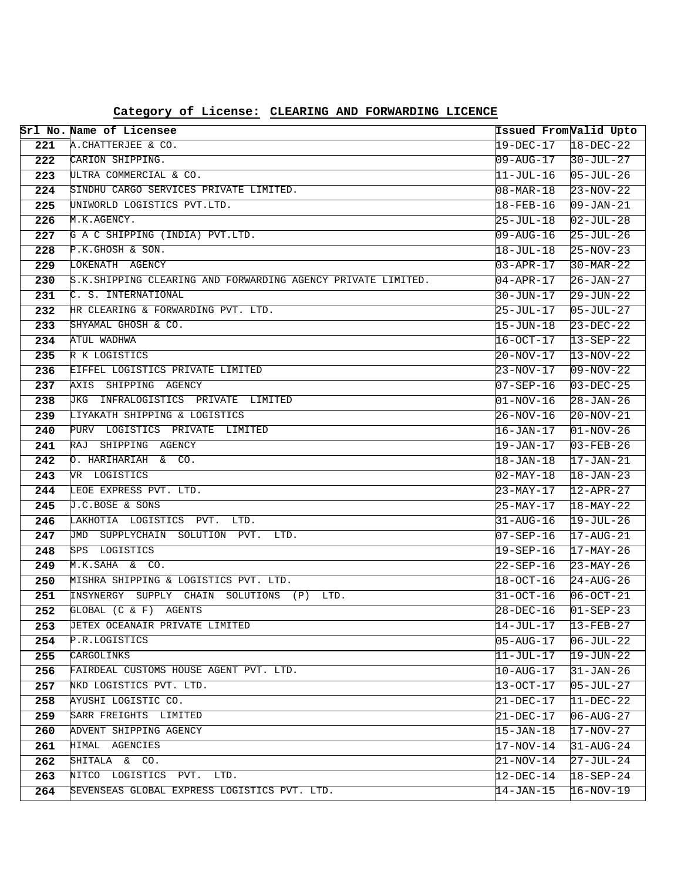|            | Srl No. Name of Licensee                                     |                              | Issued FromValid Upto              |
|------------|--------------------------------------------------------------|------------------------------|------------------------------------|
| 221        | A. CHATTERJEE & CO.                                          | $19 - DEC - 17$              | $18 - DEC - 22$                    |
| 222        | CARION SHIPPING.                                             | 09-AUG-17                    | $30 - JUL - 27$                    |
| 223        | ULTRA COMMERCIAL & CO.                                       | 11-JUL-16                    | $05 - JUL - 26$                    |
| 224        | SINDHU CARGO SERVICES PRIVATE LIMITED.                       | 08-MAR-18                    | $23 - NOV - 22$                    |
| 225        | UNIWORLD LOGISTICS PVT.LTD.                                  | 18-FEB-16                    | $09 - JAN - 21$                    |
| 226        | M.K.AGENCY.                                                  | 25-JUL-18                    | $02 - JUL - 28$                    |
| 227        | G A C SHIPPING (INDIA) PVT.LTD.                              | $09 - \text{AUG} - 16$       | $25 - JUL - 26$                    |
| 228        | P.K.GHOSH & SON.                                             | 18-JUL-18                    | $25-NOV-23$                        |
| 229        | LOKENATH AGENCY                                              | $03 - APR - 17$              | $30-MAR-22$                        |
| 230        | S.K.SHIPPING CLEARING AND FORWARDING AGENCY PRIVATE LIMITED. | 04-APR-17                    | $26 - JAN - 27$                    |
| 231        | C. S. INTERNATIONAL                                          | 30-JUN-17                    | $29 - JUN - 22$                    |
| 232        | HR CLEARING & FORWARDING PVT. LTD.                           | $25 - JUL - 17$              | $05 - JUL - 27$                    |
| 233        | SHYAMAL GHOSH & CO.                                          | $15 - JUN - 18$              | $23-DEC-22$                        |
| 234        | ATUL WADHWA                                                  | 16-OCT-17                    | $13 - SEP - 22$                    |
| 235        | R K LOGISTICS                                                | $20 - NOV - 17$              | $13 - NOV - 22$                    |
| 236        | EIFFEL LOGISTICS PRIVATE LIMITED                             | 23-NOV-17                    | $09-NOV-22$                        |
| 237        | AXIS SHIPPING AGENCY                                         | $07 - SEP - 16$              | $03-DEC-25$                        |
| 238        | JKG INFRALOGISTICS PRIVATE LIMITED                           | $01 - NOV - 16$              | $28 - JAN - 26$                    |
| 239        | LIYAKATH SHIPPING & LOGISTICS                                | $26 - NOV - 16$              | $20 - NOV - 21$                    |
| 240        | PURV LOGISTICS PRIVATE LIMITED                               | $16 - JAN - 17$              | $01-NOV-26$                        |
| 241        | SHIPPING AGENCY<br>RAJ                                       | 19-JAN-17                    | $03 - FEB - 26$                    |
| 242        | O. HARIHARIAH & CO.                                          | 18-JAN-18                    | $17 - JAN - 21$                    |
| 243        | VR LOGISTICS                                                 | $02 - \text{MAY} - 18$       | $18 - JAN - 23$                    |
| 244        | LEOE EXPRESS PVT. LTD.                                       | 23-MAY-17                    | $12 - APR - 27$                    |
| 245        | J.C.BOSE & SONS                                              | 25-MAY-17                    | $18 - \text{MAY} - 22$             |
| 246        | LAKHOTIA LOGISTICS PVT. LTD.                                 | 31-AUG-16                    | $19 - JUL - 26$                    |
| 247        | JMD SUPPLYCHAIN SOLUTION PVT.<br>LTD.                        | 07-SEP-16                    | $17 - \text{AUG} - 21$             |
| 248        | SPS LOGISTICS                                                | $19 - SEP - 16$              | $17 - \text{MAX} - 26$             |
| 249        | M.K.SAHA & CO.<br>MISHRA SHIPPING & LOGISTICS PVT. LTD.      | $22 - SEP - 16$              | $23-MAY-26$                        |
| 250        | INSYNERGY SUPPLY CHAIN SOLUTIONS (P) LTD.                    | $18 - OCT - 16$              | $24 - \text{AUG} - 26$             |
| 251<br>252 | GLOBAL (C & F) AGENTS                                        | $31 - OCT - 16$<br>28-DEC-16 | $06 - OCT - 21$<br>$01 - SEP - 23$ |
| 253        | UETEX OCEANAIR PRIVATE LIMITED                               | 14-JUL-17                    | $13 - FEB - 27$                    |
| 254        | P.R.LOGISTICS                                                | 05-AUG-17                    | 06-JUL-22                          |
| 255        | CARGOLINKS                                                   | 11-JUL-17                    | $19 - JUN - 22$                    |
| 256        | FAIRDEAL CUSTOMS HOUSE AGENT PVT. LTD.                       | $10 - \text{AUG} - 17$       | $31 - JAN - 26$                    |
| 257        | NKD LOGISTICS PVT. LTD.                                      | $13 - OCT - 17$              | $05 - JUL - 27$                    |
| 258        | AYUSHI LOGISTIC CO.                                          | 21-DEC-17                    | $11-DEC-22$                        |
| 259        | SARR FREIGHTS LIMITED                                        | 21-DEC-17                    | $06 - \text{AUG} - 27$             |
| 260        | ADVENT SHIPPING AGENCY                                       | $15 - JAN - 18$              | $17-NOV-27$                        |
| 261        | HIMAL AGENCIES                                               | $17 - NOV - 14$              | $31 - \text{AUG} - 24$             |
| 262        | SHITALA & CO.                                                | 21-NOV-14                    | $27 - JUL - 24$                    |
| 263        | NITCO LOGISTICS PVT. LTD.                                    | $12 - DEC - 14$              | $18 - SEP - 24$                    |
| 264        | SEVENSEAS GLOBAL EXPRESS LOGISTICS PVT. LTD.                 | $14 - JAN - 15$              | $16 - NOV - 19$                    |

**Category of License: CLEARING AND FORWARDING LICENCE**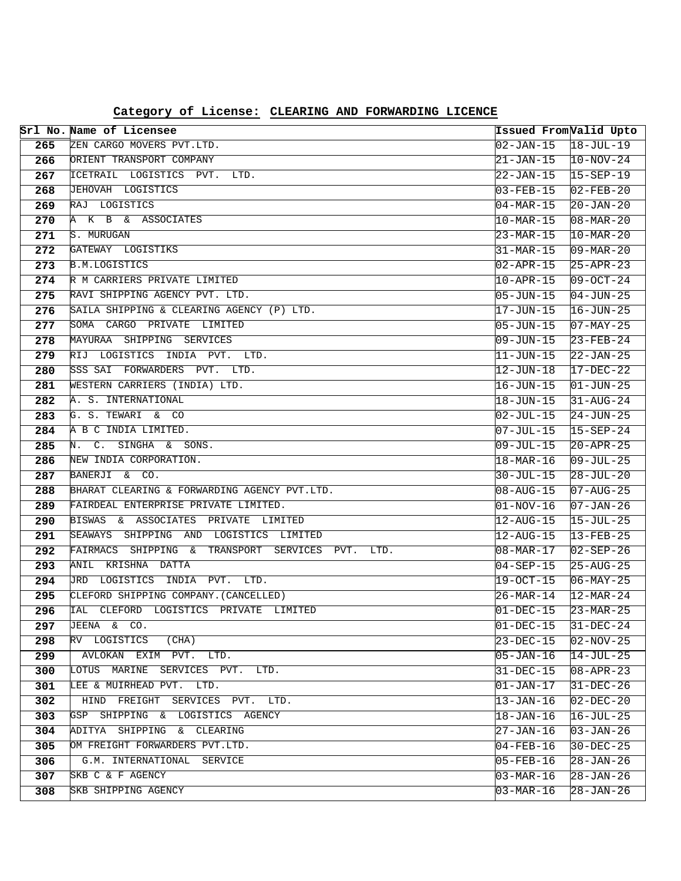|            | Srl No. Name of Licensee                                           | Issued FromValid Upto        |                              |
|------------|--------------------------------------------------------------------|------------------------------|------------------------------|
| 265        | ZEN CARGO MOVERS PVT.LTD.                                          | $02 - JAN - 15$              | $18 - JUL - 19$              |
| 266        | ORIENT TRANSPORT COMPANY                                           | 21-JAN-15                    | $10-NOV-24$                  |
| 267        | ICETRAIL LOGISTICS PVT. LTD.                                       | 22-JAN-15                    | $15 - SEP - 19$              |
| 268        | JEHOVAH LOGISTICS                                                  | 03-FEB-15                    | $02 - FEB - 20$              |
| 269        | RAJ LOGISTICS                                                      | $04 - \text{MAR} - 15$       | $20 - JAN - 20$              |
| 270        | A K B & ASSOCIATES                                                 | $10 - \text{MAR} - 15$       | $08 - \text{MAR} - 20$       |
| 271        | S. MURUGAN                                                         | 23-MAR-15                    | $10 - \text{MAR} - 20$       |
| 272        | GATEWAY LOGISTIKS                                                  | 31-MAR-15                    | $09 - \text{MAR} - 20$       |
| 273        | <b>B.M.LOGISTICS</b>                                               | $02 - APR - 15$              | $25 - APR - 23$              |
| 274        | R M CARRIERS PRIVATE LIMITED                                       | $10 - APR - 15$              | $09-OCT-24$                  |
| 275        | RAVI SHIPPING AGENCY PVT. LTD.                                     | 05-JUN-15                    | $04 - JUN - 25$              |
| 276        | SAILA SHIPPING & CLEARING AGENCY (P) LTD.                          | 17-JUN-15                    | $16 - JUN - 25$              |
| 277        | SOMA CARGO PRIVATE LIMITED                                         | $05 - JUN - 15$              | $07 - MAX - 25$              |
| 278        | MAYURAA SHIPPING SERVICES                                          | 09-JUN-15                    | $23 - FEB - 24$              |
| 279        | RIJ LOGISTICS INDIA PVT. LTD.                                      | 11-JUN-15                    | $22 - JAN - 25$              |
| 280        | SSS SAI FORWARDERS PVT. LTD.                                       | 12-JUN-18                    | $17 - DEC - 22$              |
| 281        | WESTERN CARRIERS (INDIA) LTD.                                      | 16-JUN-15                    | $01 - JUN - 25$              |
| 282        | A. S. INTERNATIONAL                                                | 18-JUN-15                    | $31 - \text{AUG} - 24$       |
| 283        | G. S. TEWARI & CO                                                  | 02-JUL-15                    | $24 - JUN - 25$              |
| 284        | A B C INDIA LIMITED.                                               | 07-JUL-15                    | $15 - SEP - 24$              |
| 285        | SINGHA & SONS.<br>N.<br>$C_{\bullet}$                              | 09-JUL-15                    | $20 - APR - 25$              |
| 286        | NEW INDIA CORPORATION.                                             | $18 - \text{MAR} - 16$       | $09 - JUL - 25$              |
| 287        | BANERJI & CO.                                                      | 30-JUL-15                    | $28 - JUL - 20$              |
| 288        | BHARAT CLEARING & FORWARDING AGENCY PVT.LTD.                       | 08-AUG-15                    | $07 - \text{AUG} - 25$       |
| 289        | FAIRDEAL ENTERPRISE PRIVATE LIMITED.                               | $ 01-NOV-16$                 | $07 - JAN - 26$              |
| 290        | BISWAS & ASSOCIATES PRIVATE LIMITED                                | $12 - \text{AUG} - 15$       | $15 - JUL - 25$              |
| 291        | SEAWAYS SHIPPING AND LOGISTICS LIMITED                             | $12 - \text{AUG} - 15$       | 13-FEB-25                    |
| 292        | FAIRMACS SHIPPING & TRANSPORT SERVICES PVT.<br>LTD.                | 08-MAR-17                    | $02 - SEP - 26$              |
| 293        | ANIL KRISHNA DATTA                                                 | $04 - SEP - 15$              | $25 - \text{AUG} - 25$       |
| 294        | JRD LOGISTICS INDIA PVT. LTD.                                      | 19-OCT-15                    | $06 - MAX - 25$              |
| 295        | CLEFORD SHIPPING COMPANY. (CANCELLED)                              | 26-MAR-14                    | $12 - \text{MAR} - 24$       |
| 296        | IAL CLEFORD LOGISTICS PRIVATE LIMITED                              | 01-DEC-15                    | $23-MAR-25$                  |
| 297        | JEENA & CO.                                                        | $01 - DEC - 15$              | $31-DEC-24$                  |
| 298        | RV LOGISTICS<br>(CHA)                                              | 23-DEC-15                    | l02-NOV-25                   |
| 299        | AVLOKAN EXIM PVT. LTD.                                             | $05 - JAN - 16$              | $14 - JUL - 25$              |
| 300        | LOTUS MARINE<br>SERVICES PVT. LTD.<br>LEE & MUIRHEAD PVT. LTD.     | 31-DEC-15                    | $08 - APR - 23$              |
| 301        |                                                                    | $01 - JAN - 17$              | $31 - DEC - 26$              |
| 302<br>303 | HIND FREIGHT SERVICES PVT. LTD.<br>GSP SHIPPING & LOGISTICS AGENCY | 13-JAN-16                    | $02 - DEC - 20$              |
| 304        | ADITYA SHIPPING<br>& CLEARING                                      | $18 - JAN - 16$<br>27-JAN-16 | 16-JUL-25<br>$03 - JAN - 26$ |
| 305        | OM FREIGHT FORWARDERS PVT.LTD.                                     | $04 - FEB - 16$              | $30-DEC-25$                  |
| 306        | G.M. INTERNATIONAL SERVICE                                         | 05-FEB-16                    | 28-JAN-26                    |
| 307        | SKB C & F AGENCY                                                   | 03-MAR-16                    | 28-JAN-26                    |
| 308        | SKB SHIPPING AGENCY                                                | $03 - \text{MAR} - 16$       | $28 - JAN - 26$              |
|            |                                                                    |                              |                              |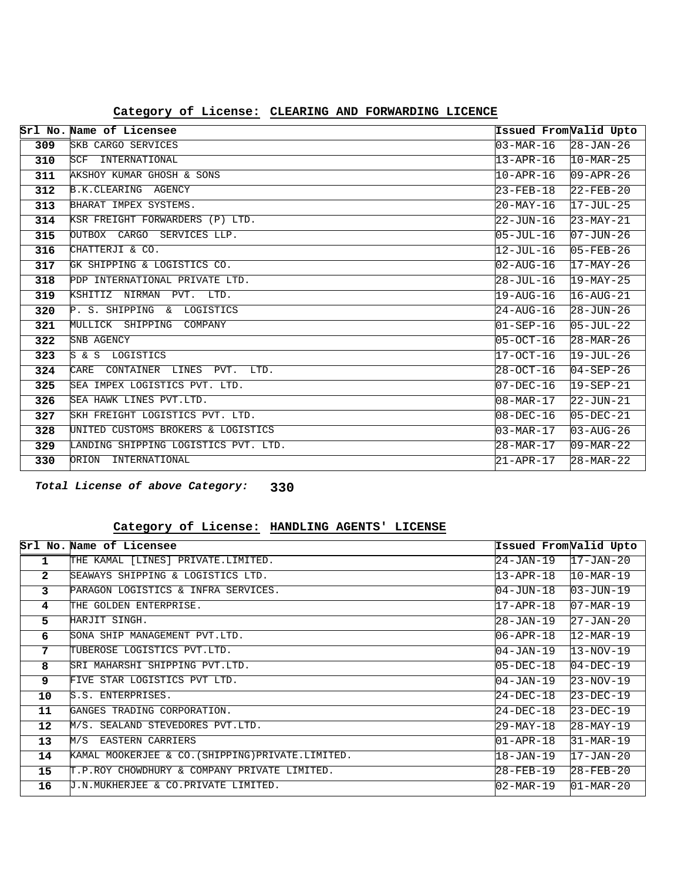|     | Srl No. Name of Licensee             | Issued FromValid Upto                   |                        |
|-----|--------------------------------------|-----------------------------------------|------------------------|
| 309 | SKB CARGO SERVICES                   | 03-MAR-16                               | $28 - JAN - 26$        |
| 310 | INTERNATIONAL<br>SCF                 | 13-APR-16                               | $10 - \text{MAR} - 25$ |
| 311 | AKSHOY KUMAR GHOSH & SONS            | $10 - APR - 16$                         | $09 - APR - 26$        |
| 312 | B.K.CLEARING AGENCY                  | 23-FEB-18                               | $22$ -FEB-20           |
| 313 | BHARAT IMPEX SYSTEMS.                | 20-MAY-16                               | $17 - JUL - 25$        |
| 314 | KSR FREIGHT FORWARDERS (P) LTD.      | 22-JUN-16                               | $23-MAY-21$            |
| 315 | OUTBOX CARGO SERVICES LLP.           | 05-JUL-16                               | $07 - JUN - 26$        |
| 316 | CHATTERJI & CO.                      | $12 - JUL - 16$                         | $05 - FEB - 26$        |
| 317 | GK SHIPPING & LOGISTICS CO.          | 02-AUG-16                               | $17 - \text{MAX} - 26$ |
| 318 | PDP INTERNATIONAL PRIVATE LTD.       | 28-JUL-16                               | $19 - \text{MAX} - 25$ |
| 319 | KSHITIZ NIRMAN<br>PVT. LTD.          | 19-AUG-16                               | $16 - \text{AUG} - 21$ |
| 320 | P. S. SHIPPING & LOGISTICS           | 24-AUG-16                               | $28 - JUN - 26$        |
| 321 | MULLICK SHIPPING<br>COMPANY          | $01 - SEP - 16$                         | $05 - JUL - 22$        |
| 322 | SNB AGENCY                           | $05 - 0CT - 16$                         | $28 - MAR - 26$        |
| 323 | S & S LOGISTICS                      | 17-OCT-16                               | $19 - JUL - 26$        |
| 324 | CONTAINER LINES PVT.<br>LTD.<br>CARE | $28 - OCT - 16$                         | $04 - SEP - 26$        |
| 325 | SEA IMPEX LOGISTICS PVT. LTD.        | $07 - DEC - 16$                         | $19 - SEP - 21$        |
| 326 | SEA HAWK LINES PVT.LTD.              | $\textsf{108}-\textsf{MAR}-\textsf{17}$ | $22 - JUN - 21$        |
| 327 | SKH FREIGHT LOGISTICS PVT. LTD.      | 08-DEC-16                               | $05 - DEC - 21$        |
| 328 | UNITED CUSTOMS BROKERS & LOGISTICS   | $03 - \text{MAR} - 17$                  | $03 - \text{AUG} - 26$ |
| 329 | LANDING SHIPPING LOGISTICS PVT. LTD. | 28-MAR-17                               | $09 - \text{MAR} - 22$ |
| 330 | ORION<br>INTERNATIONAL               | $21 - APR - 17$                         | $28 - MAR - 22$        |

**330 Total License of above Category:**

#### **HANDLING AGENTS' LICENSE Category of License:**

|                | Srl No. Name of Licensee                          | Issued FromValid Upto |                        |
|----------------|---------------------------------------------------|-----------------------|------------------------|
| 1              | THE KAMAL [LINES] PRIVATE.LIMITED.                | 24-JAN-19             | $17 - JAN - 20$        |
| $\overline{2}$ | SEAWAYS SHIPPING & LOGISTICS LTD.                 | 13-APR-18             | $10 - \text{MAR} - 19$ |
| 3              | PARAGON LOGISTICS & INFRA SERVICES.               | 104-JUN-18            | $03 - JUN - 19$        |
| 4              | THE GOLDEN ENTERPRISE.                            | 17-APR-18             | $07 - \text{MAR} - 19$ |
| 5.             | HARJIT SINGH.                                     | 28-JAN-19             | $27 - JAN - 20$        |
| 6              | SONA SHIP MANAGEMENT PVT.LTD.                     | 06-APR-18             | $12 - \text{MAR} - 19$ |
| 7              | TUBEROSE LOGISTICS PVT.LTD.                       | 104-JAN-19            | $13 - NOV - 19$        |
| 8              | SRI MAHARSHI SHIPPING PVT.LTD.                    | $05 - DEC - 18$       | $04-DEC-19$            |
| 9              | FIVE STAR LOGISTICS PVT LTD.                      | $04 - JAN - 19$       | $23 - NOV - 19$        |
| 10             | S.S. ENTERPRISES.                                 | 24-DEC-18             | $23-DEC-19$            |
| 11             | GANGES TRADING CORPORATION.                       | 24-DEC-18             | $23-DEC-19$            |
| $12 \,$        | M/S. SEALAND STEVEDORES PVT.LTD.                  | 29-MAY-18             | $28 - \text{MAX} - 19$ |
| 13             | M/S<br><b>EASTERN CARRIERS</b>                    | 01-APR-18             | $31-MAR-19$            |
| 14             | KAMAL MOOKERJEE & CO. (SHIPPING) PRIVATE.LIMITED. | 18-JAN-19             | $17 - JAN - 20$        |
| 15             | T.P.ROY CHOWDHURY & COMPANY PRIVATE LIMITED.      | 28-FEB-19             | $28 - FEB - 20$        |
| 16             | U.N.MUKHERJEE & CO.PRIVATE LIMITED.               | l02-MAR-19            | $01 - \text{MAR} - 20$ |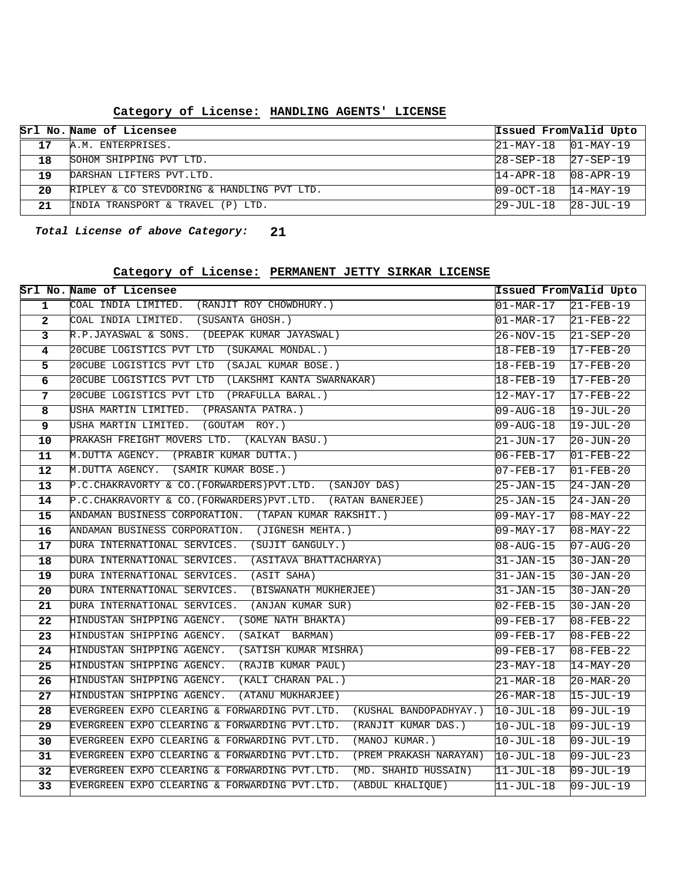|    | Srl No. Name of Licensee                   | Issued FromValid Upto     |                 |
|----|--------------------------------------------|---------------------------|-----------------|
| 17 | A.M. ENTERPRISES.                          | $ 21-MAY-18$ $ 01-MAY-19$ |                 |
| 18 | SOHOM SHIPPING PVT LTD.                    | $28 - SEP - 18$           | $27 - SEP - 19$ |
| 19 | DARSHAN LIFTERS PVT.LTD.                   | $14 - \text{APR} - 18$    | $08 - APR - 19$ |
| 20 | RIPLEY & CO STEVDORING & HANDLING PVT LTD. | $09 - OCT - 18$           | $14 - MAX - 19$ |
| 21 | INDIA TRANSPORT & TRAVEL (P) LTD.          | $29 - JUL - 18$           | 28-JUL-19       |

#### **HANDLING AGENTS' LICENSE Category of License:**

**21 Total License of above Category:**

#### **PERMANENT JETTY SIRKAR LICENSE Category of License:**

|                         | Srl No. Name of Licensee                                                | Issued From Valid Upto     |                        |
|-------------------------|-------------------------------------------------------------------------|----------------------------|------------------------|
| $\mathbf{1}$            | COAL INDIA LIMITED. (RANJIT ROY CHOWDHURY.)                             | $01-MAR-17$ 21-FEB-19      |                        |
| $\overline{2}$          | COAL INDIA LIMITED. (SUSANTA GHOSH.)                                    | $ 01-MAR-17 $ $ 21-FEB-22$ |                        |
| $\overline{\mathbf{3}}$ | R.P.JAYASWAL & SONS. (DEEPAK KUMAR JAYASWAL)                            | $26-NOV-15$                | $21 - SEP - 20$        |
| 4                       | 20CUBE LOGISTICS PVT LTD (SUKAMAL MONDAL.)                              | $18 - FEB - 19$            | $17-FEB-20$            |
| 5                       | 20CUBE LOGISTICS PVT LTD (SAJAL KUMAR BOSE.)                            | $18 - FEB - 19$            | $17 - FEB - 20$        |
| 6                       | 20CUBE LOGISTICS PVT LTD (LAKSHMI KANTA SWARNAKAR)                      | $18 - FEB - 19$            | $17 - FEB - 20$        |
| $7\phantom{.}$          | 20CUBE LOGISTICS PVT LTD (PRAFULLA BARAL.)                              | $12 - MAX-17$              | $17 - FEB - 22$        |
| 8                       | USHA MARTIN LIMITED. (PRASANTA PATRA.)                                  | $09 - \text{AUG} - 18$     | $19 - JUL - 20$        |
| $\overline{9}$          | USHA MARTIN LIMITED. (GOUTAM ROY.)                                      | $09 - \text{AUG} - 18$     | $19 - JUL - 20$        |
| 10                      | PRAKASH FREIGHT MOVERS LTD. (KALYAN BASU.)                              | 21-JUN-17                  | $20 - JUN - 20$        |
| 11                      | M.DUTTA AGENCY. (PRABIR KUMAR DUTTA.)                                   | $06 - FEB - 17$            | $01 - FEB - 22$        |
| 12                      | M.DUTTA AGENCY. (SAMIR KUMAR BOSE.)                                     | $07 - FEB - 17$            | $01 - FEB - 20$        |
| 13                      | P.C.CHAKRAVORTY & CO. (FORWARDERS) PVT.LTD. (SANJOY DAS)                | $25 - JAN - 15$            | $24-JAN-20$            |
| 14                      | P.C.CHAKRAVORTY & CO.(FORWARDERS) PVT.LTD. (RATAN BANERJEE)             | 25-JAN-15                  | $24 - JAN - 20$        |
| 15                      | ANDAMAN BUSINESS CORPORATION. (TAPAN KUMAR RAKSHIT.)                    | $09 - \text{MAX} - 17$     | $08 - \text{MAX} - 22$ |
| 16                      | ANDAMAN BUSINESS CORPORATION. (JIGNESH MEHTA.)                          | 09-MAY-17                  | $08 - \text{MAX} - 22$ |
| 17                      | DURA INTERNATIONAL SERVICES. (SUJIT GANGULY.)                           | $08 - \text{AUG} - 15$     | $07 - \text{AUG} - 20$ |
| 18                      | DURA INTERNATIONAL SERVICES.<br>(ASITAVA BHATTACHARYA)                  | 31-JAN-15                  | $30 - JAN - 20$        |
| 19                      | DURA INTERNATIONAL SERVICES.<br>(ASIT SAHA)                             | 31-JAN-15                  | $30 - JAN - 20$        |
| 20                      | DURA INTERNATIONAL SERVICES. (BISWANATH MUKHERJEE)                      | 31-JAN-15                  | $30 - JAN - 20$        |
| 21                      | DURA INTERNATIONAL SERVICES. (ANJAN KUMAR SUR)                          | $02 - FEB - 15$            | $30 - JAN - 20$        |
| 22                      | HINDUSTAN SHIPPING AGENCY. (SOME NATH BHAKTA)                           | $09 - FEB - 17$            | $08 - FEB - 22$        |
| $\overline{23}$         | HINDUSTAN SHIPPING AGENCY. (SAIKAT BARMAN)                              | $09 - FEB - 17$            | $08 - FEB - 22$        |
| 24                      | HINDUSTAN SHIPPING AGENCY. (SATISH KUMAR MISHRA)                        | 09-FEB-17                  | $08 - FEB - 22$        |
| 25                      | HINDUSTAN SHIPPING AGENCY. (RAJIB KUMAR PAUL)                           | 23-MAY-18                  | $14 - \text{MAX} - 20$ |
| 26                      | HINDUSTAN SHIPPING AGENCY. (KALI CHARAN PAL.)                           | 21-MAR-18                  | $20 - \text{MAR} - 20$ |
| 27                      | HINDUSTAN SHIPPING AGENCY. (ATANU MUKHARJEE)                            | $26 - \text{MAR} - 18$     | $15 - JUL-19$          |
| $\overline{28}$         | EVERGREEN EXPO CLEARING & FORWARDING PVT.LTD.<br>(KUSHAL BANDOPADHYAY.) | $10-JUL-18$                | $09 - JUL - 19$        |
| 29                      | EVERGREEN EXPO CLEARING & FORWARDING PVT.LTD.<br>(RANJIT KUMAR DAS.)    | $10-JUL-18$                | $09 - JUL-19$          |
| 30                      | EVERGREEN EXPO CLEARING & FORWARDING PVT.LTD.<br>(MANOJ KUMAR.)         | $10-JUL-18$                | $09 - JUL - 19$        |
| 31                      | EVERGREEN EXPO CLEARING & FORWARDING PVT.LTD.<br>(PREM PRAKASH NARAYAN) | $10-JUL-18$                | $09 - JUL - 23$        |
| 32                      | EVERGREEN EXPO CLEARING & FORWARDING PVT.LTD.<br>(MD. SHAHID HUSSAIN)   | $ 11 - JUL - 18 $          | $09 - JUL-19$          |
| 33                      | EVERGREEN EXPO CLEARING & FORWARDING PVT.LTD.<br>(ABDUL KHALIQUE)       | $11$ -JUL-18               | $09 - JUL - 19$        |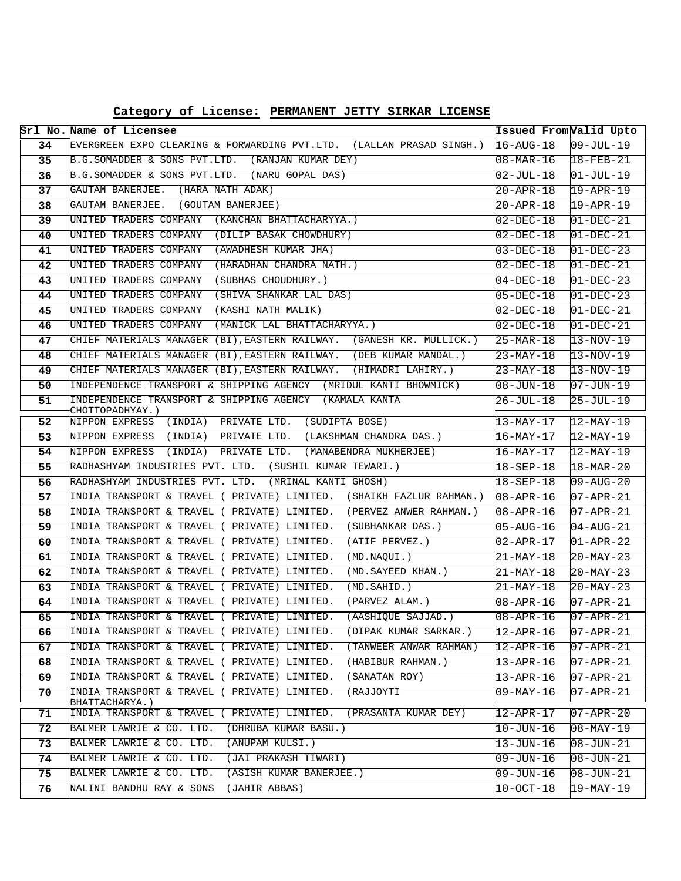| Category of License: PERMANENT JETTY SIRKAR LICENSE |  |  |  |  |
|-----------------------------------------------------|--|--|--|--|
|-----------------------------------------------------|--|--|--|--|

|    | Srl No. Name of Licensee                                                                | Issued From Valid Upto |                        |
|----|-----------------------------------------------------------------------------------------|------------------------|------------------------|
| 34 | EVERGREEN EXPO CLEARING & FORWARDING PVT.LTD. (LALLAN PRASAD SINGH.)                    | $16 - \text{AUG} - 18$ | $09 - JUL - 19$        |
| 35 | B.G.SOMADDER & SONS PVT.LTD. (RANJAN KUMAR DEY)                                         | $08 - \text{MAR} - 16$ | $18 - FEB - 21$        |
| 36 | B.G.SOMADDER & SONS PVT.LTD. (NARU GOPAL DAS)                                           | 02-JUL-18              | $ 01 - JUL - 19 $      |
| 37 | GAUTAM BANERJEE. (HARA NATH ADAK)                                                       | 20-APR-18              | $19 - APR - 19$        |
| 38 | GAUTAM BANERJEE. (GOUTAM BANERJEE)                                                      | 20-APR-18              | $19 - APR - 19$        |
| 39 | UNITED TRADERS COMPANY (KANCHAN BHATTACHARYYA.)                                         | $02 - DEC - 18$        | $01 - DEC - 21$        |
| 40 | UNITED TRADERS COMPANY (DILIP BASAK CHOWDHURY)                                          | $02 - DEC - 18$        | $01 - DEC - 21$        |
| 41 | UNITED TRADERS COMPANY (AWADHESH KUMAR JHA)                                             | 03-DEC-18              | $01-DEC-23$            |
| 42 | UNITED TRADERS COMPANY (HARADHAN CHANDRA NATH.)                                         | 02-DEC-18              | $01 - DEC - 21$        |
| 43 | UNITED TRADERS COMPANY (SUBHAS CHOUDHURY.)                                              | $04 - DEC - 18$        | $01 - DEC - 23$        |
| 44 | UNITED TRADERS COMPANY (SHIVA SHANKAR LAL DAS)                                          | 05-DEC-18              | $01 - DEC - 23$        |
| 45 | UNITED TRADERS COMPANY (KASHI NATH MALIK)                                               | $02 - DEC - 18$        | $01 - DEC - 21$        |
| 46 | UNITED TRADERS COMPANY<br>(MANICK LAL BHATTACHARYYA.)                                   | 02-DEC-18              | $01 - DEC - 21$        |
| 47 | CHIEF MATERIALS MANAGER (BI), EASTERN RAILWAY. (GANESH KR. MULLICK.)                    | $25-MAR-18$            | $13-NOV-19$            |
| 48 | CHIEF MATERIALS MANAGER (BI), EASTERN RAILWAY. (DEB KUMAR MANDAL.)                      | 23-MAY-18              | $13-NOV-19$            |
| 49 | CHIEF MATERIALS MANAGER (BI), EASTERN RAILWAY. (HIMADRI LAHIRY.)                        | 23-MAY-18              | $13-NOV-19$            |
| 50 | INDEPENDENCE TRANSPORT & SHIPPING AGENCY (MRIDUL KANTI BHOWMICK)                        | $08 - JUN - 18$        | $07 - JUN - 19$        |
| 51 | INDEPENDENCE TRANSPORT & SHIPPING AGENCY (KAMALA KANTA<br>CHOTTOPADHYAY.)               | 26-JUL-18              | $25 - JUL - 19$        |
| 52 | NIPPON EXPRESS (INDIA) PRIVATE LTD. (SUDIPTA BOSE)                                      | 13-MAY-17              | $12-MAY-19$            |
| 53 | NIPPON EXPRESS (INDIA) PRIVATE LTD. (LAKSHMAN CHANDRA DAS.)                             | 16-MAY-17              | $ 12 - MAX - 19 $      |
| 54 | NIPPON EXPRESS (INDIA) PRIVATE LTD. (MANABENDRA MUKHERJEE)                              | 16-MAY-17              | $12-MAY-19$            |
| 55 | RADHASHYAM INDUSTRIES PVT. LTD. (SUSHIL KUMAR TEWARI.)                                  | $18 - SEP - 18$        | $18 - \text{MAR} - 20$ |
| 56 | RADHASHYAM INDUSTRIES PVT. LTD. (MRINAL KANTI GHOSH)                                    | $18 - SEP - 18$        | $09 - \text{AUG} - 20$ |
| 57 | INDIA TRANSPORT & TRAVEL ( PRIVATE) LIMITED. (SHAIKH FAZLUR RAHMAN.)                    | $08 - APR - 16$        | $07 - APR - 21$        |
| 58 | INDIA TRANSPORT & TRAVEL ( PRIVATE) LIMITED. (PERVEZ ANWER RAHMAN.)                     | $08 - APR - 16$        | $07 - APR - 21$        |
| 59 | INDIA TRANSPORT & TRAVEL ( PRIVATE) LIMITED. (SUBHANKAR DAS.)                           | $05 - \text{AUG} - 16$ | $04 - AUG - 21$        |
| 60 | INDIA TRANSPORT & TRAVEL ( PRIVATE) LIMITED.<br>(ATIF PERVEZ.)                          | $02 - APR - 17$        | $01 - APR - 22$        |
| 61 | (MD.NAQUI.)<br>INDIA TRANSPORT & TRAVEL ( PRIVATE) LIMITED.                             | 21-MAY-18              | $20 - MAX - 23$        |
| 62 | INDIA TRANSPORT & TRAVEL ( PRIVATE) LIMITED.<br>(MD.SAYEED KHAN.)                       | 21-MAY-18              | $20 - \text{MAX} - 23$ |
| 63 | INDIA TRANSPORT & TRAVEL ( PRIVATE) LIMITED.<br>(MD.SAHID.)                             | 21-MAY-18              | $20 - \text{MAX} - 23$ |
| 64 | INDIA TRANSPORT & TRAVEL ( PRIVATE) LIMITED.<br>(PARVEZ ALAM.)                          | $08 - APR - 16$        | $07 - APR - 21$        |
| 65 | INDIA TRANSPORT & TRAVEL ( PRIVATE) LIMITED.<br>(AASHIQUE SAJJAD.)                      | $08 - APR - 16$        | $07 - APR - 21$        |
| 66 | INDIA TRANSPORT & TRAVEL ( PRIVATE) LIMITED.<br>(DIPAK KUMAR SARKAR.)                   | $12 - APR - 16$        | $07 - APR - 21$        |
| 67 | (TANWEER ANWAR RAHMAN)<br>INDIA TRANSPORT & TRAVEL ( PRIVATE) LIMITED.                  | $12 - APR - 16$        | $07 - APR - 21$        |
| 68 | INDIA TRANSPORT & TRAVEL ( PRIVATE) LIMITED.<br>(HABIBUR RAHMAN.)                       | $13-APR-16$            | $07 - APR - 21$        |
| 69 | INDIA TRANSPORT & TRAVEL ( PRIVATE) LIMITED.<br>(SANATAN ROY)                           | $13 - APR - 16$        | 07-APR-21              |
| 70 | INDIA TRANSPORT & TRAVEL (<br>PRIVATE) LIMITED.<br>(RAJJOYTI                            | 09-MAY-16              | $07 - APR - 21$        |
| 71 | BHATTACHARYA.)<br>INDIA TRANSPORT & TRAVEL<br>PRIVATE) LIMITED.<br>(PRASANTA KUMAR DEY) | $12 - APR - 17$        | $07 - APR - 20$        |
| 72 | (DHRUBA KUMAR BASU.)<br>BALMER LAWRIE & CO. LTD.                                        | 10-JUN-16              | $08 - \text{MAX} - 19$ |
| 73 | BALMER LAWRIE & CO. LTD.<br>(ANUPAM KULSI.)                                             | 13-JUN-16              | $ 08 - JUN - 21$       |
| 74 | BALMER LAWRIE & CO. LTD.<br>(JAI PRAKASH TIWARI)                                        | 09-JUN-16              | $08 - JUN - 21$        |
| 75 | BALMER LAWRIE & CO. LTD.<br>(ASISH KUMAR BANERJEE.)                                     | 09-JUN-16              | $ 08 - JUN - 21 $      |
| 76 | NALINI BANDHU RAY & SONS<br>(JAHIR ABBAS)                                               | 10-OCT-18              | 19-MAY-19              |
|    |                                                                                         |                        |                        |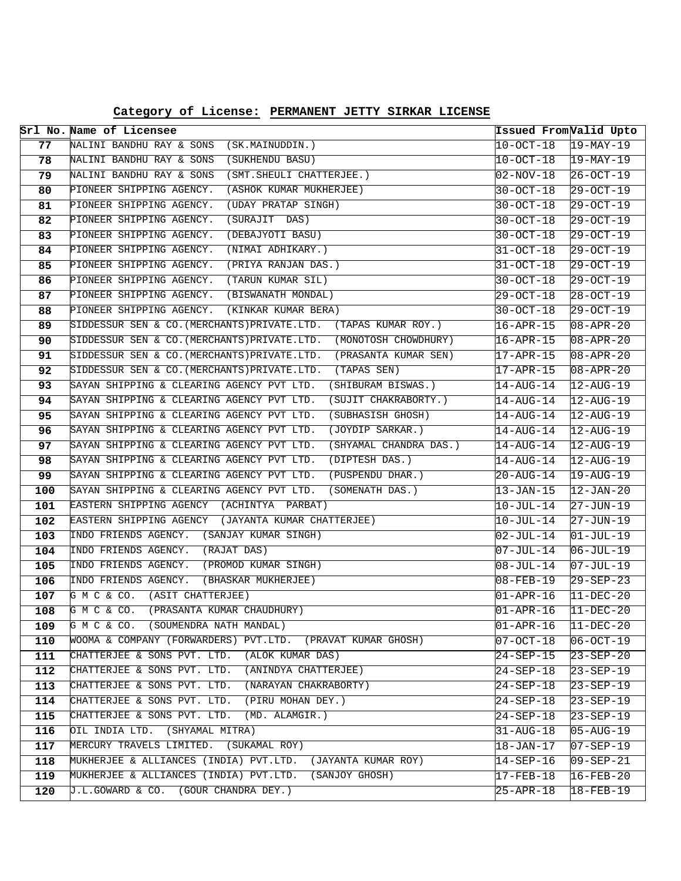|            | Srl No. Name of Licensee                                                      |                        | Issued From Valid Upto            |
|------------|-------------------------------------------------------------------------------|------------------------|-----------------------------------|
| 77         | NALINI BANDHU RAY & SONS<br>(SK.MAINUDDIN.)                                   | 10-OCT-18              | $19 - \text{MAX} - 19$            |
| 78         | NALINI BANDHU RAY & SONS<br>(SUKHENDU BASU)                                   | 10-OCT-18              | $ 19-MAY-19$                      |
| 79         | NALINI BANDHU RAY & SONS (SMT. SHEULI CHATTERJEE.)                            | 02-NOV-18              | $26-0CT-19$                       |
| 80         | PIONEER SHIPPING AGENCY.<br>(ASHOK KUMAR MUKHERJEE)                           | 30-OCT-18              | 29-OCT-19                         |
| 81         | PIONEER SHIPPING AGENCY.<br>(UDAY PRATAP SINGH)                               | 30-OCT-18              | $29-0CT-19$                       |
| 82         | PIONEER SHIPPING AGENCY.<br>(SURAJIT DAS)                                     | 30-OCT-18              | $29-0CT-19$                       |
| 83         | PIONEER SHIPPING AGENCY.<br>(DEBAJYOTI BASU)                                  | 30-OCT-18              | 29-OCT-19                         |
| 84         | PIONEER SHIPPING AGENCY.<br>(NIMAI ADHIKARY.)                                 | 31-OCT-18              | $29 - OCT - 19$                   |
| 85         | PIONEER SHIPPING AGENCY.<br>(PRIYA RANJAN DAS.)                               | 31-OCT-18              | $29-0CT-19$                       |
| 86         | PIONEER SHIPPING AGENCY. (TARUN KUMAR SIL)                                    | 30-OCT-18              | 29-OCT-19                         |
| 87         | PIONEER SHIPPING AGENCY. (BISWANATH MONDAL)                                   | 29-OCT-18              | $ 28 - OCT - 19 $                 |
| 88         | PIONEER SHIPPING AGENCY. (KINKAR KUMAR BERA)                                  | 30-OCT-18              | 29-OCT-19                         |
| 89         | SIDDESSUR SEN & CO. (MERCHANTS) PRIVATE.LTD. (TAPAS KUMAR ROY.)               | 16-APR-15              | $08 - APR - 20$                   |
| 90         | SIDDESSUR SEN & CO. (MERCHANTS) PRIVATE.LTD.<br>(MONOTOSH CHOWDHURY)          | $16 - APR - 15$        | $08 - APR - 20$                   |
| 91         | SIDDESSUR SEN & CO. (MERCHANTS) PRIVATE.LTD.<br>(PRASANTA KUMAR SEN)          | 17-APR-15              | $08 - APR - 20$                   |
| 92         | (TAPAS SEN)<br>SIDDESSUR SEN & CO. (MERCHANTS) PRIVATE.LTD.                   | 17-APR-15              | $08 - APR - 20$                   |
| 93         | SAYAN SHIPPING & CLEARING AGENCY PVT LTD.<br>(SHIBURAM BISWAS.)               | 14-AUG-14              | $12 - \text{AUG} - 19$            |
| 94         | SAYAN SHIPPING & CLEARING AGENCY PVT LTD. (SUJIT CHAKRABORTY.)                | $14 - \text{AUG}-14$   | $12 - \text{AUG}-19$              |
| 95         | SAYAN SHIPPING & CLEARING AGENCY PVT LTD. (SUBHASISH GHOSH)                   | 14-AUG-14              | $12 - \text{AUG} - 19$            |
| 96         | SAYAN SHIPPING & CLEARING AGENCY PVT LTD.<br>(JOYDIP SARKAR.)                 | $14 - \text{AUG}-14$   | $12$ -AUG-19                      |
| 97         | SAYAN SHIPPING & CLEARING AGENCY PVT LTD.<br>(SHYAMAL CHANDRA DAS.)           | $14 - \text{AUG} - 14$ | $12 - \text{AUG} - 19$            |
| 98         | SAYAN SHIPPING & CLEARING AGENCY PVT LTD.<br>(DIPTESH DAS.)                   | $14 - \text{AUG} - 14$ | $12 - \text{AUG} - 19$            |
| 99         | SAYAN SHIPPING & CLEARING AGENCY PVT LTD. (PUSPENDU DHAR.)                    | $20 - AUG - 14$        | $19 - \text{AUG} - 19$            |
| 100        | SAYAN SHIPPING & CLEARING AGENCY PVT LTD. (SOMENATH DAS.)                     | 13-JAN-15              | $12 - JAN - 20$                   |
| 101        | EASTERN SHIPPING AGENCY (ACHINTYA PARBAT)                                     | 10-JUL-14              | 27-JUN-19                         |
| 102        | EASTERN SHIPPING AGENCY (JAYANTA KUMAR CHATTERJEE)                            | 10-JUL-14              | 27-JUN-19                         |
| 103        | INDO FRIENDS AGENCY. (SANJAY KUMAR SINGH)                                     | 02-JUL-14              | $01 - JUL-19$                     |
| 104        | INDO FRIENDS AGENCY. (RAJAT DAS)<br>INDO FRIENDS AGENCY. (PROMOD KUMAR SINGH) | 07-JUL-14              | $06 - JUL-19$                     |
| 105        | INDO FRIENDS AGENCY. (BHASKAR MUKHERJEE)                                      | 08-JUL-14              | $07 - JUL-19$                     |
| 106<br>107 | G M C & CO. (ASIT CHATTERJEE)                                                 | 08-FEB-19              | 29-SEP-23                         |
| 108        | G M C & CO. (PRASANTA KUMAR CHAUDHURY)                                        | 01-APR-16<br>01-APR-16 | $ 11 - DEC - 20 $<br>$11-DEC-20$  |
| 109        | G M C & CO. (SOUMENDRA NATH MANDAL)                                           | 01-APR-16              | $ 11 - DEC - 20$                  |
| 110        | WOOMA & COMPANY (FORWARDERS) PVT.LTD. (PRAVAT KUMAR GHOSH)                    | $07-0CT-18$            | $ 06-OCT-19 $                     |
| 111        | CHATTERJEE & SONS PVT. LTD. (ALOK KUMAR DAS)                                  | 24-SEP-15              | $23 - SEP - 20$                   |
| 112        | (ANINDYA CHATTERJEE)<br>CHATTERJEE & SONS PVT. LTD.                           | 24-SEP-18              | $23 - SEP - 19$                   |
| 113        | CHATTERJEE & SONS PVT. LTD. (NARAYAN CHAKRABORTY)                             | $24 - SEP - 18$        | $23 - SEP - 19$                   |
| 114        | CHATTERJEE & SONS PVT. LTD. (PIRU MOHAN DEY.)                                 | $24 - SEP - 18$        | $23 - SEP - 19$                   |
| 115        | CHATTERJEE & SONS PVT. LTD. (MD. ALAMGIR.)                                    | 24-SEP-18              | $23 - SEP - 19$                   |
| 116        | OIL INDIA LTD. (SHYAMAL MITRA)                                                | 31-AUG-18              | $05 - \text{AUG} - 19$            |
| 117        | MERCURY TRAVELS LIMITED. (SUKAMAL ROY)                                        | $18 - JAN - 17$        | $\overline{07 - \text{SEP} - 19}$ |
| 118        | MUKHERJEE & ALLIANCES (INDIA) PVT.LTD.<br>(JAYANTA KUMAR ROY)                 | $14 - SEP - 16$        | $09 - SEP - 21$                   |
| 119        | MUKHERJEE & ALLIANCES (INDIA) PVT.LTD.<br>(SANJOY GHOSH)                      | 17-FEB-18              | $16 - FEB - 20$                   |
| 120        | J.L.GOWARD & CO. (GOUR CHANDRA DEY.)                                          | 25-APR-18              | 18-FEB-19                         |
|            |                                                                               |                        |                                   |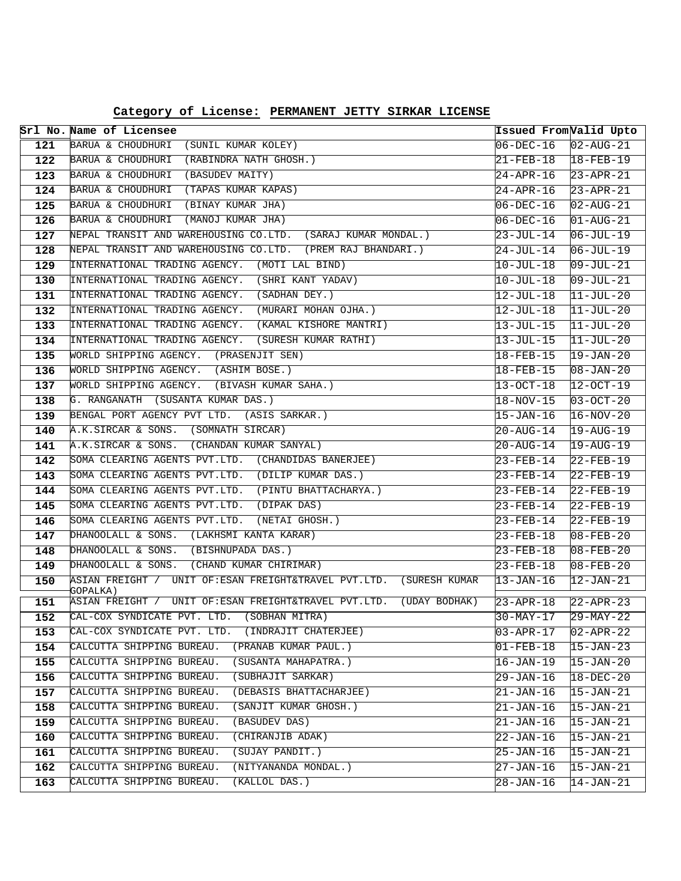| Category of License: PERMANENT JETTY SIRKAR LICENSE |  |  |  |  |
|-----------------------------------------------------|--|--|--|--|
|-----------------------------------------------------|--|--|--|--|

|            | Srl No. Name of Licensee                                                                  | Issued FromValid Upto  |                                    |
|------------|-------------------------------------------------------------------------------------------|------------------------|------------------------------------|
| 121        | BARUA & CHOUDHURI (SUNIL KUMAR KOLEY)                                                     | $06-DEC-16$            | $ 02 - \text{AUG} - 21 $           |
| 122        | BARUA & CHOUDHURI (RABINDRA NATH GHOSH.)                                                  | 21-FEB-18 18-FEB-19    |                                    |
| 123        | BARUA & CHOUDHURI (BASUDEV MAITY)                                                         | 24-APR-16              | $23 - APR - 21$                    |
| 124        | BARUA & CHOUDHURI (TAPAS KUMAR KAPAS)                                                     | 24-APR-16              | $23 - APR - 21$                    |
| 125        | BARUA & CHOUDHURI<br>(BINAY KUMAR JHA)                                                    | $06 - DEC - 16$        | $ 02 - \text{AUG} - 21 $           |
| 126        | BARUA & CHOUDHURI (MANOJ KUMAR JHA)                                                       | $06 - DEC - 16$        | $ 01 - \text{AUG} - 21 $           |
| 127        | NEPAL TRANSIT AND WAREHOUSING CO.LTD. (SARAJ KUMAR MONDAL.)                               | 23-JUL-14              | $06 - JUL - 19$                    |
| 128        | NEPAL TRANSIT AND WAREHOUSING CO.LTD. (PREM RAJ BHANDARI.)                                | 24-JUL-14              | $06 - JUL - 19$                    |
| 129        | INTERNATIONAL TRADING AGENCY. (MOTI LAL BIND)                                             | $10 - JUL - 18$        | $09 - JUL - 21$                    |
| 130        | INTERNATIONAL TRADING AGENCY. (SHRI KANT YADAV)                                           | 10-JUL-18              | $ 09 - JUL - 21 $                  |
| 131        | INTERNATIONAL TRADING AGENCY. (SADHAN DEY.)                                               | $12 - JUL - 18$        | $11-JUL-20$                        |
| 132        | INTERNATIONAL TRADING AGENCY. (MURARI MOHAN OJHA.)                                        | $12 - JUL-18$          | $ 11 - JUL - 20$                   |
| 133        | INTERNATIONAL TRADING AGENCY. (KAMAL KISHORE MANTRI)                                      | 13-JUL-15              | $ 11 - JUL - 20$                   |
| 134        | INTERNATIONAL TRADING AGENCY. (SURESH KUMAR RATHI)                                        | 13-JUL-15              | $11-JUL-20$                        |
| 135        | WORLD SHIPPING AGENCY. (PRASENJIT SEN)                                                    | 18-FEB-15              | $19 - JAN - 20$                    |
| 136        | WORLD SHIPPING AGENCY. (ASHIM BOSE.)                                                      | 18-FEB-15              | $08 - JAN - 20$                    |
| 137        | WORLD SHIPPING AGENCY. (BIVASH KUMAR SAHA.)                                               | 13-OCT-18              | $12-0CT-19$                        |
| 138        | G. RANGANATH (SUSANTA KUMAR DAS.)                                                         | 18-NOV-15              | $03 - OCT - 20$                    |
| 139        | BENGAL PORT AGENCY PVT LTD. (ASIS SARKAR.)                                                | $15 - JAN - 16$        | $16-NOV-20$                        |
| 140        | A.K.SIRCAR & SONS. (SOMNATH SIRCAR)                                                       | $20 - \text{AUG} - 14$ | $19 - AUG - 19$                    |
| 141        | A.K.SIRCAR & SONS. (CHANDAN KUMAR SANYAL)                                                 | $20 - \text{AUG} - 14$ | $19 - \text{AUG} - 19$             |
| 142        | SOMA CLEARING AGENTS PVT.LTD. (CHANDIDAS BANERJEE)                                        | 23-FEB-14              | $22$ -FEB-19                       |
| 143        | SOMA CLEARING AGENTS PVT.LTD. (DILIP KUMAR DAS.)                                          | 23-FEB-14              | $22$ -FEB-19                       |
| 144        | SOMA CLEARING AGENTS PVT.LTD. (PINTU BHATTACHARYA.)                                       | 23-FEB-14              | $22$ -FEB-19                       |
| 145<br>146 | SOMA CLEARING AGENTS PVT.LTD. (DIPAK DAS)<br>SOMA CLEARING AGENTS PVT.LTD. (NETAI GHOSH.) | 23-FEB-14<br>23-FEB-14 | $22 - FEB - 19$<br>$22 - FEB - 19$ |
| 147        | DHANOOLALL & SONS. (LAKHSMI KANTA KARAR)                                                  | 23-FEB-18              | $08 - FEB - 20$                    |
| 148        | DHANOOLALL & SONS. (BISHNUPADA DAS.)                                                      | 23-FEB-18              | $08 - FEB - 20$                    |
| 149        | DHANOOLALL & SONS. (CHAND KUMAR CHIRIMAR)                                                 | $23 - FEB - 18$        | $08 - FEB - 20$                    |
| 150        | ASIAN FREIGHT / UNIT OF: ESAN FREIGHT&TRAVEL PVT.LTD. (SURESH KUMAR                       | $13 - JAN - 16$        | $12 - JAN - 21$                    |
|            | GOPALKA)                                                                                  |                        |                                    |
| 151        | ASIAN FREIGHT / UNIT OF:ESAN FREIGHT&TRAVEL PVT.LTD.<br>(UDAY BODHAK)                     | 23-APR-18              | $22 - APR - 23$                    |
| 152        | CAL-COX SYNDICATE PVT. LTD. (SOBHAN MITRA)                                                | 30-MAY-17              | $29 - MAX - 22$                    |
| 153        | CAL-COX SYNDICATE PVT. LTD. (INDRAJIT CHATERJEE)                                          | $03 - APR - 17$        | $02 - APR - 22$                    |
| 154        | CALCUTTA SHIPPING BUREAU.<br>(PRANAB KUMAR PAUL.)                                         | $01 - FEB - 18$        | $15 - JAN - 23$                    |
| 155        | (SUSANTA MAHAPATRA.)<br>CALCUTTA SHIPPING BUREAU.                                         | 16-JAN-19              | $15 - JAN - 20$                    |
| 156        | CALCUTTA SHIPPING BUREAU.<br>(SUBHAJIT SARKAR)                                            | 29-JAN-16              | $18 - DEC - 20$                    |
| 157        | CALCUTTA SHIPPING BUREAU.<br>(DEBASIS BHATTACHARJEE)                                      | 21-JAN-16              | $15 - JAN - 21$                    |
| 158        | CALCUTTA SHIPPING BUREAU.<br>(SANJIT KUMAR GHOSH.)                                        | $21 - JAN - 16$        | $15 - JAN - 21$                    |
| 159        | CALCUTTA SHIPPING BUREAU.<br>(BASUDEV DAS)                                                | 21-JAN-16              | $15 - JAN - 21$                    |
| 160        | CALCUTTA SHIPPING BUREAU.<br>(CHIRANJIB ADAK)                                             | 22-JAN-16              | $15 - JAN - 21$                    |
| 161        | CALCUTTA SHIPPING BUREAU.<br>(SUJAY PANDIT.)                                              | 25-JAN-16              | $15 - JAN - 21$                    |
| 162        | CALCUTTA SHIPPING BUREAU.<br>(NITYANANDA MONDAL.)                                         | 27-JAN-16              | $15 - JAN - 21$                    |
| 163        | CALCUTTA SHIPPING BUREAU.<br>(KALLOL DAS.)                                                | 28-JAN-16              | 14-JAN-21                          |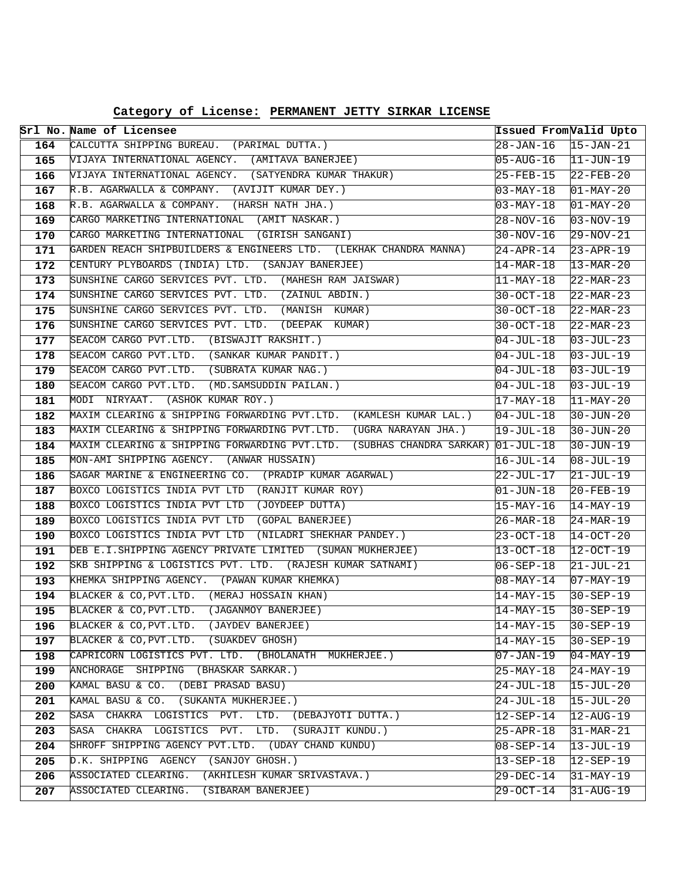**Category of License: PERMANENT JETTY SIRKAR LICENSE**

|            | Srl No. Name of Licensee                                                                   | Issued From Valid Upto              |                                    |
|------------|--------------------------------------------------------------------------------------------|-------------------------------------|------------------------------------|
| 164        | CALCUTTA SHIPPING BUREAU. (PARIMAL DUTTA.)                                                 | 28-JAN-16                           | $15 - JAN - 21$                    |
| 165        | VIJAYA INTERNATIONAL AGENCY. (AMITAVA BANERJEE)                                            | $05 - AUG - 16$                     | $11-JUN-19$                        |
| 166        | VIJAYA INTERNATIONAL AGENCY. (SATYENDRA KUMAR THAKUR)                                      | 25-FEB-15                           | $22 - FEB - 20$                    |
| 167        | R.B. AGARWALLA & COMPANY. (AVIJIT KUMAR DEY.)                                              | 03-MAY-18                           | $01-MAY-20$                        |
| 168        | R.B. AGARWALLA & COMPANY. (HARSH NATH JHA.)                                                | $03 - MAX - 18$                     | $01-MAY-20$                        |
| 169        | CARGO MARKETING INTERNATIONAL (AMIT NASKAR.)                                               | 28-NOV-16                           | $03 - NOV - 19$                    |
| 170        | CARGO MARKETING INTERNATIONAL (GIRISH SANGANI)                                             | $30 - NOV - 16$                     | $29-NOV-21$                        |
| 171        | GARDEN REACH SHIPBUILDERS & ENGINEERS LTD. (LEKHAK CHANDRA MANNA)                          | $24 - APR - 14$                     | $23 - APR - 19$                    |
| 172        | CENTURY PLYBOARDS (INDIA) LTD. (SANJAY BANERJEE)                                           | 14-MAR-18                           | $13 - \text{MAR} - 20$             |
| 173        | SUNSHINE CARGO SERVICES PVT. LTD. (MAHESH RAM JAISWAR)                                     | $ 11$ -MAY-18                       | $22 - \text{MAR} - 23$             |
| 174        | SUNSHINE CARGO SERVICES PVT. LTD. (ZAINUL ABDIN.)                                          | 30-OCT-18                           | $22 - \text{MAR} - 23$             |
| 175        | SUNSHINE CARGO SERVICES PVT. LTD. (MANISH KUMAR)                                           | $30-0CT-18$                         | $22 - \text{MAR} - 23$             |
| 176        | SUNSHINE CARGO SERVICES PVT. LTD. (DEEPAK KUMAR)                                           | $30 - OCT - 18$                     | $22 - \text{MAR} - 23$             |
| 177        | SEACOM CARGO PVT.LTD. (BISWAJIT RAKSHIT.)                                                  | $04 - JUL - 18$                     | $03 - JUL - 23$                    |
| 178        | SEACOM CARGO PVT.LTD. (SANKAR KUMAR PANDIT.)                                               | 04-JUL-18                           | $03 - JUL - 19$                    |
| 179        | SEACOM CARGO PVT.LTD. (SUBRATA KUMAR NAG.)                                                 | $04 - JUL - 18$                     | $03 - JUL - 19$                    |
| 180        | SEACOM CARGO PVT.LTD.<br>(MD.SAMSUDDIN PAILAN.)                                            | 04-JUL-18                           | $03 - JUL - 19$                    |
| 181        | MODI NIRYAAT. (ASHOK KUMAR ROY.)                                                           | 17-MAY-18                           | $11-MAY-20$                        |
| 182        | MAXIM CLEARING & SHIPPING FORWARDING PVT.LTD. (KAMLESH KUMAR LAL.)                         | $04 - JUL - 18$                     | $30 - JUN - 20$                    |
| 183        | MAXIM CLEARING & SHIPPING FORWARDING PVT.LTD. (UGRA NARAYAN JHA.)                          | 19-JUL-18                           | $30 - JUN - 20$                    |
| 184        | MAXIM CLEARING & SHIPPING FORWARDING PVT.LTD. (SUBHAS CHANDRA SARKAR) 01-JUL-18            |                                     | $30 - JUN - 19$                    |
| 185        | MON-AMI SHIPPING AGENCY. (ANWAR HUSSAIN)                                                   | $16 - JUL - 14$                     | $08 - JUL - 19$                    |
| 186        | SAGAR MARINE & ENGINEERING CO. (PRADIP KUMAR AGARWAL)                                      | 22-JUL-17                           | $21 - JUL-19$                      |
| 187        | BOXCO LOGISTICS INDIA PVT LTD (RANJIT KUMAR ROY)                                           | 01-JUN-18                           | $20 - FEB - 19$                    |
| 188        | BOXCO LOGISTICS INDIA PVT LTD (JOYDEEP DUTTA)                                              | 15-MAY-16                           | $14 - \text{MAX} - 19$             |
| 189        | BOXCO LOGISTICS INDIA PVT LTD (GOPAL BANERJEE)                                             | $26 - MAR - 18$                     | $24-MAR-19$                        |
| 190        | BOXCO LOGISTICS INDIA PVT LTD (NILADRI SHEKHAR PANDEY.)                                    | 23-OCT-18                           | $14-OCT-20$                        |
| 191        | DEB E.I.SHIPPING AGENCY PRIVATE LIMITED (SUMAN MUKHERJEE)                                  | 13-OCT-18                           | $12 - OCT - 19$                    |
| 192        | SKB SHIPPING & LOGISTICS PVT. LTD. (RAJESH KUMAR SATNAMI)                                  | $06 - SEP - 18$                     | $21 - JUL - 21$                    |
| 193        | KHEMKA SHIPPING AGENCY. (PAWAN KUMAR KHEMKA)                                               | $08 - MAX - 14$                     | $07 - \text{MAX} - 19$             |
| 194<br>195 | BLACKER & CO, PVT.LTD. (MERAJ HOSSAIN KHAN)<br>BLACKER & CO, PVT. LTD. (JAGANMOY BANERJEE) | 14-MAY-15                           | $30 - SEP - 19$                    |
| 196        | BLACKER & CO, PVT. LTD. (JAYDEV BANERJEE)                                                  | $14 - \text{MAX} - 15$              | $30 - SEP - 19$<br>$30 - SEP - 19$ |
| 197        | BLACKER & CO, PVT. LTD. (SUAKDEV GHOSH)                                                    | 14-MAY-15<br>$14 - \text{MAX} - 15$ | $30 - SEP - 19$                    |
| 198        | CAPRICORN LOGISTICS PVT. LTD. (BHOLANATH MUKHERJEE.)                                       | $07 - JAN - 19$                     | 04-MAY-19                          |
| 199        | ANCHORAGE SHIPPING (BHASKAR SARKAR.)                                                       | 25-MAY-18                           | $24 - \text{MAX} - 19$             |
| 200        | KAMAL BASU & CO. (DEBI PRASAD BASU)                                                        | 24-JUL-18                           | $15 - JUL - 20$                    |
| 201        | KAMAL BASU & CO. (SUKANTA MUKHERJEE.)                                                      | $24 - JUL - 18$                     | $15 - JUL - 20$                    |
| 202        | SASA CHAKRA LOGISTICS PVT. LTD. (DEBAJYOTI DUTTA.)                                         | $12 - SEP - 14$                     | $12 - \text{AUG} - 19$             |
| 203        | SASA CHAKRA LOGISTICS PVT. LTD.<br>(SURAJIT KUNDU.)                                        | 25-APR-18                           | 31-MAR-21                          |
| 204        | SHROFF SHIPPING AGENCY PVT.LTD. (UDAY CHAND KUNDU)                                         | $08 - SEP - 14$                     | $13 - JUL-19$                      |
| 205        | D.K. SHIPPING AGENCY (SANJOY GHOSH.)                                                       | $13 - SEP - 18$                     | $ 12 - SEP - 19 $                  |
| 206        | ASSOCIATED CLEARING.<br>(AKHILESH KUMAR SRIVASTAVA.)                                       | 29-DEC-14                           | 31-MAY-19                          |
| 207        | ASSOCIATED CLEARING.<br>(SIBARAM BANERJEE)                                                 | 29-OCT-14                           | 31-AUG-19                          |
|            |                                                                                            |                                     |                                    |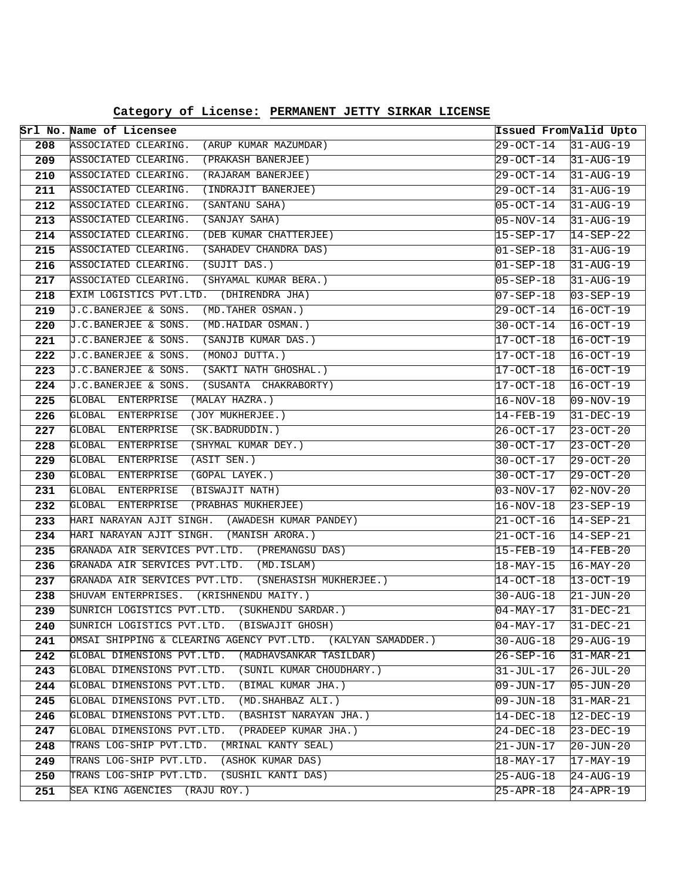|                  | Srl No. Name of Licensee                                                                        | Issued From Valid Upto              |                                    |
|------------------|-------------------------------------------------------------------------------------------------|-------------------------------------|------------------------------------|
| 208              | ASSOCIATED CLEARING.<br>(ARUP KUMAR MAZUMDAR)                                                   | 29-OCT-14                           | $31 - AUG - 19$                    |
| 209              | ASSOCIATED CLEARING.<br>(PRAKASH BANERJEE)                                                      | 29-OCT-14                           | $31 - AUG - 19$                    |
| 210              | ASSOCIATED CLEARING.<br>(RAJARAM BANERJEE)                                                      | $29 - OCT - 14$                     | $31 - AUG - 19$                    |
| 211              | ASSOCIATED CLEARING.<br>(INDRAJIT BANERJEE)                                                     | 29-OCT-14                           | $31 - AUG - 19$                    |
| $\overline{212}$ | ASSOCIATED CLEARING.<br>(SANTANU SAHA)                                                          | $05 - OCT - 14$                     | $31 - AUG - 19$                    |
| 213              | ASSOCIATED CLEARING.<br>(SANJAY SAHA)                                                           | $05 - NOV - 14$                     | $31 - AUG - 19$                    |
| 214              | ASSOCIATED CLEARING.<br>(DEB KUMAR CHATTERJEE)                                                  | 15-SEP-17                           | $14-SEP-22$                        |
| 215              | ASSOCIATED CLEARING.<br>(SAHADEV CHANDRA DAS)                                                   | $01 - SEP - 18$                     | $31 - \text{AUG} - 19$             |
| 216              | ASSOCIATED CLEARING.<br>(SUJIT DAS.)                                                            | $01 - SEP - 18$                     | $31 - \text{AUG} - 19$             |
| 217              | ASSOCIATED CLEARING. (SHYAMAL KUMAR BERA.)                                                      | $05 - SEP - 18$                     | $31 - \text{AUG} - 19$             |
| 218              | EXIM LOGISTICS PVT.LTD. (DHIRENDRA JHA)                                                         | 07-SEP-18                           | $03-SEP-19$                        |
| 219              | J.C.BANERJEE & SONS.<br>(MD.TAHER OSMAN.)                                                       | 29-OCT-14                           | $16-0CT-19$                        |
| 220              | J.C.BANERJEE & SONS.<br>(MD.HAIDAR OSMAN.)                                                      | $30 - OCT - 14$                     | $16-0CT-19$                        |
| 221              | (SANJIB KUMAR DAS.)<br>J.C.BANERJEE & SONS.                                                     | 17-OCT-18                           | $16 - OCT - 19$                    |
| 222              | J.C.BANERJEE & SONS.<br>(MONOJ DUTTA.)                                                          | 17-OCT-18                           | $16-0CT-19$                        |
| 223              | J.C.BANERJEE & SONS.<br>(SAKTI NATH GHOSHAL.)                                                   | 17-OCT-18                           | $16 - OCT - 19$                    |
| 224              | (SUSANTA CHAKRABORTY)<br>J.C.BANERJEE & SONS.                                                   | $17 - OCT - 18$                     | $16 - OCT - 19$                    |
| 225              | (MALAY HAZRA.)<br>GLOBAL ENTERPRISE                                                             | 16-NOV-18                           | $09 - NOV - 19$                    |
| 226              | GLOBAL ENTERPRISE<br>(JOY MUKHERJEE.)                                                           | 14-FEB-19                           | $31 - DEC - 19$                    |
| 227              | GLOBAL<br>ENTERPRISE<br>(SK.BADRUDDIN.)                                                         | 26-OCT-17                           | $23 - OCT - 20$                    |
| 228              | GLOBAL<br>ENTERPRISE<br>(SHYMAL KUMAR DEY.)                                                     | $30 - OCT - 17$                     | $23 - OCT - 20$                    |
| 229              | (ASIT SEN.)<br>GLOBAL<br>ENTERPRISE                                                             | $30 - OCT - 17$                     | $29 - OCT - 20$                    |
| 230              | GLOBAL ENTERPRISE<br>(GOPAL LAYEK.)                                                             | 30-OCT-17                           | $29-OCT-20$                        |
| 231              | (BISWAJIT NATH)<br>GLOBAL ENTERPRISE                                                            | 03-NOV-17                           | $02-NOV-20$                        |
| 232              | GLOBAL<br>ENTERPRISE<br>(PRABHAS MUKHERJEE)                                                     | 16-NOV-18                           | $23 - SEP - 19$                    |
| 233              | HARI NARAYAN AJIT SINGH. (AWADESH KUMAR PANDEY)                                                 | 21-OCT-16                           | $14-SEP-21$                        |
| 234              | HARI NARAYAN AJIT SINGH. (MANISH ARORA.)                                                        | 21-OCT-16                           | $14-SEP-21$                        |
| 235              | GRANADA AIR SERVICES PVT.LTD. (PREMANGSU DAS)                                                   | 15-FEB-19                           | $14 - FEB - 20$                    |
| 236              | GRANADA AIR SERVICES PVT.LTD. (MD.ISLAM)                                                        | $18 - \text{MAX} - 15$              | $16 - \text{MAX} - 20$             |
| 237              | GRANADA AIR SERVICES PVT.LTD. (SNEHASISH MUKHERJEE.)<br>SHUVAM ENTERPRISES. (KRISHNENDU MAITY.) | 14-OCT-18                           | $13 - OCT - 19$                    |
| 238<br>239       | SUNRICH LOGISTICS PVT.LTD. (SUKHENDU SARDAR.)                                                   | $30 - \text{AUG} - 18$<br>04-MAY-17 | $21 - JUN - 20$<br>$31 - DEC - 21$ |
| 240              | SUNRICH LOGISTICS PVT.LTD.<br>(BISWAJIT GHOSH)                                                  | 04-MAY-17                           | $31 - DEC - 21$                    |
| 241              | OMSAI SHIPPING & CLEARING AGENCY PVT.LTD. (KALYAN SAMADDER.)                                    | $30 - \text{AUG} - 18$              | 29-AUG-19                          |
| 242              | (MADHAVSANKAR TASILDAR)<br>GLOBAL DIMENSIONS PVT.LTD.                                           | 26-SEP-16                           | $31-MAR-21$                        |
| 243              | GLOBAL DIMENSIONS PVT.LTD.<br>(SUNIL KUMAR CHOUDHARY.)                                          | $31 - JUL - 17$                     | $26 - JUL - 20$                    |
| 244              | GLOBAL DIMENSIONS PVT.LTD.<br>(BIMAL KUMAR JHA.)                                                | $09 - JUN - 17$                     | $05 - JUN - 20$                    |
| 245              | GLOBAL DIMENSIONS PVT.LTD.<br>(MD. SHAHBAZ ALI.)                                                | 09-JUN-18                           | $31-MAR-21$                        |
| 246              | GLOBAL DIMENSIONS PVT.LTD.<br>(BASHIST NARAYAN JHA.)                                            | $14 - DEC - 18$                     | $12 - DEC - 19$                    |
| 247              | GLOBAL DIMENSIONS PVT.LTD.<br>(PRADEEP KUMAR JHA.)                                              | 24-DEC-18                           | $23-DEC-19$                        |
| 248              | TRANS LOG-SHIP PVT.LTD.<br>(MRINAL KANTY SEAL)                                                  | 21-JUN-17                           | $20 - JUN - 20$                    |
| 249              | (ASHOK KUMAR DAS)<br>TRANS LOG-SHIP PVT.LTD.                                                    | $18 - \text{MAX} - 17$              | $17-MAY-19$                        |
| 250              | TRANS LOG-SHIP PVT.LTD.<br>(SUSHIL KANTI DAS)                                                   | 25-AUG-18                           | $\overline{24}$ -AUG-19            |
| 251              | SEA KING AGENCIES (RAJU ROY.)                                                                   | 25-APR-18                           | $24 - APR - 19$                    |
|                  |                                                                                                 |                                     |                                    |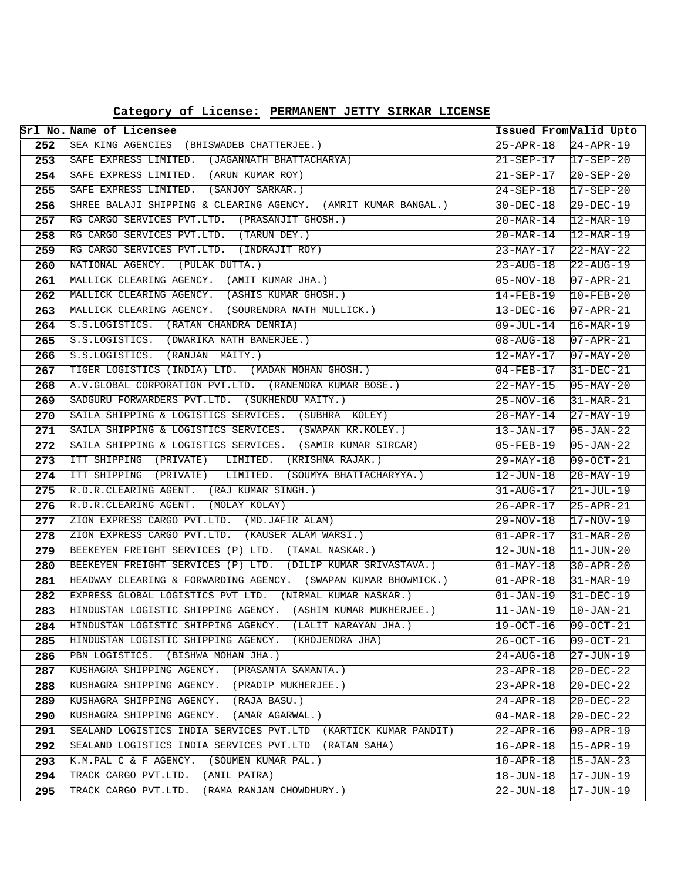| Category of License: PERMANENT JETTY SIRKAR LICENSE |  |  |  |  |
|-----------------------------------------------------|--|--|--|--|
|-----------------------------------------------------|--|--|--|--|

|            | Srl No. Name of Licensee                                                                                              |                                           | Issued From Valid Upto             |
|------------|-----------------------------------------------------------------------------------------------------------------------|-------------------------------------------|------------------------------------|
| 252        | SEA KING AGENCIES (BHISWADEB CHATTERJEE.)                                                                             |                                           |                                    |
| 253        | SAFE EXPRESS LIMITED. (JAGANNATH BHATTACHARYA)                                                                        | $21 - SEP - 17$ $17 - SEP - 20$           |                                    |
| 254        | SAFE EXPRESS LIMITED. (ARUN KUMAR ROY)                                                                                | 21-SEP-17                                 | $20 - SEP - 20$                    |
| 255        | SAFE EXPRESS LIMITED. (SANJOY SARKAR.)                                                                                | 24-SEP-18                                 | $17 - SEP - 20$                    |
| 256        | SHREE BALAJI SHIPPING & CLEARING AGENCY. (AMRIT KUMAR BANGAL.)                                                        | 30-DEC-18                                 | $29 - DEC - 19$                    |
| 257        | RG CARGO SERVICES PVT.LTD. (PRASANJIT GHOSH.)                                                                         | $20 - \text{MAR} - 14$                    | $12 - \text{MAR} - 19$             |
| 258        | RG CARGO SERVICES PVT.LTD. (TARUN DEY.)                                                                               | $20 - \text{MAR} - 14$                    | 12-MAR-19                          |
| 259        | RG CARGO SERVICES PVT.LTD. (INDRAJIT ROY)                                                                             | 23-MAY-17                                 | $22-MAY-22$                        |
| 260        | NATIONAL AGENCY. (PULAK DUTTA.)                                                                                       | 23-AUG-18                                 | $22 - \text{AUG} - 19$             |
| 261        | MALLICK CLEARING AGENCY. (AMIT KUMAR JHA.)                                                                            | 05-NOV-18                                 | $07 - APR - 21$                    |
| 262        | MALLICK CLEARING AGENCY. (ASHIS KUMAR GHOSH.)                                                                         | 14-FEB-19                                 | $10-FEB-20$                        |
| 263        | MALLICK CLEARING AGENCY. (SOURENDRA NATH MULLICK.)                                                                    | 13-DEC-16                                 | $07 - APR - 21$                    |
| 264        | S.S.LOGISTICS. (RATAN CHANDRA DENRIA)                                                                                 | 09-JUL-14                                 | $16 - \text{MAR} - 19$             |
| 265        | S.S.LOGISTICS. (DWARIKA NATH BANERJEE.)                                                                               | $08 - \text{AUG} - 18$                    | $07 - APR - 21$                    |
| 266        | S.S.LOGISTICS. (RANJAN MAITY.)                                                                                        | 12-MAY-17                                 | $07 - MAX - 20$                    |
| 267        | TIGER LOGISTICS (INDIA) LTD. (MADAN MOHAN GHOSH.)                                                                     | $04 - FEB - 17$                           | $31-DEC-21$                        |
| 268        | A.V. GLOBAL CORPORATION PVT.LTD. (RANENDRA KUMAR BOSE.)                                                               | 22-MAY-15                                 | $105 - MAX - 20$                   |
| 269        | SADGURU FORWARDERS PVT.LTD. (SUKHENDU MAITY.)                                                                         | 25-NOV-16                                 | $31-MAR-21$                        |
| 270        | SAILA SHIPPING & LOGISTICS SERVICES. (SUBHRA KOLEY)                                                                   | $28 - MAX - 14$                           | $27-MAY-19$                        |
| 271        | SAILA SHIPPING & LOGISTICS SERVICES. (SWAPAN KR.KOLEY.)                                                               | 13-JAN-17                                 | $05 - JAN - 22$                    |
| 272        | SAILA SHIPPING & LOGISTICS SERVICES. (SAMIR KUMAR SIRCAR)                                                             | $05 - FEB - 19$                           | $05 - JAN - 22$                    |
| 273        | ITT SHIPPING (PRIVATE) LIMITED. (KRISHNA RAJAK.)                                                                      | 29-MAY-18                                 | $ 09-0CT-21 $                      |
| 274        | ITT SHIPPING (PRIVATE) LIMITED. (SOUMYA BHATTACHARYYA.)                                                               | 12-JUN-18                                 | $28 - MAX - 19$                    |
| 275        | R.D.R.CLEARING AGENT. (RAJ KUMAR SINGH.)                                                                              | 31-AUG-17                                 | $21 - JUL-19$                      |
| 276        | R.D.R.CLEARING AGENT. (MOLAY KOLAY)                                                                                   | 26-APR-17                                 | $25 - APR - 21$                    |
| 277        | ZION EXPRESS CARGO PVT.LTD. (MD.JAFIR ALAM)                                                                           | 29-NOV-18                                 | $17-NOV-19$                        |
| 278        | ZION EXPRESS CARGO PVT.LTD. (KAUSER ALAM WARSI.)                                                                      | 01-APR-17                                 | $31-MAR-20$                        |
| 279        | BEEKEYEN FREIGHT SERVICES (P) LTD. (TAMAL NASKAR.)                                                                    | 12-JUN-18                                 | $11 - JUN - 20$                    |
| 280        | BEEKEYEN FREIGHT SERVICES (P) LTD. (DILIP KUMAR SRIVASTAVA.)                                                          | $01 - MAX - 18$                           | $30 - APR - 20$                    |
| 281        | HEADWAY CLEARING & FORWARDING AGENCY. (SWAPAN KUMAR BHOWMICK.)                                                        | $01 - APR - 18$                           | $31-MAR-19$                        |
| 282        | EXPRESS GLOBAL LOGISTICS PVT LTD. (NIRMAL KUMAR NASKAR.)                                                              | $\overline{01}$ -JAN-19                   | $31 - DEC - 19$                    |
| 283        | HINDUSTAN LOGISTIC SHIPPING AGENCY. (ASHIM KUMAR MUKHERJEE.)                                                          | 11-JAN-19                                 | $10 - JAN - 21$                    |
| 284        | HINDUSTAN LOGISTIC SHIPPING AGENCY.<br>(LALIT NARAYAN JHA.)<br>HINDUSTAN LOGISTIC SHIPPING AGENCY.<br>(KHOJENDRA JHA) | $19-0CT-16$                               | $ 09-0CT-21$                       |
| 285<br>286 | PBN LOGISTICS. (BISHWA MOHAN JHA.)                                                                                    | 26-OCT-16                                 | $09-0CT-21$                        |
| 287        | KUSHAGRA SHIPPING AGENCY. (PRASANTA SAMANTA.)                                                                         | 24-AUG-18<br>$23 - APR - 18$              | 27-JUN-19                          |
| 288        | KUSHAGRA SHIPPING AGENCY. (PRADIP MUKHERJEE.)                                                                         |                                           | 20-DEC-22                          |
| 289        | KUSHAGRA SHIPPING AGENCY. (RAJA BASU.)                                                                                | $23 - APR - 18$                           | $20 - DEC - 22$                    |
| 290        | KUSHAGRA SHIPPING AGENCY. (AMAR AGARWAL.)                                                                             | $24 - APR - 18$<br>$04 - \text{MAR} - 18$ | $20 - DEC - 22$<br>$20 - DEC - 22$ |
| 291        | SEALAND LOGISTICS INDIA SERVICES PVT.LTD (KARTICK KUMAR PANDIT)                                                       | 22-APR-16                                 | 109-APR-19                         |
| 292        | SEALAND LOGISTICS INDIA SERVICES PVT.LTD<br>(RATAN SAHA)                                                              | $16 - APR - 18$                           | $15 - APR - 19$                    |
| 293        | K.M.PAL C & F AGENCY. (SOUMEN KUMAR PAL.)                                                                             | $10 - APR - 18$                           | $15 - JAN - 23$                    |
| 294        | TRACK CARGO PVT.LTD.<br>(ANIL PATRA)                                                                                  | 18-JUN-18                                 | 17-JUN-19                          |
| 295        | (RAMA RANJAN CHOWDHURY.)<br>TRACK CARGO PVT.LTD.                                                                      | 22-JUN-18                                 | 17-JUN-19                          |
|            |                                                                                                                       |                                           |                                    |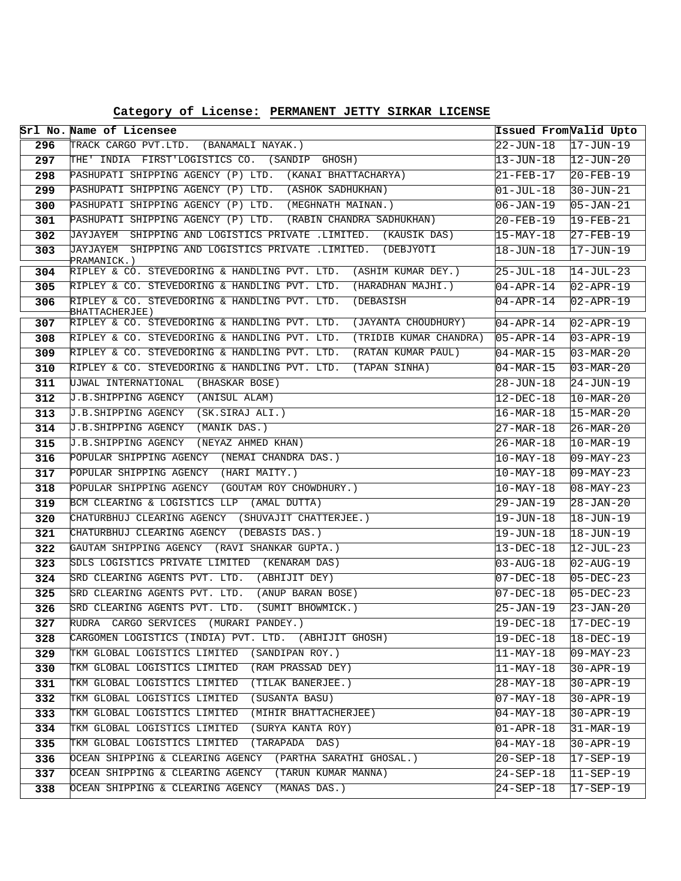**Category of License: PERMANENT JETTY SIRKAR LICENSE**

|     | Srl No. Name of Licensee                                                     | Issued FromValid Upto  |                          |
|-----|------------------------------------------------------------------------------|------------------------|--------------------------|
| 296 | TRACK CARGO PVT.LTD. (BANAMALI NAYAK.)                                       | $22 - JUN - 18$        | $17 - JUN - 19$          |
| 297 | THE' INDIA FIRST'LOGISTICS CO. (SANDIP GHOSH)                                | 13-JUN-18              | $\overline{12}$ -JUN-20  |
| 298 | PASHUPATI SHIPPING AGENCY (P) LTD. (KANAI BHATTACHARYA)                      | 21-FEB-17              | $20 - FEB - 19$          |
| 299 | PASHUPATI SHIPPING AGENCY (P) LTD. (ASHOK SADHUKHAN)                         | 01-JUL-18              | $30 - JUN - 21$          |
| 300 | PASHUPATI SHIPPING AGENCY (P) LTD. (MEGHNATH MAINAN.)                        | 06-JAN-19              | $05 - JAN - 21$          |
| 301 | PASHUPATI SHIPPING AGENCY (P) LTD. (RABIN CHANDRA SADHUKHAN)                 | 20-FEB-19              | $19 - FEB - 21$          |
| 302 | JAYJAYEM SHIPPING AND LOGISTICS PRIVATE .LIMITED. (KAUSIK DAS)               | 15-MAY-18              | $27 - FEB - 19$          |
| 303 | JAYJAYEM SHIPPING AND LOGISTICS PRIVATE .LIMITED. (DEBJYOTI<br>PRAMANICK.)   | 18-JUN-18              | $17 - JUN-19$            |
| 304 | RIPLEY & CO. STEVEDORING & HANDLING PVT. LTD.<br>(ASHIM KUMAR DEY.)          | 25-JUL-18              | $14-JUL-23$              |
| 305 | RIPLEY & CO. STEVEDORING & HANDLING PVT. LTD.<br>(HARADHAN MAJHI.)           | $04 - APR - 14$        | $02 - APR - 19$          |
| 306 | RIPLEY & CO. STEVEDORING & HANDLING PVT. LTD.<br>(DEBASISH<br>BHATTACHERJEE) | 04-APR-14              | $02 - APR - 19$          |
| 307 | RIPLEY & CO. STEVEDORING & HANDLING PVT. LTD.<br>(JAYANTA CHOUDHURY)         | $04 - APR - 14$        | $02 - APR - 19$          |
| 308 | RIPLEY & CO. STEVEDORING & HANDLING PVT. LTD.<br>(TRIDIB KUMAR CHANDRA)      | $05 - APR - 14$        | $03 - APR - 19$          |
| 309 | RIPLEY & CO. STEVEDORING & HANDLING PVT. LTD.<br>(RATAN KUMAR PAUL)          | $04 - \text{MAR} - 15$ | $03 - \text{MAR} - 20$   |
| 310 | RIPLEY & CO. STEVEDORING & HANDLING PVT. LTD.<br>(TAPAN SINHA)               | 04-MAR-15              | $03 - \text{MAR} - 20$   |
| 311 | UJWAL INTERNATIONAL (BHASKAR BOSE)                                           | 28-JUN-18              | $24 - JUN - 19$          |
| 312 | J.B.SHIPPING AGENCY (ANISUL ALAM)                                            | 12-DEC-18              | $10 - \text{MAR} - 20$   |
| 313 | J.B.SHIPPING AGENCY (SK.SIRAJ ALI.)                                          | 16-MAR-18              | $15 - MAR - 20$          |
| 314 | J.B.SHIPPING AGENCY (MANIK DAS.)                                             | 27-MAR-18              | $26 - MAR - 20$          |
| 315 | J.B. SHIPPING AGENCY (NEYAZ AHMED KHAN)                                      | 26-MAR-18              | $10-MAR-19$              |
| 316 | POPULAR SHIPPING AGENCY (NEMAI CHANDRA DAS.)                                 | 10-MAY-18              | $09 - \text{MAX} - 23$   |
| 317 | POPULAR SHIPPING AGENCY (HARI MAITY.)                                        | $10$ -MAY-18           | $09 - \text{MAX} - 23$   |
| 318 | POPULAR SHIPPING AGENCY (GOUTAM ROY CHOWDHURY.)                              | 10-MAY-18              | $08 - MAX - 23$          |
| 319 | BCM CLEARING & LOGISTICS LLP (AMAL DUTTA)                                    | 29-JAN-19              | $28 - JAN - 20$          |
| 320 | CHATURBHUJ CLEARING AGENCY (SHUVAJIT CHATTERJEE.)                            | 19-JUN-18              | $18 - JUN - 19$          |
| 321 | CHATURBHUJ CLEARING AGENCY (DEBASIS DAS.)                                    | 19-JUN-18              | $18 - JUN - 19$          |
| 322 | GAUTAM SHIPPING AGENCY (RAVI SHANKAR GUPTA.)                                 | 13-DEC-18              | $12 - JUL - 23$          |
| 323 | SDLS LOGISTICS PRIVATE LIMITED (KENARAM DAS)                                 | 03-AUG-18              | $02 - \text{AUG} - 19$   |
| 324 | SRD CLEARING AGENTS PVT. LTD. (ABHIJIT DEY)                                  | 07-DEC-18              | $05-DEC-23$              |
| 325 | SRD CLEARING AGENTS PVT. LTD.<br>(ANUP BARAN BOSE)                           | $07 - DEC - 18$        | $05-DEC-23$              |
| 326 | SRD CLEARING AGENTS PVT. LTD. (SUMIT BHOWMICK.)                              | 25-JAN-19              | $23 - JAN - 20$          |
| 327 | RUDRA CARGO SERVICES (MURARI PANDEY.)                                        | $19-DEC-18$            | $17-DEC-19$              |
| 328 | CARGOMEN LOGISTICS (INDIA) PVT. LTD. (ABHIJIT GHOSH)                         | 19-DEC-18              | $18 - DEC - 19$          |
| 329 | TKM GLOBAL LOGISTICS LIMITED (SANDIPAN ROY.)                                 | $11 - \text{MAX} - 18$ | $09 - \text{MAX} - 23$   |
| 330 | TKM GLOBAL LOGISTICS LIMITED (RAM PRASSAD DEY)                               | $ 11$ -MAY-18          | $30 - APR - 19$          |
| 331 | TKM GLOBAL LOGISTICS LIMITED (TILAK BANERJEE.)                               | 28-MAY-18              | $30 - APR - 19$          |
| 332 | TKM GLOBAL LOGISTICS LIMITED<br>(SUSANTA BASU)                               | $07 - \text{MAX} - 18$ | $30 - APR - 19$          |
| 333 | TKM GLOBAL LOGISTICS LIMITED<br>(MIHIR BHATTACHERJEE)                        | $04 - \text{MAX} - 18$ | $30 - APR - 19$          |
| 334 | TKM GLOBAL LOGISTICS LIMITED (SURYA KANTA ROY)                               | $01 - APR - 18$        | $31-MAR-19$              |
| 335 | TKM GLOBAL LOGISTICS LIMITED<br>(TARAPADA DAS)                               | $04 - MAX - 18$        | $30 - APR - 19$          |
| 336 | OCEAN SHIPPING & CLEARING AGENCY (PARTHA SARATHI GHOSAL.)                    | $20 - SEP - 18$        | $17 - SEP - 19$          |
| 337 | OCEAN SHIPPING & CLEARING AGENCY (TARUN KUMAR MANNA)                         | $24-SEP-18$            | $ 11 - \text{SEP} - 19 $ |
| 338 | OCEAN SHIPPING & CLEARING AGENCY (MANAS DAS.)                                | $24 - SEP - 18$        | $17 - SEP - 19$          |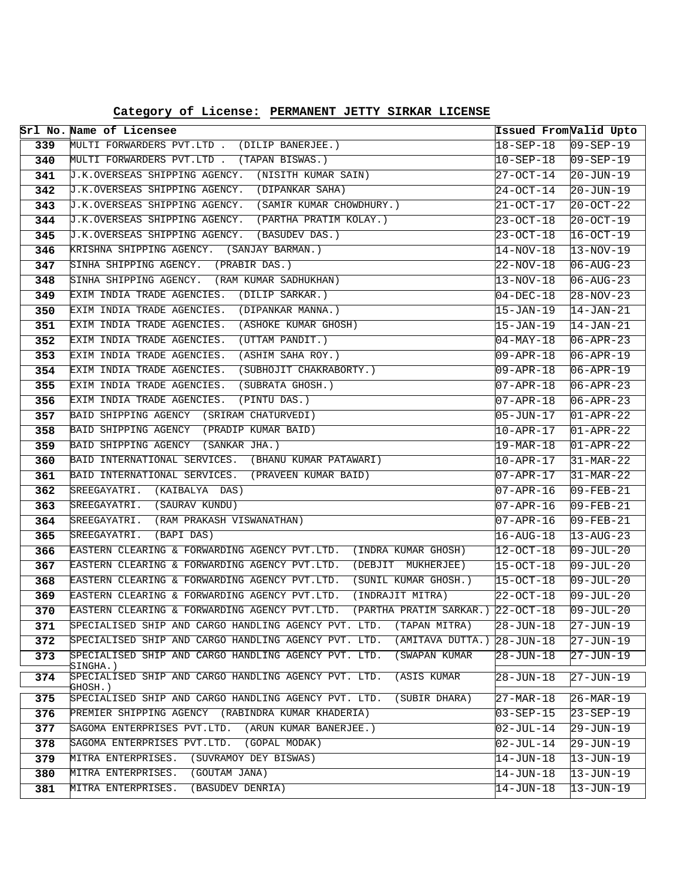|     | Srl No. Name of Licensee                                                           | Issued From Valid Upto |                         |
|-----|------------------------------------------------------------------------------------|------------------------|-------------------------|
| 339 | MULTI FORWARDERS PVT.LTD . (DILIP BANERJEE.)                                       | 18-SEP-18              | $09 - SEP - 19$         |
| 340 | MULTI FORWARDERS PVT.LTD . (TAPAN BISWAS.)                                         | $10 - SEP - 18$        | $09 - SEP - 19$         |
| 341 | J.K.OVERSEAS SHIPPING AGENCY. (NISITH KUMAR SAIN)                                  | 27-OCT-14              | $20 - JUN - 19$         |
| 342 | J.K.OVERSEAS SHIPPING AGENCY. (DIPANKAR SAHA)                                      | 24-OCT-14              | $20 - JUN - 19$         |
| 343 | J.K.OVERSEAS SHIPPING AGENCY. (SAMIR KUMAR CHOWDHURY.)                             | 21-OCT-17              | $20 - OCT - 22$         |
| 344 | J.K.OVERSEAS SHIPPING AGENCY. (PARTHA PRATIM KOLAY.)                               | 23-OCT-18              | $20 - OCT - 19$         |
| 345 | J.K.OVERSEAS SHIPPING AGENCY. (BASUDEV DAS.)                                       | 23-OCT-18              | $16-0CT-19$             |
| 346 | KRISHNA SHIPPING AGENCY. (SANJAY BARMAN.)                                          | 14-NOV-18              | $13 - NOV - 19$         |
| 347 | SINHA SHIPPING AGENCY. (PRABIR DAS.)                                               | 22-NOV-18              | $06 - AUG - 23$         |
| 348 | SINHA SHIPPING AGENCY. (RAM KUMAR SADHUKHAN)                                       | $13 - NOV - 18$        | $06 - AUG - 23$         |
| 349 | EXIM INDIA TRADE AGENCIES. (DILIP SARKAR.)                                         | $04 - DEC - 18$        | $28 - NOV - 23$         |
| 350 | EXIM INDIA TRADE AGENCIES. (DIPANKAR MANNA.)                                       | 15-JAN-19              | $\overline{14}$ -JAN-21 |
| 351 | EXIM INDIA TRADE AGENCIES. (ASHOKE KUMAR GHOSH)                                    | 15-JAN-19              | $14 - JAN - 21$         |
| 352 | EXIM INDIA TRADE AGENCIES.<br>(UTTAM PANDIT.)                                      | $04 - MAX - 18$        | $06 - APR - 23$         |
| 353 | EXIM INDIA TRADE AGENCIES.<br>(ASHIM SAHA ROY.)                                    | 09-APR-18              | $06 - APR - 19$         |
| 354 | EXIM INDIA TRADE AGENCIES. (SUBHOJIT CHAKRABORTY.)                                 | 09-APR-18              | $06 - APR - 19$         |
| 355 | EXIM INDIA TRADE AGENCIES. (SUBRATA GHOSH.)                                        | 07-APR-18              | $06 - APR - 23$         |
| 356 | EXIM INDIA TRADE AGENCIES. (PINTU DAS.)                                            | 07-APR-18              | $06 - APR - 23$         |
| 357 | BAID SHIPPING AGENCY (SRIRAM CHATURVEDI)                                           | 05-JUN-17              | $01 - APR - 22$         |
| 358 | BAID SHIPPING AGENCY (PRADIP KUMAR BAID)                                           | 10-APR-17              | $01 - APR - 22$         |
| 359 | BAID SHIPPING AGENCY (SANKAR JHA.)                                                 | 19-MAR-18              | $01 - APR - 22$         |
| 360 | BAID INTERNATIONAL SERVICES. (BHANU KUMAR PATAWARI)                                | 10-APR-17              | $31-MAR-22$             |
| 361 | BAID INTERNATIONAL SERVICES. (PRAVEEN KUMAR BAID)                                  | 07-APR-17              | $31-MAR-22$             |
| 362 | SREEGAYATRI. (KAIBALYA DAS)                                                        | 07-APR-16              | $09 - FEB - 21$         |
| 363 | SREEGAYATRI. (SAURAV KUNDU)                                                        | 07-APR-16              | $09 - FEB - 21$         |
| 364 | SREEGAYATRI. (RAM PRAKASH VISWANATHAN)                                             | 07-APR-16              | $09 - FEB - 21$         |
| 365 | SREEGAYATRI. (BAPI DAS)                                                            | $16 - \text{AUG} - 18$ | $13 - AUG - 23$         |
| 366 | EASTERN CLEARING & FORWARDING AGENCY PVT.LTD.<br>(INDRA KUMAR GHOSH)               | 12-OCT-18              | $09 - JUL - 20$         |
| 367 | EASTERN CLEARING & FORWARDING AGENCY PVT.LTD.<br>(DEBJIT MUKHERJEE)                | $15-0CT-18$            | $09 - JUL - 20$         |
| 368 | EASTERN CLEARING & FORWARDING AGENCY PVT.LTD.<br>(SUNIL KUMAR GHOSH.)              | $15-0CT-18$            | $09 - JUL - 20$         |
| 369 | (INDRAJIT MITRA)<br>EASTERN CLEARING & FORWARDING AGENCY PVT.LTD.                  | 22-OCT-18              | $09 - JUL - 20$         |
| 370 | EASTERN CLEARING & FORWARDING AGENCY PVT.LTD.<br>(PARTHA PRATIM SARKAR.) 22-OCT-18 |                        | $09 - JUL - 20$         |
| 371 | SPECIALISED SHIP AND CARGO HANDLING AGENCY PVT. LTD.<br>(TAPAN MITRA)              | $28 - JUN - 18$        | $27 - JUN - 19$         |
| 372 | SPECIALISED SHIP AND CARGO HANDLING AGENCY PVT. LTD.<br>(AMITAVA DUTTA.)           | $28 - JUN - 18$        | $27 - JUN - 19$         |
| 373 | SPECIALISED SHIP AND CARGO HANDLING AGENCY PVT. LTD.<br>(SWAPAN KUMAR<br>SINGHA.)  | $28 - JUN - 18$        | $27 - JUN - 19$         |
| 374 | SPECIALISED SHIP AND CARGO HANDLING AGENCY PVT. LTD.<br>(ASIS KUMAR<br>GHOSH.)     | 28-JUN-18              | $27 - JUN - 19$         |
| 375 | SPECIALISED SHIP AND CARGO HANDLING AGENCY PVT. LTD.<br>(SUBIR DHARA)              | $27 - MAR - 18$        | $26 - \text{MAR} - 19$  |
| 376 | PREMIER SHIPPING AGENCY (RABINDRA KUMAR KHADERIA)                                  | $03 - SEP - 15$        | $23 - SEP - 19$         |
| 377 | SAGOMA ENTERPRISES PVT.LTD.<br>(ARUN KUMAR BANERJEE.)                              | 02-JUL-14              | l29-JUN-19              |
| 378 | SAGOMA ENTERPRISES PVT.LTD.<br>(GOPAL MODAK)                                       | $02 - JUL - 14$        | 29-JUN-19               |
| 379 | MITRA ENTERPRISES.<br>(SUVRAMOY DEY BISWAS)                                        | 14-JUN-18              | 13-JUN-19               |
| 380 | MITRA ENTERPRISES.<br>(GOUTAM JANA)                                                | $14 - JUN - 18$        | $13 - JUN - 19$         |
| 381 | MITRA ENTERPRISES.<br>(BASUDEV DENRIA)                                             | $14 - JUN - 18$        | 13-JUN-19               |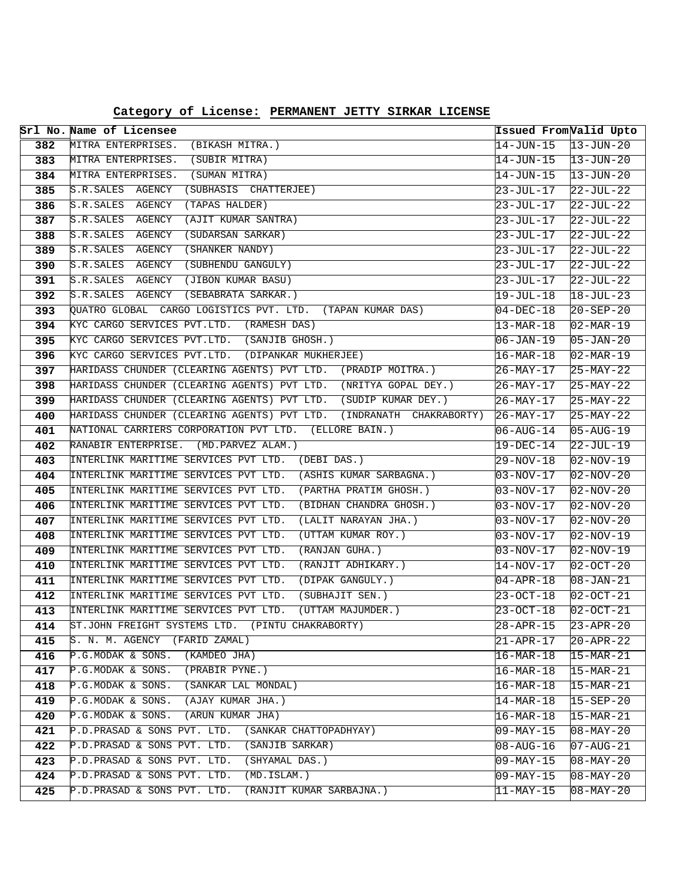|            | Srl No. Name of Licensee                                                          | Issued FromValid Upto              |                                       |
|------------|-----------------------------------------------------------------------------------|------------------------------------|---------------------------------------|
| 382        | MITRA ENTERPRISES.<br>(BIKASH MITRA.)                                             | $14 - JUN - 15$                    | $13 - JUN - 20$                       |
| 383        | MITRA ENTERPRISES. (SUBIR MITRA)                                                  | 14-JUN-15                          | $13 - JUN - 20$                       |
| 384        | MITRA ENTERPRISES.<br>(SUMAN MITRA)                                               | $14 - JUN - 15$                    | $13 - JUN - 20$                       |
| 385        | S.R.SALES AGENCY<br>(SUBHASIS CHATTERJEE)                                         | 23-JUL-17                          | $22 - JUL - 22$                       |
| 386        | S.R. SALES AGENCY<br>(TAPAS HALDER)                                               | $23 - JUL - 17$                    | $22-JUL-22$                           |
| 387        | S.R.SALES AGENCY<br>(AJIT KUMAR SANTRA)                                           | 23-JUL-17                          | $22 - JUL - 22$                       |
| 388        | S.R. SALES AGENCY<br>(SUDARSAN SARKAR)                                            | $23 - JUL - 17$                    | $22 - JUL - 22$                       |
| 389        | S.R. SALES AGENCY<br>(SHANKER NANDY)                                              | 23-JUL-17                          | $22-JUL-22$                           |
| 390        | S.R.SALES AGENCY (SUBHENDU GANGULY)                                               | $23 - JUL - 17$                    | $22-JUL-22$                           |
| 391        | S.R.SALES AGENCY (JIBON KUMAR BASU)                                               | 23-JUL-17                          | $22 - JUL - 22$                       |
| 392        | S.R. SALES AGENCY<br>(SEBABRATA SARKAR.)                                          | 19-JUL-18                          | $18 - JUL - 23$                       |
| 393        | QUATRO GLOBAL CARGO LOGISTICS PVT. LTD. (TAPAN KUMAR DAS)                         | $04 - DEC - 18$                    | $20 - SEP - 20$                       |
| 394        | KYC CARGO SERVICES PVT.LTD. (RAMESH DAS)                                          | $13-MAR-18$                        | $02 - \text{MAR} - 19$                |
| 395        | KYC CARGO SERVICES PVT.LTD. (SANJIB GHOSH.)                                       | 06-JAN-19                          | $05 - JAN - 20$                       |
| 396        | KYC CARGO SERVICES PVT.LTD. (DIPANKAR MUKHERJEE)                                  | $16-MAR-18$                        | $02 - \text{MAR} - 19$                |
| 397        | HARIDASS CHUNDER (CLEARING AGENTS) PVT LTD. (PRADIP MOITRA.)                      | 26-MAY-17                          | $25-MAY-22$                           |
| 398        | HARIDASS CHUNDER (CLEARING AGENTS) PVT LTD. (NRITYA GOPAL DEY.)                   | $26 - \text{MAX} - 17$             | $25-MAY-22$                           |
| 399        | HARIDASS CHUNDER (CLEARING AGENTS) PVT LTD. (SUDIP KUMAR DEY.)                    | $26 - MAX - 17$                    | $25 - \text{MAX} - 22$                |
| 400        | HARIDASS CHUNDER (CLEARING AGENTS) PVT LTD. (INDRANATH CHAKRABORTY)               | $26 - \text{MAX} - 17$             | $25 - MAX - 22$                       |
| 401        | NATIONAL CARRIERS CORPORATION PVT LTD. (ELLORE BAIN.)                             | $06 - \text{AUG} - 14$             | $05 - \text{AUG} - 19$                |
| 402        | RANABIR ENTERPRISE. (MD. PARVEZ ALAM.)                                            | $19-DEC-14$                        | $22 - JUL - 19$                       |
| 403        | INTERLINK MARITIME SERVICES PVT LTD. (DEBI DAS.)                                  | 29-NOV-18                          | $02-NOV-19$                           |
| 404        | INTERLINK MARITIME SERVICES PVT LTD. (ASHIS KUMAR SARBAGNA.)                      | $03 - NOV - 17$                    | $02-NOV-20$                           |
| 405        | INTERLINK MARITIME SERVICES PVT LTD.<br>(PARTHA PRATIM GHOSH.)                    | 03-NOV-17                          | $02-NOV-20$                           |
| 406        | INTERLINK MARITIME SERVICES PVT LTD.<br>(BIDHAN CHANDRA GHOSH.)                   | $03 - NOV - 17$                    | $02-NOV-20$                           |
| 407        | INTERLINK MARITIME SERVICES PVT LTD.<br>(LALIT NARAYAN JHA.)                      | 03-NOV-17                          | $02-NOV-20$                           |
| 408        | INTERLINK MARITIME SERVICES PVT LTD.<br>(UTTAM KUMAR ROY.)                        | $03 - NOV - 17$                    | $02-NOV-19$                           |
| 409        | INTERLINK MARITIME SERVICES PVT LTD.<br>(RANJAN GUHA.)                            | 03-NOV-17                          | $02-NOV-19$                           |
| 410        | INTERLINK MARITIME SERVICES PVT LTD.<br>(RANJIT ADHIKARY.)                        | $14-NOV-17$                        | $02 - OCT - 20$                       |
| 411        | INTERLINK MARITIME SERVICES PVT LTD.<br>(DIPAK GANGULY.)                          | $04 - APR - 18$                    | $08 - JAN - 21$                       |
| 412        | INTERLINK MARITIME SERVICES PVT LTD.<br>(SUBHAJIT SEN.)                           | 23-OCT-18                          | $02 - OCT - 21$                       |
| 413        | INTERLINK MARITIME SERVICES PVT LTD.<br>(UTTAM MAJUMDER.)                         | $23 - OCT - 18$                    | $02 - OCT - 21$                       |
| 414        | ST.JOHN FREIGHT SYSTEMS LTD. (PINTU CHAKRABORTY)<br>S. N. M. AGENCY (FARID ZAMAL) | 28-APR-15                          | $ 23 - APR - 20$                      |
| 415        | P.G.MODAK & SONS.<br>(KAMDEO JHA)                                                 | 21-APR-17                          | $20 - APR - 22$                       |
| 416<br>417 | P.G.MODAK & SONS.<br>(PRABIR PYNE.)                                               | $16 - MAR - 18$                    | $15 - \text{MAR} - 21$<br>$15-MAR-21$ |
| 418        | (SANKAR LAL MONDAL)<br>P.G.MODAK & SONS.                                          | $16 - MAR - 18$<br>$16 - MAR - 18$ | $15 - MAR - 21$                       |
| 419        | P.G.MODAK & SONS.<br>(AJAY KUMAR JHA.)                                            |                                    |                                       |
| 420        | P.G.MODAK & SONS.<br>(ARUN KUMAR JHA)                                             | 14-MAR-18<br>$16 - MAR - 18$       | $15 - SEP - 20$<br>15-MAR-21          |
| 421        | P.D.PRASAD & SONS PVT. LTD.<br>(SANKAR CHATTOPADHYAY)                             | 09-MAY-15                          | $08 - MAX - 20$                       |
| 422        | P.D.PRASAD & SONS PVT. LTD.<br>(SANJIB SARKAR)                                    | $08 - \text{AUG} - 16$             | $07 - \text{AUG} - 21$                |
| 423        | P.D.PRASAD & SONS PVT. LTD.<br>(SHYAMAL DAS.)                                     | $09 - \text{MAX} - 15$             | $08 - \text{MAY} - 20$                |
| 424        | P.D.PRASAD & SONS PVT. LTD.<br>(MD.ISLAM.)                                        | 09-MAY-15                          | $08 - \text{MAX} - 20$                |
| 425        | P.D.PRASAD & SONS PVT. LTD.<br>(RANJIT KUMAR SARBAJNA.)                           | 11-MAY-15                          | $08 - MAX - 20$                       |
|            |                                                                                   |                                    |                                       |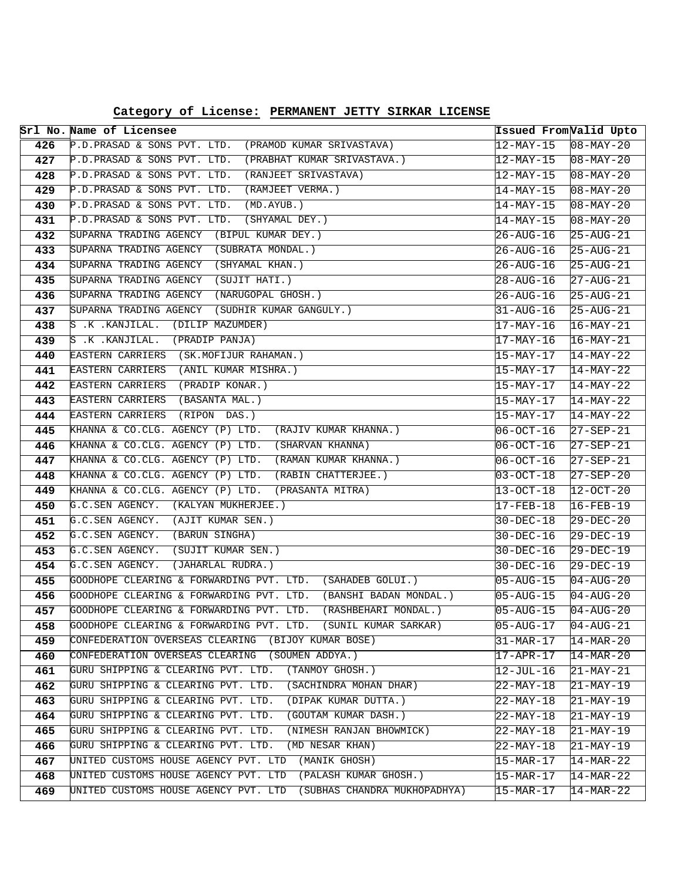|            | Srl No. Name of Licensee                                                                          | Issued From Valid Upto              |                                                  |
|------------|---------------------------------------------------------------------------------------------------|-------------------------------------|--------------------------------------------------|
| 426        | P.D.PRASAD & SONS PVT. LTD. (PRAMOD KUMAR SRIVASTAVA)                                             | 12-MAY-15                           | $08 - \text{MAX} - 20$                           |
| 427        | P.D.PRASAD & SONS PVT. LTD. (PRABHAT KUMAR SRIVASTAVA.)                                           | 12-MAY-15                           | $08 - \text{MAX} - 20$                           |
| 428        | P.D.PRASAD & SONS PVT. LTD. (RANJEET SRIVASTAVA)                                                  | 12-MAY-15                           | $08 - \text{MAX} - 20$                           |
| 429        | P.D.PRASAD & SONS PVT. LTD.<br>(RAMJEET VERMA.)                                                   | 14-MAY-15                           | $08 - \text{MAX} - 20$                           |
| 430        | P.D.PRASAD & SONS PVT. LTD.<br>(MD.AYUB.)                                                         | 14-MAY-15                           | $08 - \text{MAX} - 20$                           |
| 431        | P.D.PRASAD & SONS PVT. LTD.<br>(SHYAMAL DEY.)                                                     | 14-MAY-15                           | $08 - \text{MAX} - 20$                           |
| 432        | SUPARNA TRADING AGENCY (BIPUL KUMAR DEY.)                                                         | 26-AUG-16                           | $25 - \text{AUG} - 21$                           |
| 433        | SUPARNA TRADING AGENCY (SUBRATA MONDAL.)                                                          | 26-AUG-16                           | $25 - \text{AUG} - 21$                           |
| 434        | SUPARNA TRADING AGENCY (SHYAMAL KHAN.)                                                            | 26-AUG-16                           | $25 - \text{AUG} - 21$                           |
| 435        | SUPARNA TRADING AGENCY (SUJIT HATI.)                                                              | $28 - \text{AUG} - 16$              | $27 - \text{AUG}-21$                             |
| 436        | SUPARNA TRADING AGENCY (NARUGOPAL GHOSH.)                                                         | 26-AUG-16                           | $25 - \text{AUG} - 21$                           |
| 437        | SUPARNA TRADING AGENCY (SUDHIR KUMAR GANGULY.)                                                    | 31-AUG-16                           | $25 - \text{AUG} - 21$                           |
| 438        | $S$ .K . KANJILAL. (DILIP MAZUMDER)                                                               | 17-MAY-16                           | $16-MAY-21$                                      |
| 439        | $S$ .K . KANJILAL. (PRADIP PANJA)                                                                 | 17-MAY-16                           | $16 - \text{MAX} - 21$                           |
| 440        | EASTERN CARRIERS (SK.MOFIJUR RAHAMAN.)                                                            | 15-MAY-17                           | $14-MAY-22$                                      |
| 441        | EASTERN CARRIERS (ANIL KUMAR MISHRA.)                                                             | 15-MAY-17                           | $14-MAY-22$                                      |
| 442        | EASTERN CARRIERS (PRADIP KONAR.)                                                                  | 15-MAY-17                           | $14-MAY-22$                                      |
| 443        | EASTERN CARRIERS (BASANTA MAL.)                                                                   | 15-MAY-17                           | $14-MAY-22$                                      |
| 444        | EASTERN CARRIERS (RIPON DAS.)                                                                     | 15-MAY-17                           | $14-MAY-22$                                      |
| 445        | KHANNA & CO.CLG. AGENCY (P) LTD. (RAJIV KUMAR KHANNA.)                                            | 06-OCT-16                           | $27 - SEP - 21$                                  |
| 446        | KHANNA & CO.CLG. AGENCY (P) LTD. (SHARVAN KHANNA)                                                 | 06-OCT-16                           | $27 - SEP - 21$                                  |
| 447        | KHANNA & CO.CLG. AGENCY (P) LTD. (RAMAN KUMAR KHANNA.)                                            | 06-OCT-16                           | $27 - SEP - 21$                                  |
| 448        | KHANNA & CO.CLG. AGENCY (P) LTD. (RABIN CHATTERJEE.)                                              | 03-OCT-18                           | $27 - SEP - 20$                                  |
| 449        | KHANNA & CO.CLG. AGENCY (P) LTD. (PRASANTA MITRA)                                                 | 13-OCT-18                           | $12 - OCT - 20$                                  |
| 450        | G.C.SEN AGENCY. (KALYAN MUKHERJEE.)                                                               | 17-FEB-18                           | $16 - FEB - 19$                                  |
| 451        | G.C.SEN AGENCY. (AJIT KUMAR SEN.)                                                                 | $30 - DEC - 18$                     | $29 - DEC - 20$                                  |
| 452        | G.C.SEN AGENCY. (BARUN SINGHA)                                                                    | 30-DEC-16                           | $29-DEC-19$                                      |
| 453        | G.C.SEN AGENCY. (SUJIT KUMAR SEN.)                                                                | 30-DEC-16                           | $29 - DEC - 19$                                  |
| 454        | G.C.SEN AGENCY.<br>(JAHARLAL RUDRA.)<br>GOODHOPE CLEARING & FORWARDING PVT. LTD. (SAHADEB GOLUI.) | $30-DEC-16$                         | $29 - DEC - 19$                                  |
| 455        | GOODHOPE CLEARING & FORWARDING PVT. LTD. (BANSHI BADAN MONDAL.)                                   | $05 - \text{AUG} - 15$              | $04 - AUG - 20$                                  |
| 456<br>457 | GOODHOPE CLEARING & FORWARDING PVT. LTD. (RASHBEHARI MONDAL.)                                     | $05 - \text{AUG} - 15$<br>05-AUG-15 | $04 - \text{AUG} - 20$<br>$04 - \text{AUG} - 20$ |
| 458        | GOODHOPE CLEARING & FORWARDING PVT. LTD. (SUNIL KUMAR SARKAR)                                     | 05-AUG-17                           | $04 - AUG - 21$                                  |
| 459        | CONFEDERATION OVERSEAS CLEARING<br>(BIJOY KUMAR BOSE)                                             | $31-MAR-17$                         | $14 - \text{MAR} - 20$                           |
| 460        | CONFEDERATION OVERSEAS CLEARING (SOUMEN ADDYA.)                                                   | $17 - APR - 17$                     | $14 - \text{MAR} - 20$                           |
| 461        | GURU SHIPPING & CLEARING PVT. LTD.<br>(TANMOY GHOSH.)                                             | 12-JUL-16                           | $21-MAY-21$                                      |
| 462        | GURU SHIPPING & CLEARING PVT. LTD.<br>(SACHINDRA MOHAN DHAR)                                      | $22 - \text{MAX} - 18$              | $21-MAY-19$                                      |
| 463        | GURU SHIPPING & CLEARING PVT. LTD.<br>(DIPAK KUMAR DUTTA.)                                        | $22 - \text{MAX} - 18$              | $21-MAY-19$                                      |
| 464        | GURU SHIPPING & CLEARING PVT. LTD.<br>(GOUTAM KUMAR DASH.)                                        | $22 - \text{MAX} - 18$              | $ 21-$ MAY-19                                    |
| 465        | GURU SHIPPING & CLEARING PVT. LTD.<br>(NIMESH RANJAN BHOWMICK)                                    | $22 - \text{MAX} - 18$              | $21 - \text{MAX} - 19$                           |
| 466        | GURU SHIPPING & CLEARING PVT. LTD.<br>(MD NESAR KHAN)                                             | $22 - \text{MAX} - 18$              | $21 - \text{MAX} - 19$                           |
| 467        | UNITED CUSTOMS HOUSE AGENCY PVT. LTD<br>(MANIK GHOSH)                                             | $15-MAR-17$                         | $14 - MAR - 22$                                  |
| 468        | UNITED CUSTOMS HOUSE AGENCY PVT. LTD<br>(PALASH KUMAR GHOSH.)                                     | 15-MAR-17                           | $14-MAR-22$                                      |
| 469        | (SUBHAS CHANDRA MUKHOPADHYA)<br>UNITED CUSTOMS HOUSE AGENCY PVT. LTD                              | 15-MAR-17                           | $14 - MAR - 22$                                  |
|            |                                                                                                   |                                     |                                                  |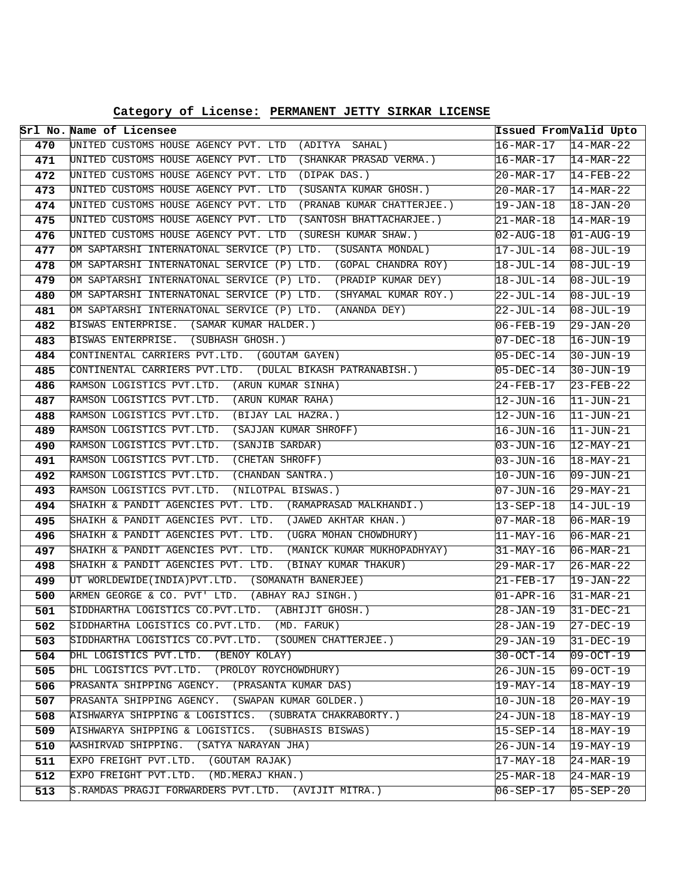**Category of License: PERMANENT JETTY SIRKAR LICENSE**

|            | Srl No. Name of Licensee                                                                                             |                                     | Issued From <i>Valid Upto</i>             |
|------------|----------------------------------------------------------------------------------------------------------------------|-------------------------------------|-------------------------------------------|
| 470        | UNITED CUSTOMS HOUSE AGENCY PVT. LTD (ADITYA SAHAL)                                                                  | $16 - \text{MAR} - 17$              | $14 - \text{MAR} - 22$                    |
| 471        | UNITED CUSTOMS HOUSE AGENCY PVT. LTD (SHANKAR PRASAD VERMA.)                                                         | 16-MAR-17                           | $14-MAR-22$                               |
| 472        | UNITED CUSTOMS HOUSE AGENCY PVT. LTD (DIPAK DAS.)                                                                    | 20-MAR-17                           | $14 - FEB - 22$                           |
| 473        | UNITED CUSTOMS HOUSE AGENCY PVT. LTD<br>(SUSANTA KUMAR GHOSH.)                                                       | 20-MAR-17                           | $14-MAR-22$                               |
| 474        | UNITED CUSTOMS HOUSE AGENCY PVT. LTD<br>(PRANAB KUMAR CHATTERJEE.)                                                   | 19-JAN-18                           | $18 - JAN - 20$                           |
| 475        | UNITED CUSTOMS HOUSE AGENCY PVT. LTD (SANTOSH BHATTACHARJEE.)                                                        | $21 - \text{MAR} - 18$              | $14-MAR-19$                               |
| 476        | UNITED CUSTOMS HOUSE AGENCY PVT. LTD (SURESH KUMAR SHAW.)                                                            | $02 - \text{AUG} - 18$              | $01 - \text{AUG} - 19$                    |
| 477        | OM SAPTARSHI INTERNATONAL SERVICE (P) LTD. (SUSANTA MONDAL)                                                          | 17-JUL-14                           | $08 - JUL - 19$                           |
| 478        | OM SAPTARSHI INTERNATONAL SERVICE (P) LTD. (GOPAL CHANDRA ROY)                                                       | 18-JUL-14                           | $08 - JUL-19$                             |
| 479        | OM SAPTARSHI INTERNATONAL SERVICE (P) LTD. (PRADIP KUMAR DEY)                                                        | $18 - JUL - 14$                     | $08 - JUL - 19$                           |
| 480        | OM SAPTARSHI INTERNATONAL SERVICE (P) LTD.<br>(SHYAMAL KUMAR ROY.)                                                   | 22-JUL-14                           | $08 - JUL - 19$                           |
| 481        | OM SAPTARSHI INTERNATONAL SERVICE (P) LTD. (ANANDA DEY)                                                              | 22-JUL-14                           | $08 - JUL - 19$                           |
| 482        | BISWAS ENTERPRISE. (SAMAR KUMAR HALDER.)                                                                             | 06-FEB-19                           | $29 - JAN - 20$                           |
| 483        | BISWAS ENTERPRISE. (SUBHASH GHOSH.)                                                                                  | 07-DEC-18                           | $16 - JUN - 19$                           |
| 484        | CONTINENTAL CARRIERS PVT.LTD. (GOUTAM GAYEN)                                                                         | 05-DEC-14                           | $30 - JUN - 19$                           |
| 485        | CONTINENTAL CARRIERS PVT.LTD. (DULAL BIKASH PATRANABISH.)                                                            | 05-DEC-14                           | $30 - JUN - 19$                           |
| 486        | RAMSON LOGISTICS PVT.LTD. (ARUN KUMAR SINHA)                                                                         | 24-FEB-17                           | $23 - FEB - 22$                           |
| 487        | RAMSON LOGISTICS PVT.LTD. (ARUN KUMAR RAHA)                                                                          | 12-JUN-16                           | $11 - JUN - 21$                           |
| 488        | RAMSON LOGISTICS PVT.LTD.<br>(BIJAY LAL HAZRA.)                                                                      | 12-JUN-16                           | $11 - JUN - 21$                           |
| 489        | RAMSON LOGISTICS PVT.LTD.<br>(SAJJAN KUMAR SHROFF)                                                                   | 16-JUN-16                           | $11 - JUN - 21$                           |
| 490        | RAMSON LOGISTICS PVT.LTD.<br>(SANJIB SARDAR)                                                                         | 03-JUN-16                           | $12-MAY-21$                               |
| 491        | RAMSON LOGISTICS PVT.LTD.<br>(CHETAN SHROFF)                                                                         | 03-JUN-16                           | $18 - \text{MAX} - 21$                    |
| 492        | RAMSON LOGISTICS PVT.LTD.<br>(CHANDAN SANTRA.)                                                                       | 10-JUN-16                           | $09 - JUN - 21$                           |
| 493        | RAMSON LOGISTICS PVT.LTD.<br>(NILOTPAL BISWAS.)                                                                      | 07-JUN-16                           | $29 - \text{MAX} - 21$                    |
| 494        | SHAIKH & PANDIT AGENCIES PVT. LTD. (RAMAPRASAD MALKHANDI.)                                                           | $13 - SEP - 18$                     | $14-JUL-19$                               |
| 495        | SHAIKH & PANDIT AGENCIES PVT. LTD. (JAWED AKHTAR KHAN.)<br>SHAIKH & PANDIT AGENCIES PVT. LTD. (UGRA MOHAN CHOWDHURY) | 07-MAR-18                           | $06 - \text{MAR} - 19$                    |
| 496        | SHAIKH & PANDIT AGENCIES PVT. LTD. (MANICK KUMAR MUKHOPADHYAY)                                                       | $ 11-$ MAY-16                       | $06 - \text{MAR} - 21$                    |
| 497<br>498 | SHAIKH & PANDIT AGENCIES PVT. LTD.<br>(BINAY KUMAR THAKUR)                                                           | 31-MAY-16<br>$29 - \text{MAR} - 17$ | $06 - \text{MAR} - 21$<br>$26 - MAR - 22$ |
| 499        | UT WORLDEWIDE (INDIA) PVT.LTD. (SOMANATH BANERJEE)                                                                   | 21-FEB-17                           | $19 - JAN - 22$                           |
| 500        | ARMEN GEORGE & CO. PVT' LTD.<br>(ABHAY RAJ SINGH.)                                                                   | 01-APR-16                           | $31-MAR-21$                               |
| 501        | SIDDHARTHA LOGISTICS CO.PVT.LTD. (ABHIJIT GHOSH.)                                                                    | 28-JAN-19                           | $31 - DEC - 21$                           |
| 502        | SIDDHARTHA LOGISTICS CO.PVT.LTD. (MD. FARUK)                                                                         | 28-JAN-19                           | $27 - DEC - 19$                           |
| 503        | SIDDHARTHA LOGISTICS CO.PVT.LTD. (SOUMEN CHATTERJEE.)                                                                | 29-JAN-19                           | $31 - DEC - 19$                           |
| 504        | DHL LOGISTICS PVT.LTD. (BENOY KOLAY)                                                                                 | 30-OCT-14                           | $09-0CT-19$                               |
| 505        | DHL LOGISTICS PVT.LTD. (PROLOY ROYCHOWDHURY)                                                                         | 26-JUN-15                           | $09-OCT-19$                               |
| 506        | PRASANTA SHIPPING AGENCY. (PRASANTA KUMAR DAS)                                                                       | 19-MAY-14                           | $18 - \text{MAX} - 19$                    |
| 507        | PRASANTA SHIPPING AGENCY. (SWAPAN KUMAR GOLDER.)                                                                     | 10-JUN-18                           | 20-MAY-19                                 |
| 508        | AISHWARYA SHIPPING & LOGISTICS. (SUBRATA CHAKRABORTY.)                                                               | 24-JUN-18                           | $18 - \text{MAX} - 19$                    |
| 509        | AISHWARYA SHIPPING & LOGISTICS. (SUBHASIS BISWAS)                                                                    | $15 - SEP - 14$                     | $18 - \text{MAX} - 19$                    |
| 510        | AASHIRVAD SHIPPING.<br>(SATYA NARAYAN JHA)                                                                           | 26-JUN-14                           | $19 - \text{MAX} - 19$                    |
| 511        | EXPO FREIGHT PVT.LTD. (GOUTAM RAJAK)                                                                                 | 17-MAY-18                           | $24-MAR-19$                               |
| 512        | EXPO FREIGHT PVT.LTD. (MD.MERAJ KHAN.)                                                                               | $25 - MAR - 18$                     | $24 - \text{MAR} - 19$                    |
| 513        | S. RAMDAS PRAGJI FORWARDERS PVT.LTD. (AVIJIT MITRA.)                                                                 | 06-SEP-17                           | $05 - SEP - 20$                           |
|            |                                                                                                                      |                                     |                                           |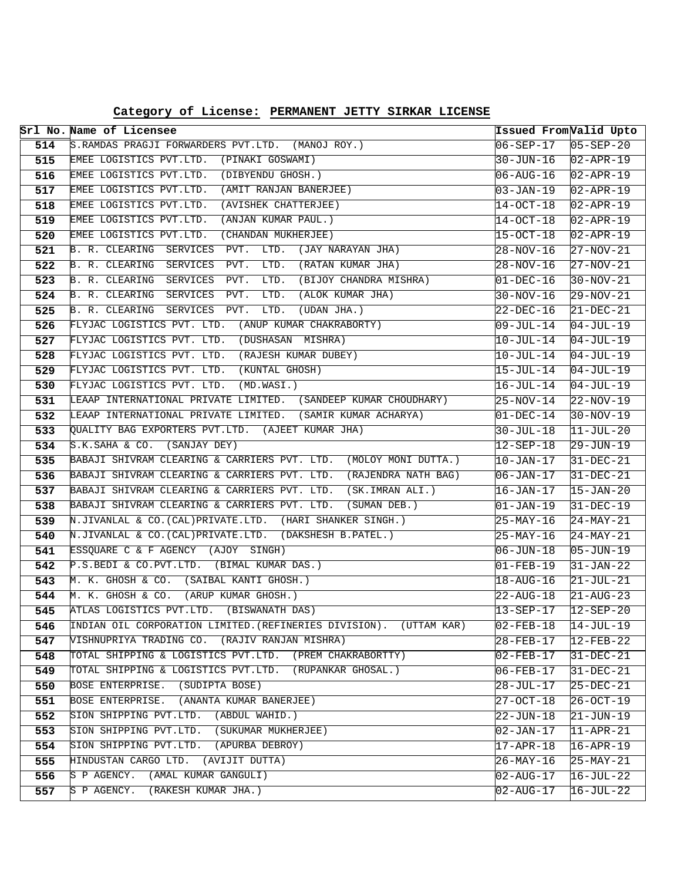**Category of License: PERMANENT JETTY SIRKAR LICENSE**

|            | Srl No. Name of Licensee                                                                                            |                        | Issued From Valid Upto        |
|------------|---------------------------------------------------------------------------------------------------------------------|------------------------|-------------------------------|
| 514        | S.RAMDAS PRAGJI FORWARDERS PVT.LTD. (MANOJ ROY.)                                                                    | 06-SEP-17              | $05 - SEP - 20$               |
| 515        | EMEE LOGISTICS PVT.LTD. (PINAKI GOSWAMI)                                                                            | 30-JUN-16              | $02 - APR - 19$               |
| 516        | EMEE LOGISTICS PVT.LTD. (DIBYENDU GHOSH.)                                                                           | $06 - AUG - 16$        | $02 - APR - 19$               |
| 517        | EMEE LOGISTICS PVT.LTD. (AMIT RANJAN BANERJEE)                                                                      | 03-JAN-19              | $02 - APR - 19$               |
| 518        | EMEE LOGISTICS PVT.LTD. (AVISHEK CHATTERJEE)                                                                        | 14-OCT-18              | $02 - APR - 19$               |
| 519        | EMEE LOGISTICS PVT.LTD.<br>(ANJAN KUMAR PAUL.)                                                                      | 14-OCT-18              | $02 - APR - 19$               |
| 520        | EMEE LOGISTICS PVT.LTD. (CHANDAN MUKHERJEE)                                                                         | 15-OCT-18              | $02 - APR - 19$               |
| 521        | B. R. CLEARING SERVICES PVT. LTD. (JAY NARAYAN JHA)                                                                 | 28-NOV-16              | 27-NOV-21                     |
| 522        | B. R. CLEARING SERVICES<br>PVT. LTD. (RATAN KUMAR JHA)                                                              | 28-NOV-16              | $27-NOV-21$                   |
| 523        | B. R. CLEARING SERVICES PVT. LTD. (BIJOY CHANDRA MISHRA)                                                            | $01 - DEC - 16$        | $ 30-NOV-21 $                 |
| 524        | B. R. CLEARING SERVICES PVT. LTD. (ALOK KUMAR JHA)                                                                  | 30-NOV-16              | $29 - NOV - 21$               |
| 525        | B. R. CLEARING SERVICES PVT.<br>LTD.<br>(UDAN JHA.)                                                                 | 22-DEC-16              | $21 - DEC - 21$               |
| 526        | FLYJAC LOGISTICS PVT. LTD. (ANUP KUMAR CHAKRABORTY)                                                                 | 09-JUL-14              | $04-JUL-19$                   |
| 527        | FLYJAC LOGISTICS PVT. LTD. (DUSHASAN MISHRA)                                                                        | 10-JUL-14              | $04 - JUL-19$                 |
| 528        | FLYJAC LOGISTICS PVT. LTD. (RAJESH KUMAR DUBEY)                                                                     | 10-JUL-14              | $04$ -JUL-19                  |
| 529        | FLYJAC LOGISTICS PVT. LTD. (KUNTAL GHOSH)                                                                           | 15-JUL-14              | $04 - JUL-19$                 |
| 530        | FLYJAC LOGISTICS PVT. LTD. (MD.WASI.)                                                                               | 16-JUL-14              | $04$ -JUL-19                  |
| 531        | LEAAP INTERNATIONAL PRIVATE LIMITED. (SANDEEP KUMAR CHOUDHARY)                                                      | $25-NOV-14$            | $22-NOV-19$                   |
| 532        | LEAAP INTERNATIONAL PRIVATE LIMITED. (SAMIR KUMAR ACHARYA)                                                          | 01-DEC-14              | $30-NOV-19$                   |
| 533        | OUALITY BAG EXPORTERS PVT.LTD. (AJEET KUMAR JHA)                                                                    | 30-JUL-18              | $11 - JUL-20$                 |
| 534        | S.K.SAHA & CO. (SANJAY DEY)                                                                                         | $12 - SEP - 18$        | 29-JUN-19                     |
| 535        | BABAJI SHIVRAM CLEARING & CARRIERS PVT. LTD. (MOLOY MONI DUTTA.)                                                    | $10 - JAN - 17$        | $31 - DEC - 21$               |
| 536        | BABAJI SHIVRAM CLEARING & CARRIERS PVT. LTD. (RAJENDRA NATH BAG)                                                    | $06 - JAN - 17$        | $31-DEC-21$                   |
| 537        | BABAJI SHIVRAM CLEARING & CARRIERS PVT. LTD. (SK.IMRAN ALI.)                                                        | 16-JAN-17              | $15 - JAN - 20$               |
| 538        | BABAJI SHIVRAM CLEARING & CARRIERS PVT. LTD. (SUMAN DEB.)                                                           | 01-JAN-19              | $31-DEC-19$                   |
| 539        | N.JIVANLAL & CO.(CAL)PRIVATE.LTD. (HARI SHANKER SINGH.)                                                             | 25-MAY-16              | $24-MAY-21$                   |
| 540        | N.JIVANLAL & CO. (CAL) PRIVATE.LTD. (DAKSHESH B.PATEL.)                                                             | 25-MAY-16              | $24-MAY-21$                   |
| 541        | ESSQUARE C & F AGENCY (AJOY SINGH)                                                                                  | 06-JUN-18              | $05 - JUN - 19$               |
| 542        | P.S.BEDI & CO.PVT.LTD. (BIMAL KUMAR DAS.)                                                                           | $01 - FEB - 19$        | $31 - JAN - 22$               |
| 543        | M. K. GHOSH & CO. (SAIBAL KANTI GHOSH.)                                                                             | 18-AUG-16              | $21 - JUL - 21$               |
| 544        | M. K. GHOSH & CO. (ARUP KUMAR GHOSH.)                                                                               | 22-AUG-18              | $21 - \text{AUG} - 23$        |
| 545        | ATLAS LOGISTICS PVT.LTD. (BISWANATH DAS)                                                                            | 13-SEP-17              | $12 - SEP - 20$               |
| 546        | INDIAN OIL CORPORATION LIMITED. (REFINERIES DIVISION). (UTTAM KAR)<br>VISHNUPRIYA TRADING CO. (RAJIV RANJAN MISHRA) | $02 - FEB - 18$        | $14 - JUL - 19$               |
| 547        |                                                                                                                     | 28-FEB-17              | $12$ -FEB-22                  |
| 548        | TOTAL SHIPPING & LOGISTICS PVT.LTD. (PREM CHAKRABORTTY)                                                             | 02-FEB-17              | 31-DEC-21                     |
| 549        | TOTAL SHIPPING & LOGISTICS PVT.LTD. (RUPANKAR GHOSAL.)<br>BOSE ENTERPRISE. (SUDIPTA BOSE)                           | $06 - FEB - 17$        | $31 - DEC - 21$               |
| 550        |                                                                                                                     | 28-JUL-17              | $25-DEC-21$                   |
| 551        | BOSE ENTERPRISE. (ANANTA KUMAR BANERJEE)<br>SION SHIPPING PVT.LTD. (ABDUL WAHID.)                                   | 27-OCT-18              | 26-OCT-19                     |
| 552<br>553 | SION SHIPPING PVT.LTD. (SUKUMAR MUKHERJEE)                                                                          | 22-JUN-18              | 21-JUN-19                     |
| 554        | SION SHIPPING PVT.LTD. (APURBA DEBROY)                                                                              | $02 - JAN - 17$        | 11-APR-21<br>$16 - APR - 19$  |
| 555        | HINDUSTAN CARGO LTD.<br>(AVIJIT DUTTA)                                                                              | $17 - APR - 18$        |                               |
| 556        | S P AGENCY. (AMAL KUMAR GANGULI)                                                                                    | 26-MAY-16<br>02-AUG-17 | $ 25 - MAX - 21$<br>16-JUL-22 |
|            | S P AGENCY. (RAKESH KUMAR JHA.)                                                                                     |                        |                               |
| 557        |                                                                                                                     | 02-AUG-17              | 16-JUL-22                     |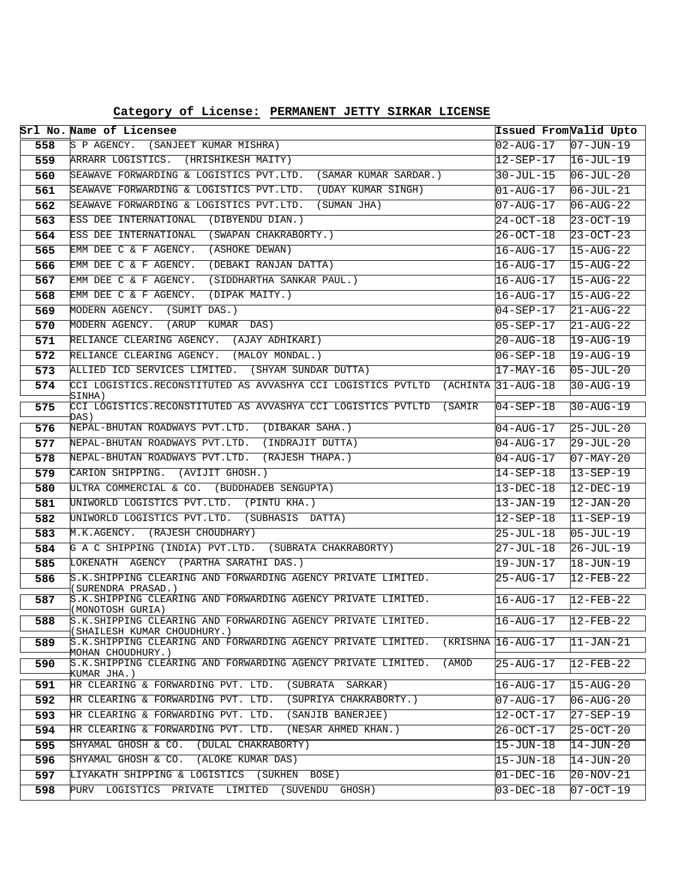**Category of License: PERMANENT JETTY SIRKAR LICENSE**

|     | Srl No. Name of Licensee                                                                             | Issued From Valid Upto          |                        |
|-----|------------------------------------------------------------------------------------------------------|---------------------------------|------------------------|
| 558 | S P AGENCY. (SANJEET KUMAR MISHRA)                                                                   | $02 - \text{AUG} - 17$          | $07 - JUN - 19$        |
| 559 | ARRARR LOGISTICS. (HRISHIKESH MAITY)                                                                 | 12-SEP-17                       | $16 - JUL-19$          |
| 560 | SEAWAVE FORWARDING & LOGISTICS PVT.LTD. (SAMAR KUMAR SARDAR.)                                        | 30-JUL-15                       | $06 - JUL - 20$        |
| 561 | SEAWAVE FORWARDING & LOGISTICS PVT.LTD.<br>(UDAY KUMAR SINGH)                                        | 01-AUG-17                       | $06 - JUL - 21$        |
| 562 | SEAWAVE FORWARDING & LOGISTICS PVT.LTD.<br>(SUMAN JHA)                                               | 07-AUG-17                       | $06 - \text{AUG} - 22$ |
| 563 | ESS DEE INTERNATIONAL (DIBYENDU DIAN.)                                                               | $24 - OCT - 18$                 | $23 - OCT - 19$        |
| 564 | ESS DEE INTERNATIONAL (SWAPAN CHAKRABORTY.)                                                          | 26-OCT-18                       | $23 - OCT - 23$        |
| 565 | EMM DEE C & F AGENCY. (ASHOKE DEWAN)                                                                 | $16 - \text{AUG} - 17$          | $15 - \text{AUG} - 22$ |
| 566 | EMM DEE C & F AGENCY. (DEBAKI RANJAN DATTA)                                                          | 16-AUG-17                       | $15 - \text{AUG} - 22$ |
| 567 | EMM DEE C & F AGENCY. (SIDDHARTHA SANKAR PAUL.)                                                      | 16-AUG-17                       | $15 - AUG - 22$        |
| 568 | EMM DEE C & F AGENCY. (DIPAK MAITY.)                                                                 | $16 - \text{AUG} - 17$          | $15 - AUG - 22$        |
| 569 | MODERN AGENCY. (SUMIT DAS.)                                                                          | 04-SEP-17                       | $21 - \text{AUG} - 22$ |
| 570 | MODERN AGENCY. (ARUP KUMAR DAS)                                                                      | 05-SEP-17                       | $21 - \text{AUG} - 22$ |
| 571 | RELIANCE CLEARING AGENCY. (AJAY ADHIKARI)                                                            | 20-AUG-18                       | $19 - \text{AUG} - 19$ |
| 572 | RELIANCE CLEARING AGENCY. (MALOY MONDAL.)                                                            | 06-SEP-18                       | $19 - AUG - 19$        |
| 573 | ALLIED ICD SERVICES LIMITED. (SHYAM SUNDAR DUTTA)                                                    | 17-MAY-16                       | $05 - JUL - 20$        |
| 574 | CCI LOGISTICS.RECONSTITUTED AS AVVASHYA CCI LOGISTICS PVTLTD (ACHINTA 31-AUG-18<br>SINHA)            |                                 | $30 - \text{AUG} - 19$ |
| 575 | CCI LOGISTICS.RECONSTITUTED AS AVVASHYA CCI LOGISTICS PVTLTD (SAMIR<br>DAS)                          | $04 - SEP - 18$                 | $30 - \text{AUG} - 19$ |
| 576 | NEPAL-BHUTAN ROADWAYS PVT.LTD. (DIBAKAR SAHA.)                                                       | 04-AUG-17                       | $25 - JUL - 20$        |
| 577 | NEPAL-BHUTAN ROADWAYS PVT.LTD. (INDRAJIT DUTTA)                                                      | 04-AUG-17                       | $29 - JUL - 20$        |
| 578 | NEPAL-BHUTAN ROADWAYS PVT.LTD. (RAJESH THAPA.)                                                       | 04-AUG-17                       | $07 - MAX - 20$        |
| 579 | CARION SHIPPING. (AVIJIT GHOSH.)                                                                     | $14 - SEP - 18$                 | $13 - SEP - 19$        |
| 580 | ULTRA COMMERCIAL & CO. (BUDDHADEB SENGUPTA)                                                          | 13-DEC-18                       | $12 - DEC - 19$        |
| 581 | UNIWORLD LOGISTICS PVT.LTD. (PINTU KHA.)                                                             | 13-JAN-19                       | $12 - JAN - 20$        |
| 582 | UNIWORLD LOGISTICS PVT.LTD. (SUBHASIS DATTA)                                                         | 12-SEP-18                       | $11-SEP-19$            |
| 583 | M.K.AGENCY. (RAJESH CHOUDHARY)                                                                       | 25-JUL-18                       | $05 - JUL - 19$        |
| 584 | G A C SHIPPING (INDIA) PVT.LTD. (SUBRATA CHAKRABORTY)                                                | 27-JUL-18                       | $26 - JUL - 19$        |
| 585 | LOKENATH AGENCY (PARTHA SARATHI DAS.)                                                                | 19-JUN-17                       | $18 - JUN - 19$        |
| 586 | S.K.SHIPPING CLEARING AND FORWARDING AGENCY PRIVATE LIMITED.                                         | 25-AUG-17                       | $12$ -FEB-22           |
| 587 | (SURENDRA PRASAD.)<br>S.K.SHIPPING CLEARING AND FORWARDING AGENCY PRIVATE LIMITED.                   | 16-AUG-17                       | $12 - FEB - 22$        |
|     | (MONOTOSH GURIA)                                                                                     |                                 |                        |
| 588 | S.K.SHIPPING CLEARING AND FORWARDING AGENCY PRIVATE LIMITED.<br>(SHAILESH KUMAR CHOUDHURY.)          | $16 - AUG - 17$ $12 - FEB - 22$ |                        |
| 589 | S.K.SHIPPING CLEARING AND FORWARDING AGENCY PRIVATE LIMITED. (KRISHNA 16-AUG-17<br>MOHAN CHOUDHURY.) |                                 | $ 11$ -JAN-21          |
| 590 | S.K.SHIPPING CLEARING AND FORWARDING AGENCY PRIVATE LIMITED.<br>(AMOD<br>KUMAR JHA.)                 | 25-AUG-17                       | 12-FEB-22              |
| 591 | HR CLEARING & FORWARDING PVT. LTD. (SUBRATA SARKAR)                                                  | 16-AUG-17                       | $15 - \text{AUG} - 20$ |
| 592 | HR CLEARING & FORWARDING PVT. LTD.<br>(SUPRIYA CHAKRABORTY.)                                         | $07 - AUG - 17$                 | $06 - \text{AUG} - 20$ |
| 593 | HR CLEARING & FORWARDING PVT. LTD.<br>(SANJIB BANERJEE)                                              | 12-OCT-17                       | $27 - SEP - 19$        |
| 594 | HR CLEARING & FORWARDING PVT. LTD.<br>(NESAR AHMED KHAN.)                                            | 26-OCT-17                       | $25 - OCT - 20$        |
| 595 | SHYAMAL GHOSH & CO. (DULAL CHAKRABORTY)                                                              | 15-JUN-18                       | $14 - JUN - 20$        |
| 596 | SHYAMAL GHOSH & CO. (ALOKE KUMAR DAS)                                                                | 15-JUN-18                       | $14 - JUN - 20$        |
| 597 | LIYAKATH SHIPPING & LOGISTICS (SUKHEN BOSE)                                                          | 01-DEC-16                       | $20-NOV-21$            |
| 598 | PURV LOGISTICS PRIVATE LIMITED (SUVENDU GHOSH)                                                       | 03-DEC-18                       | $ 07-OCT-19 $          |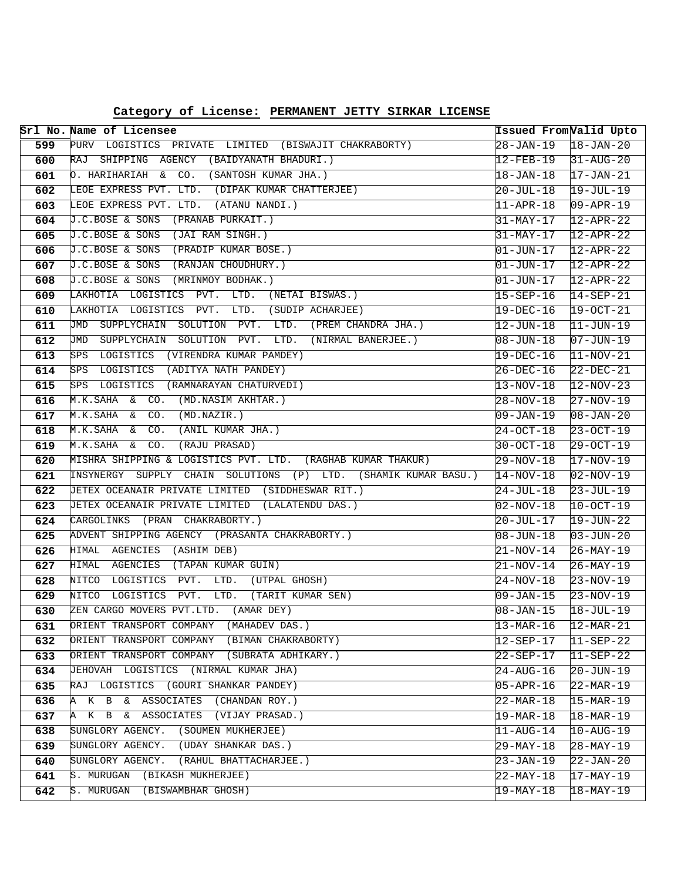| Category of License: PERMANENT JETTY SIRKAR LICENSE |  |  |  |  |
|-----------------------------------------------------|--|--|--|--|
|-----------------------------------------------------|--|--|--|--|

|            | Srl No. Name of Licensee                                                                | Issued From Valid Upto  |                          |
|------------|-----------------------------------------------------------------------------------------|-------------------------|--------------------------|
| 599        | PURV LOGISTICS PRIVATE LIMITED (BISWAJIT CHAKRABORTY)                                   | $28 - JAN - 19$         | $18 - JAN - 20$          |
| 600        | RAJ SHIPPING AGENCY (BAIDYANATH BHADURI.)                                               | 12-FEB-19               | $31 - AUG - 20$          |
| 601        | O. HARIHARIAH & CO. (SANTOSH KUMAR JHA.)                                                | $18 - JAN - 18$         | $17 - JAN - 21$          |
| 602        | LEOE EXPRESS PVT. LTD. (DIPAK KUMAR CHATTERJEE)                                         | $20 - JUL - 18$         | $19 - JUL-19$            |
| 603        | LEOE EXPRESS PVT. LTD.<br>(ATANU NANDI.)                                                | $11 - APR - 18$         | $09 - APR - 19$          |
| 604        | J.C.BOSE & SONS (PRANAB PURKAIT.)                                                       | 31-MAY-17               | $12 - APR - 22$          |
| 605        | J.C.BOSE & SONS (JAI RAM SINGH.)                                                        | 31-MAY-17               | $12 - APR - 22$          |
| 606        | J.C.BOSE & SONS (PRADIP KUMAR BOSE.)                                                    | $01 - JUN - 17$         | $12 - APR - 22$          |
| 607        | J.C.BOSE & SONS (RANJAN CHOUDHURY.)                                                     | $01 - JUN - 17$         | $12 - APR - 22$          |
| 608        | J.C.BOSE & SONS (MRINMOY BODHAK.)                                                       | $ 01 - JUN - 17 $       | $12 - APR - 22$          |
| 609        | LAKHOTIA LOGISTICS PVT. LTD. (NETAI BISWAS.)                                            | $15 - SEP - 16$         | $14-SEP-21$              |
| 610        | LAKHOTIA LOGISTICS PVT.<br>LTD.<br>(SUDIP ACHARJEE)                                     | 19-DEC-16               | $19-0CT-21$              |
| 611        | JMD<br>SUPPLYCHAIN SOLUTION PVT.<br>LTD. (PREM CHANDRA JHA.)                            | 12-JUN-18               | $11 - JUN-19$            |
| 612        | LTD. (NIRMAL BANERJEE.)<br>JMD SUPPLYCHAIN SOLUTION PVT.                                | $ 08 - JUN - 18 $       | $07 - JUN - 19$          |
| 613        | SPS LOGISTICS (VIRENDRA KUMAR PAMDEY)                                                   | 19-DEC-16               | $11-NOV-21$              |
| 614        | SPS LOGISTICS (ADITYA NATH PANDEY)                                                      | $26-DEC-16$             | $22-DEC-21$              |
| 615        | SPS LOGISTICS (RAMNARAYAN CHATURVEDI)                                                   | $13 - NOV - 18$         | $12-NOV-23$              |
| 616        | M.K.SAHA & CO. (MD.NASIM AKHTAR.)                                                       | 28-NOV-18               | $27-NOV-19$              |
| 617        | M.K.SAHA & CO.<br>(MD.NAZIR.)                                                           | 09-JAN-19               | $08 - JAN - 20$          |
| 618        | M.K.SAHA & CO.<br>(ANIL KUMAR JHA.)                                                     | $24 - OCT - 18$         | $23 - OCT - 19$          |
| 619        | M.K.SAHA &<br>CO.<br>(RAJU PRASAD)                                                      | $30 - OCT - 18$         | $29-0CT-19$              |
| 620        | MISHRA SHIPPING & LOGISTICS PVT. LTD. (RAGHAB KUMAR THAKUR)                             | $29 - NOV - 18$         | $17-NOV-19$              |
| 621        | INSYNERGY SUPPLY CHAIN SOLUTIONS (P) LTD. (SHAMIK KUMAR BASU.)                          | $14-NOV-18$             | $02 - NOV - 19$          |
| 622        | JETEX OCEANAIR PRIVATE LIMITED (SIDDHESWAR RIT.)                                        | 24-JUL-18               | $23 - JUL - 19$          |
| 623        | JETEX OCEANAIR PRIVATE LIMITED (LALATENDU DAS.)                                         | $02 - NOV - 18$         | $10-0CT-19$              |
| 624        | CARGOLINKS (PRAN CHAKRABORTY.)                                                          | 20-JUL-17               | $19 - JUN - 22$          |
| 625        | ADVENT SHIPPING AGENCY (PRASANTA CHAKRABORTY.)                                          | $08 - JUN - 18$         | $03 - JUN - 20$          |
| 626        | HIMAL AGENCIES (ASHIM DEB)                                                              | 21-NOV-14               | 26-MAY-19                |
| 627        | HIMAL AGENCIES (TAPAN KUMAR GUIN)                                                       | $21 - NOV - 14$         | $26-MAY-19$              |
| 628        | NITCO<br>LOGISTICS PVT. LTD. (UTPAL GHOSH)                                              | $24 - NOV - 18$         | $23 - NOV - 19$          |
| 629        | PVT.<br>(TARIT KUMAR SEN)<br>NITCO<br>LOGISTICS<br>LTD.                                 | $09 - JAN - 15$         | $23 - NOV - 19$          |
| 630        | ZEN CARGO MOVERS PVT.LTD. (AMAR DEY)                                                    | 08-JAN-15               | $18 - JUL - 19$          |
| 631        | ORIENT TRANSPORT COMPANY (MAHADEV DAS.)<br>ORIENT TRANSPORT COMPANY (BIMAN CHAKRABORTY) | 13-MAR-16               | $12 - \text{MAR} - 21$   |
| 632        | ORIENT TRANSPORT COMPANY (SUBRATA ADHIKARY.)                                            | 12-SEP-17               | 11-SEP-22                |
| 633<br>634 | JEHOVAH LOGISTICS (NIRMAL KUMAR JHA)                                                    | 22-SEP-17<br>24-AUG-16  | $11-SEP-22$<br>20-JUN-19 |
| 635        | LOGISTICS (GOURI SHANKAR PANDEY)<br>RAJ                                                 | $05 - APR - 16$         | $22 - \text{MAR} - 19$   |
| 636        | A K B & ASSOCIATES (CHANDAN ROY.)                                                       | $22-MAR-18$             | $15 - \text{MAR} - 19$   |
| 637        | ASSOCIATES (VIJAY PRASAD.)<br>A<br>K B<br>&                                             | 19-MAR-18               | $18 - \text{MAR} - 19$   |
| 638        | SUNGLORY AGENCY. (SOUMEN MUKHERJEE)                                                     | $11 - \text{AUG} - 14$  | $10 - \text{AUG} - 19$   |
| 639        | SUNGLORY AGENCY. (UDAY SHANKAR DAS.)                                                    | $29-MAY-18$             | $28 - \text{MAX} - 19$   |
| 640        | SUNGLORY AGENCY. (RAHUL BHATTACHARJEE.)                                                 | $\overline{23}$ -JAN-19 | 22-JAN-20                |
| 641        | S. MURUGAN (BIKASH MUKHERJEE)                                                           | $22 - \text{MAX} - 18$  | $17 - \text{MAX} - 19$   |
| 642        | S. MURUGAN<br>(BISWAMBHAR GHOSH)                                                        | 19-MAY-18               | $18 - \text{MAX} - 19$   |
|            |                                                                                         |                         |                          |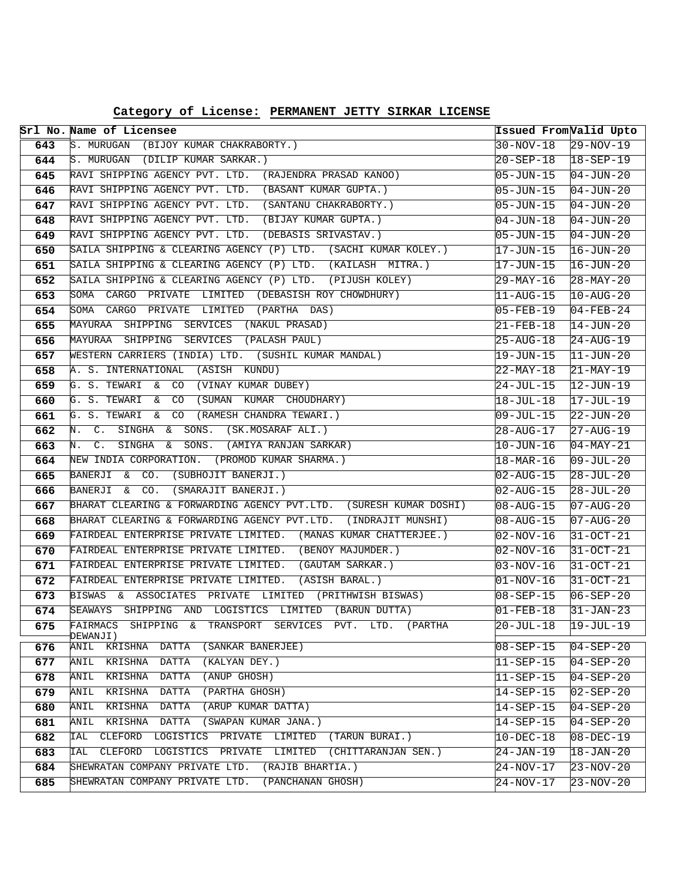**Category of License: PERMANENT JETTY SIRKAR LICENSE**

|     | Srl No. Name of Licensee                                                |                        | Issued From Valid Upto |
|-----|-------------------------------------------------------------------------|------------------------|------------------------|
| 643 | S. MURUGAN (BIJOY KUMAR CHAKRABORTY.)                                   | $30-NOV-18$            | $29-NOV-19$            |
| 644 | S. MURUGAN (DILIP KUMAR SARKAR.)                                        | $20 - SEP - 18$        | $18 - SEP - 19$        |
| 645 | RAVI SHIPPING AGENCY PVT. LTD. (RAJENDRA PRASAD KANOO)                  | 05-JUN-15              | $04 - JUN - 20$        |
| 646 | RAVI SHIPPING AGENCY PVT. LTD. (BASANT KUMAR GUPTA.)                    | 05-JUN-15              | $04 - JUN - 20$        |
| 647 | RAVI SHIPPING AGENCY PVT. LTD. (SANTANU CHAKRABORTY.)                   | 05-JUN-15              | $04 - JUN - 20$        |
| 648 | RAVI SHIPPING AGENCY PVT. LTD. (BIJAY KUMAR GUPTA.)                     | $04 - JUN - 18$        | $04 - JUN - 20$        |
| 649 | RAVI SHIPPING AGENCY PVT. LTD. (DEBASIS SRIVASTAV.)                     | 05-JUN-15              | $04 - JUN - 20$        |
| 650 | SAILA SHIPPING & CLEARING AGENCY (P) LTD. (SACHI KUMAR KOLEY.)          | $17 - JUN - 15$        | $16 - JUN - 20$        |
| 651 | SAILA SHIPPING & CLEARING AGENCY (P) LTD. (KAILASH MITRA.)              | 17-JUN-15              | $16 - JUN - 20$        |
| 652 | SAILA SHIPPING & CLEARING AGENCY (P) LTD. (PIJUSH KOLEY)                | $29 - \text{MAX} - 16$ | $28 - \text{MAY} - 20$ |
| 653 | SOMA CARGO PRIVATE LIMITED (DEBASISH ROY CHOWDHURY)                     | $11 - \text{AUG} - 15$ | $10 - \text{AUG} - 20$ |
| 654 | CARGO PRIVATE LIMITED (PARTHA DAS)<br>SOMA                              | 05-FEB-19              | $04 - FEB - 24$        |
| 655 | MAYURAA SHIPPING SERVICES (NAKUL-PRASAD)                                | 21-FEB-18              | $14 - JUN - 20$        |
| 656 | MAYURAA SHIPPING<br>SERVICES (PALASH PAUL)                              | $25 - \text{AUG} - 18$ | $24 - AUG - 19$        |
| 657 | WESTERN CARRIERS (INDIA) LTD. (SUSHIL KUMAR MANDAL)                     | 19-JUN-15              | $11 - JUN - 20$        |
| 658 | (ASISH KUNDU)<br>A. S. INTERNATIONAL                                    | 22-MAY-18              | $21 - \text{MAX} - 19$ |
| 659 | G. S. TEWARI & CO (VINAY KUMAR DUBEY)                                   | 24-JUL-15              | $12 - JUN-19$          |
| 660 | G. S. TEWARI & CO (SUMAN KUMAR CHOUDHARY)                               | 18-JUL-18              | $17 - JUL-19$          |
| 661 | G. S. TEWARI & CO (RAMESH CHANDRA TEWARI.)                              | 09-JUL-15              | $22 - JUN - 20$        |
| 662 | SINGHA & SONS. (SK.MOSARAF ALI.)<br>$C_{\star}$<br>Ν.                   | 28-AUG-17              | $27 - \text{AUG} - 19$ |
| 663 | SINGHA &<br>N.<br>$\mathsf{C}$ .<br>SONS. (AMIYA RANJAN SARKAR)         | 10-JUN-16              | $04 - \text{MAX} - 21$ |
| 664 | NEW INDIA CORPORATION.<br>(PROMOD KUMAR SHARMA.)                        | $18 - \text{MAR} - 16$ | $09 - JUL - 20$        |
| 665 | BANERJI & CO. (SUBHOJIT BANERJI.)                                       | 02-AUG-15              | $28 - JUL - 20$        |
| 666 | BANERJI & CO.<br>(SMARAJIT BANERJI.)                                    | 02-AUG-15              | $28 - JUL - 20$        |
| 667 | BHARAT CLEARING & FORWARDING AGENCY PVT.LTD. (SURESH KUMAR DOSHI)       | 08-AUG-15              | $07 - \text{AUG} - 20$ |
| 668 | BHARAT CLEARING & FORWARDING AGENCY PVT.LTD. (INDRAJIT MUNSHI)          | $08 - \text{AUG} - 15$ | $07 - \text{AUG} - 20$ |
| 669 | FAIRDEAL ENTERPRISE PRIVATE LIMITED. (MANAS KUMAR CHATTERJEE.)          | $02 - NOV - 16$        | $31 - OCT - 21$        |
| 670 | FAIRDEAL ENTERPRISE PRIVATE LIMITED. (BENOY MAJUMDER.)                  | $02 - NOV - 16$        | $31 - OCT - 21$        |
| 671 | FAIRDEAL ENTERPRISE PRIVATE LIMITED. (GAUTAM SARKAR.)                   | $03 - NOV - 16$        | $31 - OCT - 21$        |
| 672 | FAIRDEAL ENTERPRISE PRIVATE LIMITED.<br>(ASISH BARAL.)                  | $01 - NOV - 16$        | $31-0CT-21$            |
| 673 | BISWAS & ASSOCIATES PRIVATE LIMITED (PRITHWISH BISWAS)                  | $08 - SEP - 15$        | $06 - SEP - 20$        |
| 674 | SEAWAYS SHIPPING AND LOGISTICS LIMITED (BARUN DUTTA)                    | $01 - FEB - 18$        | $31 - JAN - 23$        |
| 675 | FAIRMACS SHIPPING & TRANSPORT SERVICES PVT. LTD.<br>(PARTHA<br>DEWANJI) | $20 - JUL - 18$        | $19 - JUL - 19$        |
| 676 | ANIL KRISHNA<br><b>DATTA</b><br>(SANKAR BANERJEE)                       | $08 - SEP - 15$        | $04 - SEP - 20$        |
| 677 | (KALYAN DEY.)<br>ANIL KRISHNA DATTA                                     | $11 - SEP - 15$        | $04 - SEP - 20$        |
| 678 | ANIL KRISHNA DATTA<br>(ANUP GHOSH)                                      | $11 - SEP - 15$        | $04 - SEP - 20$        |
| 679 | (PARTHA GHOSH)<br>ANIL KRISHNA DATTA                                    | $14 - SEP - 15$        | $02 - SEP - 20$        |
| 680 | KRISHNA<br><b>DATTA</b><br>(ARUP KUMAR DATTA)<br>ANIL                   | $14 - SEP - 15$        | $04 - SEP - 20$        |
| 681 | ANIL KRISHNA DATTA<br>(SWAPAN KUMAR JANA.)                              | $14 - SEP - 15$        | 04-SEP-20              |
| 682 | CLEFORD LOGISTICS PRIVATE LIMITED (TARUN BURAI.)<br>IAL                 | $10 - DEC - 18$        | $08 - DEC - 19$        |
| 683 | CLEFORD LOGISTICS PRIVATE LIMITED (CHITTARANJAN SEN.)<br>IAL            | 24-JAN-19              | $18 - JAN - 20$        |
| 684 | (RAJIB BHARTIA.)<br>SHEWRATAN COMPANY PRIVATE LTD.                      | $24 - NOV - 17$        | $23 - NOV - 20$        |
| 685 | SHEWRATAN COMPANY PRIVATE LTD.<br>(PANCHANAN GHOSH)                     | 24-NOV-17              | $23 - NOV - 20$        |
|     |                                                                         |                        |                        |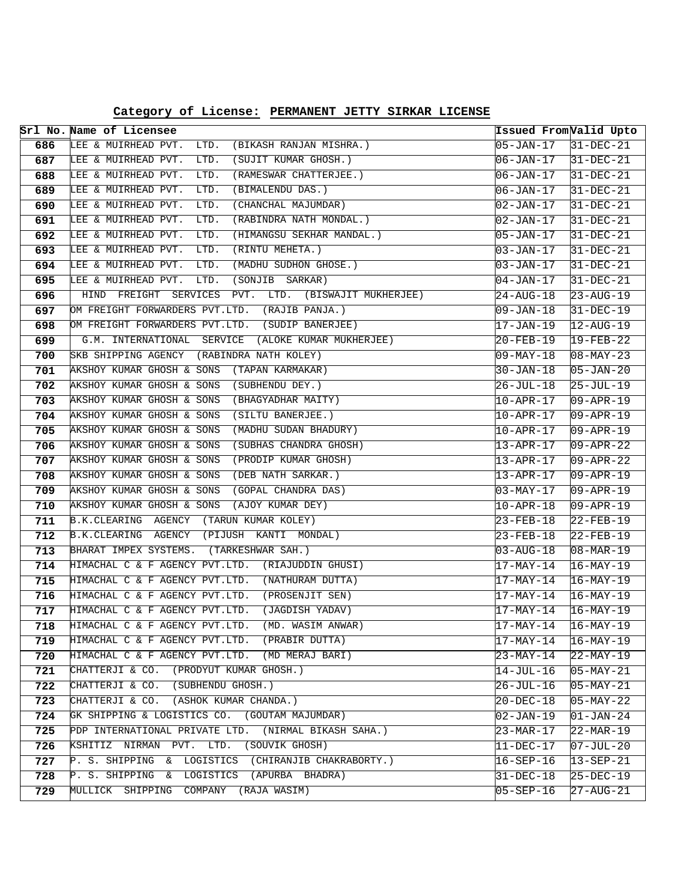| Category of License: PERMANENT JETTY SIRKAR LICENSE |
|-----------------------------------------------------|
|-----------------------------------------------------|

|            | Srl No. Name of Licensee                                                              | Issued From <i>Valid Upto</i>  |                                |
|------------|---------------------------------------------------------------------------------------|--------------------------------|--------------------------------|
| 686        | LTD.<br>LEE & MUIRHEAD PVT.<br>(BIKASH RANJAN MISHRA.)                                | 05-JAN-17                      | $31-DEC-21$                    |
| 687        | (SUJIT KUMAR GHOSH.)<br>LEE & MUIRHEAD PVT.<br>LTD.                                   | 06-JAN-17                      | $31-DEC-21$                    |
| 688        | LEE & MUIRHEAD PVT.<br>LTD.<br>(RAMESWAR CHATTERJEE.)                                 | $06 - JAN - 17$                | $31-DEC-21$                    |
| 689        | LEE & MUIRHEAD PVT.<br>LTD.<br>(BIMALENDU DAS.)                                       | 06-JAN-17                      | $31 - DEC - 21$                |
| 690        | LEE & MUIRHEAD PVT.<br>(CHANCHAL MAJUMDAR)<br>LTD.                                    | 02-JAN-17                      | $31-DEC-21$                    |
| 691        | (RABINDRA NATH MONDAL.)<br>LEE & MUIRHEAD PVT.<br>LTD.                                | 02-JAN-17                      | $31-DEC-21$                    |
| 692        | LEE & MUIRHEAD PVT.<br>LTD.<br>(HIMANGSU SEKHAR MANDAL.)                              | $05 - JAN - 17$                | $31-DEC-21$                    |
| 693        | LEE & MUIRHEAD PVT.<br>LTD.<br>(RINTU MEHETA.)                                        | 03-JAN-17                      | $31-DEC-21$                    |
| 694        | LEE & MUIRHEAD PVT.<br>LTD.<br>(MADHU SUDHON GHOSE.)                                  | 03-JAN-17                      | $31-DEC-21$                    |
| 695        | LEE & MUIRHEAD PVT.<br>LTD.<br>(SONJIB SARKAR)                                        | 04-JAN-17                      | $31-DEC-21$                    |
| 696        | HIND FREIGHT SERVICES PVT. LTD. (BISWAJIT MUKHERJEE)                                  | 24-AUG-18                      | $23 - AUG - 19$                |
| 697        | OM FREIGHT FORWARDERS PVT.LTD. (RAJIB PANJA.)                                         | 09-JAN-18                      | $31 - DEC - 19$                |
| 698        | OM FREIGHT FORWARDERS PVT.LTD. (SUDIP BANERJEE)                                       | 17-JAN-19                      | $12 - AUG - 19$                |
| 699        | G.M. INTERNATIONAL SERVICE (ALOKE KUMAR MUKHERJEE)                                    | 20-FEB-19                      | $19 - FEB - 22$                |
| 700        | SKB SHIPPING AGENCY (RABINDRA NATH KOLEY)                                             | $09 - \text{MAX} - 18$         | $08 - \text{MAX} - 23$         |
| 701        | AKSHOY KUMAR GHOSH & SONS (TAPAN KARMAKAR)                                            | $30 - JAN - 18$                | $05 - JAN - 20$                |
| 702        | AKSHOY KUMAR GHOSH & SONS (SUBHENDU DEY.)                                             | $26 - JUL - 18$                | $25 - JUL - 19$                |
| 703        | AKSHOY KUMAR GHOSH & SONS (BHAGYADHAR MAITY)                                          | 10-APR-17                      | $09 - APR - 19$                |
| 704        | AKSHOY KUMAR GHOSH & SONS<br>(SILTU BANERJEE.)                                        | 10-APR-17                      | $09 - APR - 19$                |
| 705        | AKSHOY KUMAR GHOSH & SONS<br>(MADHU SUDAN BHADURY)                                    | 10-APR-17                      | $09 - APR - 19$                |
| 706        | AKSHOY KUMAR GHOSH & SONS<br>(SUBHAS CHANDRA GHOSH)                                   | $13 - APR - 17$                | $09 - APR - 22$                |
| 707        | (PRODIP KUMAR GHOSH)<br>AKSHOY KUMAR GHOSH & SONS                                     | $13 - APR - 17$                | $09 - APR - 22$                |
| 708        | (DEB NATH SARKAR.)<br>AKSHOY KUMAR GHOSH & SONS                                       | 13-APR-17                      | $09 - APR - 19$                |
| 709        | AKSHOY KUMAR GHOSH & SONS<br>(GOPAL CHANDRA DAS)                                      | 03-MAY-17                      | $09 - APR - 19$                |
| 710        | AKSHOY KUMAR GHOSH & SONS<br>(AJOY KUMAR DEY)                                         | $10 - APR - 18$                | $09 - APR - 19$                |
| 711        | B.K.CLEARING AGENCY (TARUN KUMAR KOLEY)                                               | 23-FEB-18                      | $22$ -FEB-19                   |
| 712        | B.K.CLEARING AGENCY (PIJUSH KANTI MONDAL)                                             | 23-FEB-18                      | $22$ -FEB-19                   |
| 713        | BHARAT IMPEX SYSTEMS. (TARKESHWAR SAH.)                                               | 03-AUG-18                      | $08 - \text{MAR} - 19$         |
| 714        | HIMACHAL C & F AGENCY PVT.LTD. (RIAJUDDIN GHUSI)                                      | $17-MAY-14$                    | $16-MAY-19$                    |
| 715        | HIMACHAL C & F AGENCY PVT.LTD. (NATHURAM DUTTA)                                       | 17-MAY-14                      | $16 - \text{MAX} - 19$         |
| 716        | HIMACHAL C & F AGENCY PVT.LTD. (PROSENJIT SEN)                                        | $17 - \text{MAX} - 14$         | $16-MAY-19$                    |
| 717        | HIMACHAL C & F AGENCY PVT.LTD.<br>(JAGDISH YADAV)                                     | 17-MAY-14                      | $16 - \text{MAX} - 19$         |
| 718        | HIMACHAL C & F AGENCY PVT.LTD.<br>(MD. WASIM ANWAR)<br>HIMACHAL C & F AGENCY PVT.LTD. | 17-MAY-14                      | $16 - \text{MAX} - 19$         |
| 719        | (PRABIR DUTTA)<br>HIMACHAL C & F AGENCY PVT.LTD. (MD MERAJ BARI)                      | 17-MAY-14                      | $16 - \text{MAX} - 19$         |
| 720        | CHATTERJI & CO. (PRODYUT KUMAR GHOSH.)                                                | $23 - MAX - 14$                | $22-MAY-19$                    |
| 721        | CHATTERJI & CO. (SUBHENDU GHOSH.)                                                     | 14-JUL-16                      | $05-MAY-21$                    |
| 722        | CHATTERJI & CO. (ASHOK KUMAR CHANDA.)                                                 | $26 - JUL - 16$                | $05-MAY-21$                    |
| 723        | GK SHIPPING & LOGISTICS CO. (GOUTAM MAJUMDAR)                                         | 20-DEC-18                      | $05 - \text{MAX} - 22$         |
| 724        | PDP INTERNATIONAL PRIVATE LTD.<br>(NIRMAL BIKASH SAHA.)                               | 02-JAN-19                      | $ 01 - JAN - 24 $              |
| 725<br>726 | KSHITIZ NIRMAN PVT. LTD.<br>(SOUVIK GHOSH)                                            | $23 - MAR - 17$<br>$11-DEC-17$ | $22-MAR-19$<br>$07 - JUL - 20$ |
| 727        | P. S. SHIPPING & LOGISTICS (CHIRANJIB CHAKRABORTY.)                                   |                                |                                |
|            | P. S. SHIPPING & LOGISTICS (APURBA BHADRA)                                            | 16-SEP-16                      | $13 - SEP - 21$                |
| 728        | MULLICK SHIPPING COMPANY (RAJA WASIM)                                                 | $31 - DEC - 18$                | $25-DEC-19$                    |
| 729        |                                                                                       | 05-SEP-16                      | $27 - \text{AUG} - 21$         |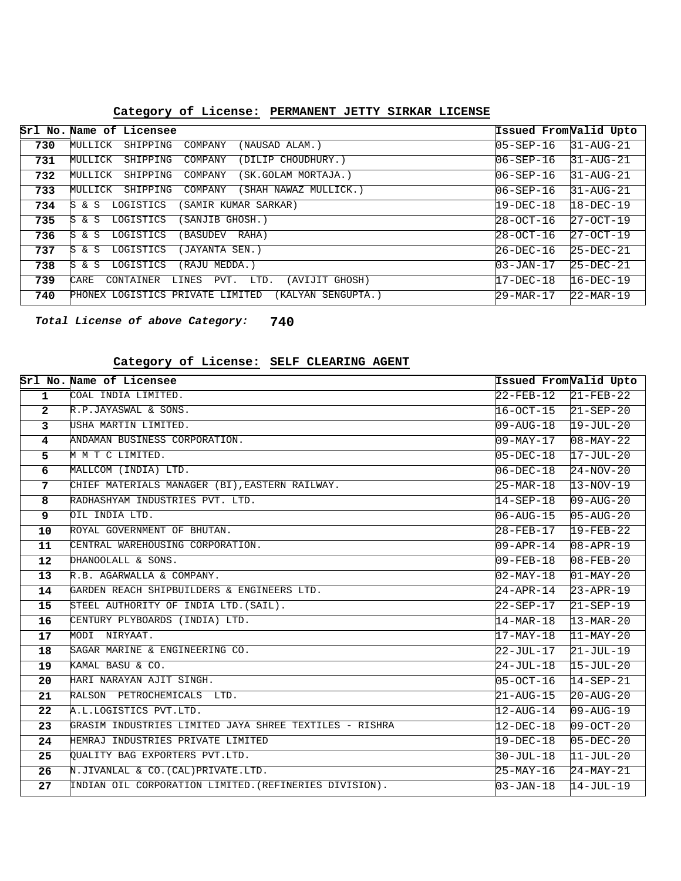|     | Srl No. Name of Licensee                                     | Issued From Valid Upto |                        |
|-----|--------------------------------------------------------------|------------------------|------------------------|
| 730 | MULLICK<br>SHIPPING<br>COMPANY<br>(NAUSAD ALAM.)             | $05 - SEP - 16$        | $31 - \text{AUG}-21$   |
| 731 | MULLICK<br>(DILIP CHOUDHURY.)<br>SHIPPING<br>COMPANY         | $106 - SEP - 16$       | 31-AUG-21              |
| 732 | MULLICK<br>SHIPPING<br>COMPANY<br>(SK.GOLAM MORTAJA.)        | $06 - SEP - 16$        | 31-AUG-21              |
| 733 | MULLICK<br>SHIPPING<br>(SHAH NAWAZ MULLICK.)<br>COMPANY      | $06 - SEP - 16$        | 31-AUG-21              |
| 734 | LOGISTICS<br>SAMIR KUMAR SARKAR)<br>IS.<br>& S               | 19-DEC-18              | 18-DEC-19              |
| 735 | lS.<br>& S<br>LOGISTICS<br>(SANJIB GHOSH.)                   | 28-OCT-16              | $27 - OCT - 19$        |
| 736 | lS.<br>LOGISTICS<br>& S<br>BASUDEV<br>RAHA)                  | 28-OCT-16              | $27 - OCT - 19$        |
| 737 | lS.<br>LOGISTICS<br>(JAYANTA SEN.)<br>& S                    | 26-DEC-16              | $25-DEC-21$            |
| 738 | lS.<br>LOGISTICS<br>(RAJU MEDDA.)<br>& S                     | $03 - JAN - 17$        | $25-DEC-21$            |
| 739 | (AVIJIT GHOSH)<br>CARE<br>PVT.<br>LTD.<br>CONTAINER<br>LINES | 17-DEC-18              | 16-DEC-19              |
| 740 | PHONEX LOGISTICS PRIVATE LIMITED<br>(KALYAN SENGUPTA.)       | 29-MAR-17              | $22 - \text{MAR} - 19$ |

### **PERMANENT JETTY SIRKAR LICENSE Category of License:**

**740 Total License of above Category:**

#### **SELF CLEARING AGENT Category of License:**

|                | Srl No. Name of Licensee                               | Issued FromValid Upto  |                        |
|----------------|--------------------------------------------------------|------------------------|------------------------|
| $\overline{1}$ | COAL INDIA LIMITED.                                    | $22$ -FEB-12           | $21 - FEB - 22$        |
| $\mathbf{2}$   | R.P.JAYASWAL & SONS.                                   | $16-OCT-15$            | $21 - SEP - 20$        |
| $\overline{3}$ | USHA MARTIN LIMITED.                                   | 09-AUG-18              | 19-JUL-20              |
| 4              | ANDAMAN BUSINESS CORPORATION.                          | 09-MAY-17              | $08 - \text{MAX} - 22$ |
| 5              | M M T C LIMITED.                                       | $05 - DEC - 18$        | 17-JUL-20              |
| 6              | MALLCOM (INDIA) LTD.                                   | 06-DEC-18              | 24-NOV-20              |
| 7              | CHIEF MATERIALS MANAGER (BI), EASTERN RAILWAY.         | $25-MAR-18$            | $13 - NOV - 19$        |
| 8              | RADHASHYAM INDUSTRIES PVT. LTD.                        | 14-SEP-18              | $09 - \text{AUG}-20$   |
| 9              | OIL INDIA LTD.                                         | $06 - \text{AUG} - 15$ | $05 - \text{AUG} - 20$ |
| 10             | ROYAL GOVERNMENT OF BHUTAN.                            | 28-FEB-17              | $19 - FEB - 22$        |
| 11             | CENTRAL WAREHOUSING CORPORATION.                       | 09-APR-14              | 08-APR-19              |
| 12             | DHANOOLALL & SONS.                                     | $09 - FEB - 18$        | $08 - FEB - 20$        |
| 13             | R.B. AGARWALLA & COMPANY.                              | 02-MAY-18              | $01 - \text{MAX} - 20$ |
| 14             | GARDEN REACH SHIPBUILDERS & ENGINEERS LTD.             | $24 - APR - 14$        | $23 - APR - 19$        |
| 15             | STEEL AUTHORITY OF INDIA LTD. (SAIL).                  | 22-SEP-17              | $21 - SEP - 19$        |
| 16             | CENTURY PLYBOARDS (INDIA) LTD.                         | $14 - \text{MAR} - 18$ | $13 - \text{MAR} - 20$ |
| 17             | MODI NIRYAAT.                                          | 17-MAY-18              | $11 - \text{MAX} - 20$ |
| 18             | SAGAR MARINE & ENGINEERING CO.                         | 22-JUL-17              | $21 - JUL-19$          |
| 19             | KAMAL BASU & CO.                                       | 24-JUL-18              | $15 - JUL - 20$        |
| 20             | HARI NARAYAN AJIT SINGH.                               | $05-0CT-16$            | $14 - SEP - 21$        |
| 21             | RALSON PETROCHEMICALS LTD.                             | $21 - \text{AUG} - 15$ | $20 - \text{AUG} - 20$ |
| 22             | A.L.LOGISTICS PVT.LTD.                                 | $12$ -AUG-14           | $09 - \text{AUG} - 19$ |
| 23             | GRASIM INDUSTRIES LIMITED JAYA SHREE TEXTILES - RISHRA | $12 - DEC - 18$        | 09-OCT-20              |
| 24             | HEMRAJ INDUSTRIES PRIVATE LIMITED                      | 19-DEC-18              | $05 - DEC - 20$        |
| 25             | OUALITY BAG EXPORTERS PVT.LTD.                         | $30 - JUL - 18$        | $11 - JUL-20$          |
| 26             | N.JIVANLAL & CO. (CAL) PRIVATE.LTD.                    | 25-MAY-16              | 24-MAY-21              |
| 27             | INDIAN OIL CORPORATION LIMITED. (REFINERIES DIVISION). | $\textsf{103-JAN-18}$  | 14-JUL-19              |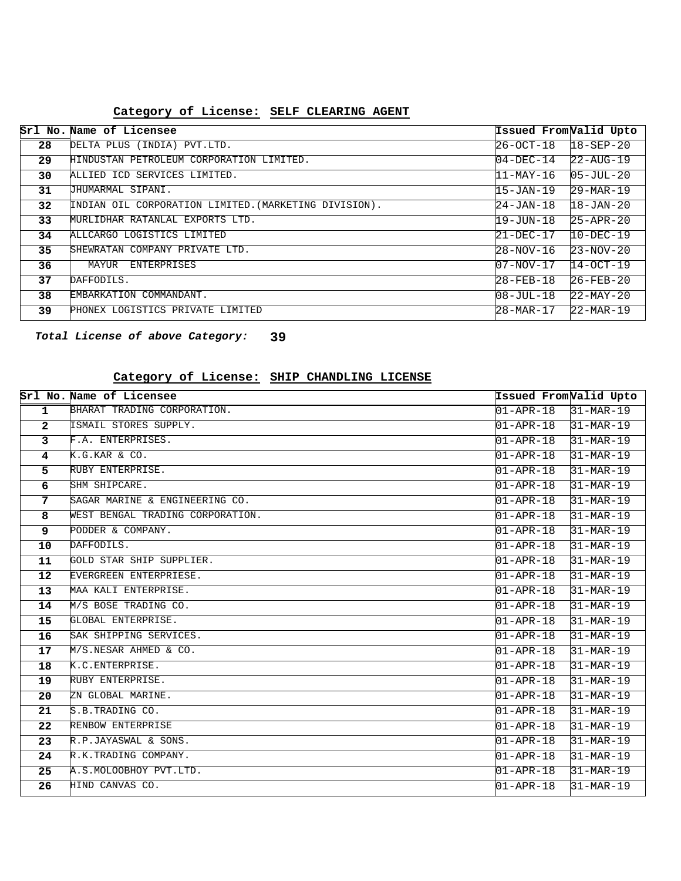#### **SELF CLEARING AGENT Category of License:**

|    | Srl No. Name of Licensee                              | Issued From Valid Upto |                        |
|----|-------------------------------------------------------|------------------------|------------------------|
| 28 | DELTA PLUS (INDIA) PVT.LTD.                           | $26 - OCT - 18$        | $18 - SEP - 20$        |
| 29 | HINDUSTAN PETROLEUM CORPORATION LIMITED.              | $04-DEC-14$            | $22 - \text{AUG} - 19$ |
| 30 | ALLIED ICD SERVICES LIMITED.                          | $11 - \text{MAX} - 16$ | $05 - JUL - 20$        |
| 31 | JHUMARMAL SIPANI.                                     | 15-JAN-19              | $29 - \text{MAR} - 19$ |
| 32 | INDIAN OIL CORPORATION LIMITED. (MARKETING DIVISION). | 24-JAN-18              | $18 - JAN - 20$        |
| 33 | MURLIDHAR RATANLAL EXPORTS LTD.                       | 19-JUN-18              | $25 - APR - 20$        |
| 34 | ALLCARGO LOGISTICS LIMITED                            | $21 - DEC - 17$        | $10-DEC-19$            |
| 35 | SHEWRATAN COMPANY PRIVATE LTD.                        | 28-NOV-16              | $23 - NOV - 20$        |
| 36 | MAYUR<br><b>ENTERPRISES</b>                           | $107 - NOV - 17$       | $14 - OCT - 19$        |
| 37 | DAFFODILS.                                            | $28 - FEB - 18$        | $26 - FEB - 20$        |
| 38 | EMBARKATION COMMANDANT.                               | $108 - JU1 - 18$       | $22 - MAX - 20$        |
| 39 | PHONEX LOGISTICS PRIVATE LIMITED                      | $28 - MAR - 17$        | $22 - \text{MAR} - 19$ |

**39 Total License of above Category:**

#### **SHIP CHANDLING LICENSE Category of License:**

|                   | Srl No. Name of Licensee         | Issued From Valid Upto |                        |
|-------------------|----------------------------------|------------------------|------------------------|
| $\mathbf{1}$      | BHARAT TRADING CORPORATION.      | $01 - APR - 18$        | $31-MAR-19$            |
| $\overline{2}$    | ISMAIL STORES SUPPLY.            | $01 - APR - 18$        | $31-MAR-19$            |
| 3                 | F.A. ENTERPRISES.                | $01 - APR - 18$        | $31-MAR-19$            |
| 4                 | K.G.KAR & CO.                    | $01 - APR - 18$        | 31-MAR-19              |
| 5                 | RUBY ENTERPRISE.                 | 01-APR-18              | $31-MAR-19$            |
| 6                 | SHM SHIPCARE.                    | $01 - APR - 18$        | $31-MAR-19$            |
| 7                 | SAGAR MARINE & ENGINEERING CO.   | $01 - APR - 18$        | $31-MAR-19$            |
| 8                 | WEST BENGAL TRADING CORPORATION. | $01 - APR - 18$        | $31-MAR-19$            |
| 9                 | PODDER & COMPANY.                | $01 - APR - 18$        | $31-MAR-19$            |
| 10                | DAFFODILS.                       | $01 - APR - 18$        | $31-MAR-19$            |
| 11                | GOLD STAR SHIP SUPPLIER.         | $01 - APR - 18$        | $31-MAR-19$            |
| $12 \overline{ }$ | EVERGREEN ENTERPRIESE.           | $01 - APR - 18$        | 31-MAR-19              |
| 13                | MAA KALI ENTERPRISE.             | $01 - APR - 18$        | $31-MAR-19$            |
| 14                | M/S BOSE TRADING CO.             | $01 - APR - 18$        | $31-MAR-19$            |
| 15                | GLOBAL ENTERPRISE.               | $01 - APR - 18$        | $31-MAR-19$            |
| 16                | SAK SHIPPING SERVICES.           | $01 - APR - 18$        | $31-MAR-19$            |
| 17                | M/S.NESAR AHMED & CO.            | $01 - APR - 18$        | 31-MAR-19              |
| 18                | K.C. ENTERPRISE.                 | $01 - APR - 18$        | $31-MAR-19$            |
| 19                | RUBY ENTERPRISE.                 | $01 - APR - 18$        | $31-MAR-19$            |
| 20                | ZN GLOBAL MARINE.                | $01 - APR - 18$        | 31-MAR-19              |
| 21                | S.B.TRADING CO.                  | $01 - APR - 18$        | $31 - \text{MAR} - 19$ |
| 22                | RENBOW ENTERPRISE                | $01 - APR - 18$        | $31-MAR-19$            |
| 23                | R.P.JAYASWAL & SONS.             | $01 - APR - 18$        | $31-MAR-19$            |
| 24                | R.K.TRADING COMPANY.             | $01 - APR - 18$        | $31-MAR-19$            |
| 25                | A.S.MOLOOBHOY PVT.LTD.           | $01 - APR - 18$        | 31-MAR-19              |
| 26                | HIND CANVAS CO.                  | $01 - APR - 18$        | 31-MAR-19              |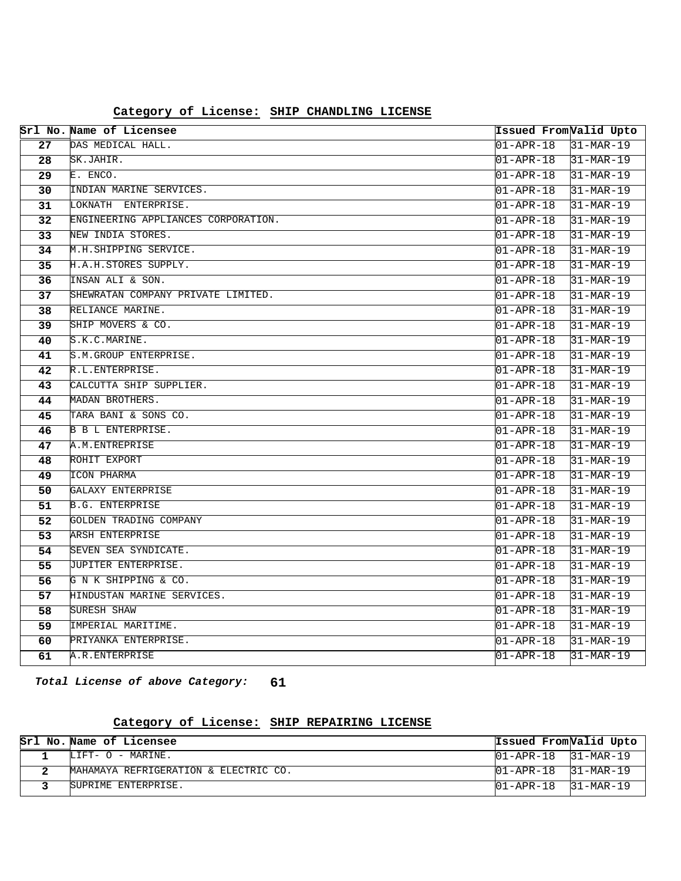|                 | Srl No. Name of Licensee            | Issued FromValid Upto             |                        |
|-----------------|-------------------------------------|-----------------------------------|------------------------|
| 27              | DAS MEDICAL HALL.                   | $01 - APR - 18$                   | $31-MAR-19$            |
| 28              | SK.JAHIR.                           | 01-APR-18                         | $31-MAR-19$            |
| 29              | E. ENCO.                            | 01-APR-18                         | $31-MAR-19$            |
| $\overline{30}$ | INDIAN MARINE SERVICES.             | $01 - APR - 18$                   | $31-MAR-19$            |
| 31              | LOKNATH ENTERPRISE.                 | $01 - APR - 18$                   | $31-MAR-19$            |
| 32              | ENGINEERING APPLIANCES CORPORATION. | $01 - APR - 18$                   | $31-MAR-19$            |
| 33              | NEW INDIA STORES.                   | 01-APR-18                         | $31-MAR-19$            |
| 34              | M.H. SHIPPING SERVICE.              | 01-APR-18                         | 31-MAR-19              |
| 35              | H.A.H.STORES SUPPLY.                | 01-APR-18                         | 31-MAR-19              |
| 36              | INSAN ALI & SON.                    | 01-APR-18                         | $31-MAR-19$            |
| 37              | SHEWRATAN COMPANY PRIVATE LIMITED.  | 01-APR-18                         | 31-MAR-19              |
| 38              | RELIANCE MARINE.                    | 01-APR-18                         | $31-MAR-19$            |
| 39              | SHIP MOVERS & CO.                   | $01 - APR - 18$                   | $31-MAR-19$            |
| 40              | S.K.C.MARINE.                       | 01-APR-18                         | $31-MAR-19$            |
| 41              | S.M.GROUP ENTERPRISE.               | $01 - APR - 18$                   | $31 - \text{MAR} - 19$ |
| 42              | R.L.ENTERPRISE.                     | $01 - APR - 18$                   | 31-MAR-19              |
| 43              | CALCUTTA SHIP SUPPLIER.             | $01 - APR - 18$                   | $31-MAR-19$            |
| 44              | MADAN BROTHERS.                     | 01-APR-18                         | $31-MAR-19$            |
| 45              | TARA BANI & SONS CO.                | $01 - APR - 18$                   | $31-MAR-19$            |
| 46              | B B L ENTERPRISE.                   | $01 - APR - 18$                   | $31 - \text{MAR} - 19$ |
| 47              | A.M. ENTREPRISE                     | $01 - APR - 18$                   | $31 - \text{MAR} - 19$ |
| 48              | ROHIT EXPORT                        | 01-APR-18                         | 31-MAR-19              |
| 49              | ICON PHARMA                         | 01-APR-18                         | 31-MAR-19              |
| 50              | GALAXY ENTERPRISE                   | 01-APR-18                         | 31-MAR-19              |
| 51              | <b>B.G. ENTERPRISE</b>              | $01 - APR - 18$                   | $31-MAR-19$            |
| 52              | GOLDEN TRADING COMPANY              | $01 - APR - 18$                   | $31-MAR-19$            |
| 53              | ARSH ENTERPRISE                     | $01 - APR - 18$                   | $31-MAR-19$            |
| 54              | SEVEN SEA SYNDICATE.                | 01-APR-18                         | $31-MAR-19$            |
| 55              | JUPITER ENTERPRISE.                 | $01 - APR - 18$                   | 31-MAR-19              |
| 56              | G N K SHIPPING & CO.                | $01 - APR - 18$                   | $31-MAR-19$            |
| 57              | HINDUSTAN MARINE SERVICES.          | $\overline{01 - \text{APR} - 18}$ | 31-MAR-19              |
| 58              | SURESH SHAW                         | 01-APR-18                         | 31-MAR-19              |
| 59              | IMPERIAL MARITIME.                  | $01 - APR - 18$                   | $31-MAR-19$            |
| 60              | PRIYANKA ENTERPRISE.                | $01 - APR - 18$                   | $31-MAR-19$            |
| 61              | A.R. ENTERPRISE                     | $01 - APR - 18$                   | $31 - \text{MAR} - 19$ |

### **SHIP CHANDLING LICENSE Category of License:**

**61 Total License of above Category:**

### **SHIP REPAIRING LICENSE Category of License:**

|  | Srl No. Name of Licensee              |                                     | Issued From Valid Upto |
|--|---------------------------------------|-------------------------------------|------------------------|
|  | LIFT- O - MARINE.                     | $ 01 - APR - 18 $ $ 31 - MAR - 19 $ |                        |
|  | MAHAMAYA REFRIGERATION & ELECTRIC CO. | $101 - APR - 18$ $31 - MAR - 19$    |                        |
|  | SUPRIME ENTERPRISE.                   | $101 - APR - 18$ $31 - MAR - 19$    |                        |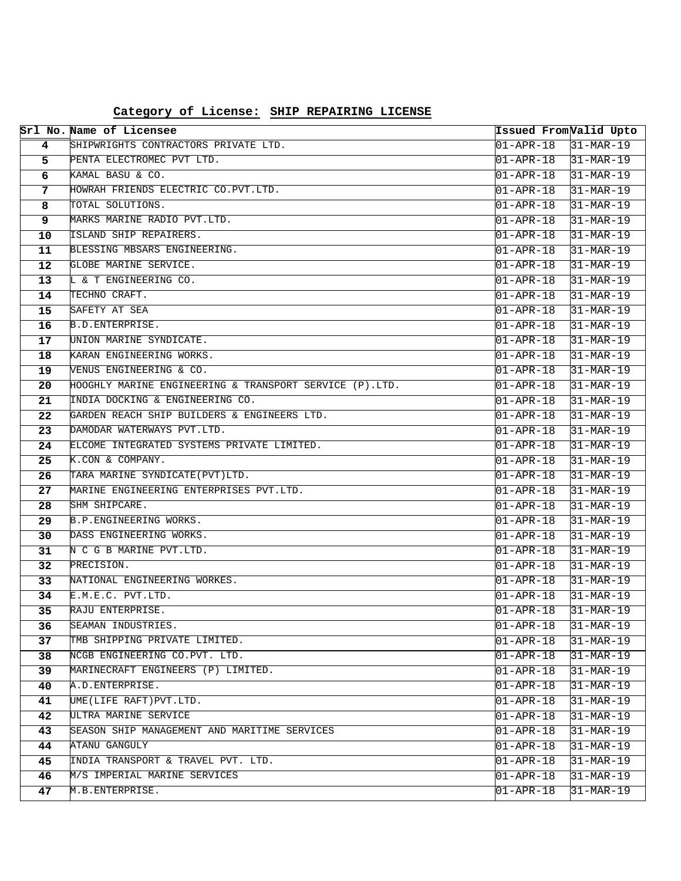|          | Srl No. Name of Licensee                                             | Issued From Valid Upto |                                        |
|----------|----------------------------------------------------------------------|------------------------|----------------------------------------|
| 4        | SHIPWRIGHTS CONTRACTORS PRIVATE LTD.                                 | $01 - APR - 18$        | $31-MAR-19$                            |
| 5        | PENTA ELECTROMEC PVT LTD.                                            | 01-APR-18              | $31-MAR-19$                            |
| 6        | KAMAL BASU & CO.                                                     | 01-APR-18              | $31-MAR-19$                            |
| 7        | HOWRAH FRIENDS ELECTRIC CO.PVT.LTD.                                  | $01 - APR - 18$        | $31-MAR-19$                            |
| 8        | TOTAL SOLUTIONS.                                                     | $01 - APR - 18$        | $31-MAR-19$                            |
| 9        | MARKS MARINE RADIO PVT.LTD.                                          | $01 - APR - 18$        | $31-MAR-19$                            |
| 10       | ISLAND SHIP REPAIRERS.                                               | $01 - APR - 18$        | $31-MAR-19$                            |
| 11       | BLESSING MBSARS ENGINEERING.                                         | 01-APR-18              | $31-MAR-19$                            |
| 12       | GLOBE MARINE SERVICE.                                                | $01 - APR - 18$        | $31-MAR-19$                            |
| 13       | L & T ENGINEERING CO.                                                | $01 - APR - 18$        | $31-MAR-19$                            |
| 14       | TECHNO CRAFT.                                                        | $01 - APR - 18$        | $31-MAR-19$                            |
| 15       | SAFETY AT SEA                                                        | $01 - APR - 18$        | $31-MAR-19$                            |
| 16       | B.D. ENTERPRISE.                                                     | $01 - APR - 18$        | $31-MAR-19$                            |
| 17       | UNION MARINE SYNDICATE.                                              | $01 - APR - 18$        | $31-MAR-19$                            |
| 18       | KARAN ENGINEERING WORKS.                                             | $01 - APR - 18$        | $31-MAR-19$                            |
| 19       | VENUS ENGINEERING & CO.                                              | 01-APR-18              | $31-MAR-19$                            |
| 20       | HOOGHLY MARINE ENGINEERING & TRANSPORT SERVICE (P).LTD.              | 01-APR-18              | $31-MAR-19$                            |
| 21       | INDIA DOCKING & ENGINEERING CO.                                      | $01 - APR - 18$        | $31-MAR-19$                            |
| 22       | GARDEN REACH SHIP BUILDERS & ENGINEERS LTD.                          | $01 - APR - 18$        | $31-MAR-19$                            |
| 23       | DAMODAR WATERWAYS PVT.LTD.                                           | $01 - APR - 18$        | $31-MAR-19$                            |
| 24       | ELCOME INTEGRATED SYSTEMS PRIVATE LIMITED.                           | $01 - APR - 18$        | $31-MAR-19$                            |
| 25       | K.CON & COMPANY.                                                     | $01 - APR - 18$        | $31-MAR-19$                            |
| 26       | TARA MARINE SYNDICATE (PVT) LTD.                                     | $01 - APR - 18$        | $31-MAR-19$                            |
| 27       | MARINE ENGINEERING ENTERPRISES PVT.LTD.                              | 01-APR-18              | $31-MAR-19$                            |
| 28       | SHM SHIPCARE.                                                        | 01-APR-18              | $31-MAR-19$                            |
| 29       | B.P. ENGINEERING WORKS.                                              | $01 - APR - 18$        | $31-MAR-19$                            |
| 30       | DASS ENGINEERING WORKS.                                              | $01 - APR - 18$        | $31-MAR-19$                            |
| 31       | N C G B MARINE PVT.LTD.                                              | $01 - APR - 18$        | $31-MAR-19$                            |
| 32       | PRECISION.                                                           | $01 - APR - 18$        | $31-MAR-19$                            |
| 33       | NATIONAL ENGINEERING WORKES.                                         | $01 - APR - 18$        | $31-MAR-19$                            |
| 34       | E.M.E.C. PVT.LTD.                                                    | $01 - APR - 18$        | $31 - \text{MAR} - 19$                 |
| 35       | RAJU ENTERPRISE.                                                     | $01 - APR - 18$        | $31-MAR-19$                            |
| 36       | SEAMAN INDUSTRIES.                                                   | $01 - APR - 18$        | $31-MAR-19$                            |
| 37       | TMB SHIPPING PRIVATE LIMITED.                                        | 01-APR-18              | 31-MAR-19                              |
| 38       | NCGB ENGINEERING CO.PVT. LTD.                                        | $01 - APR - 18$        | 31-MAR-19                              |
| 39       | MARINECRAFT ENGINEERS (P) LIMITED.                                   | $01 - APR - 18$        | $31-MAR-19$                            |
| 40       | A.D. ENTERPRISE.                                                     | $01 - APR - 18$        | $31-MAR-19$                            |
| 41       | UME(LIFE RAFT) PVT.LTD.<br>ULTRA MARINE SERVICE                      | $01 - APR - 18$        | $31$ -MAR-19                           |
| 42       |                                                                      | $01 - APR - 18$        | $31 - \text{MAR} - 19$                 |
| 43       | SEASON SHIP MANAGEMENT AND MARITIME SERVICES<br><b>ATANU GANGULY</b> | 01-APR-18              | $31 - \text{MAR} - 19$<br>$31-MAR-19$  |
| 44       | INDIA TRANSPORT & TRAVEL PVT. LTD.                                   | $01 - APR - 18$        |                                        |
| 45<br>46 | M/S IMPERIAL MARINE SERVICES                                         | $01 - APR - 18$        | $31$ -MAR-19<br>$31 - \text{MAR} - 19$ |
|          | M.B.ENTERPRISE.                                                      | $01 - APR - 18$        |                                        |
| 47       |                                                                      | $01 - APR - 18$        | $31 - \text{MAR} - 19$                 |

# **Category of License: SHIP REPAIRING LICENSE**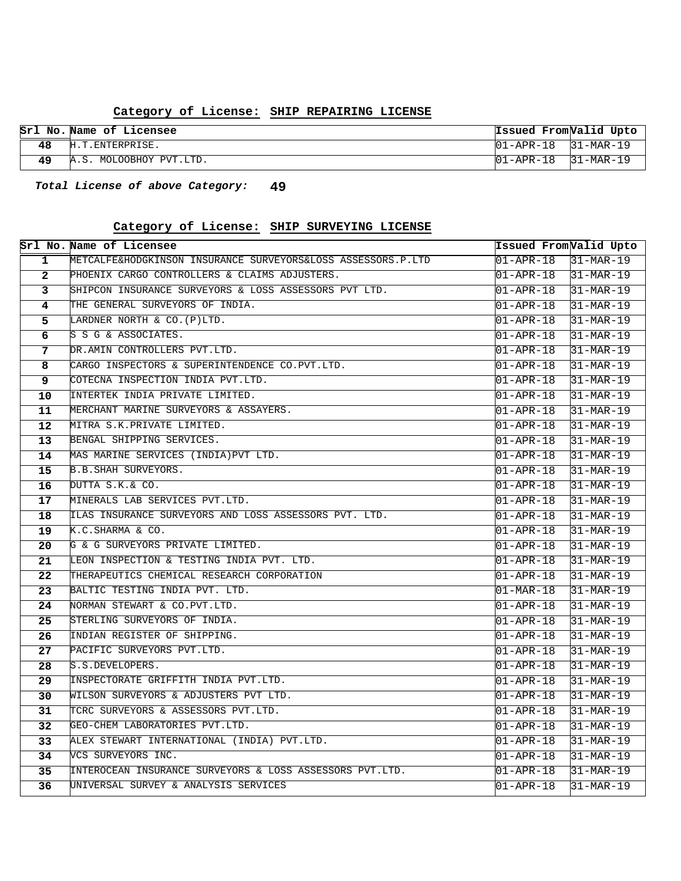#### **SHIP REPAIRING LICENSE Category of License:**

| Srl No. Name of Licensee | Issued From Valid Upto |           |
|--------------------------|------------------------|-----------|
| H.T.ENTERPRISE.          | 101-APR-18             | 31-MAR-19 |
| MOLOOBHOY PVT.LTD.       |                        |           |

**49 Total License of above Category:**

#### **SHIP SURVEYING LICENSE Category of License:**

|                         | Srl No. Name of Licensee                                     |                                   | Issued From Valid Upto   |
|-------------------------|--------------------------------------------------------------|-----------------------------------|--------------------------|
| $\overline{1}$          | METCALFE&HODGKINSON INSURANCE SURVEYORS&LOSS ASSESSORS.P.LTD | 01-APR-18                         | $31-MAR-19$              |
| $\overline{2}$          | PHOENIX CARGO CONTROLLERS & CLAIMS ADJUSTERS.                | $01 - APR - 18$                   | $31-MAR-19$              |
| 3                       | SHIPCON INSURANCE SURVEYORS & LOSS ASSESSORS PVT LTD.        | $01 - APR - 18$                   | $31-MAR-19$              |
| $\overline{\mathbf{4}}$ | THE GENERAL SURVEYORS OF INDIA.                              | $01 - APR - 18$                   | $31-MAR-19$              |
| 5                       | LARDNER NORTH & CO. (P)LTD.                                  | 01-APR-18                         | $31-MAR-19$              |
| 6                       | S S G & ASSOCIATES.                                          | $01 - APR - 18$                   | $31-MAR-19$              |
| 7                       | DR.AMIN CONTROLLERS PVT.LTD.                                 | $01 - APR - 18$                   | $31-MAR-19$              |
| 8                       | CARGO INSPECTORS & SUPERINTENDENCE CO.PVT.LTD.               | 01-APR-18                         | $31-MAR-19$              |
| 9                       | COTECNA INSPECTION INDIA PVT.LTD.                            | 01-APR-18                         | $31-MAR-19$              |
| 10                      | INTERTEK INDIA PRIVATE LIMITED.                              | 01-APR-18                         | $ 31 - \text{MAR} - 19 $ |
| 11                      | MERCHANT MARINE SURVEYORS & ASSAYERS.                        | $01 - APR - 18$                   | $31-MAR-19$              |
| 12                      | MITRA S.K.PRIVATE LIMITED.                                   | $01 - APR - 18$                   | $31-MAR-19$              |
| 13                      | BENGAL SHIPPING SERVICES.                                    | 01-APR-18                         | $ 31 - \text{MAR} - 19 $ |
| 14                      | MAS MARINE SERVICES (INDIA) PVT LTD.                         | 01-APR-18                         | $ 31 - \text{MAR} - 19 $ |
| 15                      | <b>B.B. SHAH SURVEYORS.</b>                                  | $01 - APR - 18$                   | $31-MAR-19$              |
| 16                      | DUTTA S.K.& CO.                                              | $01 - APR - 18$                   | $31-MAR-19$              |
| 17                      | MINERALS LAB SERVICES PVT.LTD.                               | $01 - APR - 18$                   | $31-MAR-19$              |
| 18                      | ILAS INSURANCE SURVEYORS AND LOSS ASSESSORS PVT. LTD.        | $01 - APR - 18$                   | $ 31 - MAR - 19 $        |
| 19                      | K.C.SHARMA & CO.                                             | $01 - APR - 18$                   | $31 - \text{MAR} - 19$   |
| 20                      | G & G SURVEYORS PRIVATE LIMITED.                             | $01 - APR - 18$                   | $31-MAR-19$              |
| 21                      | LEON INSPECTION & TESTING INDIA PVT. LTD.                    | $01 - APR - 18$                   | $31-MAR-19$              |
| 22                      | THERAPEUTICS CHEMICAL RESEARCH CORPORATION                   | $01 - APR - 18$                   | $31-MAR-19$              |
| 23                      | BALTIC TESTING INDIA PVT. LTD.                               | 01-MAR-18                         | $31-MAR-19$              |
| 24                      | NORMAN STEWART & CO.PVT.LTD.                                 | 01-APR-18                         | $31-MAR-19$              |
| 25                      | STERLING SURVEYORS OF INDIA.                                 | 01-APR-18                         | $31 - \text{MAR} - 19$   |
| 26                      | INDIAN REGISTER OF SHIPPING.                                 | 01-APR-18                         | $31 - \text{MAR} - 19$   |
| 27                      | PACIFIC SURVEYORS PVT.LTD.                                   | 01-APR-18                         | $31-MAR-19$              |
| 28                      | S.S.DEVELOPERS.                                              | $01 - APR - 18$                   | $31 - \text{MAR} - 19$   |
| 29                      | INSPECTORATE GRIFFITH INDIA PVT.LTD.                         | 01-APR-18                         | $31-MAR-19$              |
| 30                      | WILSON SURVEYORS & ADJUSTERS PVT LTD.                        | 01-APR-18                         | $31 - \text{MAR} - 19$   |
| 31                      | TCRC SURVEYORS & ASSESSORS PVT.LTD.                          | 01-APR-18                         | $31 - \text{MAR} - 19$   |
| 32                      | GEO-CHEM LABORATORIES PVT.LTD.                               | $\overline{01 - \text{APR} - 18}$ | $31 - \text{MAR} - 19$   |
| 33                      | ALEX STEWART INTERNATIONAL (INDIA) PVT.LTD.                  | 01-APR-18                         | $31-MAR-19$              |
| 34                      | VCS SURVEYORS INC.                                           | $01 - APR - 18$                   | $31 - \text{MAR} - 19$   |
| 35                      | INTEROCEAN INSURANCE SURVEYORS & LOSS ASSESSORS PVT.LTD.     | 01-APR-18                         | $31 - \text{MAR} - 19$   |
| 36                      | UNIVERSAL SURVEY & ANALYSIS SERVICES                         | $01 - APR - 18$                   | $31 - \text{MAR} - 19$   |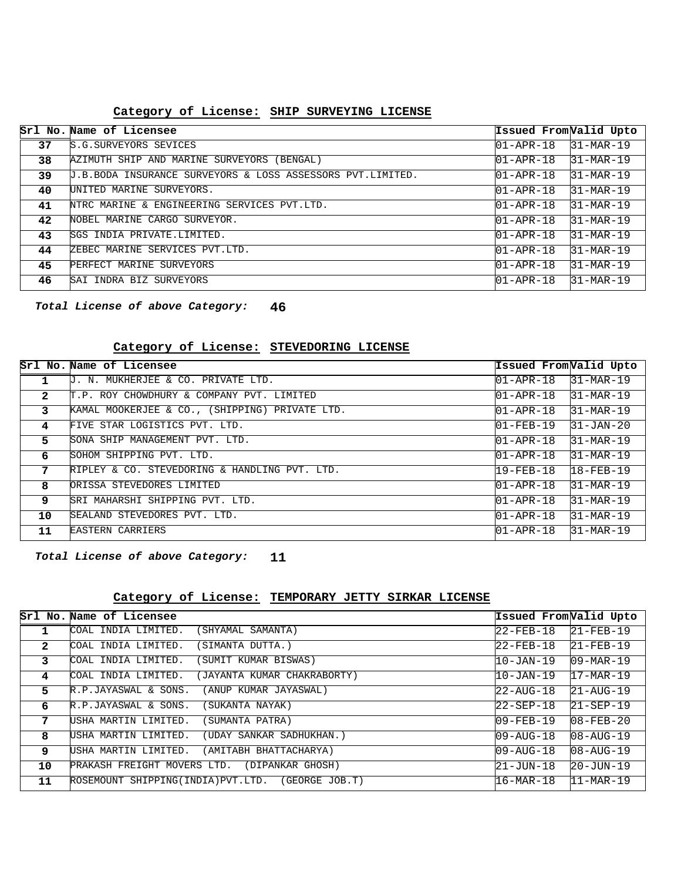#### **SHIP SURVEYING LICENSE Category of License:**

|    | Srl No. Name of Licensee                                   | Issued From Valid Upto |                        |
|----|------------------------------------------------------------|------------------------|------------------------|
| 37 | S.G. SURVEYORS SEVICES                                     | $01 - APR - 18$        | $31-MAR-19$            |
| 38 | AZIMUTH SHIP AND MARINE SURVEYORS<br>(BENGAL)              | $01 - APR - 18$        | $31-MAR-19$            |
| 39 | J.B.BODA INSURANCE SURVEYORS & LOSS ASSESSORS PVT.LIMITED. | $01 - APR - 18$        | $31-MAR-19$            |
| 40 | UNITED MARINE SURVEYORS.                                   | $01 - APR - 18$        | $31-MAR-19$            |
| 41 | NTRC MARINE & ENGINEERING SERVICES PVT.LTD.                | $01 - APR - 18$        | $31-MAR-19$            |
| 42 | NOBEL MARINE CARGO SURVEYOR.                               | $01 - APR - 18$        | $31-MAR-19$            |
| 43 | ISGS INDIA PRIVATE.LIMITED.                                | $01 - APR - 18$        | $31-MAR-19$            |
| 44 | ZEBEC MARINE SERVICES PVT.LTD.                             | $01 - APR - 18$        | $31-MAR-19$            |
| 45 | PERFECT MARINE<br>SURVEYORS                                | $01 - APR - 18$        | $31 - \text{MAR} - 19$ |
| 46 | SAI INDRA BIZ SURVEYORS                                    | $01 - APR - 18$        | $31-MAR-19$            |

**46 Total License of above Category:**

#### **STEVEDORING LICENSE Category of License:**

|              | Srl No. Name of Licensee                       | Issued FromValid Upto |                 |
|--------------|------------------------------------------------|-----------------------|-----------------|
|              | U. N. MUKHERJEE & CO. PRIVATE LTD.             | $01 - APR - 18$       | $31-MAR-19$     |
| $\mathbf{2}$ | T.P. ROY CHOWDHURY & COMPANY PVT. LIMITED      | $ 01 - APR - 18 $     | $31-MAR-19$     |
| 3            | KAMAL MOOKERJEE & CO., (SHIPPING) PRIVATE LTD. | $01 - APR - 18$       | $31-MAR-19$     |
| 4            | FIVE STAR LOGISTICS PVT. LTD.                  | $01 - FEB - 19$       | $31 - JAN - 20$ |
| 5.           | SONA SHIP MANAGEMENT PVT. LTD.                 | $01 - APR - 18$       | $31-MAR-19$     |
| 6            | SOHOM SHIPPING PVT. LTD.                       | $01 - APR - 18$       | $31-MAR-19$     |
| 7            | RIPLEY & CO. STEVEDORING & HANDLING PVT. LTD.  | 19-FEB-18             | $18 - FEB - 19$ |
| 8            | ORISSA STEVEDORES LIMITED                      | $01 - APR - 18$       | $31-MAR-19$     |
| 9            | SRI MAHARSHI SHIPPING PVT. LTD.                | $01 - APR - 18$       | $31-MAR-19$     |
| 10           | SEALAND STEVEDORES PVT. LTD.                   | $01 - APR - 18$       | $31-MAR-19$     |
| 11           | <b>EASTERN CARRIERS</b>                        | $01 - APR - 18$       | $31-MAR-19$     |

**11 Total License of above Category:**

#### **TEMPORARY JETTY SIRKAR LICENSE Category of License:**

|              | Srl No. Name of Licensee                           | Issued FromValid Upto                   |                         |
|--------------|----------------------------------------------------|-----------------------------------------|-------------------------|
|              | COAL INDIA LIMITED.<br>(SHYAMAL SAMANTA)           | 22-FEB-18                               | $\overline{21}$ -FEB-19 |
| $\mathbf{2}$ | COAL INDIA LIMITED.<br>(SIMANTA DUTTA.)            | 22-FEB-18                               | $21 - FEB - 19$         |
| 3.           | (SUMIT KUMAR BISWAS)<br>COAL INDIA LIMITED.        | 10-JAN-19                               | $09 - \text{MAR} - 19$  |
| 4            | COAL INDIA LIMITED.<br>(JAYANTA KUMAR CHAKRABORTY) | 10-JAN-19                               | $17 - \text{MAR} - 19$  |
| 5.           | (ANUP KUMAR JAYASWAL)<br>R.P.JAYASWAL & SONS.      | $22 - \text{AUG} - 18$                  | $21 - \text{AUG} - 19$  |
| 6            | (SUKANTA NAYAK)<br>R.P.JAYASWAL & SONS.            | 22-SEP-18                               | $21 - SEP - 19$         |
| 7            | USHA MARTIN LIMITED.<br>(SUMANTA PATRA)            | $109 - FEB - 19$                        | $08 - FEB - 20$         |
| 8            | USHA MARTIN LIMITED.<br>(UDAY SANKAR SADHUKHAN.)   | $109 - \text{AUG} - 18$                 | $08 - \text{AUG} - 19$  |
| 9            | USHA MARTIN LIMITED.<br>(AMITABH BHATTACHARYA)     | $109 - \text{A} \text{U} \text{G} - 18$ | $08 - \text{AUG} - 19$  |
| 10           | PRAKASH FREIGHT MOVERS LTD.<br>(DIPANKAR GHOSH)    | 21-JUN-18                               | $20 - JUN - 19$         |
| 11           | ROSEMOUNT SHIPPING(INDIA)PVT.LTD. (GEORGE JOB.T)   | 16-MAR-18                               | $11-MAR-19$             |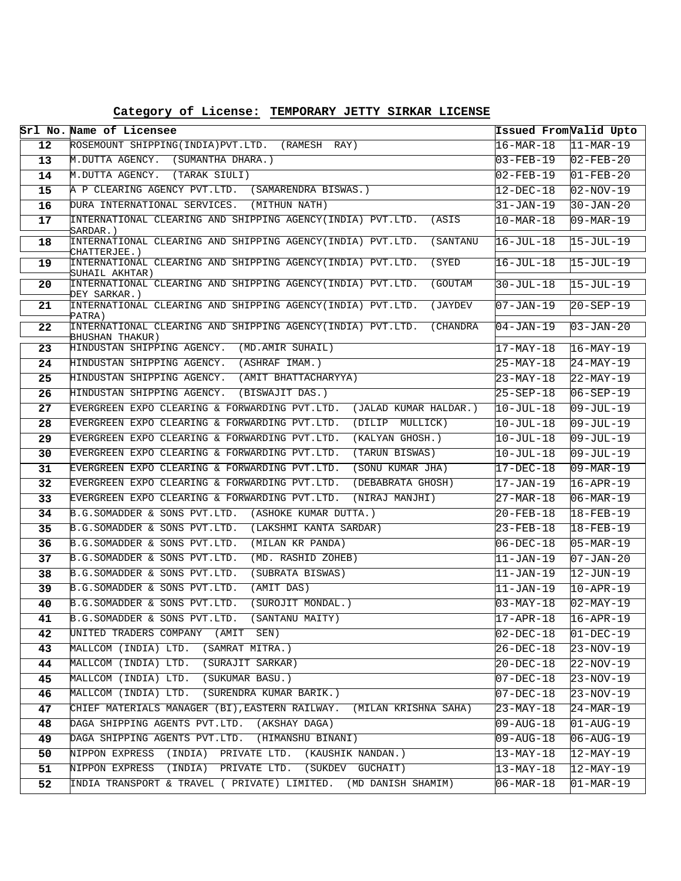|  | Category of License: TEMPORARY JETTY SIRKAR LICENSE |
|--|-----------------------------------------------------|
|--|-----------------------------------------------------|

|                   | Srl No. Name of Licensee                                                               | Issued From Valid Upto |                         |
|-------------------|----------------------------------------------------------------------------------------|------------------------|-------------------------|
| $12 \overline{ }$ | ROSEMOUNT SHIPPING(INDIA) PVT.LTD. (RAMESH RAY)                                        | $16 - \text{MAR} - 18$ | $11-MAR-19$             |
| 13 <sup>°</sup>   | M.DUTTA AGENCY. (SUMANTHA DHARA.)                                                      | $03 - FEB - 19$        | $02 - FEB - 20$         |
| 14                | M.DUTTA AGENCY. (TARAK SIULI)                                                          | $02 - FEB - 19$        | $01 - FEB - 20$         |
| 15                | A P CLEARING AGENCY PVT.LTD. (SAMARENDRA BISWAS.)                                      | $12 - DEC - 18$        | $02 - NOV - 19$         |
| 16                | DURA INTERNATIONAL SERVICES. (MITHUN NATH)                                             | $31 - JAN-19$          | $30 - JAN - 20$         |
| 17                | INTERNATIONAL CLEARING AND SHIPPING AGENCY(INDIA) PVT.LTD. (ASIS<br>SARDAR.)           | $10-MAR-18$            | $09 - \text{MAR} - 19$  |
| 18                | INTERNATIONAL CLEARING AND SHIPPING AGENCY(INDIA) PVT.LTD. (SANTANU<br>CHATTERJEE.)    | $16 - JUL - 18$        | $15 - JUL - 19$         |
| 19                | INTERNATIONAL CLEARING AND SHIPPING AGENCY(INDIA) PVT.LTD.<br>(SYED<br>SUHAIL AKHTAR)  | $16 - JUL - 18$        | $15 - JUL - 19$         |
| 20                | INTERNATIONAL CLEARING AND SHIPPING AGENCY(INDIA) PVT.LTD.<br>(GOUTAM<br>DEY SARKAR.)  | $30 - JUL - 18$        | $15 - JUL - 19$         |
| 21                | INTERNATIONAL CLEARING AND SHIPPING AGENCY(INDIA) PVT.LTD. (JAYDEV<br>PATRA)           | $07 - JAN - 19$        | $20 - SEP - 19$         |
| 22                | INTERNATIONAL CLEARING AND SHIPPING AGENCY(INDIA) PVT.LTD. (CHANDRA<br>BHUSHAN THAKUR) | $04 - JAN - 19$        | $03 - JAN - 20$         |
| 23                | HINDUSTAN SHIPPING AGENCY. (MD.AMIR SUHAIL)                                            | $17 - \text{MAX} - 18$ | $16 - \text{MAX} - 19$  |
| 24                | HINDUSTAN SHIPPING AGENCY. (ASHRAF IMAM.)                                              | $25-MAY-18$            | $24-MAY-19$             |
| 25                | HINDUSTAN SHIPPING AGENCY. (AMIT BHATTACHARYYA)                                        | $23 - MAX - 18$        | $22-MAY-19$             |
| 26                | HINDUSTAN SHIPPING AGENCY. (BISWAJIT DAS.)                                             | $25 - SEP - 18$        | $06 - SEP - 19$         |
| 27                | EVERGREEN EXPO CLEARING & FORWARDING PVT.LTD.<br>(JALAD KUMAR HALDAR.)                 | $10-JUL-18$            | $09 - JUL - 19$         |
| 28                | EVERGREEN EXPO CLEARING & FORWARDING PVT.LTD.<br>(DILIP MULLICK)                       | 10-JUL-18              | $09 - JUL - 19$         |
| 29                | EVERGREEN EXPO CLEARING & FORWARDING PVT.LTD.<br>(KALYAN GHOSH.)                       | $10 - JUL - 18$        | $09 - JUL - 19$         |
| 30                | EVERGREEN EXPO CLEARING & FORWARDING PVT.LTD. (TARUN BISWAS)                           | $10 - JUL - 18$        | $09 - JUL - 19$         |
| 31                | EVERGREEN EXPO CLEARING & FORWARDING PVT.LTD.<br>(SONU KUMAR JHA)                      | $17 - DEC - 18$        | $09 - \text{MAR} - 19$  |
| 32                | EVERGREEN EXPO CLEARING & FORWARDING PVT.LTD.<br>(DEBABRATA GHOSH)                     | 17-JAN-19              | $16 - APR - 19$         |
| 33                | EVERGREEN EXPO CLEARING & FORWARDING PVT.LTD.<br>(NIRAJ MANJHI)                        | $27 - \text{MAR} - 18$ | $06 - \text{MAR} - 19$  |
| 34                | B.G.SOMADDER & SONS PVT.LTD. (ASHOKE KUMAR DUTTA.)                                     | $20 - FEB - 18$        | $18 - FEB - 19$         |
| 35                | B.G.SOMADDER & SONS PVT.LTD. (LAKSHMI KANTA SARDAR)                                    | $23 - FEB - 18$        | $18 - FEB - 19$         |
| 36                | B.G.SOMADDER & SONS PVT.LTD.<br>(MILAN KR PANDA)                                       | $06 - DEC - 18$        | $05-MAR-19$             |
| 37                | B.G.SOMADDER & SONS PVT.LTD.<br>(MD. RASHID ZOHEB)                                     | $11 - JAN-19$          | $07 - JAN - 20$         |
| 38                | B.G.SOMADDER & SONS PVT.LTD.<br>(SUBRATA BISWAS)                                       | $11 - JAN-19$          | $ 12 - JUN - 19 $       |
| 39                | B.G.SOMADDER & SONS PVT.LTD.<br>(AMIT DAS)                                             | 11-JAN-19              | $10 - APR - 19$         |
| 40                | B.G.SOMADDER & SONS PVT.LTD.<br>(SUROJIT MONDAL.)                                      | $03 - MAX - 18$        | $02 - MAX-19$           |
| 41                | B.G.SOMADDER & SONS PVT.LTD.<br>(SANTANU MAITY)                                        | $17 - APR - 18$        | $16 - APR - 19$         |
| 42                | UNITED TRADERS COMPANY (AMIT SEN)                                                      | $02 - DEC - 18$        | $01 - DEC - 19$         |
| 43                | MALLCOM (INDIA) LTD. (SAMRAT MITRA.)                                                   | $26 - DEC - 18$        | $23 - NOV - 19$         |
| 44                | MALLCOM (INDIA) LTD. (SURAJIT SARKAR)                                                  | $20 - DEC - 18$        | $22-NOV-19$             |
| 45                | MALLCOM (INDIA) LTD. (SUKUMAR BASU.)                                                   | $07 - DEC - 18$        | $23 - NOV - 19$         |
| 46                | MALLCOM (INDIA) LTD. (SURENDRA KUMAR BARIK.)                                           | 07-DEC-18              | $23-NOV-19$             |
| 47                | CHIEF MATERIALS MANAGER (BI), EASTERN RAILWAY. (MILAN KRISHNA SAHA)                    | $23-MAY-18$            | $24 - \text{MAR} - 19$  |
| 48                | DAGA SHIPPING AGENTS PVT.LTD. (AKSHAY DAGA)                                            | $09 - \text{AUG} - 18$ | $01 - \text{AUG} - 19$  |
| 49                | DAGA SHIPPING AGENTS PVT.LTD. (HIMANSHU BINANI)                                        | $09 - \text{AUG} - 18$ | $06 - AUG - 19$         |
| 50                | NIPPON EXPRESS (INDIA) PRIVATE LTD. (KAUSHIK NANDAN.)                                  | $13 - \text{MAX} - 18$ | $\overline{12}$ -MAY-19 |
| 51                | NIPPON EXPRESS (INDIA) PRIVATE LTD. (SUKDEV GUCHAIT)                                   | $13 - MAX-18$          | 12-MAY-19               |
| 52                | INDIA TRANSPORT & TRAVEL ( PRIVATE) LIMITED. (MD DANISH SHAMIM)                        | $06 - \text{MAR} - 18$ | $01 - \text{MAR} - 19$  |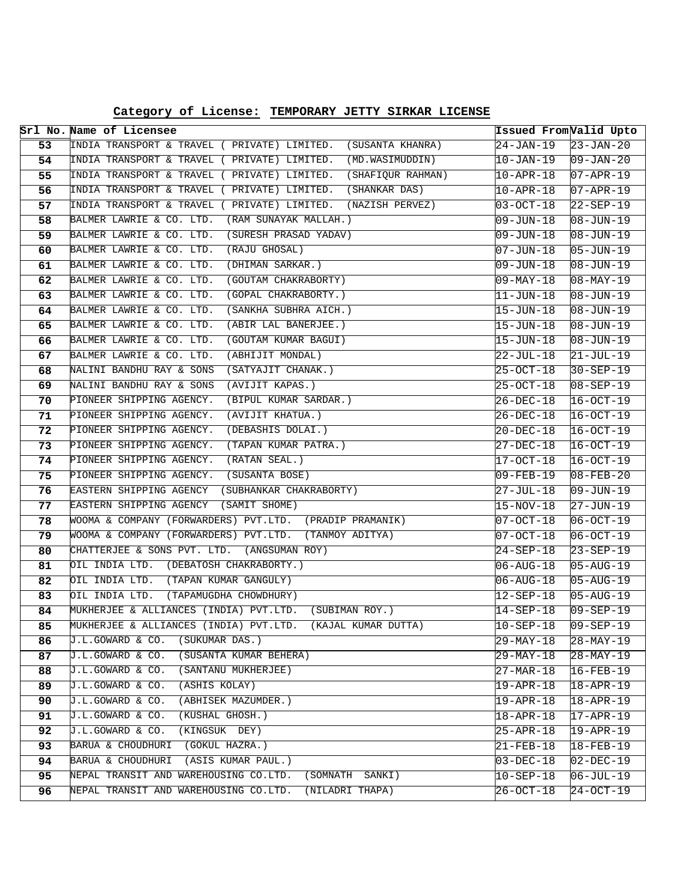**Category of License: TEMPORARY JETTY SIRKAR LICENSE**

|          | Srl No. Name of Licensee                                                                                         | Issued From Valid Upto              |                                                      |
|----------|------------------------------------------------------------------------------------------------------------------|-------------------------------------|------------------------------------------------------|
| 53       | INDIA TRANSPORT & TRAVEL ( PRIVATE) LIMITED. (SUSANTA KHANRA)                                                    | $24 - JAN - 19$                     | $23 - JAN - 20$                                      |
| 54       | (MD.WASIMUDDIN)<br>INDIA TRANSPORT & TRAVEL ( PRIVATE) LIMITED.                                                  | 10-JAN-19                           | $09 - JAN - 20$                                      |
| 55       | INDIA TRANSPORT & TRAVEL ( PRIVATE) LIMITED. (SHAFIQUR RAHMAN)                                                   | $10 - APR - 18$                     | $07 - APR - 19$                                      |
| 56       | INDIA TRANSPORT & TRAVEL ( PRIVATE) LIMITED.<br>(SHANKAR DAS)                                                    | $10 - APR - 18$                     | $07 - APR - 19$                                      |
| 57       | INDIA TRANSPORT & TRAVEL ( PRIVATE) LIMITED.<br>(NAZISH PERVEZ)                                                  | $03 - OCT - 18$                     | $22 - SEP - 19$                                      |
| 58       | BALMER LAWRIE & CO. LTD.<br>(RAM SUNAYAK MALLAH.)                                                                | 09-JUN-18                           | $ 08 - JUN - 19 $                                    |
| 59       | BALMER LAWRIE & CO. LTD. (SURESH PRASAD YADAV)                                                                   | $09 - JUN - 18$                     | $08 - JUN - 19$                                      |
| 60       | BALMER LAWRIE & CO. LTD.<br>(RAJU GHOSAL)                                                                        | $07 - JUN - 18$                     | $ 05 - JUN - 19 $                                    |
| 61       | BALMER LAWRIE & CO. LTD.<br>(DHIMAN SARKAR.)                                                                     | 09-JUN-18                           | $08 - JUN - 19$                                      |
| 62       | BALMER LAWRIE & CO. LTD.<br>(GOUTAM CHAKRABORTY)                                                                 | 09-MAY-18                           | $08 - \text{MAX} - 19$                               |
| 63       | BALMER LAWRIE & CO. LTD.<br>(GOPAL CHAKRABORTY.)                                                                 | 11-JUN-18                           | $ 08 - JUN - 19 $                                    |
| 64       | BALMER LAWRIE & CO. LTD.<br>(SANKHA SUBHRA AICH.)                                                                | 15-JUN-18                           | $ 08 - JUN - 19 $                                    |
| 65       | BALMER LAWRIE & CO. LTD.<br>(ABIR LAL BANERJEE.)                                                                 | $15 - JUN - 18$                     | $08 - JUN - 19$                                      |
| 66       | BALMER LAWRIE & CO. LTD.<br>(GOUTAM KUMAR BAGUI)                                                                 | $15 - JUN - 18$                     | $08 - JUN - 19$                                      |
| 67       | BALMER LAWRIE & CO. LTD.<br>(ABHIJIT MONDAL)                                                                     | 22-JUL-18                           | $21 - JUL-19$                                        |
| 68       | NALINI BANDHU RAY & SONS<br>(SATYAJIT CHANAK.)                                                                   | 25-OCT-18                           | $30 - SEP - 19$                                      |
| 69       | NALINI BANDHU RAY & SONS<br>(AVIJIT KAPAS.)                                                                      | $25 - OCT - 18$                     | $08 - SEP - 19$                                      |
| 70       | PIONEER SHIPPING AGENCY.<br>(BIPUL KUMAR SARDAR.)                                                                | 26-DEC-18                           | $16-0CT-19$                                          |
| 71       | PIONEER SHIPPING AGENCY.<br>(AVIJIT KHATUA.)                                                                     | 26-DEC-18                           | $16-0CT-19$                                          |
| 72       | PIONEER SHIPPING AGENCY.<br>(DEBASHIS DOLAI.)                                                                    | 20-DEC-18                           | 16-OCT-19                                            |
| 73       | PIONEER SHIPPING AGENCY.<br>(TAPAN KUMAR PATRA.)                                                                 | 27-DEC-18                           | $16-0CT-19$                                          |
| 74       | PIONEER SHIPPING AGENCY.<br>(RATAN SEAL.)                                                                        | 17-OCT-18                           | $16-0CT-19$                                          |
| 75       | PIONEER SHIPPING AGENCY. (SUSANTA BOSE)                                                                          | $09 - FEB - 19$                     | $08 - FEB - 20$                                      |
| 76       | EASTERN SHIPPING AGENCY (SUBHANKAR CHAKRABORTY)                                                                  | 27-JUL-18                           | $ 09 - JUN - 19 $                                    |
| 77       | EASTERN SHIPPING AGENCY (SAMIT SHOME)                                                                            | 15-NOV-18                           | $27 - JUN - 19$                                      |
| 78       | WOOMA & COMPANY (FORWARDERS) PVT.LTD. (PRADIP PRAMANIK)<br>WOOMA & COMPANY (FORWARDERS) PVT.LTD. (TANMOY ADITYA) | $ 07-OCT-18 $                       | $ 06-OCT-19 $                                        |
| 79       | CHATTERJEE & SONS PVT. LTD. (ANGSUMAN ROY)                                                                       | $ 07-OCT-18 $                       | $06-0CT-19$                                          |
| 80       | OIL INDIA LTD. (DEBATOSH CHAKRABORTY.)                                                                           | 24-SEP-18                           | $23 - SEP - 19$                                      |
| 81<br>82 | OIL INDIA LTD. (TAPAN KUMAR GANGULY)                                                                             | $06 - \text{AUG} - 18$              | $05 - \text{AUG} - 19$                               |
| 83       | OIL INDIA LTD. (TAPAMUGDHA CHOWDHURY)                                                                            | $06 - \text{AUG} - 18$<br>12-SEP-18 | $ 05 - \text{AUG} - 19 $<br>$ 05 - \text{AUG} - 19 $ |
| 84       | MUKHERJEE & ALLIANCES (INDIA) PVT.LTD. (SUBIMAN ROY.)                                                            | $14 - SEP - 18$                     | 09-SEP-19                                            |
| 85       | MUKHERJEE & ALLIANCES (INDIA) PVT.LTD. (KAJAL KUMAR DUTTA)                                                       | $10-SEP-18$                         | $09 - SEP - 19$                                      |
| 86       | J.L.GOWARD & CO.<br>(SUKUMAR DAS.)                                                                               | 29-MAY-18                           | 28-MAY-19                                            |
| 87       | (SUSANTA KUMAR BEHERA)<br>J.L.GOWARD & CO.                                                                       | 29-MAY-18                           | 28-MAY-19                                            |
| 88       | J.L.GOWARD & CO.<br>(SANTANU MUKHERJEE)                                                                          | 27-MAR-18                           | 16-FEB-19                                            |
| 89       | J.L.GOWARD & CO.<br>(ASHIS KOLAY)                                                                                | 19-APR-18                           | $18 - APR - 19$                                      |
| 90       | J.L.GOWARD & CO.<br>(ABHISEK MAZUMDER.)                                                                          | 19-APR-18                           | $18 - APR - 19$                                      |
| 91       | (KUSHAL GHOSH.)<br>J.L.GOWARD & CO.                                                                              | $18 - APR - 18$                     | $17 - APR - 19$                                      |
| 92       | J.L.GOWARD & CO.<br>(KINGSUK DEY)                                                                                | 25-APR-18                           | 19-APR-19                                            |
| 93       | BARUA & CHOUDHURI<br>(GOKUL HAZRA.)                                                                              | $21 - FEB - 18$                     | $18 - FEB - 19$                                      |
| 94       | (ASIS KUMAR PAUL.)<br>BARUA & CHOUDHURI                                                                          | $03-DEC-18$                         | $02 - DEC - 19$                                      |
| 95       | NEPAL TRANSIT AND WAREHOUSING CO.LTD.<br>(SOMNATH SANKI)                                                         | $10 - SEP - 18$                     | $06 - JUL - 19$                                      |
| 96       | NEPAL TRANSIT AND WAREHOUSING CO.LTD.<br>(NILADRI THAPA)                                                         | 26-OCT-18                           | 24-OCT-19                                            |
|          |                                                                                                                  |                                     |                                                      |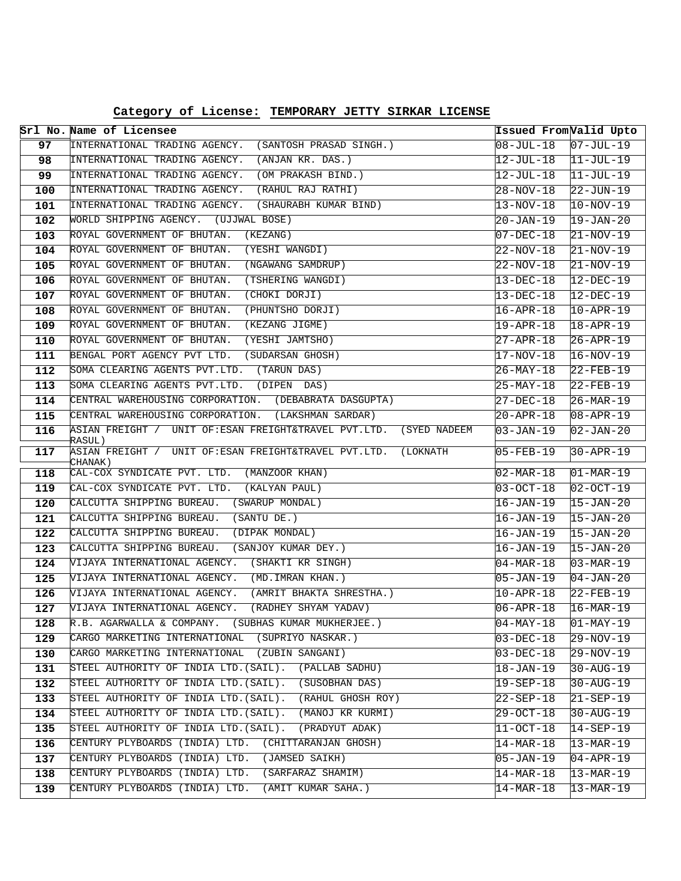|     | Srl No. Name of Licensee                                                       | Issued From Valid Upto |                        |
|-----|--------------------------------------------------------------------------------|------------------------|------------------------|
| 97  | INTERNATIONAL TRADING AGENCY. (SANTOSH PRASAD SINGH.)                          | 08-JUL-18              | $07 - JUL - 19$        |
| 98  | INTERNATIONAL TRADING AGENCY. (ANJAN KR. DAS.)                                 | 12-JUL-18              | $11-JUL-19$            |
| 99  | INTERNATIONAL TRADING AGENCY. (OM PRAKASH BIND.)                               | 12-JUL-18              | $11$ -JUL-19           |
| 100 | INTERNATIONAL TRADING AGENCY. (RAHUL RAJ RATHI)                                | 28-NOV-18              | $22 - JUN - 19$        |
| 101 | INTERNATIONAL TRADING AGENCY. (SHAURABH KUMAR BIND)                            | $13 - NOV - 18$        | $10-NOV-19$            |
| 102 | WORLD SHIPPING AGENCY. (UJJWAL BOSE)                                           | 20-JAN-19              | $19 - JAN - 20$        |
| 103 | ROYAL GOVERNMENT OF BHUTAN. (KEZANG)                                           | $07 - DEC - 18$        | $21 - NOV - 19$        |
| 104 | ROYAL GOVERNMENT OF BHUTAN.<br>(YESHI WANGDI)                                  | 22-NOV-18              | $21-NOV-19$            |
| 105 | ROYAL GOVERNMENT OF BHUTAN.<br>(NGAWANG SAMDRUP)                               | 22-NOV-18              | $21-NOV-19$            |
| 106 | (TSHERING WANGDI)<br>ROYAL GOVERNMENT OF BHUTAN.                               | $13 - DEC - 18$        | $12-DEC-19$            |
| 107 | ROYAL GOVERNMENT OF BHUTAN. (CHOKI DORJI)                                      | $13 - DEC - 18$        | $12 - DEC - 19$        |
| 108 | ROYAL GOVERNMENT OF BHUTAN.<br>(PHUNTSHO DORJI)                                | 16-APR-18              | $10 - APR - 19$        |
| 109 | ROYAL GOVERNMENT OF BHUTAN.<br>(KEZANG JIGME)                                  | 19-APR-18              | $18 - APR - 19$        |
| 110 | ROYAL GOVERNMENT OF BHUTAN.<br>(YESHI JAMTSHO)                                 | 27-APR-18              | $26 - APR - 19$        |
| 111 | BENGAL PORT AGENCY PVT LTD. (SUDARSAN GHOSH)                                   | 17-NOV-18              | $16 - NOV - 19$        |
| 112 | SOMA CLEARING AGENTS PVT.LTD. (TARUN DAS)                                      | 26-MAY-18              | $22$ -FEB-19           |
| 113 | SOMA CLEARING AGENTS PVT.LTD. (DIPEN DAS)                                      | 25-MAY-18              | $22$ -FEB-19           |
| 114 | CENTRAL WAREHOUSING CORPORATION. (DEBABRATA DASGUPTA)                          | 27-DEC-18              | $26 - MAR - 19$        |
| 115 | CENTRAL WAREHOUSING CORPORATION. (LAKSHMAN SARDAR)                             | 20-APR-18              | $08 - APR - 19$        |
| 116 | ASIAN FREIGHT / UNIT OF:ESAN FREIGHT&TRAVEL PVT.LTD.<br>(SYED NADEEM<br>RASUL) | 03-JAN-19              | $02 - JAN - 20$        |
| 117 | ASIAN FREIGHT / UNIT OF:ESAN FREIGHT&TRAVEL PVT.LTD.<br>(LOKNATH<br>CHANAK)    | 05-FEB-19              | $30 - APR - 19$        |
| 118 | CAL-COX SYNDICATE PVT. LTD. (MANZOOR KHAN)                                     | $02 - \text{MAR} - 18$ | $01 - \text{MAR} - 19$ |
| 119 | CAL-COX SYNDICATE PVT. LTD. (KALYAN PAUL)                                      | $03-OCT-18$            | $02 - OCT - 19$        |
| 120 | CALCUTTA SHIPPING BUREAU. (SWARUP MONDAL)                                      | 16-JAN-19              | $15 - JAN - 20$        |
| 121 | CALCUTTA SHIPPING BUREAU.<br>(SANTU DE.)                                       | 16-JAN-19              | $15 - JAN - 20$        |
| 122 | CALCUTTA SHIPPING BUREAU.<br>(DIPAK MONDAL)                                    | 16-JAN-19              | $15 - JAN - 20$        |
| 123 | CALCUTTA SHIPPING BUREAU. (SANJOY KUMAR DEY.)                                  | 16-JAN-19              | $15 - JAN - 20$        |
| 124 | VIJAYA INTERNATIONAL AGENCY. (SHAKTI KR SINGH)                                 | $04 - \text{MAR} - 18$ | $03 - \text{MAR} - 19$ |
| 125 | VIJAYA INTERNATIONAL AGENCY.<br>(MD. IMRAN KHAN.)                              | 05-JAN-19              | $04 - JAN - 20$        |
| 126 | VIJAYA INTERNATIONAL AGENCY.<br>(AMRIT BHAKTA SHRESTHA.)                       | $10 - APR - 18$        | $22$ -FEB-19           |
| 127 | VIJAYA INTERNATIONAL AGENCY.<br>(RADHEY SHYAM YADAV)                           | 06-APR-18              | $16 - \text{MAR} - 19$ |
| 128 | R.B. AGARWALLA & COMPANY. (SUBHAS KUMAR MUKHERJEE.)                            | $04 - MAX - 18$        | Ol-MAY-19              |
| 129 | CARGO MARKETING INTERNATIONAL (SUPRIYO NASKAR.)                                | 03-DEC-18              | $29-NOV-19$            |
| 130 | CARGO MARKETING INTERNATIONAL (ZUBIN SANGANI)                                  | $03-DEC-18$            | $29 - NOV - 19$        |
| 131 | STEEL AUTHORITY OF INDIA LTD. (SAIL). (PALLAB SADHU)                           | 18-JAN-19              | $30 - \text{AUG} - 19$ |
| 132 | STEEL AUTHORITY OF INDIA LTD. (SAIL). (SUSOBHAN DAS)                           | 19-SEP-18              | $30 - \text{AUG} - 19$ |
| 133 | STEEL AUTHORITY OF INDIA LTD. (SAIL). (RAHUL GHOSH ROY)                        | 22-SEP-18              | $21 - SEP - 19$        |
| 134 | STEEL AUTHORITY OF INDIA LTD. (SAIL). (MANOJ KR KURMI)                         | 29-OCT-18              | $30 - \text{AUG} - 19$ |
| 135 | STEEL AUTHORITY OF INDIA LTD. (SAIL). (PRADYUT ADAK)                           | $11 - OCT - 18$        | $14 - SEP - 19$        |
| 136 | CENTURY PLYBOARDS (INDIA) LTD. (CHITTARANJAN GHOSH)                            | 14-MAR-18              | 13-MAR-19              |
| 137 | CENTURY PLYBOARDS (INDIA) LTD. (JAMSED SAIKH)                                  | 05-JAN-19              | $04 - APR - 19$        |
| 138 | CENTURY PLYBOARDS (INDIA) LTD. (SARFARAZ SHAMIM)                               | $14 - \text{MAR} - 18$ | $13 - \text{MAR} - 19$ |
| 139 | CENTURY PLYBOARDS (INDIA) LTD.<br>(AMIT KUMAR SAHA.)                           | 14-MAR-18              | 13-MAR-19              |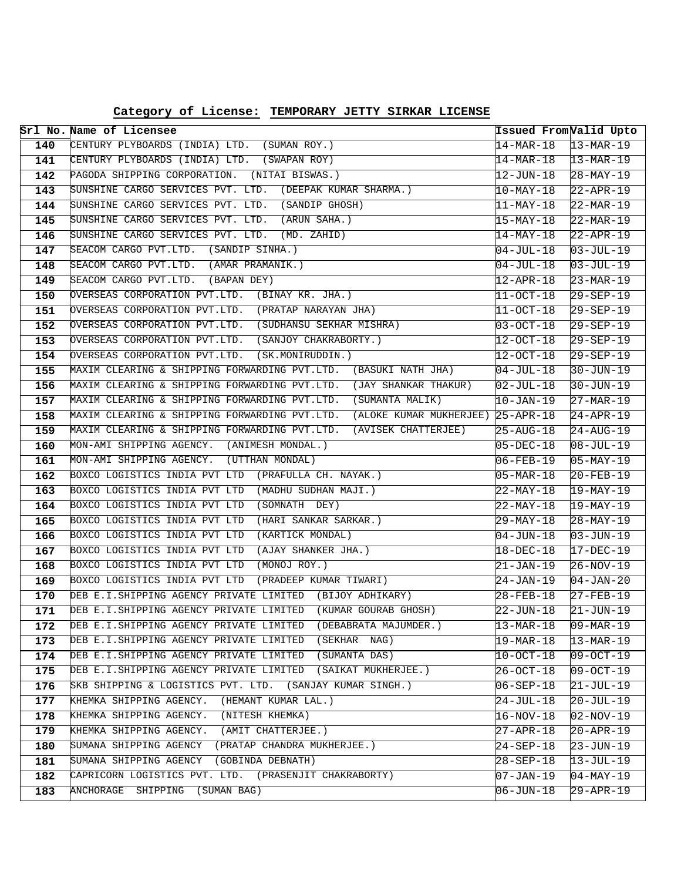**Category of License: TEMPORARY JETTY SIRKAR LICENSE**

|            | Srl No. Name of Licensee                                                                                  | Issued From Valid Upto       |                                    |
|------------|-----------------------------------------------------------------------------------------------------------|------------------------------|------------------------------------|
| 140        | CENTURY PLYBOARDS (INDIA) LTD. (SUMAN ROY.)                                                               | $14-MAR-18$                  | $13-MAR-19$                        |
| 141        | CENTURY PLYBOARDS (INDIA) LTD. (SWAPAN ROY)                                                               | 14-MAR-18                    | $ 13 - MAR - 19 $                  |
| 142        | PAGODA SHIPPING CORPORATION. (NITAI BISWAS.)                                                              | 12-JUN-18                    | $28 - \text{MAX} - 19$             |
| 143        | SUNSHINE CARGO SERVICES PVT. LTD. (DEEPAK KUMAR SHARMA.)                                                  | 10-MAY-18                    | $22 - APR - 19$                    |
| 144        | SUNSHINE CARGO SERVICES PVT. LTD. (SANDIP GHOSH)                                                          | 11-MAY-18                    | $22-MAR-19$                        |
| 145        | SUNSHINE CARGO SERVICES PVT. LTD. (ARUN SAHA.)                                                            | 15-MAY-18                    | $22 - \text{MAR} - 19$             |
| 146        | SUNSHINE CARGO SERVICES PVT. LTD. (MD. ZAHID)                                                             | 14-MAY-18                    | $22 - APR - 19$                    |
| 147        | SEACOM CARGO PVT.LTD. (SANDIP SINHA.)                                                                     | 04-JUL-18                    | $03 - JUL - 19$                    |
| 148        | SEACOM CARGO PVT.LTD. (AMAR PRAMANIK.)                                                                    | 04-JUL-18                    | $03 - JUL - 19$                    |
| 149        | SEACOM CARGO PVT.LTD. (BAPAN DEY)                                                                         | 12-APR-18                    | $23 - \text{MAR} - 19$             |
| 150        | OVERSEAS CORPORATION PVT.LTD. (BINAY KR. JHA.)                                                            | 11-OCT-18                    | $29 - SEP - 19$                    |
| 151        | OVERSEAS CORPORATION PVT.LTD. (PRATAP NARAYAN JHA)                                                        | 11-OCT-18                    | $29 - SEP - 19$                    |
| 152        | OVERSEAS CORPORATION PVT.LTD. (SUDHANSU SEKHAR MISHRA)                                                    | $03 - OCT - 18$              | $29 - SEP - 19$                    |
| 153        | OVERSEAS CORPORATION PVT.LTD. (SANJOY CHAKRABORTY.)                                                       | 12-OCT-18                    | $29 - SEP - 19$                    |
| 154        | OVERSEAS CORPORATION PVT.LTD. (SK.MONIRUDDIN.)                                                            | 12-OCT-18                    | $29 - SEP - 19$                    |
| 155        | MAXIM CLEARING & SHIPPING FORWARDING PVT.LTD. (BASUKI NATH JHA)                                           | 04-JUL-18                    | $30 - JUN - 19$                    |
| 156        | MAXIM CLEARING & SHIPPING FORWARDING PVT.LTD. (JAY SHANKAR THAKUR)                                        | $02 - JUL-18$                | $30 - JUN - 19$                    |
| 157        | MAXIM CLEARING & SHIPPING FORWARDING PVT.LTD. (SUMANTA MALIK)                                             | $10 - JAN-19$                | $27 - \text{MAR} - 19$             |
| 158        | MAXIM CLEARING & SHIPPING FORWARDING PVT.LTD. (ALOKE KUMAR MUKHERJEE) 25-APR-18                           |                              | $24 - APR - 19$                    |
| 159        | MAXIM CLEARING & SHIPPING FORWARDING PVT.LTD.<br>(AVISEK CHATTERJEE)                                      | 25-AUG-18                    | $24 - \text{AUG}-19$               |
| 160        | MON-AMI SHIPPING AGENCY. (ANIMESH MONDAL.)                                                                | $05 - DEC - 18$              | $08 - JUL - 19$                    |
| 161        | MON-AMI SHIPPING AGENCY. (UTTHAN MONDAL)                                                                  | 06-FEB-19                    | $05 - MAX - 19$                    |
| 162        | BOXCO LOGISTICS INDIA PVT LTD (PRAFULLA CH. NAYAK.)                                                       | 05-MAR-18                    | $20 - FEB - 19$                    |
| 163        | BOXCO LOGISTICS INDIA PVT LTD (MADHU SUDHAN MAJI.)                                                        | 22-MAY-18                    | $19 - \text{MAX} - 19$             |
| 164        | BOXCO LOGISTICS INDIA PVT LTD (SOMNATH DEY)                                                               | 22-MAY-18                    | $19-MAY-19$                        |
| 165        | BOXCO LOGISTICS INDIA PVT LTD (HARI SANKAR SARKAR.)                                                       | 29-MAY-18                    | $28 - \text{MAX} - 19$             |
| 166        | BOXCO LOGISTICS INDIA PVT LTD<br>(KARTICK MONDAL)                                                         | 04-JUN-18                    | $03 - JUN - 19$                    |
| 167        | BOXCO LOGISTICS INDIA PVT LTD<br>(AJAY SHANKER JHA.)                                                      | 18-DEC-18                    | $17 - DEC - 19$                    |
| 168        | BOXCO LOGISTICS INDIA PVT LTD<br>(MONOJ ROY.)                                                             | 21-JAN-19                    | $26 - NOV - 19$                    |
| 169        | BOXCO LOGISTICS INDIA PVT LTD<br>(PRADEEP KUMAR TIWARI)                                                   | 24-JAN-19                    | $04 - JAN - 20$                    |
| 170        | DEB E.I.SHIPPING AGENCY PRIVATE LIMITED (BIJOY ADHIKARY)                                                  | $28 - FEB - 18$              | $27 - FEB - 19$                    |
| 171        | DEB E.I.SHIPPING AGENCY PRIVATE LIMITED (KUMAR GOURAB GHOSH)                                              | 22-JUN-18                    | $21 - JUN-19$                      |
| 172        | DEB E.I.SHIPPING AGENCY PRIVATE LIMITED<br>(DEBABRATA MAJUMDER.)<br>(SEKHAR NAG)                          | 13-MAR-18                    | $09 - \text{MAR} - 19$             |
| 173        | DEB E.I.SHIPPING AGENCY PRIVATE LIMITED<br>(SUMANTA DAS)                                                  | 19-MAR-18                    | $13 - \text{MAR} - 19$             |
| 174        | DEB E.I.SHIPPING AGENCY PRIVATE LIMITED<br>DEB E.I.SHIPPING AGENCY PRIVATE LIMITED<br>(SAIKAT MUKHERJEE.) | 10-OCT-18                    | $09-0CT-19$                        |
| 175        | SKB SHIPPING & LOGISTICS PVT. LTD. (SANJAY KUMAR SINGH.)                                                  | 26-OCT-18                    | $ 09-0CT-19 $                      |
| 176        |                                                                                                           | $06 - SEP - 18$              | $21 - JUL - 19$                    |
| 177<br>178 | KHEMKA SHIPPING AGENCY.<br>(HEMANT KUMAR LAL.)<br>(NITESH KHEMKA)<br>KHEMKA SHIPPING AGENCY.              | 24-JUL-18<br>$16 - NOV - 18$ | $20 - JUL - 19$<br>$02 - NOV - 19$ |
|            | (AMIT CHATTERJEE.)                                                                                        |                              |                                    |
| 179<br>180 | KHEMKA SHIPPING AGENCY.<br>SUMANA SHIPPING AGENCY<br>(PRATAP CHANDRA MUKHERJEE.)                          | $27 - APR - 18$              | $20 - APR - 19$<br>$23 - JUN - 19$ |
| 181        | SUMANA SHIPPING AGENCY<br>(GOBINDA DEBNATH)                                                               | 24-SEP-18                    |                                    |
| 182        | CAPRICORN LOGISTICS PVT. LTD. (PRASENJIT CHAKRABORTY)                                                     | 28-SEP-18                    | $13 - JUL - 19$<br>$04 - MAX - 19$ |
|            | ANCHORAGE SHIPPING (SUMAN BAG)                                                                            | 07-JAN-19                    |                                    |
| 183        |                                                                                                           | 06-JUN-18                    | $29 - APR - 19$                    |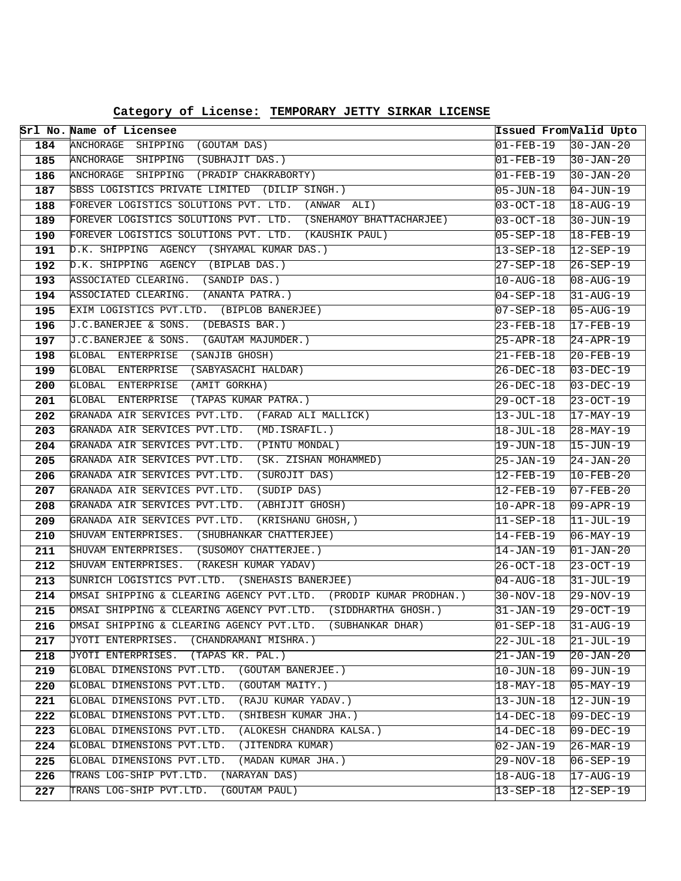| Category of License: TEMPORARY JETTY SIRKAR LICENSE |  |  |  |  |
|-----------------------------------------------------|--|--|--|--|
|-----------------------------------------------------|--|--|--|--|

|     | Srl No. Name of Licensee                                          | Issued From Valid Upto   |                                   |
|-----|-------------------------------------------------------------------|--------------------------|-----------------------------------|
| 184 | ANCHORAGE SHIPPING (GOUTAM DAS)                                   | $01 - FEB - 19$          | $30 - JAN - 20$                   |
| 185 | ANCHORAGE SHIPPING (SUBHAJIT DAS.)                                | $01 - FEB - 19$          | $30 - JAN - 20$                   |
| 186 | ANCHORAGE SHIPPING (PRADIP CHAKRABORTY)                           | $01 - FEB - 19$          | $30 - JAN - 20$                   |
| 187 | SBSS LOGISTICS PRIVATE LIMITED (DILIP SINGH.)                     | 05-JUN-18                | $04 - JUN-19$                     |
| 188 | FOREVER LOGISTICS SOLUTIONS PVT. LTD. (ANWAR ALI)                 | $03 - OCT - 18$          | $18 - AUG - 19$                   |
| 189 | FOREVER LOGISTICS SOLUTIONS PVT. LTD. (SNEHAMOY BHATTACHARJEE)    | $ 03 - OCT - 18 $        | 30-JUN-19                         |
| 190 | FOREVER LOGISTICS SOLUTIONS PVT. LTD. (KAUSHIK PAUL)              | $05 - SEP - 18$          | $18 - FEB - 19$                   |
| 191 | D.K. SHIPPING AGENCY (SHYAMAL KUMAR DAS.)                         | 13-SEP-18                | $12 - SEP - 19$                   |
| 192 | D.K. SHIPPING AGENCY (BIPLAB DAS.)                                | $27 - SEP - 18$          | $26 - SEP - 19$                   |
| 193 | ASSOCIATED CLEARING. (SANDIP DAS.)                                | $10 - \text{AUG} - 18$   | $ 08 - \text{AUG} - 19 $          |
| 194 | (ANANTA PATRA.)<br>ASSOCIATED CLEARING.                           | $04 - SEP - 18$          | $31 - \text{AUG} - 19$            |
| 195 | EXIM LOGISTICS PVT.LTD. (BIPLOB BANERJEE)                         | $07 - SEP - 18$          | $05 - \text{AUG} - 19$            |
| 196 | J.C.BANERJEE & SONS.<br>(DEBASIS BAR.)                            | $23 - FEB - 18$          | $17 - FEB - 19$                   |
| 197 | J.C.BANERJEE & SONS. (GAUTAM MAJUMDER.)                           | $25 - APR - 18$          | $24 - APR - 19$                   |
| 198 | GLOBAL ENTERPRISE (SANJIB GHOSH)                                  | $21 - FEB - 18$          | $20 - FEB - 19$                   |
| 199 | GLOBAL ENTERPRISE (SABYASACHI HALDAR)                             | 26-DEC-18                | $03-DEC-19$                       |
| 200 | GLOBAL ENTERPRISE (AMIT GORKHA)                                   | $26 - DEC - 18$          | $03-DEC-19$                       |
| 201 | GLOBAL ENTERPRISE (TAPAS KUMAR PATRA.)                            | 29-OCT-18                | $23 - OCT - 19$                   |
| 202 | GRANADA AIR SERVICES PVT.LTD. (FARAD ALI MALLICK)                 | $13 - JUL - 18$          | $17 - \text{MAX} - 19$            |
| 203 | GRANADA AIR SERVICES PVT.LTD. (MD.ISRAFIL.)                       | 18-JUL-18                | $28 - MAX - 19$                   |
| 204 | GRANADA AIR SERVICES PVT.LTD.<br>(PINTU MONDAL)                   | 19-JUN-18                | $15 - JUN - 19$                   |
| 205 | (SK. ZISHAN MOHAMMED)<br>GRANADA AIR SERVICES PVT.LTD.            | 25-JAN-19                | $24 - JAN - 20$                   |
| 206 | GRANADA AIR SERVICES PVT.LTD.<br>(SUROJIT DAS)                    | 12-FEB-19                | $10-FEB-20$                       |
| 207 | (SUDIP DAS)<br>GRANADA AIR SERVICES PVT.LTD.                      | 12-FEB-19                | $07 - FEB - 20$                   |
| 208 | GRANADA AIR SERVICES PVT.LTD. (ABHIJIT GHOSH)                     | $10 - APR - 18$          | $09 - APR - 19$                   |
| 209 | GRANADA AIR SERVICES PVT.LTD. (KRISHANU GHOSH,)                   | $ 11 - \text{SEP} - 18 $ | $11-JUL-19$                       |
| 210 | SHUVAM ENTERPRISES. (SHUBHANKAR CHATTERJEE)                       | 14-FEB-19                | $06 - MAX - 19$                   |
| 211 | SHUVAM ENTERPRISES. (SUSOMOY CHATTERJEE.)                         | 14-JAN-19                | $01 - JAN - 20$                   |
| 212 | SHUVAM ENTERPRISES. (RAKESH KUMAR YADAV)                          | $26 - OCT - 18$          | $23 - OCT - 19$                   |
| 213 | SUNRICH LOGISTICS PVT.LTD. (SNEHASIS BANERJEE)                    | $04 - AUG - 18$          | $31 - JUL - 19$                   |
| 214 | OMSAI SHIPPING & CLEARING AGENCY PVT.LTD. (PRODIP KUMAR PRODHAN.) | $30 - NOV - 18$          | 29-NOV-19                         |
| 215 | OMSAI SHIPPING & CLEARING AGENCY PVT.LTD. (SIDDHARTHA GHOSH.)     | 31-JAN-19                | $29-0CT-19$                       |
| 216 | OMSAI SHIPPING & CLEARING AGENCY PVT.LTD.<br>(SUBHANKAR DHAR)     | $01 - SEP - 18$          | $31 - \text{AUG}-19$              |
| 217 | JYOTI ENTERPRISES.<br>(CHANDRAMANI MISHRA.)                       | $22 - JUL - 18$          | $21 - JUL - 19$                   |
| 218 | (TAPAS KR. PAL.)<br>JYOTI ENTERPRISES.                            | $21 - JAN - 19$          | $20 - JAN - 20$                   |
| 219 | GLOBAL DIMENSIONS PVT.LTD.<br>(GOUTAM BANERJEE.)                  | $10 - JUN - 18$          | 09-JUN-19                         |
| 220 | GLOBAL DIMENSIONS PVT.LTD.<br>(GOUTAM MAITY.)                     | $18 - \text{MAX} - 18$   | $05 - \text{MAX} - 19$            |
| 221 | GLOBAL DIMENSIONS PVT.LTD.<br>(RAJU KUMAR YADAV.)                 | $13 - JUN-18$            | $ 12$ -JUN-19                     |
| 222 | GLOBAL DIMENSIONS PVT.LTD.<br>(SHIBESH KUMAR JHA.)                | 14-DEC-18                | $\overline{09} - \text{DEC} - 19$ |
| 223 | GLOBAL DIMENSIONS PVT.LTD.<br>(ALOKESH CHANDRA KALSA.)            | 14-DEC-18                | 09-DEC-19                         |
| 224 | GLOBAL DIMENSIONS PVT.LTD.<br>(JITENDRA KUMAR)                    | $02 - JAN - 19$          | $26 - \text{MAR} - 19$            |
| 225 | GLOBAL DIMENSIONS PVT.LTD.<br>(MADAN KUMAR JHA.)                  | $29 - NOV - 18$          | 06-SEP-19                         |
| 226 | TRANS LOG-SHIP PVT.LTD.<br>(NARAYAN DAS)                          | $18 - \text{AUG} - 18$   | $17 - \text{AUG}-19$              |
| 227 | TRANS LOG-SHIP PVT.LTD.<br>(GOUTAM PAUL)                          | $13 - SEP - 18$          | $12 - SEP - 19$                   |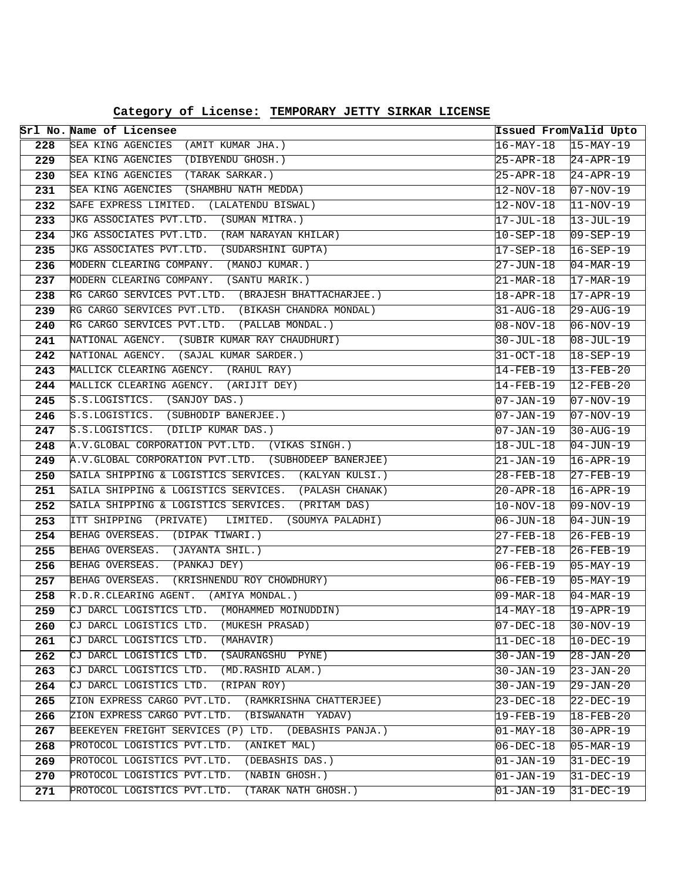|            | Srl No. Name of Licensee                                                              | Issued From Valid Upto              |                                     |
|------------|---------------------------------------------------------------------------------------|-------------------------------------|-------------------------------------|
| 228        | SEA KING AGENCIES (AMIT KUMAR JHA.)                                                   | 16-MAY-18                           | $15-MAY-19$                         |
| 229        | SEA KING AGENCIES (DIBYENDU GHOSH.)                                                   | 25-APR-18                           | $24 - APR - 19$                     |
| 230        | SEA KING AGENCIES (TARAK SARKAR.)                                                     | 25-APR-18                           | $24 - APR - 19$                     |
| 231        | SEA KING AGENCIES (SHAMBHU NATH MEDDA)                                                | 12-NOV-18                           | $07 - NOV - 19$                     |
| 232        | SAFE EXPRESS LIMITED. (LALATENDU BISWAL)                                              | $12 - NOV - 18$                     | $11-NOV-19$                         |
| 233        | JKG ASSOCIATES PVT.LTD. (SUMAN MITRA.)                                                | $17 - JUL-18$                       | $13 - JUL-19$                       |
| 234        | JKG ASSOCIATES PVT.LTD. (RAM NARAYAN KHILAR)                                          | $10 - SEP - 18$                     | $09 - SEP - 19$                     |
| 235        | JKG ASSOCIATES PVT.LTD. (SUDARSHINI GUPTA)                                            | $17 - SEP - 18$                     | 16-SEP-19                           |
| 236        | MODERN CLEARING COMPANY. (MANOJ KUMAR.)                                               | 27-JUN-18                           | $04 - \text{MAR} - 19$              |
| 237        | MODERN CLEARING COMPANY. (SANTU MARIK.)                                               | 21-MAR-18                           | $17 - \text{MAR} - 19$              |
| 238        | RG CARGO SERVICES PVT.LTD. (BRAJESH BHATTACHARJEE.)                                   | 18-APR-18                           | $17 - APR - 19$                     |
| 239        | RG CARGO SERVICES PVT.LTD. (BIKASH CHANDRA MONDAL)                                    | $31 - \text{AUG} - 18$              | 29-AUG-19                           |
| 240        | RG CARGO SERVICES PVT.LTD. (PALLAB MONDAL.)                                           | 08-NOV-18                           | $06 - NOV - 19$                     |
| 241        | NATIONAL AGENCY. (SUBIR KUMAR RAY CHAUDHURI)                                          | $30 - JUL - 18$                     | $08 - JUL - 19$                     |
| 242        | NATIONAL AGENCY. (SAJAL KUMAR SARDER.)                                                | $31 - OCT - 18$                     | $18 - SEP - 19$                     |
| 243        | MALLICK CLEARING AGENCY. (RAHUL RAY)                                                  | 14-FEB-19                           | $13 - FEB - 20$                     |
| 244        | MALLICK CLEARING AGENCY. (ARIJIT DEY)                                                 | 14-FEB-19                           | $12 - FEB - 20$                     |
| 245        | S.S.LOGISTICS. (SANJOY DAS.)                                                          | $07 - JAN-19$                       | $07 - NOV - 19$                     |
| 246        | S.S.LOGISTICS. (SUBHODIP BANERJEE.)                                                   | 07-JAN-19                           | $07 - NOV - 19$                     |
| 247        | S.S.LOGISTICS. (DILIP KUMAR DAS.)                                                     | 07-JAN-19                           | $30 - \text{AUG} - 19$              |
| 248        | A.V.GLOBAL CORPORATION PVT.LTD. (VIKAS SINGH.)                                        | 18-JUL-18                           | 04-JUN-19                           |
| 249        | A.V.GLOBAL CORPORATION PVT.LTD. (SUBHODEEP BANERJEE)                                  | 21-JAN-19                           | $16 - APR - 19$                     |
| 250        | SAILA SHIPPING & LOGISTICS SERVICES. (KALYAN KULSI.)                                  | 28-FEB-18                           | $27 - FEB - 19$                     |
| 251        | SAILA SHIPPING & LOGISTICS SERVICES. (PALASH CHANAK)                                  | 20-APR-18                           | $16 - APR - 19$                     |
| 252        | SAILA SHIPPING & LOGISTICS SERVICES. (PRITAM DAS)                                     | 10-NOV-18                           | 09-NOV-19                           |
| 253        | ITT SHIPPING (PRIVATE) LIMITED. (SOUMYA PALADHI)                                      | $06 - JUN - 18$                     | $04 - JUN - 19$                     |
| 254        | BEHAG OVERSEAS. (DIPAK TIWARI.)                                                       | 27-FEB-18                           | $26 - FEB - 19$                     |
| 255        | BEHAG OVERSEAS. (JAYANTA SHIL.)                                                       | 27-FEB-18                           | $26 - FEB - 19$                     |
| 256        | BEHAG OVERSEAS. (PANKAJ DEY)                                                          | 06-FEB-19                           | $05 - \text{MAX} - 19$              |
| 257        | BEHAG OVERSEAS. (KRISHNENDU ROY CHOWDHURY)                                            | $06 - FEB - 19$                     | $05-MAY-19$                         |
| 258<br>259 | R.D.R.CLEARING AGENT. (AMIYA MONDAL.)<br>CJ DARCL LOGISTICS LTD. (MOHAMMED MOINUDDIN) | 09-MAR-18<br>$14 - \text{MAX} - 18$ | $04 - \text{MAR} - 19$<br>19-APR-19 |
| 260        | CJ DARCL LOGISTICS LTD.<br>(MUKESH PRASAD)                                            | $07-DEC-18$                         | $30 - NOV - 19$                     |
| 261        | CJ DARCL LOGISTICS LTD.<br>(MAHAVIR)                                                  | 11-DEC-18                           | $10-DEC-19$                         |
| 262        | CJ DARCL LOGISTICS LTD.<br>(SAURANGSHU PYNE)                                          | 30-JAN-19                           | $28 - JAN - 20$                     |
| 263        | (MD.RASHID ALAM.)<br>CJ DARCL LOGISTICS LTD.                                          | 30-JAN-19                           | $23 - JAN - 20$                     |
| 264        | CJ DARCL LOGISTICS LTD.<br>(RIPAN ROY)                                                | $30 - JAN - 19$                     | 29-JAN-20                           |
| 265        | ZION EXPRESS CARGO PVT.LTD.<br>(RAMKRISHNA CHATTERJEE)                                | $23-DEC-18$                         | $22-DEC-19$                         |
| 266        | ZION EXPRESS CARGO PVT.LTD. (BISWANATH YADAV)                                         | $19 - FEB - 19$                     | $18 - FEB - 20$                     |
| 267        | BEEKEYEN FREIGHT SERVICES (P) LTD. (DEBASHIS PANJA.)                                  | $01 - \text{MAX} - 18$              | 30-APR-19                           |
| 268        | PROTOCOL LOGISTICS PVT.LTD.<br>(ANIKET MAL)                                           | $06 - DEC - 18$                     | $05 - \text{MAR} - 19$              |
| 269        | PROTOCOL LOGISTICS PVT.LTD.<br>(DEBASHIS DAS.)                                        | $01 - JAN - 19$                     | $31 - DEC - 19$                     |
| 270        | PROTOCOL LOGISTICS PVT.LTD.<br>(NABIN GHOSH.)                                         | $01 - JAN - 19$                     | 31-DEC-19                           |
| 271        | PROTOCOL LOGISTICS PVT.LTD.<br>(TARAK NATH GHOSH.)                                    | $01 - JAN - 19$                     | 31-DEC-19                           |
|            |                                                                                       |                                     |                                     |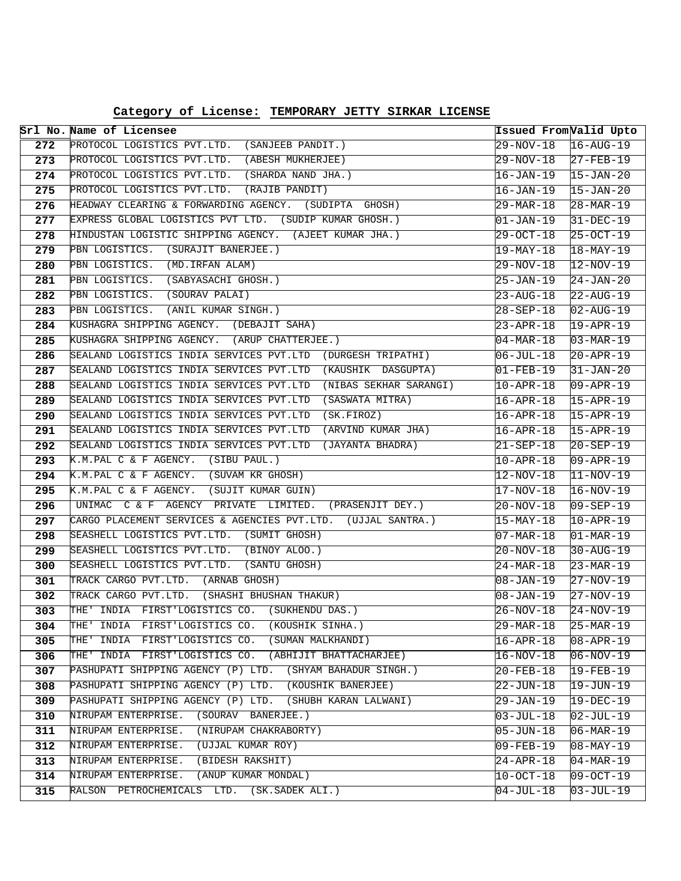|            | Srl No. Name of Licensee                                                                                      |                              | Issued From Valid Upto |
|------------|---------------------------------------------------------------------------------------------------------------|------------------------------|------------------------|
| 272        | PROTOCOL LOGISTICS PVT.LTD. (SANJEEB PANDIT.)                                                                 | 29-NOV-18                    | $16 - \text{AUG} - 19$ |
| 273        | PROTOCOL LOGISTICS PVT.LTD. (ABESH MUKHERJEE)                                                                 | 29-NOV-18                    | $27 - FEB - 19$        |
| 274        | PROTOCOL LOGISTICS PVT.LTD. (SHARDA NAND JHA.)                                                                | 16-JAN-19                    | $15 - JAN - 20$        |
| 275        | PROTOCOL LOGISTICS PVT.LTD. (RAJIB PANDIT)                                                                    | 16-JAN-19                    | $15 - JAN - 20$        |
| 276        | HEADWAY CLEARING & FORWARDING AGENCY. (SUDIPTA GHOSH)                                                         | 29-MAR-18                    | $28 - \text{MAR} - 19$ |
| 277        | EXPRESS GLOBAL LOGISTICS PVT LTD. (SUDIP KUMAR GHOSH.)                                                        | 01-JAN-19                    | $31 - DEC - 19$        |
| 278        | HINDUSTAN LOGISTIC SHIPPING AGENCY. (AJEET KUMAR JHA.)                                                        | 29-OCT-18                    | $25-0CT-19$            |
| 279        | PBN LOGISTICS. (SURAJIT BANERJEE.)                                                                            | 19-MAY-18                    | $18 - \text{MAX} - 19$ |
| 280        | PBN LOGISTICS. (MD. IRFAN ALAM)                                                                               | 29-NOV-18                    | $12-NOV-19$            |
| 281        | PBN LOGISTICS. (SABYASACHI GHOSH.)                                                                            | 25-JAN-19                    | $24 - JAN - 20$        |
| 282        | PBN LOGISTICS. (SOURAV PALAI)                                                                                 | 23-AUG-18                    | $22 - \text{AUG}-19$   |
| 283        | PBN LOGISTICS. (ANIL KUMAR SINGH.)                                                                            | 28-SEP-18                    | $02 - \text{AUG} - 19$ |
| 284        | KUSHAGRA SHIPPING AGENCY. (DEBAJIT SAHA)                                                                      | 23-APR-18                    | $19 - APR - 19$        |
| 285        | KUSHAGRA SHIPPING AGENCY. (ARUP CHATTERJEE.)                                                                  | 04-MAR-18                    | $03 - \text{MAR} - 19$ |
| 286        | SEALAND LOGISTICS INDIA SERVICES PVT.LTD (DURGESH TRIPATHI)                                                   | $06 - JUL-18$                | $20 - APR - 19$        |
| 287        | SEALAND LOGISTICS INDIA SERVICES PVT.LTD (KAUSHIK DASGUPTA)                                                   | 01-FEB-19                    | $31 - JAN - 20$        |
| 288        | SEALAND LOGISTICS INDIA SERVICES PVT.LTD (NIBAS SEKHAR SARANGI)                                               | 10-APR-18                    | $09 - APR - 19$        |
| 289        | SEALAND LOGISTICS INDIA SERVICES PVT.LTD (SASWATA MITRA)                                                      | $16 - APR - 18$              | $15 - APR - 19$        |
| 290        | SEALAND LOGISTICS INDIA SERVICES PVT.LTD (SK.FIROZ)                                                           | 16-APR-18                    | $15 - APR - 19$        |
| 291        | SEALAND LOGISTICS INDIA SERVICES PVT.LTD (ARVIND KUMAR JHA)                                                   | 16-APR-18                    | $15 - APR - 19$        |
| 292        | SEALAND LOGISTICS INDIA SERVICES PVT.LTD (JAYANTA BHADRA)                                                     | 21-SEP-18                    | $20 - SEP - 19$        |
| 293        | K.M.PAL C & F AGENCY. (SIBU PAUL.)                                                                            | 10-APR-18                    | $09 - APR - 19$        |
| 294        | K.M.PAL C & F AGENCY. (SUVAM KR GHOSH)                                                                        | 12-NOV-18                    | $11-NOV-19$            |
| 295        | K.M.PAL C & F AGENCY. (SUJIT KUMAR GUIN)                                                                      | 17-NOV-18                    | $16-NOV-19$            |
| 296        | UNIMAC C & F AGENCY PRIVATE LIMITED. (PRASENJIT DEY.)                                                         | 20-NOV-18                    | $09 - SEP - 19$        |
| 297        | CARGO PLACEMENT SERVICES & AGENCIES PVT.LTD. (UJJAL SANTRA.)                                                  | $15 - \text{MAX} - 18$       | $10 - APR - 19$        |
| 298        | SEASHELL LOGISTICS PVT.LTD. (SUMIT GHOSH)                                                                     | 07-MAR-18                    | 01-MAR-19              |
| 299        | SEASHELL LOGISTICS PVT.LTD. (BINOY ALOO.)                                                                     | 20-NOV-18                    | $30 - \text{AUG} - 19$ |
| 300        | SEASHELL LOGISTICS PVT.LTD. (SANTU GHOSH)                                                                     | 24-MAR-18                    | $23 - \text{MAR} - 19$ |
| 301        | TRACK CARGO PVT.LTD. (ARNAB GHOSH)                                                                            | 08-JAN-19                    | $27-NOV-19$            |
| 302        | TRACK CARGO PVT.LTD. (SHASHI BHUSHAN THAKUR)                                                                  | 08-JAN-19                    | 27-NOV-19              |
| 303.       | THE' INDIA FIRST'LOGISTICS CO. (SUKHENDU DAS.)                                                                | 26-NOV-18                    | $24-NOV-19$            |
| 304        | (KOUSHIK SINHA.)<br>THE' INDIA FIRST'LOGISTICS CO.<br>THE '<br>INDIA FIRST'LOGISTICS CO.<br>(SUMAN MALKHANDI) | 29-MAR-18                    | $25 - \text{MAR} - 19$ |
| 305<br>306 | (ABHIJIT BHATTACHARJEE)<br>THE' INDIA FIRST'LOGISTICS CO.                                                     | $16 - APR - 18$              | $08 - APR - 19$        |
| 307        | PASHUPATI SHIPPING AGENCY (P) LTD. (SHYAM BAHADUR SINGH.)                                                     | 16-NOV-18                    | $06 - NOV - 19$        |
| 308        | PASHUPATI SHIPPING AGENCY (P) LTD. (KOUSHIK BANERJEE)                                                         | $20 - FEB - 18$<br>22-JUN-18 | 19-FEB-19<br>19-JUN-19 |
| 309        | PASHUPATI SHIPPING AGENCY (P) LTD. (SHUBH KARAN LALWANI)                                                      |                              | $19 - DEC - 19$        |
| 310        | NIRUPAM ENTERPRISE. (SOURAV BANERJEE.)                                                                        | 29-JAN-19<br>03-JUL-18       | $02 - JUL-19$          |
| 311        | (NIRUPAM CHAKRABORTY)<br>NIRUPAM ENTERPRISE.                                                                  | 05-JUN-18                    | $\sqrt{06 - MAR - 19}$ |
| 312        | NIRUPAM ENTERPRISE.<br>(UJJAL KUMAR ROY)                                                                      | 09-FEB-19                    | $08 - \text{MAX} - 19$ |
| 313        | NIRUPAM ENTERPRISE.<br>(BIDESH RAKSHIT)                                                                       | $24 - APR - 18$              | $04 - \text{MAR} - 19$ |
| 314        | NIRUPAM ENTERPRISE. (ANUP KUMAR MONDAL)                                                                       | 10-OCT-18                    | 109-OCT-19             |
| 315        | RALSON PETROCHEMICALS LTD. (SK.SADEK ALI.)                                                                    | 04-JUL-18                    | $03 - JUL-19$          |
|            |                                                                                                               |                              |                        |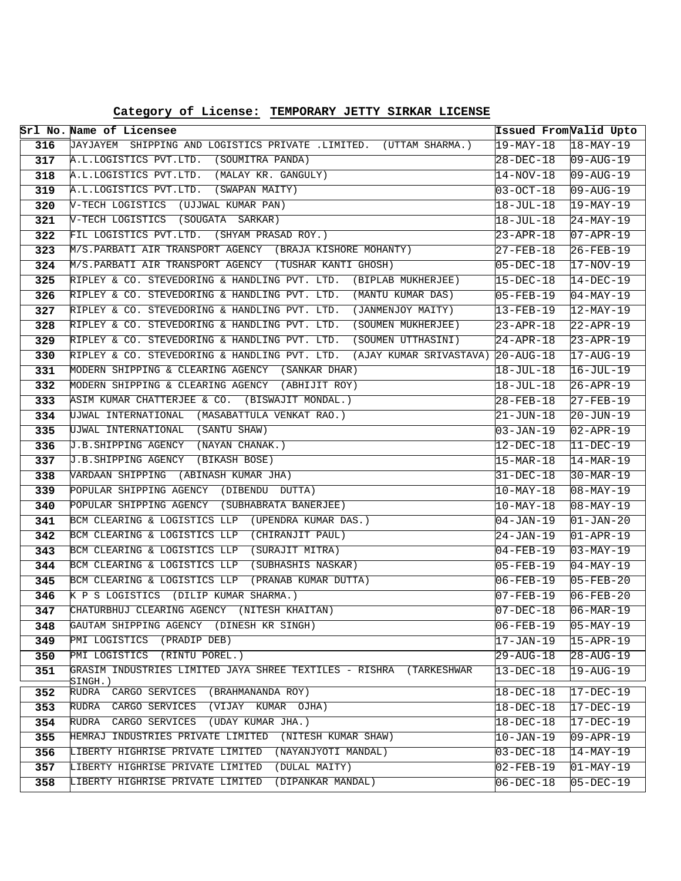|     | Srl No. Name of Licensee                                                        | Issued From Valid Upto |                                   |
|-----|---------------------------------------------------------------------------------|------------------------|-----------------------------------|
| 316 | JAYJAYEM SHIPPING AND LOGISTICS PRIVATE .LIMITED. (UTTAM SHARMA.)               | $19 - \text{MAX} - 18$ | $18 - \text{MAX} - 19$            |
| 317 | A.L.LOGISTICS PVT.LTD. (SOUMITRA PANDA)                                         | 28-DEC-18              | $ 09 - \text{AUG} - 19 $          |
| 318 | A.L.LOGISTICS PVT.LTD. (MALAY KR. GANGULY)                                      | 14-NOV-18              | $09 - \text{AUG} - 19$            |
| 319 | A.L.LOGISTICS PVT.LTD. (SWAPAN MAITY)                                           | 03-OCT-18              | $09 - \text{AUG} - 19$            |
| 320 | V-TECH LOGISTICS (UJJWAL KUMAR PAN)                                             | 18-JUL-18              | $19-MAY-19$                       |
| 321 | V-TECH LOGISTICS (SOUGATA SARKAR)                                               | $18 - JUL - 18$        | $24 - MAX-19$                     |
| 322 | FIL LOGISTICS PVT.LTD. (SHYAM PRASAD ROY.)                                      | $23 - APR - 18$        | $07 - APR - 19$                   |
| 323 | M/S. PARBATI AIR TRANSPORT AGENCY (BRAJA KISHORE MOHANTY)                       | 27-FEB-18              | $26 - FEB - 19$                   |
| 324 | M/S.PARBATI AIR TRANSPORT AGENCY (TUSHAR KANTI GHOSH)                           | $05 - DEC - 18$        | $17-NOV-19$                       |
| 325 | RIPLEY & CO. STEVEDORING & HANDLING PVT. LTD. (BIPLAB MUKHERJEE)                | $15 - DEC - 18$        | $14-DEC-19$                       |
| 326 | RIPLEY & CO. STEVEDORING & HANDLING PVT. LTD. (MANTU KUMAR DAS)                 | $05 - FEB - 19$        | $04-MAY-19$                       |
| 327 | RIPLEY & CO. STEVEDORING & HANDLING PVT. LTD. (JANMENJOY MAITY)                 | 13-FEB-19              | $12$ -MAY-19                      |
| 328 | RIPLEY & CO. STEVEDORING & HANDLING PVT. LTD.<br>(SOUMEN MUKHERJEE)             | 23-APR-18              | $22 - APR - 19$                   |
| 329 | RIPLEY & CO. STEVEDORING & HANDLING PVT. LTD. (SOUMEN UTTHASINI)                | $24 - APR - 18$        | $23 - APR - 19$                   |
| 330 | RIPLEY & CO. STEVEDORING & HANDLING PVT. LTD. (AJAY KUMAR SRIVASTAVA) 20-AUG-18 |                        | $17 - \text{AUG} - 19$            |
| 331 | MODERN SHIPPING & CLEARING AGENCY (SANKAR DHAR)                                 | $18 - JUL-18$          | $16 - JUL - 19$                   |
| 332 | MODERN SHIPPING & CLEARING AGENCY (ABHIJIT ROY)                                 | 18-JUL-18              | $26 - APR - 19$                   |
| 333 | ASIM KUMAR CHATTERJEE & CO. (BISWAJIT MONDAL.)                                  | $28 - FEB - 18$        | $27 - FEB - 19$                   |
| 334 | UJWAL INTERNATIONAL (MASABATTULA VENKAT RAO.)                                   | $21 - JUN - 18$        | $20 - JUN - 19$                   |
| 335 | UJWAL INTERNATIONAL (SANTU SHAW)                                                | 03-JAN-19              | $02 - APR - 19$                   |
| 336 | J.B.SHIPPING AGENCY (NAYAN CHANAK.)                                             | 12-DEC-18              | $11-DEC-19$                       |
| 337 | J.B.SHIPPING AGENCY (BIKASH BOSE)                                               | $15 - \text{MAR} - 18$ | $14 - \text{MAR} - 19$            |
| 338 | WARDAAN SHIPPING (ABINASH KUMAR JHA)                                            | 31-DEC-18              | $30 - \text{MAR} - 19$            |
| 339 | POPULAR SHIPPING AGENCY (DIBENDU DUTTA)                                         | 10-MAY-18              | $08 - \text{MAX} - 19$            |
| 340 | POPULAR SHIPPING AGENCY (SUBHABRATA BANERJEE)                                   | $10$ -MAY-18           | $\overline{08 - \text{MAX} - 19}$ |
| 341 | BCM CLEARING & LOGISTICS LLP (UPENDRA KUMAR DAS.)                               | $04 - JAN - 19$        | $01 - JAN - 20$                   |
| 342 | BCM CLEARING & LOGISTICS LLP (CHIRANJIT PAUL)                                   | 24-JAN-19              | $ 01 - APR - 19 $                 |
| 343 | BCM CLEARING & LOGISTICS LLP (SURAJIT MITRA)                                    | $04 - FEB - 19$        | $03 - MAX-19$                     |
| 344 | BCM CLEARING & LOGISTICS LLP (SUBHASHIS NASKAR)                                 | 05-FEB-19              | $04 - MAX - 19$                   |
| 345 | BCM CLEARING & LOGISTICS LLP (PRANAB KUMAR DUTTA)                               | $06 - FEB - 19$        | $05 - FEB - 20$                   |
| 346 | K P S LOGISTICS (DILIP KUMAR SHARMA.)                                           | $07 - FEB - 19$        | $06 - FEB - 20$                   |
| 347 | CHATURBHUJ CLEARING AGENCY (NITESH KHAITAN)                                     | $07 - DEC - 18$        | $\text{106-MAR}-\text{19}$        |
| 348 | GAUTAM SHIPPING AGENCY (DINESH KR SINGH)                                        | $06 - FEB - 19$        | $ 05 - MAX - 19$                  |
| 349 | PMI LOGISTICS (PRADIP DEB)                                                      | 17-JAN-19              | $15 - APR - 19$                   |
| 350 | PMI LOGISTICS (RINTU POREL.)                                                    | 29-AUG-18              | 28-AUG-19                         |
| 351 | GRASIM INDUSTRIES LIMITED JAYA SHREE TEXTILES - RISHRA (TARKESHWAR<br>SINGH.)   | $13 - DEC - 18$        | $19 - \text{AUG} - 19$            |
| 352 | RUDRA CARGO SERVICES<br>(BRAHMANANDA ROY)                                       | $18 - DEC - 18$        | $17 - DEC - 19$                   |
| 353 | RUDRA CARGO SERVICES (VIJAY KUMAR OJHA)                                         | $18 - DEC - 18$        | $17 - DEC - 19$                   |
| 354 | RUDRA CARGO SERVICES (UDAY KUMAR JHA.)                                          | 18-DEC-18              | 17-DEC-19                         |
| 355 | HEMRAJ INDUSTRIES PRIVATE LIMITED (NITESH KUMAR SHAW)                           | 10-JAN-19              | $09 - APR - 19$                   |
| 356 | LIBERTY HIGHRISE PRIVATE LIMITED (NAYANJYOTI MANDAL)                            | $03-DEC-18$            | $14-MAY-19$                       |
| 357 | LIBERTY HIGHRISE PRIVATE LIMITED<br>(DULAL MAITY)                               | $02 - FEB - 19$        | 01-MAY-19                         |
| 358 | (DIPANKAR MANDAL)<br>LIBERTY HIGHRISE PRIVATE LIMITED                           | 06-DEC-18              | 05-DEC-19                         |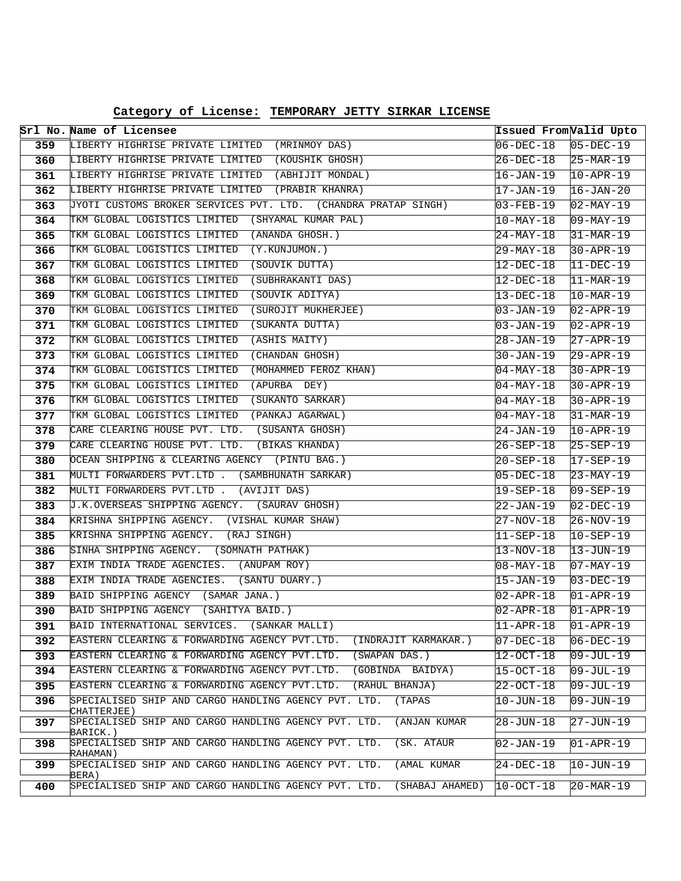|     | Srl No. Name of Licensee                                                         | Issued From Valid Upto |                        |
|-----|----------------------------------------------------------------------------------|------------------------|------------------------|
| 359 | LIBERTY HIGHRISE PRIVATE LIMITED (MRINMOY DAS)                                   | 06-DEC-18              | $05-DEC-19$            |
| 360 | LIBERTY HIGHRISE PRIVATE LIMITED (KOUSHIK GHOSH)                                 | 26-DEC-18              | $ 25-MAR-19 $          |
| 361 | LIBERTY HIGHRISE PRIVATE LIMITED (ABHIJIT MONDAL)                                | 16-JAN-19              | $10 - APR - 19$        |
| 362 | LIBERTY HIGHRISE PRIVATE LIMITED (PRABIR KHANRA)                                 | 17-JAN-19              | $16 - JAN - 20$        |
| 363 | JYOTI CUSTOMS BROKER SERVICES PVT. LTD. (CHANDRA PRATAP SINGH)                   | 03-FEB-19              | $02 - MAX - 19$        |
| 364 | TKM GLOBAL LOGISTICS LIMITED (SHYAMAL KUMAR PAL)                                 | $10$ -MAY-18           | $09 - \text{MAX} - 19$ |
| 365 | TKM GLOBAL LOGISTICS LIMITED (ANANDA GHOSH.)                                     | $24-MAY-18$            | 31-MAR-19              |
| 366 | TKM GLOBAL LOGISTICS LIMITED (Y.KUNJUMON.)                                       | 29-MAY-18              | $30 - APR - 19$        |
| 367 | TKM GLOBAL LOGISTICS LIMITED (SOUVIK DUTTA)                                      | 12-DEC-18              | $11-DEC-19$            |
| 368 | TKM GLOBAL LOGISTICS LIMITED (SUBHRAKANTI DAS)                                   | 12-DEC-18              | $11-MAR-19$            |
| 369 | TKM GLOBAL LOGISTICS LIMITED (SOUVIK ADITYA)                                     | 13-DEC-18              | $10-MAR-19$            |
| 370 | TKM GLOBAL LOGISTICS LIMITED (SUROJIT MUKHERJEE)                                 | 03-JAN-19              | $02 - APR - 19$        |
| 371 | TKM GLOBAL LOGISTICS LIMITED<br>(SUKANTA DUTTA)                                  | 03-JAN-19              | $02 - APR - 19$        |
| 372 | TKM GLOBAL LOGISTICS LIMITED<br>(ASHIS MAITY)                                    | 28-JAN-19              | $27 - APR - 19$        |
| 373 | TKM GLOBAL LOGISTICS LIMITED (CHANDAN GHOSH)                                     | 30-JAN-19              | $29 - APR - 19$        |
| 374 | TKM GLOBAL LOGISTICS LIMITED<br>(MOHAMMED FEROZ KHAN)                            | 04-MAY-18              | $30 - APR - 19$        |
| 375 | TKM GLOBAL LOGISTICS LIMITED (APURBA DEY)                                        | 04-MAY-18              | $30 - APR - 19$        |
| 376 | TKM GLOBAL LOGISTICS LIMITED (SUKANTO SARKAR)                                    | 04-MAY-18              | $30 - APR - 19$        |
| 377 | TKM GLOBAL LOGISTICS LIMITED (PANKAJ AGARWAL)                                    | 04-MAY-18              | 31-MAR-19              |
| 378 | CARE CLEARING HOUSE PVT. LTD. (SUSANTA GHOSH)                                    | 24-JAN-19              | $10 - APR - 19$        |
| 379 | CARE CLEARING HOUSE PVT. LTD. (BIKAS KHANDA)                                     | $26 - SEP - 18$        | $25 - SEP - 19$        |
| 380 | OCEAN SHIPPING & CLEARING AGENCY (PINTU BAG.)                                    | 20-SEP-18              | $17 - SEP - 19$        |
| 381 | MULTI FORWARDERS PVT.LTD . (SAMBHUNATH SARKAR)                                   | 05-DEC-18              | $23-MAY-19$            |
| 382 | MULTI FORWARDERS PVT.LTD . (AVIJIT DAS)                                          | 19-SEP-18              | $09 - SEP - 19$        |
| 383 | J.K.OVERSEAS SHIPPING AGENCY. (SAURAV GHOSH)                                     | 22-JAN-19              | $02-DEC-19$            |
| 384 | KRISHNA SHIPPING AGENCY. (VISHAL KUMAR SHAW)                                     | 27-NOV-18              | $26 - NOV - 19$        |
| 385 | KRISHNA SHIPPING AGENCY. (RAJ SINGH)                                             | 11-SEP-18              | $10-SEP-19$            |
| 386 | SINHA SHIPPING AGENCY. (SOMNATH PATHAK)                                          | 13-NOV-18              | $13 - JUN-19$          |
| 387 | EXIM INDIA TRADE AGENCIES. (ANUPAM ROY)                                          | 08-MAY-18              | $07 - MAX - 19$        |
| 388 | EXIM INDIA TRADE AGENCIES. (SANTU DUARY.)                                        | 15-JAN-19              | $03 - DEC - 19$        |
| 389 | BAID SHIPPING AGENCY (SAMAR JANA.)                                               | 02-APR-18              | $01 - APR - 19$        |
| 390 | BAID SHIPPING AGENCY (SAHITYA BAID.)                                             | 02-APR-18              | $01 - APR - 19$        |
| 391 | BAID INTERNATIONAL SERVICES.<br>(SANKAR MALLI)                                   | $ 11 - APR - 18$       | $01 - APR - 19$        |
| 392 | EASTERN CLEARING & FORWARDING AGENCY PVT.LTD.<br>(INDRAJIT KARMAKAR.)            | 07-DEC-18              | $06 - DEC - 19$        |
| 393 | EASTERN CLEARING & FORWARDING AGENCY PVT.LTD.<br>(SWAPAN DAS.)                   | 12-OCT-18              | 109-JUL-19             |
| 394 | EASTERN CLEARING & FORWARDING AGENCY PVT.LTD.<br>(GOBINDA BAIDYA)                | 15-OCT-18              | 109-JUL-19             |
| 395 | EASTERN CLEARING & FORWARDING AGENCY PVT.LTD.<br>(RAHUL BHANJA)                  | 22-OCT-18              | $09 - JUL - 19$        |
| 396 | SPECIALISED SHIP AND CARGO HANDLING AGENCY PVT. LTD.<br>(TAPAS<br>CHATTERJEE)    | 10-JUN-18              | $09 - JUN - 19$        |
| 397 | SPECIALISED SHIP AND CARGO HANDLING AGENCY PVT. LTD.<br>(ANJAN KUMAR<br>BARICK.) | 28-JUN-18              | $27 - JUN - 19$        |
| 398 | SPECIALISED SHIP AND CARGO HANDLING AGENCY PVT. LTD.<br>(SK. ATAUR<br>RAHAMAN)   | 02-JAN-19              | $01 - APR - 19$        |
| 399 | SPECIALISED SHIP AND CARGO HANDLING AGENCY PVT. LTD.<br>(AMAL KUMAR<br>BERA)     | 24-DEC-18              | 10-JUN-19              |
| 400 | SPECIALISED SHIP AND CARGO HANDLING AGENCY PVT. LTD.<br>(SHABAJ AHAMED)          | 10-OCT-18              | $20 - \text{MAR} - 19$ |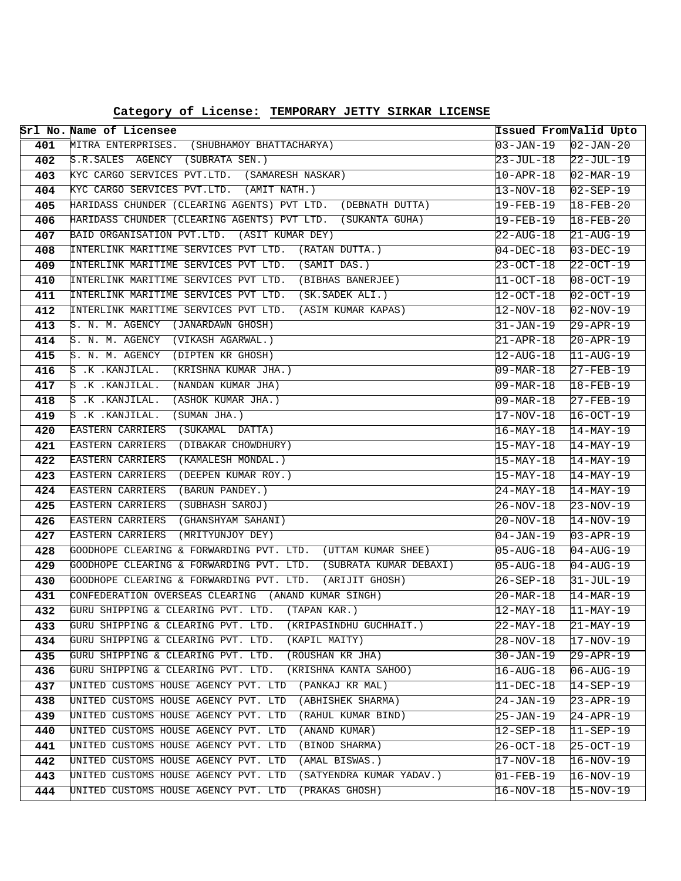|            | Srl No. Name of Licensee                                                                                                | Issued From Valid Upto |                                    |
|------------|-------------------------------------------------------------------------------------------------------------------------|------------------------|------------------------------------|
| 401        | MITRA ENTERPRISES. (SHUBHAMOY BHATTACHARYA)                                                                             | 03-JAN-19              | $02 - JAN - 20$                    |
| 402        | S.R.SALES AGENCY (SUBRATA SEN.)                                                                                         | 23-JUL-18              | $22$ -JUL-19                       |
| 403        | KYC CARGO SERVICES PVT.LTD. (SAMARESH NASKAR)                                                                           | 10-APR-18              | $02 - \text{MAR} - 19$             |
| 404        | KYC CARGO SERVICES PVT.LTD. (AMIT NATH.)                                                                                | 13-NOV-18              | $02 - SEP - 19$                    |
| 405        | HARIDASS CHUNDER (CLEARING AGENTS) PVT LTD. (DEBNATH DUTTA)                                                             | 19-FEB-19              | $18 - FEB - 20$                    |
| 406        | HARIDASS CHUNDER (CLEARING AGENTS) PVT LTD. (SUKANTA GUHA)                                                              | 19-FEB-19              | $18 - FEB - 20$                    |
| 407        | BAID ORGANISATION PVT.LTD. (ASIT KUMAR DEY)                                                                             | 22-AUG-18              | $21 - \text{AUG}-19$               |
| 408        | INTERLINK MARITIME SERVICES PVT LTD. (RATAN DUTTA.)                                                                     | 04-DEC-18              | $03 - DEC - 19$                    |
| 409        | INTERLINK MARITIME SERVICES PVT LTD. (SAMIT DAS.)                                                                       | 23-OCT-18              | $22-0CT-19$                        |
| 410        | INTERLINK MARITIME SERVICES PVT LTD. (BIBHAS BANERJEE)                                                                  | 11-OCT-18              | $08 - OCT - 19$                    |
| 411        | INTERLINK MARITIME SERVICES PVT LTD. (SK.SADEK ALI.)                                                                    | 12-OCT-18              | $02-OCT-19$                        |
| 412        | INTERLINK MARITIME SERVICES PVT LTD. (ASIM KUMAR KAPAS)                                                                 | 12-NOV-18              | $02 - NOV - 19$                    |
| 413        | S. N. M. AGENCY (JANARDAWN GHOSH)                                                                                       | 31-JAN-19              | $29 - APR - 19$                    |
| 414        | S. N. M. AGENCY (VIKASH AGARWAL.)                                                                                       | 21-APR-18              | $20 - APR - 19$                    |
| 415        | S. N. M. AGENCY (DIPTEN KR GHOSH)                                                                                       | 12-AUG-18              | $11 - \text{AUG} - 19$             |
| 416        | (KRISHNA KUMAR JHA.)<br>$S$ .K . KANJILAL.                                                                              | 09-MAR-18              | 27-FEB-19                          |
| 417        | S .K . KANJILAL.<br>(NANDAN KUMAR JHA)                                                                                  | 09-MAR-18              | $18 - FEB - 19$                    |
| 418        | (ASHOK KUMAR JHA.)<br>$S$ .K . KANJILAL.                                                                                | 09-MAR-18              | $27 - FEB - 19$                    |
| 419        | S .K . KANJILAL.<br>(SUMAN JHA.)                                                                                        | 17-NOV-18              | $16-0CT-19$                        |
| 420        | EASTERN CARRIERS<br>(SUKAMAL DATTA)                                                                                     | $16 - \text{MAX} - 18$ | $14 - \text{MAX} - 19$             |
| 421        | (DIBAKAR CHOWDHURY)<br>EASTERN CARRIERS                                                                                 | 15-MAY-18              | $14-MAY-19$                        |
| 422        | (KAMALESH MONDAL.)<br>EASTERN CARRIERS                                                                                  | 15-MAY-18              | $14 - \text{MAX} - 19$             |
| 423        | EASTERN CARRIERS<br>(DEEPEN KUMAR ROY.)                                                                                 | 15-MAY-18              | $14 - \text{MAX} - 19$             |
| 424        | EASTERN CARRIERS<br>(BARUN PANDEY.)                                                                                     | 24-MAY-18              | $14 - \text{MAX} - 19$             |
| 425        | EASTERN CARRIERS<br>(SUBHASH SAROJ)                                                                                     | 26-NOV-18              | $23 - NOV - 19$                    |
| 426        | EASTERN CARRIERS (GHANSHYAM SAHANI)                                                                                     | 20-NOV-18              | $14-NOV-19$                        |
| 427        | EASTERN CARRIERS (MRITYUNJOY DEY)                                                                                       | 04-JAN-19              | $03 - APR - 19$                    |
| 428        | GOODHOPE CLEARING & FORWARDING PVT. LTD. (UTTAM KUMAR SHEE)                                                             | $05 - \text{AUG} - 18$ | $04 - \text{AUG} - 19$             |
| 429        | GOODHOPE CLEARING & FORWARDING PVT. LTD. (SUBRATA KUMAR DEBAXI)                                                         | $05 - \text{AUG} - 18$ | $04 - AUG - 19$                    |
| 430        | GOODHOPE CLEARING & FORWARDING PVT. LTD. (ARIJIT GHOSH)                                                                 | 26-SEP-18              | $31 - JUL - 19$                    |
| 431        | CONFEDERATION OVERSEAS CLEARING (ANAND KUMAR SINGH)                                                                     | 20-MAR-18              | $14 - \text{MAR} - 19$             |
| 432        | GURU SHIPPING & CLEARING PVT. LTD. (TAPAN KAR.)                                                                         | $12 - \text{MAX} - 18$ | $11-MAY-19$                        |
| 433        | GURU SHIPPING & CLEARING PVT. LTD.<br>(KRIPASINDHU GUCHHAIT.)                                                           | 22-MAY-18              | $21-MAY-19$                        |
| 434        | GURU SHIPPING & CLEARING PVT. LTD.<br>(KAPIL MAITY)                                                                     | $28 - NOV - 18$        | 17-NOV-19                          |
| 435        | GURU SHIPPING & CLEARING PVT. LTD.<br>(ROUSHAN KR JHA)<br>GURU SHIPPING & CLEARING PVT. LTD.                            | $30 - JAN - 19$        | 29-APR-19                          |
| 436        | (KRISHNA KANTA SAHOO)<br>(PANKAJ KR MAL)                                                                                | 16-AUG-18              | $06 - \text{AUG} - 19$             |
| 437        | UNITED CUSTOMS HOUSE AGENCY PVT. LTD                                                                                    | $11 - DEC - 18$        | $14 - SEP - 19$                    |
| 438        | UNITED CUSTOMS HOUSE AGENCY PVT. LTD<br>(ABHISHEK SHARMA)<br>UNITED CUSTOMS HOUSE AGENCY PVT. LTD<br>(RAHUL KUMAR BIND) | 24-JAN-19              | 23-APR-19                          |
| 439<br>440 | UNITED CUSTOMS HOUSE AGENCY PVT. LTD<br>(ANAND KUMAR)                                                                   | 25-JAN-19              | $24 - APR - 19$                    |
| 441        | UNITED CUSTOMS HOUSE AGENCY PVT. LTD<br>(BINOD SHARMA)                                                                  | $12 - SEP - 18$        | $11-SEP-19$<br>$25-0CT-19$         |
| 442        | UNITED CUSTOMS HOUSE AGENCY PVT. LTD<br>(AMAL BISWAS.)                                                                  | 26-OCT-18              |                                    |
| 443        | UNITED CUSTOMS HOUSE AGENCY PVT. LTD<br>(SATYENDRA KUMAR YADAV.)                                                        | $17 - NOV - 18$        | 16-NOV-19                          |
| 444        | UNITED CUSTOMS HOUSE AGENCY PVT. LTD<br>(PRAKAS GHOSH)                                                                  | $01 - FEB - 19$        | $16 - NOV - 19$<br>$15 - NOV - 19$ |
|            |                                                                                                                         | $16 - NOV - 18$        |                                    |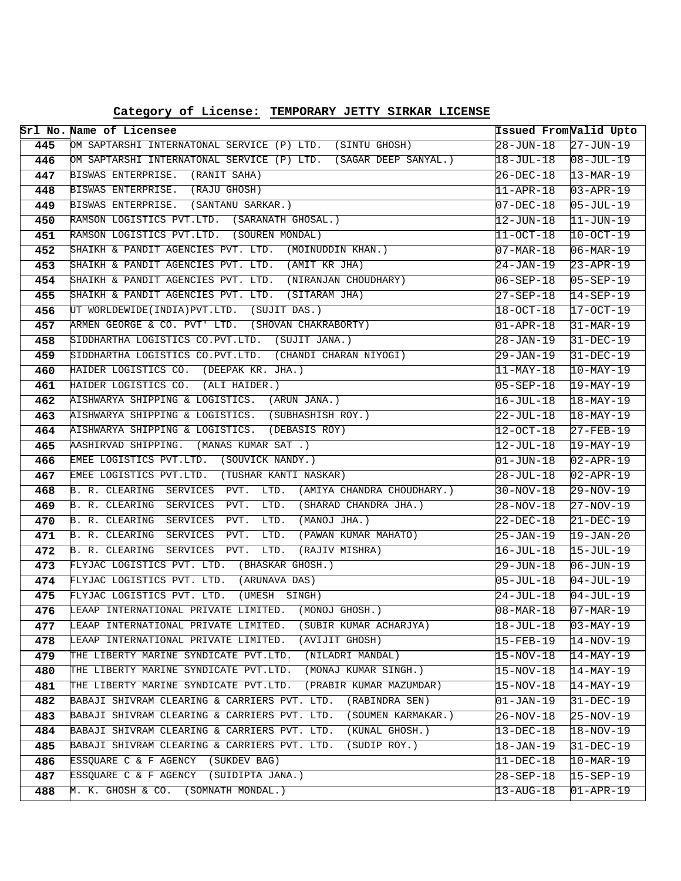| Category of License: TEMPORARY JETTY SIRKAR LICENSE |  |  |  |  |
|-----------------------------------------------------|--|--|--|--|
|-----------------------------------------------------|--|--|--|--|

|            | Srl No. Name of Licensee                                                                                                 | Issued From <i>Valid Upto</i> |                                           |
|------------|--------------------------------------------------------------------------------------------------------------------------|-------------------------------|-------------------------------------------|
| 445        | OM SAPTARSHI INTERNATONAL SERVICE (P) LTD. (SINTU GHOSH)                                                                 | $28 - JUN - 18$               | $27 - JUN-19$                             |
| 446        | OM SAPTARSHI INTERNATONAL SERVICE (P) LTD. (SAGAR DEEP SANYAL.)                                                          | 18-JUL-18                     | $ 08 - \text{JUL} - 19 $                  |
| 447        | BISWAS ENTERPRISE. (RANIT SAHA)                                                                                          | 26-DEC-18                     | $13 - \text{MAR} - 19$                    |
| 448        | BISWAS ENTERPRISE. (RAJU GHOSH)                                                                                          | 11-APR-18                     | $03 - APR - 19$                           |
| 449        | BISWAS ENTERPRISE. (SANTANU SARKAR.)                                                                                     | $07 - DEC - 18$               | $05 - JUL - 19$                           |
| 450        | RAMSON LOGISTICS PVT.LTD. (SARANATH GHOSAL.)                                                                             | $12 - JUN - 18$               | $ 11 - JUN - 19 $                         |
| 451        | RAMSON LOGISTICS PVT.LTD. (SOUREN MONDAL)                                                                                | 11-OCT-18                     | $10-0CT-19$                               |
| 452        | SHAIKH & PANDIT AGENCIES PVT. LTD.<br>(MOINUDDIN KHAN.)                                                                  | $07 - \text{MAR} - 18$        | $06 - \text{MAR} - 19$                    |
| 453        | SHAIKH & PANDIT AGENCIES PVT. LTD. (AMIT KR JHA)                                                                         | 24-JAN-19                     | $23 - APR - 19$                           |
| 454        | SHAIKH & PANDIT AGENCIES PVT. LTD. (NIRANJAN CHOUDHARY)                                                                  | $06 - SEP - 18$               | $05 - SEP - 19$                           |
| 455        | SHAIKH & PANDIT AGENCIES PVT. LTD. (SITARAM JHA)                                                                         | 27-SEP-18                     | $14-SEP-19$                               |
| 456        | UT WORLDEWIDE(INDIA) PVT.LTD. (SUJIT DAS.)                                                                               | 18-OCT-18                     | $17-0CT-19$                               |
| 457        | ARMEN GEORGE & CO. PVT' LTD. (SHOVAN CHAKRABORTY)                                                                        | $01 - APR - 18$               | $31-MAR-19$                               |
| 458        | SIDDHARTHA LOGISTICS CO.PVT.LTD. (SUJIT JANA.)                                                                           | 28-JAN-19                     | $31 - DEC - 19$                           |
| 459        | SIDDHARTHA LOGISTICS CO.PVT.LTD. (CHANDI CHARAN NIYOGI)                                                                  | 29-JAN-19                     | $31 - DEC - 19$                           |
| 460        | HAIDER LOGISTICS CO. (DEEPAK KR. JHA.)                                                                                   | $11-MAY-18$                   | $10-MAY-19$                               |
| 461        | HAIDER LOGISTICS CO. (ALI HAIDER.)                                                                                       | 05-SEP-18                     | $19-MAY-19$                               |
| 462        | AISHWARYA SHIPPING & LOGISTICS. (ARUN JANA.)                                                                             | 16-JUL-18                     | $18 - \text{MAX} - 19$                    |
| 463        | AISHWARYA SHIPPING & LOGISTICS. (SUBHASHISH ROY.)                                                                        | 22-JUL-18                     | $18 - \text{MAX} - 19$                    |
| 464        | AISHWARYA SHIPPING & LOGISTICS. (DEBASIS ROY)                                                                            | $12 - OCT - 18$               | $27 - FEB - 19$                           |
| 465        | AASHIRVAD SHIPPING. (MANAS KUMAR SAT.)                                                                                   | $12 - JUL - 18$               | $19-MAY-19$                               |
| 466        | EMEE LOGISTICS PVT.LTD. (SOUVICK NANDY.)                                                                                 | $01 - JUN - 18$               | $02 - APR - 19$                           |
| 467        | EMEE LOGISTICS PVT.LTD. (TUSHAR KANTI NASKAR)                                                                            | $28 - JUL - 18$               | $02 - APR - 19$                           |
| 468        | B. R. CLEARING SERVICES PVT. LTD. (AMIYA CHANDRA CHOUDHARY.)                                                             | $30 - NOV - 18$               | 29-NOV-19                                 |
| 469        | B. R. CLEARING SERVICES PVT.<br>LTD.<br>(SHARAD CHANDRA JHA.)                                                            | 28-NOV-18                     | $27-NOV-19$                               |
| 470        | B. R. CLEARING SERVICES PVT.<br>LTD.<br>(MANOJ JHA.)                                                                     | 22-DEC-18                     | $21-DEC-19$                               |
| 471        | LTD. (PAWAN KUMAR MAHATO)<br>B. R. CLEARING SERVICES PVT.                                                                | 25-JAN-19                     | $19 - JAN - 20$                           |
| 472        | LTD.<br>B. R. CLEARING<br>SERVICES PVT.<br>(RAJIV MISHRA)                                                                | 16-JUL-18                     | $15 - JUL - 19$                           |
| 473        | FLYJAC LOGISTICS PVT. LTD. (BHASKAR GHOSH.)                                                                              | 29-JUN-18                     | $06 - JUN - 19$                           |
| 474        | FLYJAC LOGISTICS PVT. LTD. (ARUNAVA DAS)                                                                                 | $05 - JUL - 18$               | $04-JUL-19$                               |
| 475        | FLYJAC LOGISTICS PVT. LTD.<br>(UMESH SINGH)<br>LEAAP INTERNATIONAL PRIVATE LIMITED. (MONOJ GHOSH.)                       | 24-JUL-18                     | $04-JUL-19$                               |
| 476        |                                                                                                                          | 08-MAR-18                     | $07 - \text{MAR} - 19$<br>$03 - MAX - 19$ |
| 477<br>478 | LEAAP INTERNATIONAL PRIVATE LIMITED.<br>(SUBIR KUMAR ACHARJYA)<br>LEAAP INTERNATIONAL PRIVATE LIMITED.<br>(AVIJIT GHOSH) | $18 - JUL - 18$<br>15-FEB-19  | $14-NOV-19$                               |
| 479        | THE LIBERTY MARINE SYNDICATE PVT.LTD.<br>(NILADRI MANDAL)                                                                | $15 - NOV - 18$               | 14-MAY-19                                 |
| 480        | THE LIBERTY MARINE SYNDICATE PVT.LTD.<br>(MONAJ KUMAR SINGH.)                                                            | $15 - NOV - 18$               | $14 - \text{MAX} - 19$                    |
| 481        | THE LIBERTY MARINE SYNDICATE PVT.LTD.<br>(PRABIR KUMAR MAZUMDAR)                                                         | $15 - NOV - 18$               | $14 - \text{MAX} - 19$                    |
| 482        | BABAJI SHIVRAM CLEARING & CARRIERS PVT. LTD.<br>(RABINDRA SEN)                                                           | $01 - JAN - 19$               | $31 - DEC - 19$                           |
| 483        | BABAJI SHIVRAM CLEARING & CARRIERS PVT. LTD.<br>(SOUMEN KARMAKAR.)                                                       | 26-NOV-18                     | 25-NOV-19                                 |
| 484        | BABAJI SHIVRAM CLEARING & CARRIERS PVT. LTD.<br>(KUNAL GHOSH.)                                                           | $13-DEC-18$                   | $18-NOV-19$                               |
| 485        | BABAJI SHIVRAM CLEARING & CARRIERS PVT. LTD.<br>(SUDIP ROY.)                                                             | 18-JAN-19                     | $31 - DEC - 19$                           |
| 486        | ESSQUARE C & F AGENCY (SUKDEV BAG)                                                                                       | $11 - DEC - 18$               | $10-MAR-19$                               |
| 487        | ESSQUARE C & F AGENCY (SUIDIPTA JANA.)                                                                                   | 28-SEP-18                     | 15-SEP-19                                 |
| 488        | M. K. GHOSH & CO. (SOMNATH MONDAL.)                                                                                      | 13-AUG-18                     | $01 - APR - 19$                           |
|            |                                                                                                                          |                               |                                           |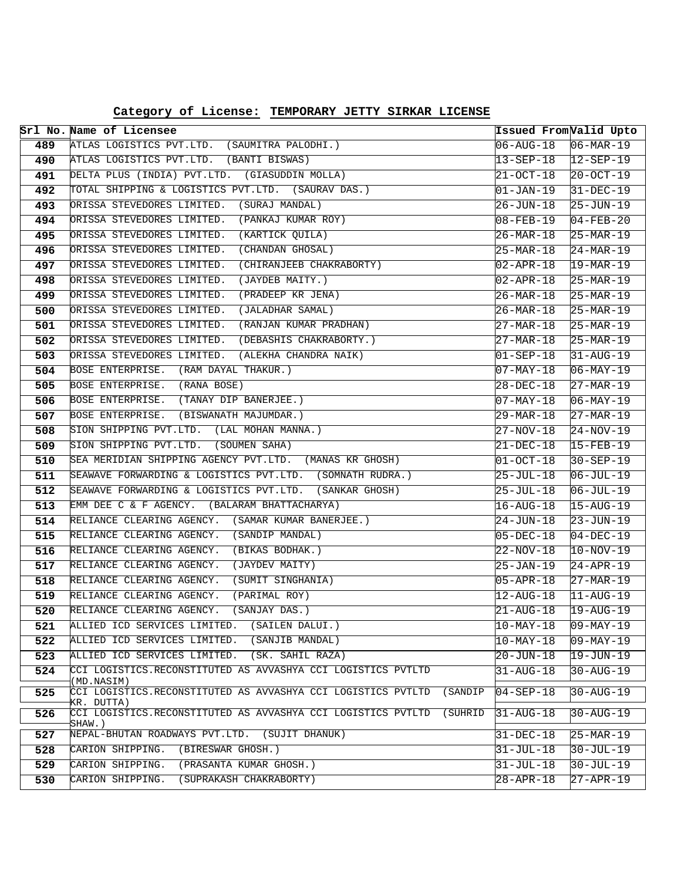|  | Category of License: TEMPORARY JETTY SIRKAR LICENSE |
|--|-----------------------------------------------------|
|--|-----------------------------------------------------|

|            | Srl No. Name of Licensee                                                                    | Issued From <i>Valid Upto</i> |                                                  |
|------------|---------------------------------------------------------------------------------------------|-------------------------------|--------------------------------------------------|
| 489        | ATLAS LOGISTICS PVT.LTD. (SAUMITRA PALODHI.)                                                | 06-AUG-18                     | $ 06 - \text{MAR} - 19 $                         |
| 490        | ATLAS LOGISTICS PVT.LTD. (BANTI BISWAS)                                                     | 13-SEP-18                     | $ 12 - SEP - 19 $                                |
| 491        | DELTA PLUS (INDIA) PVT.LTD. (GIASUDDIN MOLLA)                                               | 21-OCT-18                     | $20 - OCT - 19$                                  |
| 492        | TOTAL SHIPPING & LOGISTICS PVT.LTD. (SAURAV DAS.)                                           | 01-JAN-19                     | $31-DEC-19$                                      |
| 493        | ORISSA STEVEDORES LIMITED. (SURAJ MANDAL)                                                   | 26-JUN-18                     | $25 - JUN - 19$                                  |
| 494        | ORISSA STEVEDORES LIMITED. (PANKAJ KUMAR ROY)                                               | 08-FEB-19                     | $04 - FEB - 20$                                  |
| 495        | (KARTICK QUILA)<br>ORISSA STEVEDORES LIMITED.                                               | 26-MAR-18                     | $25 - \text{MAR} - 19$                           |
| 496        | (CHANDAN GHOSAL)<br>ORISSA STEVEDORES LIMITED.                                              | 25-MAR-18                     | $24-MAR-19$                                      |
| 497        | ORISSA STEVEDORES LIMITED. (CHIRANJEEB CHAKRABORTY)                                         | 02-APR-18                     | $19-MAR-19$                                      |
| 498        | ORISSA STEVEDORES LIMITED. (JAYDEB MAITY.)                                                  | 02-APR-18                     | $25 - \text{MAR} - 19$                           |
| 499        | ORISSA STEVEDORES LIMITED.<br>(PRADEEP KR JENA)                                             | 26-MAR-18                     | $25 - \text{MAR} - 19$                           |
| 500        | (JALADHAR SAMAL)<br>ORISSA STEVEDORES LIMITED.                                              | 26-MAR-18                     | $25 - \text{MAR} - 19$                           |
| 501        | ORISSA STEVEDORES LIMITED. (RANJAN KUMAR PRADHAN)                                           | 27-MAR-18                     | $25 - \text{MAR} - 19$                           |
| 502        | ORISSA STEVEDORES LIMITED. (DEBASHIS CHAKRABORTY.)                                          | 27-MAR-18                     | $25-MAR-19$                                      |
| 503        | ORISSA STEVEDORES LIMITED. (ALEKHA CHANDRA NAIK)                                            | $01 - SEP - 18$               | $31 - \text{AUG} - 19$                           |
| 504        | BOSE ENTERPRISE. (RAM DAYAL THAKUR.)                                                        | 07-MAY-18                     | $06 - \text{MAX} - 19$                           |
| 505        | BOSE ENTERPRISE. (RANA BOSE)                                                                | 28-DEC-18                     | $27 - \text{MAR} - 19$                           |
| 506        | BOSE ENTERPRISE. (TANAY DIP BANERJEE.)                                                      | $07 - \text{MAX} - 18$        | $06 - \text{MAX} - 19$                           |
| 507        | BOSE ENTERPRISE. (BISWANATH MAJUMDAR.)                                                      | 29-MAR-18                     | $27-MAR-19$                                      |
| 508        | SION SHIPPING PVT.LTD. (LAL MOHAN MANNA.)                                                   | 27-NOV-18                     | $24-NOV-19$                                      |
| 509        | SION SHIPPING PVT.LTD. (SOUMEN SAHA)                                                        | 21-DEC-18                     | $15 - FEB - 19$                                  |
| 510        | SEA MERIDIAN SHIPPING AGENCY PVT.LTD. (MANAS KR GHOSH)                                      | 01-OCT-18                     | $30 - SEP - 19$                                  |
| 511        | SEAWAVE FORWARDING & LOGISTICS PVT.LTD. (SOMNATH RUDRA.)                                    | $25 - JUL - 18$               | $06 - JUL - 19$                                  |
| 512        | SEAWAVE FORWARDING & LOGISTICS PVT.LTD. (SANKAR GHOSH)                                      | 25-JUL-18                     | $06 - JUL - 19$                                  |
| 513        | EMM DEE C & F AGENCY. (BALARAM BHATTACHARYA)                                                | 16-AUG-18                     | $15 - \text{AUG} - 19$                           |
| 514        | RELIANCE CLEARING AGENCY. (SAMAR KUMAR BANERJEE.)                                           | 24-JUN-18                     | $23 - JUN - 19$                                  |
| 515        | RELIANCE CLEARING AGENCY. (SANDIP MANDAL)                                                   | 05-DEC-18                     | $04 - DEC - 19$                                  |
| 516        | RELIANCE CLEARING AGENCY.<br>(BIKAS BODHAK.)<br>RELIANCE CLEARING AGENCY.<br>(JAYDEV MAITY) | 22-NOV-18                     | $10-NOV-19$                                      |
| 517        | (SUMIT SINGHANIA)<br>RELIANCE CLEARING AGENCY.                                              | 25-JAN-19                     | $24 - APR - 19$                                  |
| 518<br>519 | RELIANCE CLEARING AGENCY.<br>(PARIMAL ROY)                                                  | 05-APR-18                     | $27 - \text{MAR} - 19$                           |
| 520        | RELIANCE CLEARING AGENCY.<br>(SANJAY DAS.)                                                  | 12-AUG-18<br>21-AUG-18        | $ 11 - \text{AUG}-19 $<br>$19 - \text{AUG} - 19$ |
| 521        | ALLIED ICD SERVICES LIMITED.<br>(SAILEN DALUI.)                                             | $10 - \text{MAX} - 18$        | $09 - MAY - 19$                                  |
| 522        | ALLIED ICD SERVICES LIMITED.<br>(SANJIB MANDAL)                                             | 10-MAY-18                     | $09 - \text{MAX} - 19$                           |
| 523        | ALLIED ICD SERVICES LIMITED.<br>(SK. SAHIL RAZA)                                            | $20 - JUN - 18$               | $19 - JUN-19$                                    |
| 524        | CCI LOGISTICS.RECONSTITUTED AS AVVASHYA CCI LOGISTICS PVTLTD                                | $31 - \text{AUG} - 18$        | $30 - \text{AUG} - 19$                           |
|            | (MD.NASIM)                                                                                  |                               |                                                  |
| 525        | CCI LOGISTICS.RECONSTITUTED AS AVVASHYA CCI LOGISTICS PVTLTD<br>(SANDIP<br>KR. DUTTA)       | $04 - SEP - 18$               | $30 - \text{AUG} - 19$                           |
| 526        | CCI LOGISTICS.RECONSTITUTED AS AVVASHYA CCI LOGISTICS PVTLTD<br>(SUHRID                     | 31-AUG-18                     | 30-AUG-19                                        |
|            | SHAW.)<br>NEPAL-BHUTAN ROADWAYS PVT.LTD. (SUJIT DHANUK)                                     |                               | $25-MAR-19$                                      |
| 527        | (BIRESWAR GHOSH.)                                                                           | $31 - DEC - 18$               |                                                  |
| 528        | CARION SHIPPING.<br>CARION SHIPPING.<br>(PRASANTA KUMAR GHOSH.)                             | $31 - JUL - 18$               | 30-JUL-19                                        |
| 529        |                                                                                             | $31 - JUL - 18$               | $30 - JUL - 19$                                  |
| 530        | (SUPRAKASH CHAKRABORTY)<br>CARION SHIPPING.                                                 | 28-APR-18                     | $27 - APR - 19$                                  |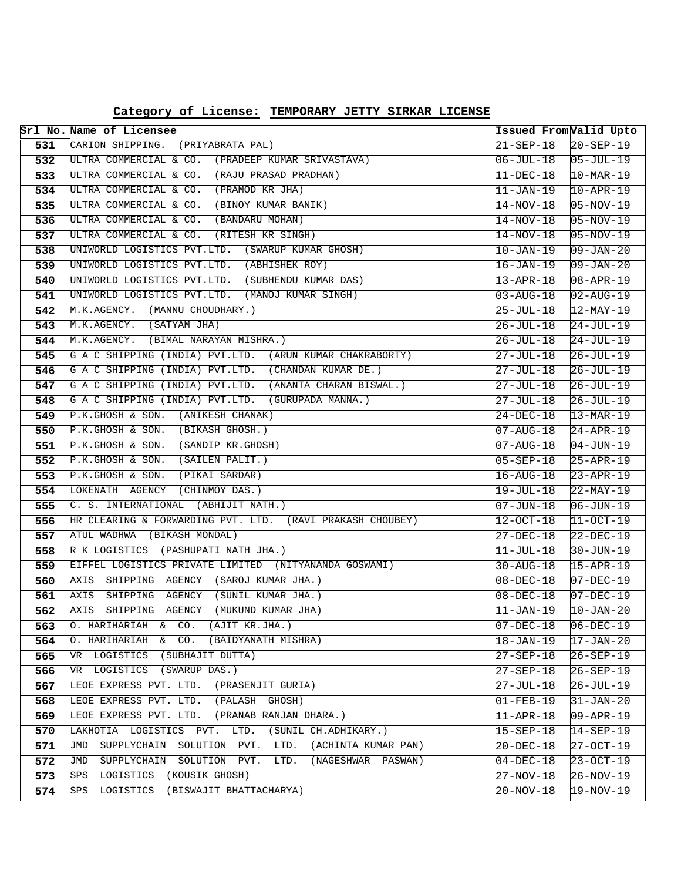| Category of License: TEMPORARY JETTY SIRKAR LICENSE |  |  |  |  |
|-----------------------------------------------------|--|--|--|--|
|-----------------------------------------------------|--|--|--|--|

|            | Srl No. Name of Licensee                                                                        | Issued From <i>Valid Upto</i>      |                          |
|------------|-------------------------------------------------------------------------------------------------|------------------------------------|--------------------------|
| 531        | CARION SHIPPING. (PRIYABRATA PAL)                                                               | 21-SEP-18                          | $20 - SEP - 19$          |
| 532        | ULTRA COMMERCIAL & CO. (PRADEEP KUMAR SRIVASTAVA)                                               | 06-JUL-18                          | $ 05 - JUL - 19 $        |
| 533        | ULTRA COMMERCIAL & CO. (RAJU PRASAD PRADHAN)                                                    | 11-DEC-18                          | $10 - \text{MAR} - 19$   |
| 534        | ULTRA COMMERCIAL & CO. (PRAMOD KR JHA)                                                          | 11-JAN-19                          | $10 - APR - 19$          |
| 535        | ULTRA COMMERCIAL & CO. (BINOY KUMAR BANIK)                                                      | 14-NOV-18                          | $05 - NOV - 19$          |
| 536        | ULTRA COMMERCIAL & CO. (BANDARU MOHAN)                                                          | 14-NOV-18                          | $05-NOV-19$              |
| 537        | ULTRA COMMERCIAL & CO. (RITESH KR SINGH)                                                        | 14-NOV-18                          | $05-NOV-19$              |
| 538        | UNIWORLD LOGISTICS PVT.LTD. (SWARUP KUMAR GHOSH)                                                | 10-JAN-19                          | $09 - JAN - 20$          |
| 539        | UNIWORLD LOGISTICS PVT.LTD. (ABHISHEK ROY)                                                      | 16-JAN-19                          | $09 - JAN - 20$          |
| 540        | UNIWORLD LOGISTICS PVT.LTD. (SUBHENDU KUMAR DAS)                                                | 13-APR-18                          | $08 - APR - 19$          |
| 541        | UNIWORLD LOGISTICS PVT.LTD. (MANOJ KUMAR SINGH)                                                 | 03-AUG-18                          | $02 - \text{AUG} - 19$   |
| 542        | M.K.AGENCY. (MANNU CHOUDHARY.)                                                                  | 25-JUL-18                          | $12$ -MAY-19             |
| 543        | M.K.AGENCY. (SATYAM JHA)                                                                        | 26-JUL-18                          | $24 - JUL-19$            |
| 544        | M.K.AGENCY. (BIMAL NARAYAN MISHRA.)                                                             | 26-JUL-18                          | $24 - JUL-19$            |
| 545        | G A C SHIPPING (INDIA) PVT.LTD. (ARUN KUMAR CHAKRABORTY)                                        | 27-JUL-18                          | $26 - JUL - 19$          |
| 546        | G A C SHIPPING (INDIA) PVT.LTD. (CHANDAN KUMAR DE.)                                             | 27-JUL-18                          | 26-JUL-19                |
| 547        | G A C SHIPPING (INDIA) PVT.LTD. (ANANTA CHARAN BISWAL.)                                         | 27-JUL-18                          | $26 - JUL - 19$          |
| 548        | G A C SHIPPING (INDIA) PVT.LTD. (GURUPADA MANNA.)                                               | 27-JUL-18                          | $26 - JUL - 19$          |
| 549        | P.K.GHOSH & SON. (ANIKESH CHANAK)                                                               | 24-DEC-18                          | $13-MAR-19$              |
| 550        | P.K.GHOSH & SON. (BIKASH GHOSH.)                                                                | 07-AUG-18                          | $24 - APR - 19$          |
| 551        | $P.K.GHOSH & SON.$ (SANDIP KR.GHOSH)                                                            | 07-AUG-18                          | $04 - JUN - 19$          |
| 552        | P.K.GHOSH & SON. (SAILEN PALIT.)                                                                | 05-SEP-18                          | $25 - APR - 19$          |
| 553        | P.K.GHOSH & SON. (PIKAI SARDAR)                                                                 | 16-AUG-18                          | $23 - APR - 19$          |
| 554        | LOKENATH AGENCY (CHINMOY DAS.)                                                                  | $19 - JUL - 18$                    | 22-MAY-19                |
| 555        | C. S. INTERNATIONAL (ABHIJIT NATH.)                                                             | 07-JUN-18                          | $06 - JUN - 19$          |
| 556        | HR CLEARING & FORWARDING PVT. LTD. (RAVI PRAKASH CHOUBEY)                                       | 12-OCT-18                          | $ 11-OCT-19 $            |
| 557        | ATUL WADHWA (BIKASH MONDAL)                                                                     | 27-DEC-18                          | $22-DEC-19$              |
| 558        | R K LOGISTICS (PASHUPATI NATH JHA.)                                                             | 11-JUL-18                          | 30-JUN-19                |
| 559        | EIFFEL LOGISTICS PRIVATE LIMITED (NITYANANDA GOSWAMI)                                           | 30-AUG-18                          | $15 - APR - 19$          |
| 560        | AXIS SHIPPING AGENCY (SAROJ KUMAR JHA.)                                                         | $08 - DEC - 18$                    | $07-DEC-19$              |
| 561        | AXIS SHIPPING AGENCY (SUNIL KUMAR JHA.)                                                         | 08-DEC-18                          | 07-DEC-19                |
| 562        | AXIS SHIPPING AGENCY (MUKUND KUMAR JHA)                                                         | 11-JAN-19                          | $10 - JAN - 20$          |
| 563        | (AJIT KR.JHA.)<br>O. HARIHARIAH<br>& CO.<br>O. HARIHARIAH<br>(BAIDYANATH MISHRA)                | $07 - DEC - 18$                    | $ 06 - DEC - 19 $        |
| 564        | CO.<br>&.<br>(SUBHAJIT DUTTA)                                                                   | 18-JAN-19                          | 17-JAN-20                |
| 565        | VR LOGISTICS<br>(SWARUP DAS.)<br>VR LOGISTICS                                                   | 27-SEP-18                          | 26-SEP-19                |
| 566        | LEOE EXPRESS PVT. LTD. (PRASENJIT GURIA)                                                        | 27-SEP-18                          | 26-SEP-19                |
| 567        | LEOE EXPRESS PVT. LTD. (PALASH GHOSH)                                                           | 27-JUL-18                          | 26-JUL-19                |
| 568<br>569 | LEOE EXPRESS PVT. LTD. (PRANAB RANJAN DHARA.)                                                   | $01 - FEB - 19$<br>$11 - APR - 18$ | $31 - JAN - 20$          |
|            | (SUNIL CH.ADHIKARY.)                                                                            | $15 - SEP - 18$                    | 09-APR-19                |
| 570<br>571 | LAKHOTIA LOGISTICS PVT. LTD.<br>SUPPLYCHAIN SOLUTION PVT.<br>LTD.<br>JMD<br>(ACHINTA KUMAR PAN) | 20-DEC-18                          | $14-SEP-19$<br>27-OCT-19 |
| 572        | SUPPLYCHAIN SOLUTION PVT.<br>$\overline{\text{JMD}}$<br>(NAGESHWAR PASWAN)<br>LTD.              |                                    |                          |
|            | (KOUSIK GHOSH)<br>SPS<br>LOGISTICS                                                              | $04-DEC-18$                        | 23-OCT-19                |
| 573        | (BISWAJIT BHATTACHARYA)                                                                         | 27-NOV-18                          | 26-NOV-19                |
| 574        | SPS<br>LOGISTICS                                                                                | 20-NOV-18                          | 19-NOV-19                |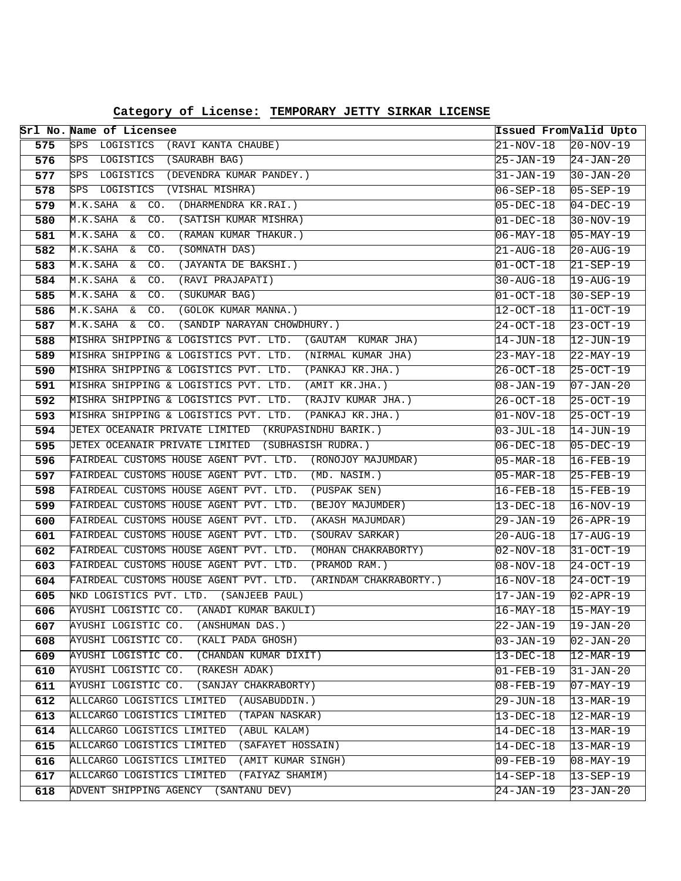|     | Srl No. Name of Licensee                                                                       | Issued From Valid Upto     |                            |
|-----|------------------------------------------------------------------------------------------------|----------------------------|----------------------------|
| 575 | SPS LOGISTICS (RAVI KANTA CHAUBE)                                                              | 21-NOV-18                  | $20-NOV-19$                |
| 576 | SPS LOGISTICS (SAURABH BAG)                                                                    | 25-JAN-19                  | $24 - JAN - 20$            |
| 577 | SPS LOGISTICS (DEVENDRA KUMAR PANDEY.)                                                         | 31-JAN-19                  | $30 - JAN - 20$            |
| 578 | SPS LOGISTICS<br>(VISHAL MISHRA)                                                               | 06-SEP-18                  | $05 - SEP - 19$            |
| 579 | M.K.SAHA & CO.<br>(DHARMENDRA KR.RAI.)                                                         | $05 - DEC - 18$            | $04-DEC-19$                |
| 580 | (SATISH KUMAR MISHRA)<br>M.K.SAHA & CO.                                                        | $01 - DEC - 18$            | $30-NOV-19$                |
| 581 | M.K.SAHA & CO.<br>(RAMAN KUMAR THAKUR.)                                                        | $06 - \text{MAX} - 18$     | $05 - MAX-19$              |
| 582 | M.K.SAHA & CO.<br>(SOMNATH DAS)                                                                | 21-AUG-18                  | $20 - \text{AUG} - 19$     |
| 583 | (JAYANTA DE BAKSHI.)<br>M.K.SAHA<br>& CO.                                                      | $01 - OCT - 18$            | $21 - SEP - 19$            |
| 584 | M.K.SAHA & CO.<br>(RAVI PRAJAPATI)                                                             | 30-AUG-18                  | $19 - \text{AUG} - 19$     |
| 585 | M.K.SAHA &<br>CO.<br>(SUKUMAR BAG)                                                             | $ 01-OCT-18 $              | $30 - SEP - 19$            |
| 586 | M.K.SAHA &<br>CO.<br>(GOLOK KUMAR MANNA.)                                                      | 12-OCT-18                  | $11 - OCT - 19$            |
| 587 | CO.<br>M.K.SAHA &<br>(SANDIP NARAYAN CHOWDHURY.)                                               | 24-OCT-18                  | $23 - OCT - 19$            |
| 588 | MISHRA SHIPPING & LOGISTICS PVT. LTD. (GAUTAM KUMAR JHA)                                       | 14-JUN-18                  | $12 - JUN-19$              |
| 589 | MISHRA SHIPPING & LOGISTICS PVT. LTD. (NIRMAL KUMAR JHA)                                       | 23-MAY-18                  | 22-MAY-19                  |
| 590 | MISHRA SHIPPING & LOGISTICS PVT. LTD. (PANKAJ KR.JHA.)                                         | 26-OCT-18                  | $25-0CT-19$                |
| 591 | MISHRA SHIPPING & LOGISTICS PVT. LTD. (AMIT KR.JHA.)                                           | $08 - JAN - 19$            | $07 - JAN - 20$            |
| 592 | MISHRA SHIPPING & LOGISTICS PVT. LTD. (RAJIV KUMAR JHA.)                                       | 26-OCT-18                  | $25-0CT-19$                |
| 593 | MISHRA SHIPPING & LOGISTICS PVT. LTD.<br>(PANKAJ KR.JHA.)                                      | $ 01-NOV-18$               | $25-0CT-19$                |
| 594 | JETEX OCEANAIR PRIVATE LIMITED (KRUPASINDHU BARIK.)                                            | $03 - JUL - 18$            | $14 - JUN-19$              |
| 595 | JETEX OCEANAIR PRIVATE LIMITED (SUBHASISH RUDRA.)                                              | $06 - DEC - 18$            | $05-DEC-19$                |
| 596 | FAIRDEAL CUSTOMS HOUSE AGENT PVT. LTD. (RONOJOY MAJUMDAR)                                      | $05 - \text{MAR} - 18$     | $16 - FEB - 19$            |
| 597 | FAIRDEAL CUSTOMS HOUSE AGENT PVT. LTD. (MD. NASIM.)                                            | $05 - \text{MAR} - 18$     | 25-FEB-19                  |
| 598 | FAIRDEAL CUSTOMS HOUSE AGENT PVT. LTD. (PUSPAK SEN)                                            | $16 - FEB - \overline{18}$ | $15 - FEB - 19$            |
| 599 | FAIRDEAL CUSTOMS HOUSE AGENT PVT. LTD.<br>(BEJOY MAJUMDER)                                     | 13-DEC-18                  | $16 - NOV - 19$            |
| 600 | FAIRDEAL CUSTOMS HOUSE AGENT PVT. LTD.<br>(AKASH MAJUMDAR)                                     | 29-JAN-19                  | $26 - APR - 19$            |
| 601 | FAIRDEAL CUSTOMS HOUSE AGENT PVT. LTD.<br>(SOURAV SARKAR)                                      | $20 - \text{AUG} - 18$     | $17 - \text{AUG}-19$       |
| 602 | FAIRDEAL CUSTOMS HOUSE AGENT PVT. LTD.<br>(MOHAN CHAKRABORTY)                                  | 02-NOV-18                  | 31-OCT-19                  |
| 603 | FAIRDEAL CUSTOMS HOUSE AGENT PVT. LTD.<br>(PRAMOD RAM.)                                        | $08 - NOV - 18$            | $24 - OCT - 19$            |
| 604 | FAIRDEAL CUSTOMS HOUSE AGENT PVT. LTD.<br>(ARINDAM CHAKRABORTY.)                               | $16 - NOV - 18$            | $24-0CT-19$                |
| 605 | NKD LOGISTICS PVT. LTD. (SANJEEB PAUL)                                                         | 17-JAN-19                  | $02 - APR - 19$            |
| 606 | AYUSHI LOGISTIC CO. (ANADI KUMAR BAKULI)                                                       | $16 - \text{MAX} - 18$     | $15-MAY-19$                |
| 607 | AYUSHI LOGISTIC CO.<br>(ANSHUMAN DAS.)                                                         | $ 22 - JAN - 19 $          | $\overline{19} - JAN - 20$ |
| 608 | AYUSHI LOGISTIC CO.<br>(KALI PADA GHOSH)                                                       | $03 - JAN - 19$            | $02 - JAN - 20$            |
| 609 | AYUSHI LOGISTIC CO.<br>(CHANDAN KUMAR DIXIT)                                                   | $13 - DEC - 18$            | 12-MAR-19                  |
| 610 | AYUSHI LOGISTIC CO.<br>(RAKESH ADAK)                                                           | $01 - FEB - 19$            | $31 - JAN - 20$            |
| 611 | AYUSHI LOGISTIC CO.<br>(SANJAY CHAKRABORTY)                                                    | $08 - FEB - 19$            | $07 - MAX - 19$            |
| 612 | ALLCARGO LOGISTICS LIMITED (AUSABUDDIN.)                                                       | 29-JUN-18                  | $13-MAR-19$                |
| 613 | ALLCARGO LOGISTICS LIMITED<br>(TAPAN NASKAR)                                                   | $13-DEC-18$                | $12 - \text{MAR} - 19$     |
| 614 | ALLCARGO LOGISTICS LIMITED<br>(ABUL KALAM)                                                     | $14-DEC-18$                | $13 - \text{MAR} - 19$     |
| 615 | ALLCARGO LOGISTICS LIMITED<br>(SAFAYET HOSSAIN)                                                | $14-DEC-18$                | $13 - \text{MAR} - 19$     |
| 616 | ALLCARGO LOGISTICS LIMITED<br>(AMIT KUMAR SINGH)<br>ALLCARGO LOGISTICS LIMITED (FAIYAZ SHAMIM) | $09 - FEB - 19$            | 08-MAY-19                  |
| 617 |                                                                                                | $14 - SEP - 18$            | $13 - SEP - 19$            |
| 618 | ADVENT SHIPPING AGENCY (SANTANU DEV)                                                           | 24-JAN-19                  | $23 - JAN - 20$            |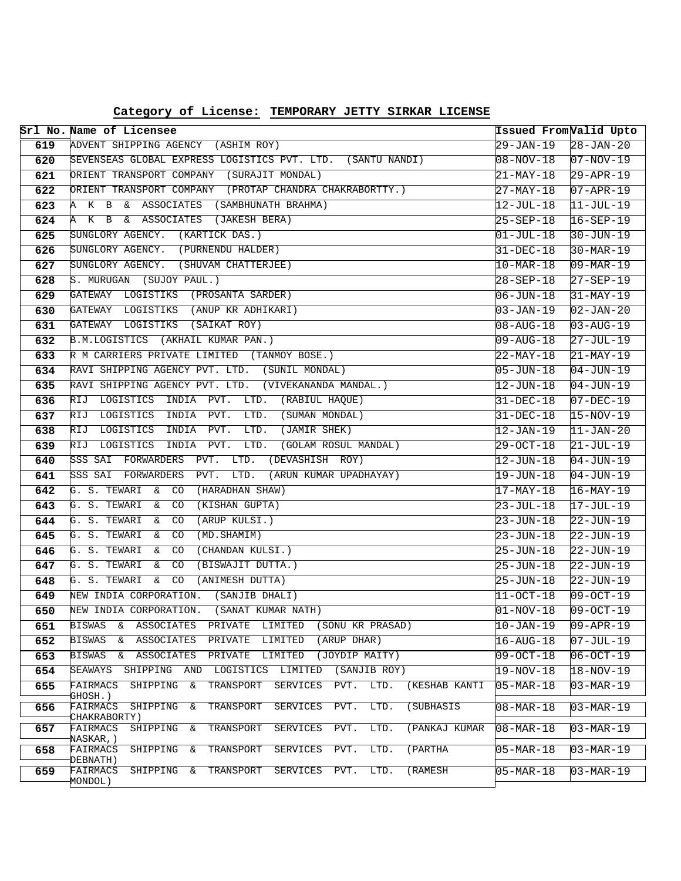| Category of License: TEMPORARY JETTY SIRKAR LICENSE |  |  |  |  |
|-----------------------------------------------------|--|--|--|--|
|-----------------------------------------------------|--|--|--|--|

|            | Srl No. Name of Licensee                                                                         | Issued From Valid Upto             |                            |
|------------|--------------------------------------------------------------------------------------------------|------------------------------------|----------------------------|
| 619        | ADVENT SHIPPING AGENCY (ASHIM ROY)                                                               | $29 - JAN - 19$                    | $28 - JAN - 20$            |
| 620        | SEVENSEAS GLOBAL EXPRESS LOGISTICS PVT. LTD. (SANTU NANDI)                                       | 08-NOV-18                          | $07-NOV-19$                |
| 621        | ORIENT TRANSPORT COMPANY (SURAJIT MONDAL)                                                        | 21-MAY-18                          | $29 - APR - 19$            |
| 622        | ORIENT TRANSPORT COMPANY (PROTAP CHANDRA CHAKRABORTTY.)                                          | $27 - MAX - 18$                    | $07 - APR - 19$            |
| 623        | A K B & ASSOCIATES (SAMBHUNATH BRAHMA)                                                           | 12-JUL-18                          | $11-JUL-19$                |
| 624        | A K B &<br>ASSOCIATES (JAKESH BERA)                                                              | $25 - SEP - 18$                    | $16 - SEP - 19$            |
| 625        | SUNGLORY AGENCY. (KARTICK DAS.)                                                                  | $01 - JUL - 18$                    | $30 - JUN - 19$            |
| 626        | SUNGLORY AGENCY. (PURNENDU HALDER)                                                               | $31 - DEC - 18$                    | $30 - \text{MAR} - 19$     |
| 627        | SUNGLORY AGENCY. (SHUVAM CHATTERJEE)                                                             | $10-MAR-18$                        | $09 - \text{MAR} - 19$     |
| 628        | S. MURUGAN (SUJOY PAUL.)                                                                         | 28-SEP-18                          | $27 - SEP - 19$            |
| 629        | GATEWAY LOGISTIKS (PROSANTA SARDER)                                                              | $06 - JUN - 18$                    | $31-MAY-19$                |
| 630        | GATEWAY LOGISTIKS (ANUP KR ADHIKARI)                                                             | $03 - JAN - 19$                    | $02 - JAN - 20$            |
| 631        | (SAIKAT ROY)<br>GATEWAY LOGISTIKS                                                                | $08 - \text{AUG} - 18$             | $03 - AUG - 19$            |
| 632        | B.M.LOGISTICS (AKHAIL KUMAR PAN.)                                                                | $09 - \text{AUG} - 18$             | $27 - JUL - 19$            |
| 633        | R M CARRIERS PRIVATE LIMITED (TANMOY BOSE.)                                                      | 22-MAY-18                          | $21 - \text{MAX} - 19$     |
| 634        | RAVI SHIPPING AGENCY PVT. LTD. (SUNIL MONDAL)                                                    | 05-JUN-18                          | $04 - JUN - 19$            |
| 635        | RAVI SHIPPING AGENCY PVT. LTD. (VIVEKANANDA MANDAL.)                                             | $12 - JUN - 18$                    | $04 - JUN - 19$            |
| 636        | RIJ LOGISTICS INDIA PVT. LTD. (RABIUL HAQUE)                                                     | $31-DEC-18$                        | $07-DEC-19$                |
| 637        | RIJ LOGISTICS INDIA PVT.<br>LTD. (SUMAN MONDAL)                                                  | $31 - DEC - 18$                    | $15-NOV-19$                |
| 638        | PVT.<br>LTD.<br>(JAMIR SHEK)<br>RIJ LOGISTICS<br>INDIA                                           | $12 - JAN - 19$                    | $11 - JAN - 20$            |
| 639        | RIJ<br>LOGISTICS<br>INDIA PVT.<br>LTD.<br>(GOLAM ROSUL MANDAL)                                   | $29 - OCT - 18$                    | $21 - JUL - 19$            |
| 640        | SSS SAI FORWARDERS<br>PVT.<br>LTD.<br>(DEVASHISH ROY)                                            | $12 - JUN - 18$                    | $04 - JUN - 19$            |
| 641        | SSS SAI FORWARDERS<br>PVT.<br>LTD.<br>(ARUN KUMAR UPADHAYAY)                                     | $19 - JUN - 18$<br>17-MAY-18       | $04 - JUN - 19$            |
| 642        | (HARADHAN SHAW)<br>G. S. TEWARI & CO                                                             |                                    | $16 - \text{MAX} - 19$     |
| 643        | G. S. TEWARI & CO<br>(KISHAN GUPTA)                                                              | $23 - JUL - 18$                    | $17 - JUL-19$              |
| 644        | G. S. TEWARI<br>CO<br>(ARUP KULSI.)<br>&                                                         | $23 - JUN - 18$                    | $22 - JUN - 19$            |
| 645        | G. S. TEWARI &<br>CO<br>(MD. SHAMIM)                                                             | 23-JUN-18                          | $22 - JUN - 19$            |
| 646        | G. S. TEWARI<br>CO<br>(CHANDAN KULSI.)<br>&                                                      | 25-JUN-18                          | $22 - JUN - 19$            |
| 647        | G. S. TEWARI<br>CO<br>(BISWAJIT DUTTA.)<br>&<br>G. S. TEWARI<br>CO<br>(ANIMESH DUTTA)<br>&       | $25 - JUN - 18$                    | $22 - JUN-19$              |
| 648<br>649 | NEW INDIA CORPORATION. (SANJIB DHALI)                                                            | $25 - JUN - 18$<br>$11 - OCT - 18$ | $22 - JUN - 19$            |
| 650        | NEW INDIA CORPORATION. (SANAT KUMAR NATH)                                                        | 01-NOV-18                          | $ 09-0CT-19 $<br>09-OCT-19 |
| 651        | <b>ASSOCIATES</b><br>BISWAS<br>PRIVATE<br>LIMITED<br>(SONU KR PRASAD)<br>&                       | $10 - JAN - 19$                    | $09 - APR - 19$            |
| 652        | <b>BISWAS</b><br><b>ASSOCIATES</b><br>PRIVATE<br>LIMITED<br>(ARUP DHAR)<br>&                     | $16 - \text{AUG} - 18$             | 07-JUL-19                  |
| 653        | <b>BISWAS</b><br><b>ASSOCIATES</b><br>LIMITED<br>(JOYDIP MAITY)<br>&<br>PRIVATE                  | 09-OCT-18                          | 06-OCT-19                  |
| 654        | SHIPPING AND<br><b>SEAWAYS</b><br>LOGISTICS<br>LIMITED<br>(SANJIB ROY)                           | 19-NOV-18                          | $18 - NOV - 19$            |
| 655        | FAIRMACS<br>SHIPPING<br>TRANSPORT<br>SERVICES<br>PVT.<br>LTD.<br>(KESHAB KANTI<br>&              | $05 - \text{MAR} - 18$             | $03 - \text{MAR} - 19$     |
|            | GHOSH.)                                                                                          |                                    |                            |
| 656        | LTD.<br>FAIRMACS<br>SHIPPING<br>TRANSPORT<br>SERVICES<br>PVT.<br>δc<br>(SUBHASIS<br>CHAKRABORTY) | $08 - \text{MAR} - 18$             | $ 03 - MAR - 19$           |
| 657        | SHIPPING<br>TRANSPORT<br>SERVICES<br>PVT.<br>LTD.<br>FAIRMACS<br>&<br>(PANKAJ KUMAR              | $08 - \text{MAR} - 18$             | $03 - \text{MAR} - 19$     |
|            | NASKAR, )                                                                                        |                                    |                            |
| 658        | SHIPPING<br>TRANSPORT<br>SERVICES<br>PVT.<br>LTD.<br>(PARTHA<br>FAIRMACS<br>&<br>DEBNATH)        | $05 - \text{MAR} - 18$             | $03 - \text{MAR} - 19$     |
| 659        | SHIPPING<br>LTD.<br>FAIRMACS<br>δc<br>TRANSPORT<br><b>SERVICES</b><br>PVT.<br>(RAMESH<br>MONDOL) | $05 - \text{MAR} - 18$             | $03 - \text{MAR} - 19$     |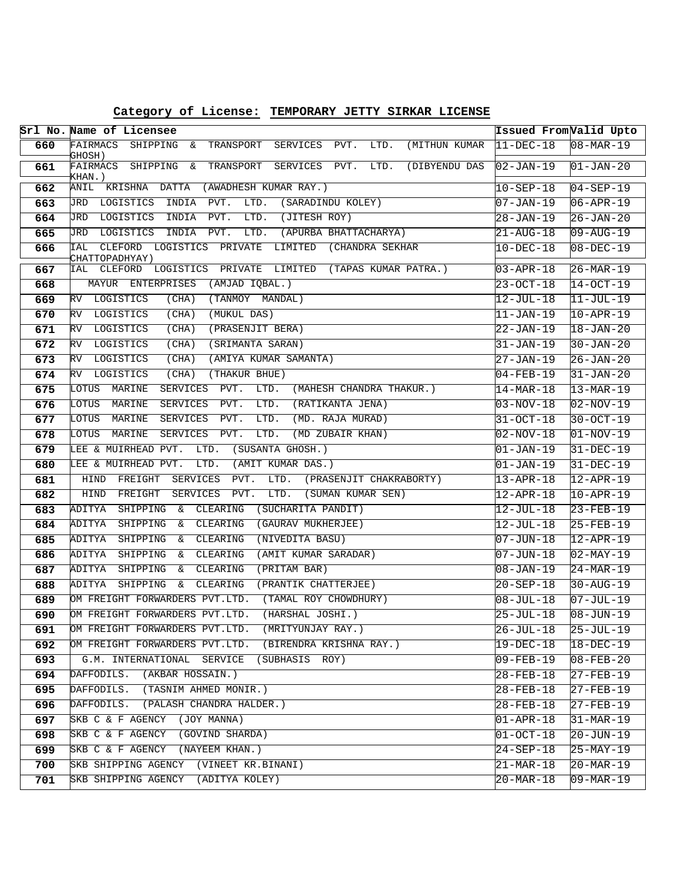|     | Srl No. Name of Licensee                                                                | Issued FromValid Upto  |                        |
|-----|-----------------------------------------------------------------------------------------|------------------------|------------------------|
| 660 | FAIRMACS SHIPPING &<br>TRANSPORT SERVICES PVT.<br>LTD.<br>(MITHUN KUMAR<br>GHOSH)       | $11-DEC-18$            | $08 - \text{MAR} - 19$ |
| 661 | FAIRMACS SHIPPING &<br>TRANSPORT<br>LTD.<br>SERVICES<br>PVT.<br>(DIBYENDU DAS<br>KHAN.) | $02 - JAN - 19$        | $01 - JAN - 20$        |
| 662 | ANIL KRISHNA DATTA<br>(AWADHESH KUMAR RAY.)                                             | $10 - SEP - 18$        | $04 - SEP - 19$        |
| 663 | LOGISTICS<br>INDIA<br>PVT.<br>LTD.<br>(SARADINDU KOLEY)<br>JRD                          | $07 - JAN - 19$        | $06 - APR - 19$        |
| 664 | PVT.<br>JRD<br>LOGISTICS<br>INDIA<br>LTD.<br>(JITESH ROY)                               | 28-JAN-19              | $26 - JAN - 20$        |
| 665 | LOGISTICS<br>INDIA<br>PVT.<br>LTD.<br>(APURBA BHATTACHARYA)<br>JRD                      | $21 - AUG - 18$        | $09 - \text{AUG} - 19$ |
| 666 | IAL<br>CLEFORD<br>LOGISTICS PRIVATE<br>LIMITED (CHANDRA SEKHAR<br>CHATTOPADHYAY)        | $10 - DEC - 18$        | $08 - DEC - 19$        |
| 667 | CLEFORD<br>LOGISTICS PRIVATE LIMITED (TAPAS KUMAR PATRA.)<br>IAL                        | $03 - APR - 18$        | $26-MAR-19$            |
| 668 | MAYUR ENTERPRISES<br>(AMJAD IQBAL.)                                                     | $23 - OCT - 18$        | $14-OCT-19$            |
| 669 | LOGISTICS<br>RV<br>(CHA)<br>(TANMOY MANDAL)                                             | $12 - JUL-18$          | $11-JUL-19$            |
| 670 | RV<br>LOGISTICS<br>(CHA)<br>(MUKUL DAS)                                                 | $11 - JAN-19$          | $10 - APR - 19$        |
| 671 | RV<br>LOGISTICS<br>(CHA)<br>(PRASENJIT BERA)                                            | $22 - JAN - 19$        | $18 - JAN - 20$        |
| 672 | (SRIMANTA SARAN)<br>RV<br>LOGISTICS<br>(CHA)                                            | $31 - JAN - 19$        | $30 - JAN - 20$        |
| 673 | LOGISTICS<br>(AMIYA KUMAR SAMANTA)<br>RV<br>(CHA)                                       | 27-JAN-19              | $26 - JAN - 20$        |
| 674 | (THAKUR BHUE)<br>RV<br>LOGISTICS<br>(CHA)                                               | $04 - FEB - 19$        | $31 - JAN - 20$        |
| 675 | LTD.<br>(MAHESH CHANDRA THAKUR.)<br>LOTUS MARINE<br>SERVICES<br>PVT.                    | $14 - \text{MAR} - 18$ | $13 - \text{MAR} - 19$ |
| 676 | PVT.<br>(RATIKANTA JENA)<br>LOTUS<br>MARINE<br><b>SERVICES</b><br>LTD.                  | 03-NOV-18              | $02-NOV-19$            |
| 677 | LOTUS MARINE<br>PVT.<br>LTD.<br>(MD. RAJA MURAD)<br><b>SERVICES</b>                     | $31 - OCT - 18$        | $30-0CT-19$            |
| 678 | PVT.<br>LTD.<br>(MD ZUBAIR KHAN)<br>LOTUS<br>MARINE<br><b>SERVICES</b>                  | $02 - NOV - 18$        | $ 01-NOV-19$           |
| 679 | LEE & MUIRHEAD PVT.<br>LTD.<br>(SUSANTA GHOSH.)                                         | $01 - JAN - 19$        | $31 - DEC - 19$        |
| 680 | (AMIT KUMAR DAS.)<br>LEE & MUIRHEAD PVT.<br>LTD.                                        | $01 - JAN - 19$        | $31-DEC-19$            |
| 681 | PVT.<br>LTD.<br>HIND<br>FREIGHT<br>SERVICES<br>(PRASENJIT CHAKRABORTY)                  | $13 - APR - 18$        | $12 - APR - 19$        |
| 682 | LTD.<br>(SUMAN KUMAR SEN)<br>HIND<br>FREIGHT<br>SERVICES<br>PVT.                        | $12 - APR - 18$        | $10 - APR - 19$        |
| 683 | (SUCHARITA PANDIT)<br>ADITYA<br>SHIPPING & CLEARING                                     | 12-JUL-18              | $23 - FEB - 19$        |
| 684 | ADITYA<br>SHIPPING<br>CLEARING<br>(GAURAV MUKHERJEE)<br>&                               | 12-JUL-18              | $25 - FEB - 19$        |
| 685 | ADITYA<br>SHIPPING<br>CLEARING<br>(NIVEDITA BASU)<br>δc                                 | $07 - JUN - 18$        | $12 - APR - 19$        |
| 686 | (AMIT KUMAR SARADAR)<br>ADITYA<br>SHIPPING<br>CLEARING<br>&                             | $07 - JUN - 18$        | $02 - \text{MAX} - 19$ |
| 687 | ADITYA<br>SHIPPING<br>CLEARING<br>(PRITAM BAR)<br>δc                                    | $08 - JAN - 19$        | $24-MAR-19$            |
| 688 | (PRANTIK CHATTERJEE)<br>ADITYA<br>SHIPPING<br>CLEARING<br>&                             | 20-SEP-18              | $30 - \text{AUG} - 19$ |
| 689 | OM FREIGHT FORWARDERS PVT.LTD.<br>(TAMAL ROY CHOWDHURY)                                 | $08 - JUL - 18$        | $07 - JUL - 19$        |
| 690 | (HARSHAL JOSHI.)<br>OM FREIGHT FORWARDERS PVT.LTD.                                      | 25-JUL-18              | $08 - JUN - 19$        |
| 691 | OM FREIGHT FORWARDERS PVT.LTD. (MRITYUNJAY RAY.)                                        | $26 - JUL - 18$        | $25 - JUL - 19$        |
| 692 | OM FREIGHT FORWARDERS PVT.LTD. (BIRENDRA KRISHNA RAY.)                                  | 19-DEC-18              | $18 - DEC - 19$        |
| 693 | G.M. INTERNATIONAL SERVICE<br>(SUBHASIS ROY)                                            | $09 - FEB - 19$        | $08 - FEB - 20$        |
| 694 | DAFFODILS. (AKBAR HOSSAIN.)                                                             | $28 - FEB - 18$        | $27 - FEB - 19$        |
| 695 | DAFFODILS. (TASNIM AHMED MONIR.)                                                        | $28 - FEB - 18$        | $27 - FEB - 19$        |
| 696 | DAFFODILS. (PALASH CHANDRA HALDER.)                                                     | $28 - FEB - 18$        | $27 - FEB - 19$        |
| 697 | SKB C & F AGENCY (JOY MANNA)                                                            | $01 - APR - 18$        | $31 - \text{MAR} - 19$ |
| 698 | SKB C & F AGENCY (GOVIND SHARDA)                                                        | $01-0CT-18$            | $20 - JUN - 19$        |
| 699 | SKB C & F AGENCY (NAYEEM KHAN.)                                                         | $24 - SEP - 18$        | $25 - MAX - 19$        |
| 700 | SKB SHIPPING AGENCY (VINEET KR.BINANI)                                                  | $21 - \text{MAR} - 18$ | $20 - \text{MAR} - 19$ |
| 701 | SKB SHIPPING AGENCY (ADITYA KOLEY)                                                      | $20 - \text{MAR} - 18$ | $09 - \text{MAR} - 19$ |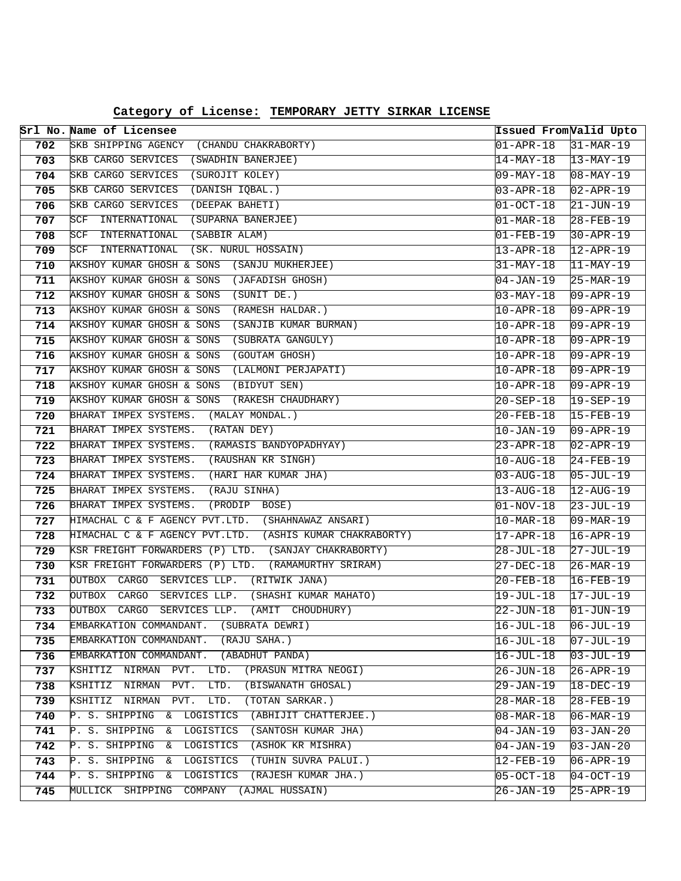|     | Srl No. Name of Licensee                                 | Issued From Valid Upto |                        |
|-----|----------------------------------------------------------|------------------------|------------------------|
| 702 | SKB SHIPPING AGENCY<br>(CHANDU CHAKRABORTY)              | $01 - APR - 18$        | $31-MAR-19$            |
| 703 | SKB CARGO SERVICES (SWADHIN BANERJEE)                    | 14-MAY-18              | $13-MAY-19$            |
| 704 | SKB CARGO SERVICES<br>(SUROJIT KOLEY)                    | 09-MAY-18              | $08 - \text{MAX} - 19$ |
| 705 | SKB CARGO SERVICES<br>(DANISH IQBAL.)                    | 03-APR-18              | $02 - APR - 19$        |
| 706 | SKB CARGO SERVICES<br>(DEEPAK BAHETI)                    | $ 01-OCT-18 $          | $21 - JUN - 19$        |
| 707 | SCF<br>INTERNATIONAL<br>(SUPARNA BANERJEE)               | $01 - \text{MAR} - 18$ | $28 - FEB - 19$        |
| 708 | SCF<br>INTERNATIONAL<br>(SABBIR ALAM)                    | 01-FEB-19              | $30 - APR - 19$        |
| 709 | (SK. NURUL HOSSAIN)<br>SCF<br>INTERNATIONAL              | $13 - APR - 18$        | $12 - APR - 19$        |
| 710 | AKSHOY KUMAR GHOSH & SONS (SANJU MUKHERJEE)              | 31-MAY-18              | $11-MAY-19$            |
| 711 | AKSHOY KUMAR GHOSH & SONS (JAFADISH GHOSH)               | 04-JAN-19              | $25-MAR-19$            |
| 712 | AKSHOY KUMAR GHOSH & SONS<br>(SUNIT DE.)                 | $03 - MAX - 18$        | 09-APR-19              |
| 713 | (RAMESH HALDAR.)<br>AKSHOY KUMAR GHOSH & SONS            | 10-APR-18              | 09-APR-19              |
| 714 | AKSHOY KUMAR GHOSH & SONS<br>(SANJIB KUMAR BURMAN)       | 10-APR-18              | $09 - APR - 19$        |
| 715 | AKSHOY KUMAR GHOSH & SONS<br>(SUBRATA GANGULY)           | $10 - APR - 18$        | 09-APR-19              |
| 716 | (GOUTAM GHOSH)<br>AKSHOY KUMAR GHOSH & SONS              | 10-APR-18              | 09-APR-19              |
| 717 | (LALMONI PERJAPATI)<br>AKSHOY KUMAR GHOSH & SONS         | 10-APR-18              | $09 - APR - 19$        |
| 718 | AKSHOY KUMAR GHOSH & SONS<br>(BIDYUT SEN)                | 10-APR-18              | $09 - APR - 19$        |
| 719 | AKSHOY KUMAR GHOSH & SONS (RAKESH CHAUDHARY)             | 20-SEP-18              | $19 - SEP - 19$        |
| 720 | BHARAT IMPEX SYSTEMS. (MALAY MONDAL.)                    | 20-FEB-18              | 15-FEB-19              |
| 721 | BHARAT IMPEX SYSTEMS. (RATAN DEY)                        | 10-JAN-19              | 09-APR-19              |
| 722 | BHARAT IMPEX SYSTEMS.<br>(RAMASIS BANDYOPADHYAY)         | 23-APR-18              | $02 - APR - 19$        |
| 723 | BHARAT IMPEX SYSTEMS.<br>(RAUSHAN KR SINGH)              | $10 - \text{AUG} - 18$ | $24 - FEB - 19$        |
| 724 | BHARAT IMPEX SYSTEMS.<br>(HARI HAR KUMAR JHA)            | $03 - \text{AUG} - 18$ | 05-JUL-19              |
| 725 | BHARAT IMPEX SYSTEMS.<br>(RAJU SINHA)                    | 13-AUG-18              | $12 - \text{AUG} - 19$ |
| 726 | BHARAT IMPEX SYSTEMS.<br>(PRODIP BOSE)                   | $01 - NOV - 18$        | $23 - JUL - 19$        |
| 727 | HIMACHAL C & F AGENCY PVT.LTD. (SHAHNAWAZ ANSARI)        | $10 - \text{MAR} - 18$ | $09 - \text{MAR} - 19$ |
| 728 | HIMACHAL C & F AGENCY PVT.LTD. (ASHIS KUMAR CHAKRABORTY) | $17 - APR - 18$        | $16 - APR - 19$        |
| 729 | KSR FREIGHT FORWARDERS (P) LTD. (SANJAY CHAKRABORTY)     | 28-JUL-18              | 27-JUL-19              |
| 730 | KSR FREIGHT FORWARDERS (P) LTD.<br>(RAMAMURTHY SRIRAM)   | $27-DEC-18$            | $26 - \text{MAR} - 19$ |
| 731 | OUTBOX CARGO SERVICES LLP.<br>(RITWIK JANA)              | 20-FEB-18              | $16 - FEB - 19$        |
| 732 | OUTBOX CARGO<br>SERVICES LLP.<br>(SHASHI KUMAR MAHATO)   | $19 - JUL - 18$        | $17 - JUL - 19$        |
| 733 | OUTBOX CARGO<br>SERVICES LLP.<br>(AMIT CHOUDHURY)        | $22 - JUN - 18$        | 01-JUN-19              |
| 734 | (SUBRATA DEWRI)<br>EMBARKATION COMMANDANT.               | $16 - JUL - 18$        | $06 - JUL - 19$        |
| 735 | EMBARKATION COMMANDANT.<br>(RAJU SAHA.)                  | $16 - JUL - 18$        | $07 - JUL - 19$        |
| 736 | EMBARKATION COMMANDANT.<br>(ABADHUT PANDA)               | $16 - JUL - 18$        | $03 - JUL - 19$        |
| 737 | KSHITIZ NIRMAN PVT. LTD.<br>(PRASUN MITRA NEOGI)         | 26-JUN-18              | $26 - APR - 19$        |
| 738 | KSHITIZ NIRMAN<br>(BISWANATH GHOSAL)<br>PVT.<br>LTD.     | $29 - JAN-19$          | $18 - DEC - 19$        |
| 739 | (TOTAN SARKAR.)<br>KSHITIZ NIRMAN<br>PVT.<br>LTD.        | 28-MAR-18              | $28 - FEB - 19$        |
| 740 | P. S. SHIPPING & LOGISTICS<br>(ABHIJIT CHATTERJEE.)      | $08 - \text{MAR} - 18$ | $06 - \text{MAR} - 19$ |
| 741 | P. S. SHIPPING &<br>LOGISTICS<br>(SANTOSH KUMAR JHA)     | $04 - JAN - 19$        | $03 - JAN - 20$        |
| 742 | LOGISTICS<br>(ASHOK KR MISHRA)<br>P. S. SHIPPING<br>&    | $04 - JAN - 19$        | $03 - JAN - 20$        |
| 743 | P. S. SHIPPING &<br>(TUHIN SUVRA PALUI.)<br>LOGISTICS    | 12-FEB-19              | $06 - APR - 19$        |
| 744 | $P.S.$ SHIPPING &<br>LOGISTICS<br>(RAJESH KUMAR JHA.)    | $05-0CT-18$            | $04-OCT-19$            |
| 745 | MULLICK SHIPPING COMPANY (AJMAL HUSSAIN)                 | $26 - JAN - 19$        | $25 - APR - 19$        |